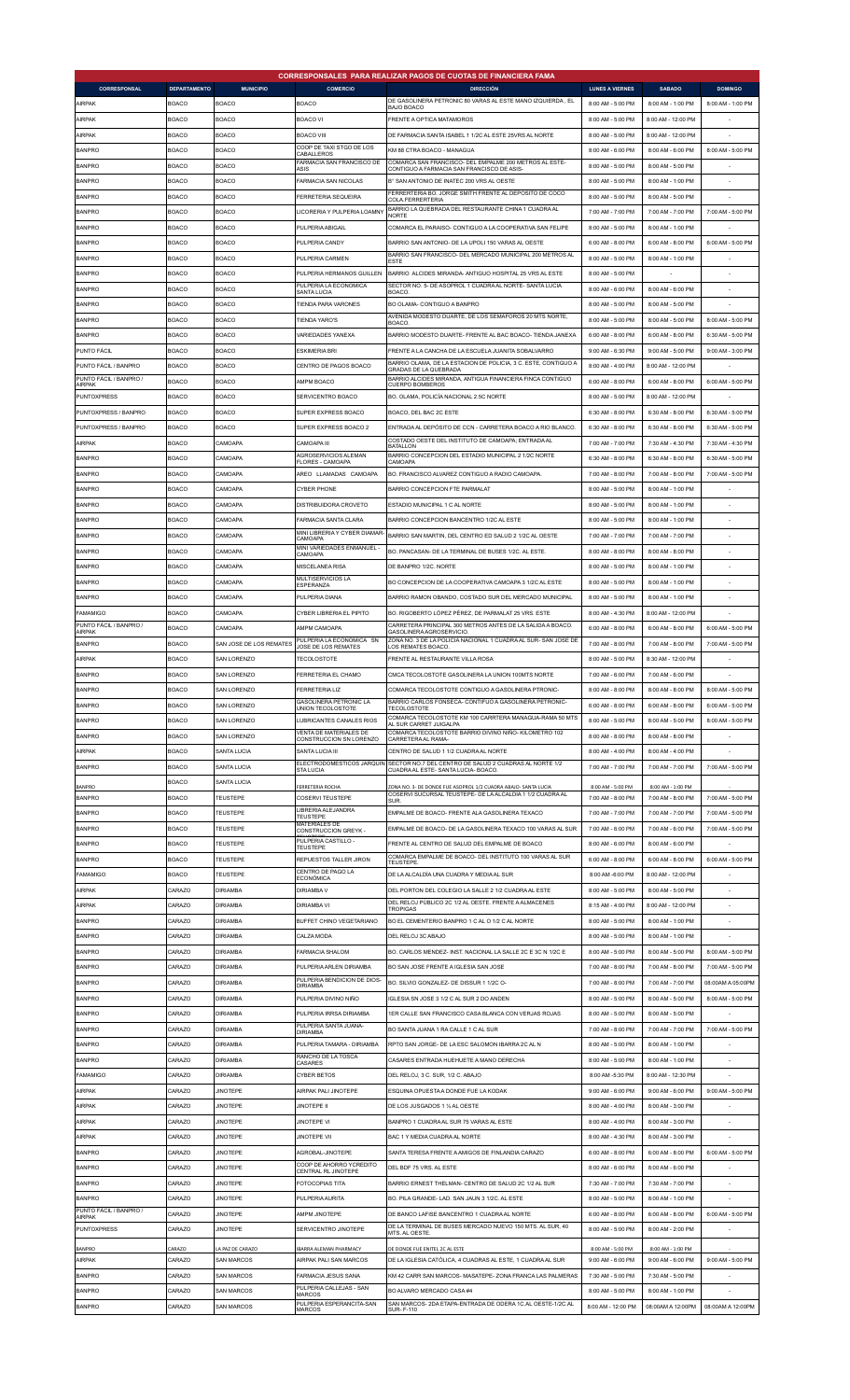|                                     |                     |                         |                                                       | CORRESPONSALES PARA REALIZAR PAGOS DE CUOTAS DE FINANCIERA FAMA                                                         |                        |                    |                   |
|-------------------------------------|---------------------|-------------------------|-------------------------------------------------------|-------------------------------------------------------------------------------------------------------------------------|------------------------|--------------------|-------------------|
| <b>CORRESPONSAL</b>                 | <b>DEPARTAMENTO</b> | <b>MUNICIPIO</b>        | COMERCIO                                              | <b>DIRECCIÓN</b><br>DE GASOLINERA PETRONIC 80 VARAS AL ESTE MANO IZQUIERDA, EL                                          | <b>LUNES A VIERNES</b> | <b>SABADO</b>      | <b>DOMINGO</b>    |
| AIRPAK                              | <b>BOACO</b>        | <b>BOACO</b>            | <b>BOACO</b>                                          | <b>BAJO BOACO</b>                                                                                                       | 8:00 AM - 5:00 PM      | 8:00 AM - 1:00 PM  | 8:00 AM - 1:00 PM |
| <b>AIRPAK</b>                       | <b>BOACO</b>        | <b>BOACO</b>            | <b>BOACO VI</b>                                       | FRENTE A OPTICA MATAMOROS                                                                                               | 8:00 AM - 5:00 PM      | 8:00 AM - 12:00 PM |                   |
| AIRPAK                              | BOACO               | <b>BOACO</b>            | <b>BOACO VIII</b>                                     | DE FARMACIA SANTA ISABEL 1 1/2C AL ESTE 25VRS AL NORTE                                                                  | 8:00 AM - 5:00 PM      | 8:00 AM - 12:00 PM |                   |
| <b>BANPRO</b>                       | BOACO               | <b>BOACO</b>            | COOP DE TAXI STGO DE LOS<br>CABALLEROS                | KM 88 CTRA BOACO - MANAGUA                                                                                              | 8:00 AM - 6:00 PM      | 8:00 AM - 6:00 PM  | 8:00 AM - 5:00 PM |
| <b>BANPRO</b>                       | <b>BOACO</b>        | <b>BOACO</b>            | FARMACIA SAN FRANCISCO DE<br>ASIS                     | COMARCA SAN FRANCISCO- DEL EMPALME 200 METROS AL ESTE-<br>CONTIGUO A FARMACIA SAN FRANCISCO DE ASIS-                    | 8:00 AM - 5:00 PM      | 8:00 AM - 5:00 PM  |                   |
| <b>BANPRO</b>                       | <b>BOACO</b>        | <b>BOACO</b>            | FARMACIA SAN NICOLAS                                  | B° SAN ANTONIO DE INATEC 200 VRS AL OESTE                                                                               | 8:00 AM - 5:00 PM      | 8:00 AM - 1:00 PM  |                   |
| <b>BANPRO</b>                       | <b>BOACO</b>        | <b>BOACO</b>            | <b>FERRETERIA SEQUEIRA</b>                            | FERRERTERIA BO. JORGE SMITH FRENTE AL DEPOSITO DE COCO<br>COLA.FERRERTERIA                                              | 8:00 AM - 5:00 PM      | 8:00 AM - 5:00 PM  |                   |
| <b>BANPRO</b>                       | <b>BOACO</b>        | <b>BOACO</b>            | LICORERIA Y PULPERIA LOAMNY                           | BARRIO LA QUEBRADA DEL RESTAURANTE CHINA 1 CUADRA AL<br><b>NORTE</b>                                                    | 7:00 AM - 7:00 PM      | 7:00 AM - 7:00 PM  | 7:00 AM - 5:00 PM |
| <b>BANPRO</b>                       | <b>BOACO</b>        | <b>BOACO</b>            | PULPERIA ABIGAIL                                      | COMARCA EL PARAISO- CONTIGUO A LA COOPERATIVA SAN FELIPE                                                                | 8:00 AM - 5:00 PM      | 8:00 AM - 1:00 PM  |                   |
| <b>BANPRO</b>                       | BOACO               | <b>BOACO</b>            | PULPERIA CANDY                                        | BARRIO SAN ANTONIO- DE LA UPOLI 150 VARAS AL OESTE                                                                      | 6:00 AM - 8:00 PM      | 6:00 AM - 8:00 PM  | 6:00 AM - 5:00 PM |
| <b>BANPRO</b>                       | <b>BOACO</b>        | <b>BOACO</b>            | PULPERIA CARMEN                                       | BARRIO SAN FRANCISCO- DEL MERCADO MUNICIPAL 200 METROS AL<br><b>ESTE</b>                                                | 8:00 AM - 5:00 PM      | 8:00 AM - 1:00 PM  |                   |
| <b>BANPRO</b>                       | <b>BOACO</b>        | <b>BOACO</b>            | PULPERIA HERMANOS GUILLEN                             | BARRIO ALCIDES MIRANDA- ANTIGUO HOSPITAL 25 VRS AL ESTE                                                                 | 8:00 AM - 5:00 PM      |                    |                   |
| <b>BANPRO</b>                       | <b>BOACO</b>        | <b>BOACO</b>            | PULPERIA LA ECONOMICA<br><b>SANTA LUCIA</b>           | SECTOR NO. 5- DE ASOPROL 1 CUADRA AL NORTE- SANTA LUCIA<br><b>BOACO</b>                                                 | 8:00 AM - 6:00 PM      | 8:00 AM - 6:00 PM  |                   |
| <b>BANPRO</b>                       | <b>BOACO</b>        | <b>BOACO</b>            | TIENDA PARA VARONES                                   | BO OLAMA- CONTIGUO A BANPRO                                                                                             | 8:00 AM - 5:00 PM      | 8:00 AM - 5:00 PM  |                   |
| <b>BANPRO</b>                       | <b>BOACO</b>        | <b>BOACO</b>            | <b>TIENDA YARO'S</b>                                  | AVENIDA MODESTO DUARTE, DE LOS SEMAFOROS 20 MTS NORTE,                                                                  | 8:00 AM - 5:00 PM      | 8:00 AM - 5:00 PM  | 8:00 AM - 5:00 PM |
| <b>BANPRO</b>                       | <b>BOACO</b>        | <b>BOACO</b>            | VARIEDADES YANEXA                                     | <b>BOACO</b><br>BARRIO MODESTO DUARTE- FRENTE AL BAC BOACO- TIENDA JANEXA                                               | 6:00 AM - 8:00 PM      | 6:00 AM - 8:00 PM  | 6:30 AM - 5:00 PM |
| PUNTO FÁCIL                         | <b>BOACO</b>        | <b>BOACO</b>            | <b>ESKIMERIA BRI</b>                                  | FRENTE A LA CANCHA DE LA ESCUELA JUANITA SOBALVARRO                                                                     | 9:00 AM - 6:30 PM      | 9:00 AM - 5:00 PM  | 9:00 AM - 3:00 PM |
| PUNTO FÁCIL / BANPRO                | <b>BOACO</b>        |                         |                                                       | BARRIO OLAMA, DE LA ESTACION DE POLICIA, 3 C. ESTE, CONTIGUO A                                                          |                        |                    |                   |
| PUNTO FÁCIL / BANPRO /              |                     | <b>BOACO</b>            | CENTRO DE PAGOS BOACO                                 | <b>GRADAS DE LA QUEBRADA</b><br>BARRIO ALCIDES MIRANDA, ANTIGUA FINANCIERA FINCA CONTIGUO                               | 8:00 AM - 4:00 PM      | 8:00 AM - 12:00 PM |                   |
| <b>AIRPAK</b>                       | <b>BOACO</b>        | <b>BOACO</b>            | AMPM BOACO                                            | CUERPO BOMBEROS                                                                                                         | 6:00 AM - 8:00 PM      | 6:00 AM - 8:00 PM  | 6:00 AM - 5:00 PM |
| <b>PUNTOXPRESS</b>                  | <b>BOACO</b>        | <b>BOACO</b>            | SERVICENTRO BOACO                                     | BO. OLAMA, POLICÍA NACIONAL 2.5C NORTE                                                                                  | 8:00 AM - 5:00 PM      | 8:00 AM - 12:00 PM |                   |
| PUNTOXPRESS / BANPRO                | <b>BOACO</b>        | <b>BOACO</b>            | SUPER EXPRESS BOACO                                   | BOACO, DEL BAC 2C ESTE                                                                                                  | 6:30 AM - 8:00 PM      | 6:30 AM - 8:00 PM  | 6:30 AM - 5:00 PM |
| PUNTOXPRESS / BANPRO                | <b>BOACO</b>        | <b>BOACO</b>            | SUPER EXPRESS BOACO 2                                 | ENTRADA AL DEPÓSITO DE CCN - CARRETERA BOACO A RIO BLANCO                                                               | 6:30 AM - 8:00 PM      | 6:30 AM - 8:00 PM  | 6:30 AM - 5:00 PM |
| AIRPAK                              | <b>BOACO</b>        | CAMOAPA                 | CAMOAPA III                                           | COSTADO OESTE DEL INSTITUTO DE CAMOAPA; ENTRADA AL<br><b>BATALLON</b>                                                   | 7:00 AM - 7:00 PM      | 7:30 AM - 4:30 PM  | 7:30 AM - 4:30 PM |
| <b>BANPRO</b>                       | BOACO               | CAMOAPA                 | AGROSERVICIOS ALEMAN<br>FLORES - CAMOAPA              | BARRIO CONCEPCION DEL ESTADIO MUNICIPAL 2 1/2C NORTE<br>CAMOAPA                                                         | 6:30 AM - 8:00 PM      | 6:30 AM - 8:00 PM  | 6:30 AM - 5:00 PM |
| <b>BANPRO</b>                       | <b>BOACO</b>        | CAMOAPA                 | AREO LLAMADAS CAMOAPA                                 | BO. FRANCISCO ALVAREZ CONTIGUO A RADIO CAMOAPA                                                                          | 7:00 AM - 8:00 PM      | 7:00 AM - 8:00 PM  | 7:00 AM - 5:00 PM |
| <b>BANPRO</b>                       | <b>BOACO</b>        | CAMOAPA                 | <b>CYBER PHONE</b>                                    | <b>BARRIO CONCEPCION FTE PARMALAT</b>                                                                                   | 8:00 AM - 5:00 PM      | 8:00 AM - 1:00 PM  |                   |
| <b>BANPRO</b>                       | <b>BOACO</b>        | CAMOAPA                 | DISTRIBUIDORA CROVETO                                 | ESTADIO MUNICIPAL 1 C AL NORTE                                                                                          | 8:00 AM - 5:00 PM      | 8:00 AM - 1:00 PM  |                   |
| <b>BANPRO</b>                       | <b>BOACO</b>        | CAMOAPA                 | FARMACIA SANTA CLARA                                  | BARRIO CONCEPCION BANCENTRO 1/2C AL ESTE                                                                                | 8:00 AM - 5:00 PM      | 8:00 AM - 1:00 PM  |                   |
| <b>BANPRO</b>                       | <b>BOACO</b>        | CAMOAPA                 | MINI LIBRERIA Y CYBER DIAMAR<br>CAMOAPA               | BARRIO SAN MARTIN, DEL CENTRO ED SALUD 2 1/2C AL OESTE                                                                  | 7:00 AM - 7:00 PM      | 7:00 AM - 7:00 PM  |                   |
| <b>BANPRO</b>                       | BOACO               | CAMOAPA                 | MINI VARIEDADES ENMANUEL<br>CAMOAPA                   | BO. PANCASAN- DE LA TERMINAL DE BUSES 1/2C. AL ESTE.                                                                    | 8:00 AM - 8:00 PM      | 8:00 AM - 8:00 PM  |                   |
| <b>BANPRO</b>                       | <b>BOACO</b>        | CAMOAPA                 | MISCELANEA RISA                                       | DE BANPRO 1/2C. NORTE                                                                                                   | 8:00 AM - 5:00 PM      | 8:00 AM - 1:00 PM  |                   |
| <b>BANPRO</b>                       | <b>BOACO</b>        | CAMOAPA                 | MULTISERVICIOS LA                                     | BO CONCEPCION DE LA COOPERATIVA CAMOAPA 3 1/2C AL ESTE                                                                  | 8:00 AM - 5:00 PM      | 8:00 AM - 1:00 PM  |                   |
| <b>BANPRO</b>                       | <b>BOACO</b>        | CAMOAPA                 | ESPERANZA<br>PULPERIA DIANA                           | BARRIO RAMON OBANDO, COSTADO SUR DEL MERCADO MUNICIPAL                                                                  | 8:00 AM - 5:00 PM      | 8:00 AM - 1:00 PM  |                   |
| <b>FAMAMIGO</b>                     | <b>BOACO</b>        | CAMOAPA                 | CYBER LIBRERIA EL PIPITO                              | BO. RIGOBERTO LÓPEZ PÉREZ, DE PARMALAT 25 VRS. ESTE                                                                     | 8:00 AM - 4:30 PM      | 8:00 AM - 12:00 PM |                   |
| PUNTO FÁCIL / BANPRO /              | <b>BOACO</b>        | CAMOAPA                 | AMPM CAMOAPA                                          | CARRETERA PRINCIPAL 300 METROS ANTES DE LA SALIDA A BOACO.                                                              | 6:00 AM - 8:00 PM      | 6:00 AM - 8:00 PM  | 6:00 AM - 5:00 PM |
| AIRPAK<br><b>BANPRO</b>             | <b>BOACO</b>        | SAN JOSE DE LOS REMATES | PULPERIA LA ECONOMICA SN                              | GASOLINERA AGROSERVICIO<br>ZONA NO. 3 DE LA POLICIA NACIONAL 1 CUADRA AL SUR-SAN JOSE DE                                | 7:00 AM - 8:00 PM      | 7:00 AM - 8:00 PM  | 7:00 AM - 5:00 PM |
|                                     |                     | SAN LORENZO             | JOSE DE LOS REMATES                                   | LOS REMATES BOACO                                                                                                       | 8:00 AM - 5:00 PM      |                    |                   |
| <b>AIRPAK</b>                       | <b>BOACO</b>        |                         | <b>TECOLOSTOTE</b>                                    | FRENTE AL RESTAURANTE VILLA ROSA                                                                                        |                        | 8:30 AM - 12:00 PM |                   |
| <b>BANPRO</b>                       | <b>BOACO</b>        | <b>SAN LORENZO</b>      | FERRETERIA EL CHAMO                                   | CMCA TECOLOSTOTE GASOLINERA LA UNION 100MTS NORTE                                                                       | 7:00 AM - 6:00 PM      | 7:00 AM - 6:00 PM  |                   |
| <b>BANPRO</b>                       | <b>BOACO</b>        | SAN LORENZO             | <b>FERRETERIA LIZ</b><br>GASOLINERA PETRONIC LA       | COMARCA TECOLOSTOTE CONTIGUO A GASOLINERA PTRONIC-<br>BARRIO CARLOS FONSECA- CONTIFUO A GASOLINERA PETRONIC-            | 8:00 AM - 8:00 PM      | 8:00 AM - 8:00 PM  | 8:00 AM - 5:00 PM |
| <b>BANPRO</b>                       | <b>BOACO</b>        | <b>SAN LORENZO</b>      | JNION TECOLOSTOTE                                     | <b>FECOLOSTOTE</b><br>COMARCA TECOLOSTOTE KM 100 CARRTERA MANAGUA-RAMA 50 MTS                                           | 6:00 AM - 8:00 PM      | 6:00 AM - 8:00 PM  | 6:00 AM - 5:00 PM |
| <b>BANPRO</b>                       | <b>BOACO</b>        | SAN LORENZO             | LUBRICANTES CANALES RIOS                              | AL SUR CARRET JUIGALPA                                                                                                  | 8:00 AM - 5:00 PM      | 8:00 AM - 5:00 PM  | 8:00 AM - 5:00 PM |
| <b>BANPRO</b>                       | <b>BOACO</b>        | SAN LORENZO             | VENTA DE MATERIALES DE<br>CONSTRUCCION SN LORENZO     | COMARCA TECOLOSTOTE BARRIO DIVINO NIÑO- KILOMETRO 102<br>CARRETERA AL RAMA-                                             | 8:00 AM - 8:00 PM      | 8:00 AM - 8:00 PM  |                   |
| <b>AIRPAK</b>                       | BOACO               | <b>SANTA LUCIA</b>      | SANTA LUCIA III                                       | CENTRO DE SALUD 1 1/2 CUADRA AL NORTE                                                                                   | 8:00 AM - 4:00 PM      | 8:00 AM - 4:00 PM  |                   |
| <b>BANPRO</b>                       | BOACO               | SANTA I UCIA            | <b>STA LUCIA</b>                                      | ELECTRODOMESTICOS JARQUIN SECTOR NO.7 DEL CENTRO DE SALUD 2 CUADRAS AL NORTE 1/2<br>CUADRA AL ESTE- SANTA LUCIA- BOACO. | 7:00 AM - 7:00 PM      | 7:00 AM - 7:00 PM  | 7:00 AM - 5:00 PM |
| <b>BANPRO</b>                       | <b>BOACO</b>        | <b>SANTA LUCIA</b>      | FERRETERIA ROCHA                                      | ZONA NO. 3- DE DONDE FUE ASOPROL 1/2 CUADRA ABAJO- SANTA LUCIA                                                          | 8:00 AM - 5:00 PM      | 8:00 AM - 1:00 PM  |                   |
| <b>BANPRO</b>                       | <b>BOACO</b>        | TEUSTEPE                | <b>COSERVI TEUSTEPE</b>                               | COSERVI SUCURSAL TEUSTEPE- DE LA ALCALDIA 1 1/2 CUADRA AL<br>SUR                                                        | 7:00 AM - 8:00 PM      | 7:00 AM - 8:00 PM  | 7:00 AM - 5:00 PM |
| <b>BANPRO</b>                       | <b>BOACO</b>        | <b>TEUSTEPE</b>         | LIBRERIA ALEJANDRA<br>TEUSTEPE                        | EMPALME DE BOACO- FRENTE ALA GASOLINERA TEXACO                                                                          | 7:00 AM - 7:00 PM      | 7:00 AM - 7:00 PM  | 7:00 AM - 5:00 PM |
| <b>BANPRO</b>                       | <b>BOACO</b>        | <b>TEUSTEPE</b>         | <b>MATERIALES DE</b><br>CONSTRUCCION GREYK -          | EMPALME DE BOACO- DE LA GASOLINERA TEXACO 100 VARAS AL SUR                                                              | 7:00 AM - 6:00 PM      | 7:00 AM - 6:00 PM  | 7:00 AM - 5:00 PM |
| <b>BANPRO</b>                       | <b>BOACO</b>        | <b>TEUSTEPE</b>         | PULPERIA CASTILLO<br><b>TEUSTEPE</b>                  | FRENTE AL CENTRO DE SALUD DEL EMPALME DE BOACO                                                                          | 8:00 AM - 6:00 PM      | 8:00 AM - 6:00 PM  |                   |
| <b>BANPRO</b>                       | BOACO               | <b>TEUSTEPE</b>         | REPUESTOS TALLER JIRON                                | COMARCA EMPALME DE BOACO- DEL INSTITUTO 100 VARAS AL SUR<br>TFUSTEPE                                                    | 6:00 AM - 8:00 PM      | 6:00 AM - 8:00 PM  | 6:00 AM - 5:00 PM |
| FAMAMIGO                            | <b>BOACO</b>        | TEUSTEPE                | CENTRO DE PAGO LA<br><b>ECONÓMICA</b>                 | DE LA ALCALDÍA UNA CUADRA Y MEDIA AL SUR                                                                                | 8:00 AM -6:00 PM       | 8:00 AM - 12:00 PM |                   |
| <b>AIRPAK</b>                       | CARAZO              | <b>DIRIAMBA</b>         | <b>DIRIAMBA V</b>                                     | DEL PORTON DEL COLEGIO LA SALLE 2 1/2 CUADRA AL ESTE                                                                    | 8:00 AM - 5:00 PM      | 8:00 AM - 5:00 PM  |                   |
| <b>AIRPAK</b>                       | CARAZO              | <b>DIRIAMBA</b>         | <b>DIRIAMBA VI</b>                                    | DEL RELOJ PÚBLICO 2C 1/2 AL OESTE. FRENTE A ALMACENES                                                                   | 8:15 AM - 4:00 PM      | 8:00 AM - 12:00 PM |                   |
| <b>BANPRO</b>                       | CARAZO              | <b>DIRIAMBA</b>         | BUFFET CHINO VEGETARIANO                              | <b>TROPIGAS</b><br>BO EL CEMENTERIO BANPRO 1 C AL O 1/2 C AL NORTE                                                      | 8:00 AM - 5:00 PM      | 8:00 AM - 1:00 PM  |                   |
| <b>BANPRO</b>                       | CARAZO              | <b>DIRIAMBA</b>         | CALZA MODA                                            | DEL RELOJ 3C ABAJO                                                                                                      | 8:00 AM - 5:00 PM      | 8:00 AM - 1:00 PM  |                   |
| <b>BANPRO</b>                       | CARAZO              | <b>DIRIAMBA</b>         | <b>FARMACIA SHALOM</b>                                | BO. CARLOS MENDEZ- INST. NACIONAL LA SALLE 2C E 3C N 1/2C E                                                             | 8:00 AM - 5:00 PM      | 8:00 AM - 5:00 PM  | 8:00 AM - 5:00 PM |
| <b>BANPRO</b>                       | CARAZO              | <b>DIRIAMBA</b>         | PULPERIA ARLEN DIRIAMBA                               | BO SAN JOSE FRENTE A IGLESIA SAN JOSE                                                                                   | 7:00 AM - 8:00 PM      | 7:00 AM - 8:00 PM  | 7:00 AM - 5:00 PM |
|                                     | CARAZO              |                         | PULPERIA BENDICION DE DIOS                            |                                                                                                                         |                        |                    |                   |
| <b>BANPRO</b>                       |                     | <b>DIRIAMBA</b>         | <b>DIRIAMBA</b>                                       | BO. SILVIO GONZALEZ- DE DISSUR 1 1/2C O-                                                                                | 7:00 AM - 8:00 PM      | 7:00 AM - 7:00 PM  | 08:00AM A 05:00PM |
| <b>BANPRO</b>                       | CARAZO              | <b>DIRIAMBA</b>         | PULPERIA DIVINO NIÑO                                  | IGLESIA SN JOSE 3 1/2 C AL SUR 2 DO ANDEN                                                                               | 8:00 AM - 5:00 PM      | 8:00 AM - 5:00 PM  | 8:00 AM - 5:00 PM |
| <b>BANPRO</b>                       | CARAZO              | <b>DIRIAMBA</b>         | PULPERIA IRRSA DIRIAMBA<br>PULPERIA SANTA JUANA-      | 1ER CALLE SAN FRANCISCO CASA BLANCA CON VERJAS ROJAS                                                                    | 8:00 AM - 5:00 PM      | 8:00 AM - 5:00 PM  |                   |
| <b>BANPRO</b>                       | CARAZO              | <b>DIRIAMBA</b>         | <b>DIRIAMBA</b>                                       | BO SANTA JUANA 1 RA CALLE 1 C AL SUR                                                                                    | 7:00 AM - 8:00 PM      | 7:00 AM - 7:00 PM  | 7:00 AM - 5:00 PM |
| <b>BANPRO</b>                       | CARAZO              | <b>DIRIAMBA</b>         | PULPERIA TAMARA - DIRIAMBA                            | RPTO SAN JORGE- DE LA ESC SALOMON IBARRA 2C AL N                                                                        | 8:00 AM - 5:00 PM      | 8:00 AM - 1:00 PM  |                   |
| <b>BANPRO</b>                       | CARAZO              | <b>DIRIAMBA</b>         | RANCHO DE LA TOSCA<br>CASARES                         | CASARES ENTRADA HUEHUETE A MANO DERECHA                                                                                 | 8:00 AM - 5:00 PM      | 8:00 AM - 1:00 PM  |                   |
| <b>FAMAMIGO</b>                     | CARAZO              | <b>DIRIAMBA</b>         | <b>CYBER BETOS</b>                                    | DEL RELOJ, 3 C. SUR, 1/2 C. ABAJO                                                                                       | 8:00 AM -5:30 PM       | 8:00 AM - 12:30 PM |                   |
| AIRPAK                              | CARAZO              | <b>JINOTEPE</b>         | AIRPAK PALI JINOTEPE                                  | ESQUINA OPUESTA A DONDE FUE LA KODAK                                                                                    | 9:00 AM - 6:00 PM      | 9:00 AM - 6:00 PM  | 9:00 AM - 5:00 PM |
| <b>AIRPAK</b>                       | CARAZO              | <b>JINOTEPE</b>         | <b>JINOTEPE II</b>                                    | DE LOS JUSGADOS 1 1/2 AL OESTE                                                                                          | 8:00 AM - 4:00 PM      | 8:00 AM - 3:00 PM  |                   |
| <b>AIRPAK</b>                       | CARAZO              | <b>JINOTEPE</b>         | <b>JINOTEPE VI</b>                                    | BANPRO 1 CUADRA AL SUR 75 VARAS AL ESTE                                                                                 | 8:00 AM - 4:00 PM      | 8:00 AM - 3:00 PM  |                   |
| <b>AIRPAK</b>                       | CARAZO              | <b>JINOTEPE</b>         | <b>IINOTFPF VII</b>                                   | BAC 1 Y MEDIA CUADRA AL NORTE                                                                                           | 8:00 AM - 4:30 PM      | 8:00 AM - 3:00 PM  |                   |
| <b>BANPRO</b>                       | CARAZO              | <b>IINOTEPE</b>         | AGROBAL-JINOTEPE                                      | SANTA TERESA FRENTE A AMIGOS DE FINLANDIA CARAZO                                                                        | 6:00 AM - 8:00 PM      | 6:00 AM - 8:00 PM  | 6:00 AM - 5:00 PM |
| <b>BANPRO</b>                       | CARAZO              | <b>JINOTEPE</b>         | COOP DE AHORRO YCREDITO<br>CENTRAL RL JINOTEPE        | DEL BDF 75 VRS. AL ESTE                                                                                                 | 8:00 AM - 6:00 PM      | 8:00 AM - 6:00 PM  |                   |
| <b>BANPRO</b>                       | CARAZO              | <b>JINOTEPE</b>         | FOTOCOPIAS TITA                                       | BARRIO ERNEST THELMAN- CENTRO DE SALUD 2C 1/2 AL SUR                                                                    | 7:30 AM - 7:00 PM      | 7:30 AM - 7:00 PM  |                   |
| <b>BANPRO</b>                       | CARAZO              | <b>JINOTEPE</b>         | PULPERIA AURITA                                       | BO. PILA GRANDE- LAD. SAN JAUN 3 1/2C. AL ESTE                                                                          | 8:00 AM - 5:00 PM      | 8:00 AM - 1:00 PM  |                   |
| PUNTO FÁCIL / BANPRO /              | CARAZO              | <b>JINOTEPE</b>         | AMPM JINOTEPE                                         | DE BANCO LAFISE BANCENTRO 1 CUADRA AL NORTE                                                                             | 6:00 AM - 8:00 PM      | 6:00 AM - 8:00 PM  | 6:00 AM - 5:00 PM |
| <b>AIRPAK</b><br><b>PUNTOXPRESS</b> | CARAZO              | <b>JINOTEPE</b>         | SERVICENTRO JINOTEPE                                  | DE LA TERMINAL DE BUSES MERCADO NUEVO 150 MTS. AL SUR. 40                                                               | 8:00 AM - 5:00 PM      | 8:00 AM - 2:00 PM  |                   |
|                                     |                     |                         |                                                       | MTS AL OFSTE                                                                                                            |                        |                    |                   |
| <b>BANPRO</b>                       | CARAZO              | A PAZ DE CARAZO         | <b>IBARRA ALEMAN PHARMACY</b>                         | DE DONDE FUE ENITEL 2C AL ESTE                                                                                          | 8:00 AM - 5:00 PM      | 8:00 AM - 1:00 PM  |                   |
| AIRPAK                              | CARAZO              | SAN MARCOS              | AIRPAK PALI SAN MARCOS                                | DE LA IGLESIA CATÓLICA, 4 CUADRAS AL ESTE, 1 CUADRA AL SUR                                                              | 9:00 AM - 6:00 PM      | 9:00 AM - 6:00 PM  | 9:00 AM - 5:00 PM |
| <b>BANPRO</b>                       | CARAZO              | SAN MARCOS              | <b>FARMACIA JESUS SANA</b><br>PULPERIA CALLEJAS - SAN | KM 42 CARR SAN MARCOS- MASATEPE- ZONA FRANCA LAS PALMERAS                                                               | 7:30 AM - 5:00 PM      | 7:30 AM - 5:00 PM  |                   |
| <b>BANPRO</b>                       | CARAZO              | <b>SAN MARCOS</b>       | <b>MARCOS</b><br>PULPERIA ESPERANCITA-SAN             | BO ALVARO MERCADO CASA #4<br>SAN MARCOS-2DA ETAPA-ENTRADA DE ODERA 1C.AL OESTE-1/2C.AL                                  | 8:00 AM - 5:00 PM      | 8:00 AM - 1:00 PM  |                   |
| <b>BANPRO</b>                       | CARAZO              | <b>SAN MARCOS</b>       | <b>MARCOS</b>                                         | <b>SUR-F-110</b>                                                                                                        | 8:00 AM - 12:00 PM     | 08:00AM A 12:00PM  | 08:00AM A 12:00PM |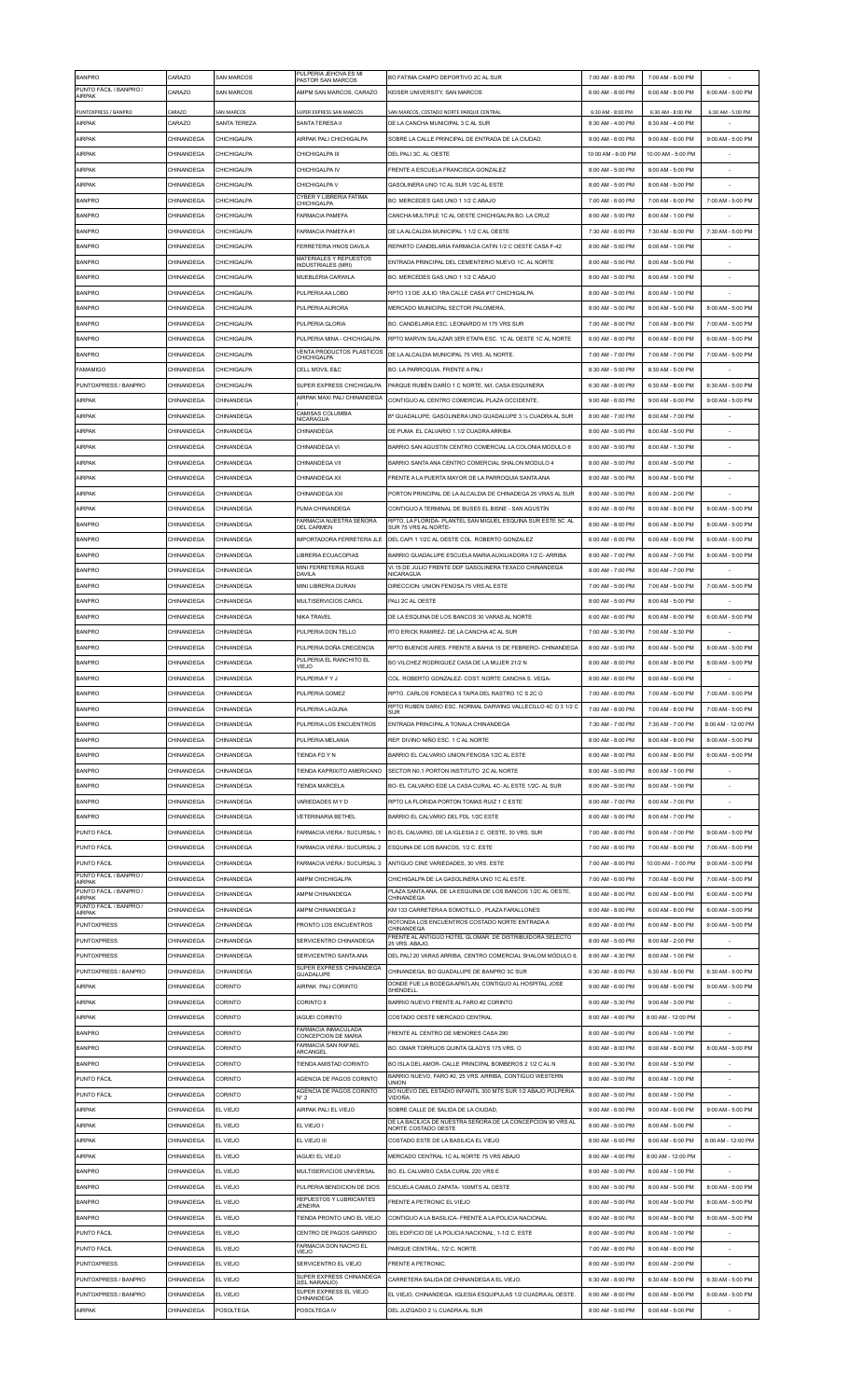| <b>BANPRO</b>                           | CARAZO            | SAN MARCOS        | PULPERIA JEHOVA ES MI                                    | BO FATIMA CAMPO DEPORTIVO 2C AL SUR                                                                                 | 7:00 AM - 8:00 PM  | 7:00 AM - 8:00 PM  |                    |
|-----------------------------------------|-------------------|-------------------|----------------------------------------------------------|---------------------------------------------------------------------------------------------------------------------|--------------------|--------------------|--------------------|
| PUNTO FÁCIL / BANPRO /                  | CARAZO            | SAN MARCOS        | PASTOR SAN MARCOS<br>AMPM SAN MARCOS, CARAZO             | KEISER UNIVERSITY. SAN MARCOS                                                                                       | 6:00 AM - 8:00 PM  | 6:00 AM - 8:00 PM  | 6:00 AM - 5:00 PM  |
| <b>AIRPAK</b>                           |                   |                   |                                                          |                                                                                                                     |                    |                    |                    |
| PUNTOXPRESS / BANPRO                    | CARAZO            | <b>SAN MARCOS</b> | SUPER EXPRESS SAN MARCOS                                 | SAN MARCOS, COSTADO NORTE PARQUE CENTRAL                                                                            | 6:30 AM - 8:00 PM  | 6:30 AM - 8:00 PM  | 6:30 AM - 5:00 PM  |
| <b>AIRPAK</b>                           | CARAZO            | SANTA TEREZA      | SANTA TERESA II                                          | DE LA CANCHA MUNICIPAL 3 C AL SUR                                                                                   | 8:30 AM - 4:00 PM  | 8:30 AM - 4:00 PM  |                    |
| AIRPAK                                  | CHINANDEGA        | CHICHIGAI PA      | AIRPAK PALI CHICHIGAI PA                                 | SOBRE LA CALLE PRINCIPAL DE ENTRADA DE LA CIUDAD                                                                    | 9:00 AM - 6:00 PM  | 9:00 AM - 6:00 PM  | 9:00 AM - 5:00 PM  |
| <b>AIRPAK</b>                           | CHINANDEGA        | CHICHIGALPA       | CHICHIGALPA III                                          | DEL PALI 3C. AL OESTE                                                                                               | 10:00 AM - 6:00 PM | 10:00 AM - 5:00 PM |                    |
| AIRPAK                                  | CHINANDEGA        | CHICHIGALPA       | CHICHIGALPA IV                                           | FRENTE A ESCUELA FRANCISCA GONZALEZ                                                                                 | 8:00 AM - 5:00 PM  | 8:00 AM - 5:00 PM  |                    |
| <b>AIRPAK</b>                           | CHINANDEGA        | CHICHIGALPA       | CHICHIGALPA V                                            | GASOLINERA UNO 1C AL SUR 1/2C AL ESTE                                                                               | 8:00 AM - 5:00 PM  | 8:00 AM - 5:00 PM  |                    |
| <b>BANPRO</b>                           | CHINANDEGA        | CHICHIGALPA       | CYBER Y LIBRERIA FATIMA                                  | BO. MERCEDES GAS.UNO 1 1/2 C ABAJO                                                                                  | 7:00 AM - 6:00 PM  | 7:00 AM - 6:00 PM  | 7:00 AM - 5:00 PM  |
| <b>BANPRO</b>                           | <b>CHINANDEGA</b> | CHICHIGALPA       | CHICHIGALPA<br><b>FARMACIA PAMEFA</b>                    | CANCHA MULTIPLE 1C AL OESTE CHICHIGALPA BO. LA CRUZ                                                                 | 8:00 AM - 5:00 PM  | 8:00 AM - 1:00 PM  |                    |
| <b>BANPRO</b>                           | CHINANDEGA        | CHICHIGALPA       | FARMACIA PAMEFA #1                                       | DE LA ALCALDIA MUNICIPAL 1 1/2 C AL OESTE                                                                           | 7:30 AM - 6:00 PM  | 7:30 AM - 6:00 PM  | 7:30 AM - 5:00 PM  |
|                                         |                   |                   |                                                          |                                                                                                                     |                    |                    |                    |
| <b>BANPRO</b>                           | CHINANDEGA        | CHICHIGAI PA      | FERRETERIA HNOS DAVILA<br>MATERIALES Y REPUESTOS         | REPARTO CANDELARIA FARMACIA CATIN 1/2 C OESTE CASA E-42                                                             | 8:00 AM - 5:00 PM  | 8:00 AM - 1:00 PM  |                    |
| <b>BANPRO</b>                           | CHINANDEGA        | CHICHIGALPA       | INDUSTRIALES (MRI)                                       | ENTRADA PRINCIPAL DEL CEMENTERIO NUEVO 1C. AL NORTE                                                                 | 8:00 AM - 5:00 PM  | 8:00 AM - 5:00 PM  |                    |
| <b>BANPRO</b>                           | CHINANDEGA        | CHICHIGALPA       | MUEBLERIA CARWILA                                        | BO. MERCEDES GAS.UNO 1 1/2 C ABAJO                                                                                  | 8:00 AM - 5:00 PM  | 8:00 AM - 1:00 PM  |                    |
| <b>BANPRO</b>                           | CHINANDEGA        | CHICHIGALPA       | PULPERIA AA LOBO                                         | RPTO 13 DE JULIO 1RA CALLE CASA #17 CHICHIGALPA                                                                     | 8:00 AM - 5:00 PM  | 8:00 AM - 1:00 PM  |                    |
| <b>BANPRO</b>                           | CHINANDEGA        | CHICHIGALPA       | PULPERIA AURORA                                          | MERCADO MUNICIPAL SECTOR PALOMERA,                                                                                  | 8:00 AM - 5:00 PM  | 8:00 AM - 5:00 PM  | 8:00 AM - 5:00 PM  |
| <b>BANPRO</b>                           | CHINANDEGA        | CHICHIGALPA       | PULPERIA GLORIA                                          | BO. CANDELARIA ESC. LEONARDO M 175 VRS SUR                                                                          | 7:00 AM - 8:00 PM  | 7:00 AM - 8:00 PM  | 7:00 AM - 5:00 PM  |
| <b>BANPRO</b>                           | CHINANDEGA        | CHICHIGALPA       | PULPERIA MINA - CHICHIGALPA                              | RPTO MARVIN SALAZAR 3ER ETAPA ESC. 1C AL OESTE 1C AL NORTE                                                          | 6:00 AM - 8:00 PM  | 6:00 AM - 8:00 PM  | 6:00 AM - 5:00 PM  |
| <b>BANPRO</b>                           | CHINANDEGA        | CHICHIGALPA       | VENTA PRODUCTOS PLASTICOS                                | DE LA ALCALDIA MUNICIPAL 75 VRS. AL NORTE.                                                                          | 7:00 AM - 7:00 PM  | 7:00 AM - 7:00 PM  | 7:00 AM - 5:00 PM  |
| <b>FAMAMIGO</b>                         | CHINANDEGA        | CHICHIGALPA       | CHICHIGALPA<br>CELL MOVIL E&C                            | BO. LA PARROQUIA. FRENTE A PALI                                                                                     | 8:30 AM - 5:00 PM  | 8:30 AM - 5:00 PM  |                    |
|                                         |                   |                   |                                                          |                                                                                                                     |                    |                    |                    |
| PUNTOXPRESS / BANPRO                    | CHINANDEGA        | CHICHIGALPA       | SUPER EXPRESS CHICHIGALPA<br>AIRPAK MAXI PALI CHINANDEGA | PARQUE RUBÉN DARÍO 1 C NORTE, M/I, CASA ESQUINERA                                                                   | 6:30 AM - 8:00 PM  | 6:30 AM - 8:00 PM  | 6:30 AM - 5:00 PM  |
| AIRPAK                                  | CHINANDEGA        | CHINANDEGA        |                                                          | CONTIGUO AL CENTRO COMERCIAL PLAZA OCCIDENTE.                                                                       | 9:00 AM - 6:00 PM  | 9:00 AM - 6:00 PM  | 9:00 AM - 5:00 PM  |
| <b>AIRPAK</b>                           | CHINANDEGA        | CHINANDEGA        | CAMISAS COLUMBIA<br><b>NICARAGUA</b>                     | B° GUADALUPE; GASOLINERA UNO GUADALUPE 3 1/2 CUADRA AL SUR                                                          | 8:00 AM - 7:00 PM  | 8:00 AM - 7:00 PM  |                    |
| <b>AIRPAK</b>                           | CHINANDEGA        | CHINANDEGA        | CHINANDEGA                                               | DE PUMA EL CALVARIO 1.1/2 CUADRA ARRIBA                                                                             | 8:00 AM - 5:00 PM  | 8:00 AM - 5:00 PM  |                    |
| <b>AIRPAK</b>                           | <b>CHINANDEGA</b> | CHINANDEGA        | CHINANDEGA VI                                            | BARRIO SAN AGUSTIN CENTRO COMERCIAL LA COLONIA MODULO 6                                                             | 8:00 AM - 5:00 PM  | 8:00 AM - 1:30 PM  |                    |
| <b>AIRPAK</b>                           | CHINANDEGA        | CHINANDEGA        | CHINANDEGA VII                                           | BARRIO SANTA ANA CENTRO COMERCIAL SHALON MODULO 4                                                                   | 8:00 AM - 5:00 PM  | 8:00 AM - 5:00 PM  |                    |
| AIRPAK                                  | CHINANDEGA        | CHINANDEGA        | CHINANDEGA XII                                           | FRENTE A LA PUERTA MAYOR DE LA PARROQUIA SANTA ANA                                                                  | 8:00 AM - 5:00 PM  | 8:00 AM - 5:00 PM  |                    |
| <b>AIRPAK</b>                           | CHINANDEGA        | CHINANDEGA        | CHINANDEGA XIII                                          | PORTON PRINCIPAL DE LA ALCALDIA DE CHINADEGA 25 VRAS AL SUR                                                         | 8:00 AM - 5:00 PM  | 8:00 AM - 2:00 PM  |                    |
|                                         |                   |                   |                                                          |                                                                                                                     |                    |                    |                    |
| AIRPAK                                  | CHINANDEGA        | CHINANDEGA        | PUMA CHINANDEGA<br>FARMACIA NUESTRA SEÑORA               | CONTIGUO A TERMINAL DE BUSES EL BISNE - SAN AGUSTÍN<br>RPTO. LA FLORIDA- PLANTEL SAN MIGUEL ESQUINA SUR ESTE 5C. AL | 8:00 AM - 8:00 PM  | 8:00 AM - 8:00 PM  | 8:00 AM - 5:00 PM  |
| <b>BANPRO</b>                           | CHINANDEGA        | CHINANDEGA        | <b>DEL CARMEN</b>                                        | SUR 75 VRS AL NORTE                                                                                                 | 8:00 AM - 8:00 PM  | 8:00 AM - 8:00 PM  | 8:00 AM - 5:00 PM  |
| <b>BANPRO</b>                           | CHINANDEGA        | CHINANDEGA        | IMPORTADORA FERRETERA JLE                                | DEL CAPI 1 1/2C AL OESTE COL. ROBERTO GONZALEZ                                                                      | 6:00 AM - 6:00 PM  | 6:00 AM - 6:00 PM  | 6:00 AM - 5:00 PM  |
| <b>BANPRO</b>                           | CHINANDEGA        | CHINANDEGA        | LIBRERIA ECUACOPIAS                                      | BARRIO GUADALUPE ESCUELA MARIA AUXILIADORA 1/2 C- ARRIBA                                                            | 8:00 AM - 7:00 PM  | 8:00 AM - 7:00 PM  | 8:00 AM - 5:00 PM  |
| <b>BANPRO</b>                           | CHINANDEGA        | CHINANDEGA        | MINI FERRETERIA ROJAS<br>DAVILA                          | VI.15 DE JULIO FRENTE DDF GASOLINERA TEXACO CHINANDEGA<br>NICARAGUA                                                 | 8:00 AM - 7:00 PM  | 8:00 AM - 7:00 PM  |                    |
| <b>BANPRO</b>                           | CHINANDEGA        | CHINANDEGA        | MINI LIBRERIA DURAN                                      | DIRECCION: UNION FENOSA 75 VRS AL ESTE                                                                              | 7:00 AM - 5:00 PM  | 7:00 AM - 5:00 PM  | 7:00 AM - 5:00 PM  |
| <b>BANPRO</b>                           | CHINANDEGA        | CHINANDEGA        | MULTISERVICIOS CAROL                                     | PALI 2C AL OESTE                                                                                                    | 8:00 AM - 5:00 PM  | 8:00 AM - 5:00 PM  |                    |
| <b>BANPRO</b>                           | CHINANDEGA        | CHINANDEGA        | NIKA TRAVEL                                              | DE LA ESQUINA DE LOS BANCOS 30 VARAS AL NORTE                                                                       | 6:00 AM - 6:00 PM  | 6:00 AM - 6:00 PM  | 6:00 AM - 5:00 PM  |
| <b>BANPRO</b>                           | CHINANDEGA        | CHINANDEGA        | PULPERIA DON TELLO                                       | RTO ERICK RAMIREZ- DE LA CANCHA 4C AL SUR                                                                           | 7:00 AM - 5:30 PM  | 7:00 AM - 5:30 PM  |                    |
|                                         |                   |                   |                                                          |                                                                                                                     |                    |                    |                    |
| <b>BANPRO</b>                           | CHINANDEGA        | CHINANDEGA        | PULPERIA DOÑA CRECENCIA                                  | RPTO BUENOS AIRES. FRENTE A BAHIA 15 DE FEBRERO- CHINANDEGA                                                         | 8:00 AM - 5:00 PM  | 8:00 AM - 5:00 PM  | 8:00 AM - 5:00 PM  |
| <b>BANPRO</b>                           | CHINANDEGA        | CHINANDEGA        | PULPERIA EL RANCHITO EL<br>VIEJO                         | BO VILCHEZ RODRIGUEZ CASA DE LA MUJER 21/2 N                                                                        | 8:00 AM - 8:00 PM  | 8:00 AM - 8:00 PM  | 8:00 AM - 5:00 PM  |
| <b>BANPRO</b>                           | CHINANDEGA        | CHINANDEGA        | PULPERIA F Y J                                           | COL. ROBERTO GONZALEZ- COST. NORTE CANCHA S. VEGA-                                                                  | 8:00 AM - 6:00 PM  | 8:00 AM - 6:00 PM  |                    |
| <b>BANPRO</b>                           | CHINANDEGA        | CHINANDEGA        | PULPERIA GOMEZ                                           | RPTO. CARLOS FONSECA II TAPIA DEL RASTRO 1C S 2C O                                                                  | 7:00 AM - 6:00 PM  | 7:00 AM - 6:00 PM  | 7:00 AM - 5:00 PM  |
| <b>BANPRO</b>                           | CHINANDEGA        | CHINANDEGA        | PULPERIA LAGUNA                                          | RPTO RUBEN DARIO ESC. NORMAL DARWING VALLECILLO 4C O 3 1/2 C<br><b>SUR</b>                                          | 7:00 AM - 8:00 PM  | 7:00 AM - 8:00 PM  | 7:00 AM - 5:00 PM  |
| <b>BANPRO</b>                           | CHINANDEGA        | CHINANDEGA        | PULPERIA LOS ENCUENTROS                                  | ENTRADA PRINCIPAL A TONALA CHINANDEGA                                                                               | 7:30 AM - 7:00 PM  | 7:30 AM - 7:00 PM  | 8:00 AM - 12:00 PM |
| <b>BANPRO</b>                           | CHINANDEGA        | CHINANDEGA        | PULPERIA MELANIA                                         | REP. DIVINO NIÑO ESC. 1 C AL NORTE                                                                                  | 8:00 AM - 8:00 PM  | 8:00 AM - 8:00 PM  | 8:00 AM - 5:00 PM  |
| <b>BANPRO</b>                           | CHINANDEGA        | CHINANDEGA        | TIENDA FD Y N                                            | BARRIO EL CALVARIO UNION FENOSA 1/2C AL ESTE                                                                        | 6:00 AM - 8:00 PM  | 6:00 AM - 8:00 PM  | 6:00 AM - 5:00 PM  |
| <b>BANPRO</b>                           | CHINANDEGA        | CHINANDEGA        | TIENDA KAPRIXITO AMERICANO                               | SECTOR N0.1 PORTON INSTITUTO 2C AL NORTE                                                                            | 8:00 AM - 5:00 PM  | 8:00 AM - 1:00 PM  |                    |
|                                         |                   |                   |                                                          |                                                                                                                     |                    |                    |                    |
| <b>BANPRO</b>                           | CHINANDEGA        | CHINANDEGA        | <b>TIENDA MARCELA</b>                                    | BO- EL CALVARIO EDE LA CASA CURAL 4C- AL ESTE 1/2C- AL SUR                                                          | 8:00 AM - 5:00 PM  | 8:00 AM - 1:00 PM  |                    |
| <b>BANPRO</b>                           | CHINANDEGA        | CHINANDEGA        | VARIEDADES M Y D                                         | RPTO LA FLORIDA PORTON TOMAS RUIZ 1 C ESTE                                                                          | 8:00 AM - 7:00 PM  | 8:00 AM - 7:00 PM  |                    |
| <b>BANPRO</b>                           | CHINANDEGA        | CHINANDEGA        | <b>VETERINARIA BETHEL</b>                                | BARRIO EL CALVARIO DEL FDL 1/2C ESTE                                                                                | 8:00 AM - 5:00 PM  | 8:00 AM - 7:00 PM  |                    |
| PUNTO FÁCIL                             | CHINANDEGA        | CHINANDEGA        | FARMACIA VIFRA / SUCURSAL 1                              | BO EL CALVARIO, DE LA IGLESIA 2 C. OESTE, 30 VRS. SUR                                                               | 7:00 AM - 8:00 PM  | 8:00 AM - 7:00 PM  | 9:00 AM - 5:00 PM  |
| PUNTO FÁCIL                             | CHINANDEGA        | CHINANDEGA        | FARMACIA VIERA / SUCURSAL 2                              | ESQUINA DE LOS BANCOS, 1/2 C. ESTE                                                                                  | 7:00 AM - 8:00 PM  | 7:00 AM - 8:00 PM  | 7:00 AM - 5:00 PM  |
| PUNTO FÁCIL                             | CHINANDEGA        | CHINANDEGA        | FARMACIA VIERA / SUCURSAL 3                              | ANTIGUO CINE VARIEDADES. 30 VRS. ESTE                                                                               | 7:00 AM - 8:00 PM  | 10:00 AM - 7:00 PM | 9:00 AM - 5:00 PM  |
| PUNTO FÁCIL / BANPRO /<br><b>AIRPAK</b> | CHINANDEGA        | CHINANDEGA        | AMPM CHICHIGALPA                                         | CHICHIGALPA DE LA GASOLINERA UNO 1C AL ESTE.                                                                        | 7:00 AM - 6:00 PM  | 7:00 AM - 6:00 PM  | 7:00 AM - 5:00 PM  |
| PUNTO FÁCIL / BANPRO /                  | CHINANDEGA        | CHINANDEGA        | AMPM CHINANDEGA                                          | PLAZA SANTA ANA, DE LA ESQUINA DE LOS BANCOS 1/2C AL OESTE,                                                         | 6:00 AM - 8:00 PM  | 6:00 AM - 8:00 PM  | 6:00 AM - 5:00 PM  |
| AIRPAK<br>PUNTO FÁCIL / BANPRO /        | CHINANDEGA        | CHINANDEGA        | AMPM CHINANDEGA 2                                        | CHINANDEGA<br>KM 133 CARRETERA A SOMOTILLO, PLAZA FARALLONES                                                        | 6:00 AM - 8:00 PM  | 6:00 AM - 8:00 PM  | 6:00 AM - 5:00 PM  |
| <b>AIRPAK</b>                           |                   |                   |                                                          | ROTONDA LOS ENCUENTROS COSTADO NORTE ENTRADA A                                                                      |                    |                    |                    |
| <b>PUNTOXPRESS</b>                      | CHINANDEGA        | CHINANDEGA        | PRONTO LOS ENCUENTROS                                    | <b>CHINANDEGA</b><br>FRENTE AL ANTIGUO HOTEL GLOMAR. DE DISTRIBUIDORA SELECTO                                       | 6:00 AM - 8:00 PM  | 6:00 AM - 8:00 PM  | 6:00 AM - 5:00 PM  |
| <b>PUNTOXPRESS</b>                      | CHINANDEGA        | CHINANDEGA        | SERVICENTRO CHINANDEGA                                   | 25 VRS. ABAJO.                                                                                                      | 8:00 AM - 5:00 PM  | 8:00 AM - 2:00 PM  |                    |
| <b>PUNTOXPRESS</b>                      | CHINANDEGA        | CHINANDEGA        | SERVICENTRO SANTA ANA                                    | DEL PALÍ 20 VARAS ARRIBA, CENTRO COMERCIAL SHALOM MÓDULO 6.                                                         | 8:00 AM - 4:30 PM  | 8:00 AM - 1:00 PM  |                    |
| PUNTOXPRESS / BANPRO                    | CHINANDEGA        | CHINANDEGA        | SUPER EXPRESS CHINANDEGA<br>GUADALUPE                    | CHINANDEGA, BO GUADALUPE DE BANPRO 3C SUR                                                                           | 6:30 AM - 8:00 PM  | 6:30 AM - 8:00 PM  | 6:30 AM - 5:00 PM  |
| <b>AIRPAK</b>                           | CHINANDEGA        | CORINTO           | AIRPAK PALI CORINTO                                      | DONDE FUE LA BODEGA APATLAN, CONTIGUO AL HOSPITAL JOSE<br>SHENDELL                                                  | 9:00 AM - 6:00 PM  | 9:00 AM - 6:00 PM  | 9:00 AM - 5:00 PM  |
| <b>AIRPAK</b>                           | CHINANDEGA        | CORINTO           | <b>CORINTO II</b>                                        | BARRIO NUEVO FRENTE AL FARO #2 CORINTO                                                                              | 9:00 AM - 5:30 PM  | 9:00 AM - 3:00 PM  |                    |
| AIRPAK                                  | CHINANDEGA        | CORINTO           | <b>AGUEI CORINTO</b>                                     | COSTADO OESTE MERCADO CENTRAL                                                                                       | 8:00 AM - 4:00 PM  | 8:00 AM - 12:00 PM |                    |
| <b>BANPRO</b>                           | CHINANDEGA        | CORINTO           | FARMACIA INMACULADA<br>CONCEPCION DE MARIA               | FRENTE AL CENTRO DE MENORES CASA 290                                                                                | 8:00 AM - 5:00 PM  | 8:00 AM - 1:00 PM  |                    |
| <b>BANPRO</b>                           | CHINANDEGA        | CORINTO           | <b>FARMACIA SAN RAFAEL</b>                               | BO. OMAR TORRIJOS QUINTA GLADYS 175 VRS. O                                                                          | 8:00 AM - 8:00 PM  | 8:00 AM - 8:00 PM  | 8:00 AM - 5:00 PM  |
| <b>BANPRO</b>                           | CHINANDEGA        | CORINTO           | ARCANGEL<br>TIENDA AMISTAD CORINTO                       | BO ISLA DEL AMOR- CALLE PRINCIPAL BOMBEROS 2 1/2 C AL N                                                             | 8:00 AM - 5:30 PM  | 8:00 AM - 5:30 PM  |                    |
| PUNTO FÁCIL                             |                   |                   |                                                          |                                                                                                                     |                    |                    |                    |
|                                         |                   | CORINTO           |                                                          | BARRIO NUEVO, FARO #2, 25 VRS. ARRIBA, CONTIGUO WESTERN                                                             |                    |                    |                    |
|                                         | CHINANDEGA        |                   | AGENCIA DE PAGOS CORINTO<br>AGENCIA DE PAGOS CORINTO     | LINION<br>BO NUEVO DEL ESTADIO INFANTIL 300 MTS SUR 1/2 ABAJO PULPERIA                                              | 8:00 AM - 5:00 PM  | 8:00 AM - 1:00 PM  |                    |
| PUNTO FÁCIL                             | CHINANDEGA        | CORINTO           | $N^{\circ}2$                                             | VIDOÑA.                                                                                                             | 8:00 AM - 5:00 PM  | 8:00 AM - 1:00 PM  |                    |
| <b>AIRPAK</b>                           | CHINANDEGA        | EL VIEJO          | AIRPAK PALI EL VIEJO                                     | SOBRE CALLE DE SALIDA DE LA CIUDAD,                                                                                 | 9:00 AM - 6:00 PM  | 9:00 AM - 6:00 PM  | 9:00 AM - 5:00 PM  |
| <b>AIRPAK</b>                           | CHINANDEGA        | EL VIEJO          | EL VIEJO I                                               | DE LA BACILICA DE NUESTRA SEÑORA DE LA CONCEPCION 90 VRS AL<br>NORTE COSTADO OESTE                                  | 8:00 AM - 5:00 PM  | 8:00 AM - 5:00 PM  |                    |
| <b>AIRPAK</b>                           | CHINANDEGA        | EL VIEJO          | EL VIEJO III                                             | COSTADO ESTE DE LA BASILICA EL VIEJO                                                                                | 8:00 AM - 6:00 PM  | 8:00 AM - 6:00 PM  | 8:00 AM - 12:00 PM |
| <b>AIRPAK</b>                           | CHINANDEGA        | EL VIEJO          | <b>IAGUEI EL VIEJO</b>                                   | MERCADO CENTRAL 1C AL NORTE 75 VRS ABAJO                                                                            | 8:00 AM - 4:00 PM  | 8:00 AM - 12:00 PM |                    |
| <b>BANPRO</b>                           | CHINANDEGA        | EL VIEJO          | MULTISERVICIOS UNIVERSAL                                 | BO. EL CALVARIO CASA CURAL 220 VRS E                                                                                | 8:00 AM - 5:00 PM  | 8:00 AM - 1:00 PM  |                    |
| <b>BANPRO</b>                           | CHINANDEGA        | EL VIEJO          | PULPERIA BENDICION DE DIOS                               | ESCUELA CAMILO ZAPATA- 100MTS AL OESTE                                                                              | 8:00 AM - 5:00 PM  | 8:00 AM - 5:00 PM  | 8:00 AM - 5:00 PM  |
| <b>BANPRO</b>                           | CHINANDEGA        | EL VIEJO          | REPUESTOS Y LUBRICANTES                                  | FRENTE A PETRONIC EL VIEJO                                                                                          | 8:00 AM - 5:00 PM  | 8:00 AM - 5:00 PM  | 8:00 AM - 5:00 PM  |
|                                         |                   |                   | <b>JENEIRA</b><br>TIENDA PRONTO UNO EL VIEJO             |                                                                                                                     |                    |                    |                    |
| <b>BANPRO</b>                           | CHINANDEGA        | EL VIEJO          |                                                          | CONTIGUO A LA BASILICA- FRENTE A LA POLICIA NACIONAL                                                                | 8:00 AM - 8:00 PM  | 8:00 AM - 8:00 PM  | 8:00 AM - 5:00 PM  |
| PUNTO FÁCIL                             | CHINANDEGA        | EL VIEJO          | CENTRO DE PAGOS GARRIDO                                  | DEL EDIFICIO DE LA POLICIA NACIONAL, 1-1/2 C. ESTE                                                                  | 8:00 AM - 5:00 PM  | 8:00 AM - 1:00 PM  |                    |
| PUNTO FÁCIL                             | CHINANDEGA        | EL VIEJO          | FARMACIA DON NACHO EL<br>VIEJO                           | PARQUE CENTRAL, 1/2 C. NORTE                                                                                        | 7:00 AM - 8:00 PM  | 8:00 AM - 6:00 PM  |                    |
| <b>PUNTOXPRESS</b>                      | CHINANDEGA        | EL VIEJO          | SERVICENTRO EL VIEJO                                     | <b>FRENTE A PETRONIC.</b>                                                                                           | 8:00 AM - 5:00 PM  | 8:00 AM - 2:00 PM  |                    |
| PUNTOXPRESS / BANPRO                    | CHINANDEGA        | EL VIEJO          | SUPER EXPRESS CHINANDEGA<br>2(EL NARANJO)                | CARRETERA SALIDA DE CHINANDEGA A EL VIEJO.                                                                          | 6:30 AM - 8:00 PM  | 6:30 AM - 8:00 PM  | 6:30 AM - 5:00 PM  |
| PUNTOXPRESS / BANPRO                    | CHINANDEGA        | EL VIEJO          | SUPER EXPRESS EL VIEJO<br>CHINANDEGA                     | EL VIEJO. CHINANDEGA. IGLESIA ESQUIPULAS 1/2 CUADRA AL OESTE                                                        | 6:00 AM - 8:00 PM  | 6:00 AM - 8:00 PM  | 6:00 AM - 5:00 PM  |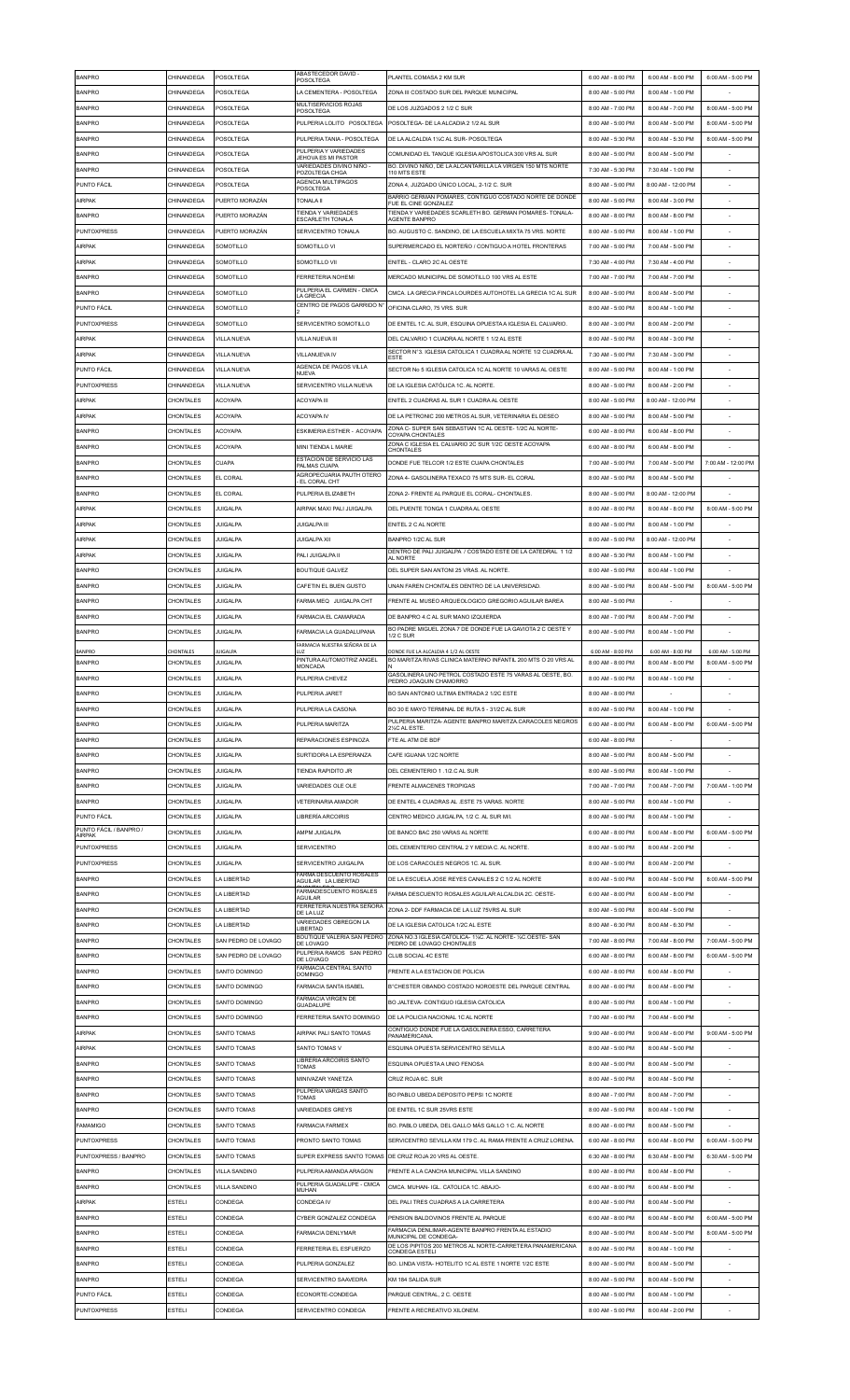| <b>BANPRO</b>                           | CHINANDEGA              | POSOLTEGA                         | ABASTECEDOR DAVID -<br>POSOLTEGA               | PLANTEL COMASA 2 KM SUR                                                                                          | 6:00 AM - 8:00 PM                      | 6:00 AM - 8:00 PM                      | 6:00 AM - 5:00 PM                      |
|-----------------------------------------|-------------------------|-----------------------------------|------------------------------------------------|------------------------------------------------------------------------------------------------------------------|----------------------------------------|----------------------------------------|----------------------------------------|
| <b>BANPRO</b>                           | CHINANDEGA              | POSOLTEGA                         | LA CEMENTERA - POSOLTEGA                       | ZONA III COSTADO SUR DEL PARQUE MUNICIPAL                                                                        | 8:00 AM - 5:00 PM                      | 8:00 AM - 1:00 PM                      |                                        |
| <b>BANPRO</b>                           | CHINANDEGA              | POSOLTEGA                         | MULTISERVICIOS ROJAS<br>POSOLTEGA              | DE LOS JUZGADOS 2 1/2 C SUR                                                                                      | 8:00 AM - 7:00 PM                      | 8:00 AM - 7:00 PM                      | 8:00 AM - 5:00 PM                      |
| <b>BANPRO</b>                           | CHINANDEGA              | POSOLTEGA                         | PULPERIA LOLITO POSOLTEGA                      | POSOLTEGA- DE LA ALCADIA 2 1/2 AL SUR                                                                            | 8:00 AM - 5:00 PM                      | 8:00 AM - 5:00 PM                      | 8:00 AM - 5:00 PM                      |
| <b>BANPRO</b>                           | CHINANDEGA              | POSOLTEGA                         | PULPERIA TANIA - POSOLTEGA                     | DE LA ALCALDIA 1%C AL SUR- POSOLTEGA                                                                             | 8:00 AM - 5:30 PM                      | 8:00 AM - 5:30 PM                      | 8:00 AM - 5:00 PM                      |
| <b>BANPRO</b>                           | CHINANDEGA              | POSOLTEGA                         | PULPERIA Y VARIEDADES<br>JEHOVA ES MI PASTOR   | COMUNIDAD EL TANQUE IGLESIA APOSTOLICA 300 VRS AL SUR                                                            | 8:00 AM - 5:00 PM                      | 8:00 AM - 5:00 PM                      |                                        |
| <b>BANPRO</b>                           | CHINANDEGA              | POSOLTEGA                         | VARIEDADES DIVINO NIÑO -<br>POZOLTEGA CHGA     | BO. DIVINO NIÑO, DE LA ALCANTARILLA LA VIRGEN 150 MTS NORTE<br>110 MTS ESTE                                      | 7:30 AM - 5:30 PM                      | 7:30 AM - 1:00 PM                      |                                        |
| <b>PUNTO FÁCIL</b>                      | CHINANDEGA              | POSOLTEGA                         | AGENCIA MULTIPAGOS<br>POSOLTEGA                | ZONA 4, JUZGADO ÚNICO LOCAL, 2-1/2 C. SUR                                                                        | 8:00 AM - 5:00 PM                      | 8:00 AM - 12:00 PM                     |                                        |
| AIRPAK                                  | CHINANDEGA              | PUERTO MORAZÁN                    | <b>TONALA II</b>                               | BARRIO GERMAN POMARES, CONTIGUO COSTADO NORTE DE DONDE<br>FUE EL CINE GONZALEZ                                   | 8:00 AM - 5:00 PM                      | 8:00 AM - 3:00 PM                      |                                        |
| <b>BANPRO</b>                           | CHINANDEGA              | PUERTO MORAZÁN                    | TIENDA Y VARIEDADES<br>ESCARLETH TONALA        | TIENDA Y VARIEDADES SCARLETH BO. GERMAN POMARES- TONALA-<br>AGENTE BANPRO                                        | 8:00 AM - 8:00 PM                      | 8:00 AM - 8:00 PM                      |                                        |
| <b>PUNTOXPRESS</b>                      | CHINANDEGA              | PUERTO MORAZÁN                    | SERVICENTRO TONALA                             | BO. AUGUSTO C. SANDINO, DE LA ESCUELA MIXTA 75 VRS. NORTE                                                        | 8:00 AM - 5:00 PM                      | 8:00 AM - 1:00 PM                      |                                        |
| <b>AIRPAK</b>                           | CHINANDEGA              | SOMOTILLO                         | SOMOTILLO VI                                   | SUPERMERCADO EL NORTEÑO / CONTIGUO A HOTEL FRONTERAS                                                             | 7:00 AM - 5:00 PM                      | 7:00 AM - 5:00 PM                      |                                        |
| AIRPAK                                  | CHINANDEGA              | SOMOTILLO                         | SOMOTILLO VII                                  | ENITEL - CLARO 2C AL OESTE                                                                                       | 7:30 AM - 4:00 PM                      | 7:30 AM - 4:00 PM                      |                                        |
| <b>BANPRO</b>                           | CHINANDEGA              | SOMOTILLO                         | <b>FERRETERIA NOHEMI</b>                       | MERCADO MUNICIPAL DE SOMOTILLO 100 VRS AL ESTE                                                                   | 7:00 AM - 7:00 PM                      | 7:00 AM - 7:00 PM                      |                                        |
| <b>BANPRO</b>                           | CHINANDEGA              | SOMOTILLO                         | PULPERIA EL CARMEN - CMCA                      | CMCA. LA GRECIA FINCA LOURDES AUTOHOTEL LA GRECIA 1C AL SUR                                                      | 8:00 AM - 5:00 PM                      | 8:00 AM - 5:00 PM                      |                                        |
| PUNTO FÁCIL                             | CHINANDEGA              | SOMOTILLO                         | LA GRECIA<br>CENTRO DE PAGOS GARRIDO Nº        | OFICINA CLARO, 75 VRS. SUR                                                                                       | 8:00 AM - 5:00 PM                      | 8:00 AM - 1:00 PM                      | ٠                                      |
|                                         |                         |                                   |                                                |                                                                                                                  |                                        |                                        |                                        |
| <b>PUNTOXPRESS</b>                      | CHINANDEGA              | SOMOTILLO                         | SERVICENTRO SOMOTILLO                          | DE ENITEL 1C. AL SUR, ESQUINA OPUESTA A IGLESIA EL CALVARIO.                                                     | 8:00 AM - 3:00 PM                      | 8:00 AM - 2:00 PM                      |                                        |
| AIRPAK                                  | CHINANDEGA              | <b>VILLA NUEVA</b>                | VILLA NUEVA III                                | DEL CALVARIO 1 CUADRA AL NORTE 1 1/2 AL ESTE<br>SECTOR N°3. IGLESIA CATOLICA 1 CUADRA AL NORTE 1/2 CUADRA AL     | 8:00 AM - 5:00 PM                      | 8:00 AM - 3:00 PM                      |                                        |
| AIRPAK                                  | CHINANDEGA              | VILLA NUEVA                       | VILLANUEVA IV<br>AGENCIA DE PAGOS VILLA        | <b>ESTE</b>                                                                                                      | 7:30 AM - 5:00 PM                      | 7:30 AM - 3:00 PM                      |                                        |
| PUNTO FÁCIL                             | CHINANDEGA              | <b>VILLA NUEVA</b>                | <b>NUEVA</b>                                   | SECTOR No 5 IGLESIA CATOLICA 1C AL NORTE 10 VARAS AL OESTE                                                       | 8:00 AM - 5:00 PM                      | 8:00 AM - 1:00 PM                      |                                        |
| <b>PUNTOXPRESS</b>                      | CHINANDEGA              | VII LA NUFVA                      | SERVICENTRO VILLA NUEVA                        | DE LA IGLESIA CATÓLICA 1C. AL NORTE                                                                              | 8:00 AM - 5:00 PM                      | 8:00 AM - 2:00 PM                      |                                        |
| <b>AIRPAK</b>                           | CHONTALES               | <b>ACOYAPA</b>                    | ACOYAPA III                                    | ENITEL 2 CUADRAS AL SUR 1 CUADRA AL OESTE                                                                        | 8:00 AM - 5:00 PM                      | 8:00 AM - 12:00 PM                     |                                        |
| <b>AIRPAK</b>                           | CHONTALES               | <b>ACOYAPA</b>                    | <b>ACOYAPA IV</b>                              | DE LA PETRONIC 200 METROS AL SUR, VETERINARIA EL DESEO<br>ZONA C- SUPER SAN SEBASTIAN 1C AL OESTE-1/2C AL NORTE- | 8:00 AM - 5:00 PM                      | 8:00 AM - 5:00 PM                      |                                        |
| <b>BANPRO</b>                           | CHONTALES               | ACOYAPA                           | ESKIMERIA ESTHER - ACOYAPA                     | COYAPA CHONTALES                                                                                                 | 6:00 AM - 8:00 PM                      | 6:00 AM - 8:00 PM                      |                                        |
| <b>BANPRO</b>                           | CHONTALES               | <b>ACOYAPA</b>                    | MINI TIENDA L MARIE                            | ZONA C IGLESIA EL CALVARIO 2C SUR 1/2C OESTE ACOYAPA<br>CHONTALES                                                | 6:00 AM - 8:00 PM                      | 6:00 AM - 8:00 PM                      |                                        |
| <b>BANPRO</b>                           | CHONTALES               | CUAPA                             | ESTACION DE SERVICIO LAS<br>PALMAS CUAPA       | DONDE FUE TELCOR 1/2 ESTE CUAPA CHONTALES                                                                        | 7:00 AM - 5:00 PM                      | 7:00 AM - 5:00 PM                      | 7:00 AM - 12:00 PM                     |
| <b>BANPRO</b>                           | CHONTALES               | EL CORAL                          | AGROPECUARIA PAUTH OTERO<br>- EL CORAL CHT     | ZONA 4- GASOLINERA TEXACO 75 MTS SUR- EL CORAL                                                                   | 8:00 AM - 5:00 PM                      | 8:00 AM - 5:00 PM                      |                                        |
| <b>BANPRO</b>                           | CHONTALES               | EL CORAL                          | PULPERIA ELIZABETH                             | ZONA 2- FRENTE AL PARQUE EL CORAL- CHONTALES.                                                                    | 8:00 AM - 5:00 PM                      | 8:00 AM - 12:00 PM                     |                                        |
| <b>AIRPAK</b>                           | CHONTALES               | <b>JUIGALPA</b>                   | AIRPAK MAXI PALI JUIGALPA                      | DEL PUENTE TONGA 1 CUADRA AL OESTE                                                                               | 8:00 AM - 8:00 PM                      | 8:00 AM - 8:00 PM                      | 8:00 AM - 5:00 PM                      |
| <b>AIRPAK</b>                           | CHONTALES               | <b>JUIGALPA</b>                   | <b>JUIGALPA III</b>                            | ENITEL 2 C AL NORTE                                                                                              | 8:00 AM - 5:00 PM                      | 8:00 AM - 1:00 PM                      |                                        |
| AIRPAK                                  | CHONTALES               | <b>JUIGALPA</b>                   | <b>JUIGALPA XII</b>                            | BANPRO 1/2C AL SUR                                                                                               | 8:00 AM - 5:00 PM                      | 8:00 AM - 12:00 PM                     |                                        |
| <b>AIRPAK</b>                           | CHONTALES               | <b>JUIGALPA</b>                   | PALI JUIGALPA II                               | DENTRO DE PALI JUIGALPA / COSTADO ESTE DE LA CATEDRAL 1 1/2<br>AL NORTE                                          | 8:00 AM - 5:30 PM                      | 8:00 AM - 1:00 PM                      |                                        |
| <b>BANPRO</b>                           | CHONTALES               | <b>JUIGALPA</b>                   | <b>BOUTIQUE GALVEZ</b>                         | DEL SUPER SAN ANTONI 25 VRAS. AL NORTE.                                                                          | 8:00 AM - 5:00 PM                      | 8:00 AM - 1:00 PM                      |                                        |
| <b>BANPRO</b>                           | CHONTALES               | JUIGALPA                          | CAFETIN EL BUEN GUSTO                          | UNAN FAREN CHONTALES DENTRO DE LA UNIVERSIDAD                                                                    | 8:00 AM - 5:00 PM                      | 8:00 AM - 5:00 PM                      | 8:00 AM - 5:00 PM                      |
| <b>BANPRO</b>                           | CHONTALES               | <b>JUIGALPA</b>                   | FARMA MEQ JUIGALPA CHT                         | FRENTE AL MUSEO ARQUEOLOGICO GREGORIO AGUILAR BAREA                                                              | 8:00 AM - 5:00 PM                      |                                        |                                        |
| <b>BANPRO</b>                           | CHONTALES               | <b>JUIGALPA</b>                   | FARMACIA FI CAMARADA                           | DE BANPRO 4.C AL SUR MANO IZQUIERDA                                                                              | 8:00 AM - 7:00 PM                      | 8:00 AM - 7:00 PM                      |                                        |
| <b>BANPRO</b>                           | CHONTALES               | <b>JUIGALPA</b>                   | FARMACIA LA GUADALUPANA                        | BO PADRE MIGUEL ZONA 7 DE DONDE FUE LA GAVIOTA 2 C OESTE Y<br>1/2 C SUR                                          | 8:00 AM - 5:00 PM                      | 8:00 AM - 1:00 PM                      |                                        |
|                                         |                         |                                   | FARMACIA NUESTRA SEÑORA DE LA                  |                                                                                                                  |                                        |                                        |                                        |
| <b>BANPRO</b><br><b>BANPRO</b>          | CHONTALES<br>CHONTAL FS | <b>UIGALPA</b><br><b>JUIGALPA</b> | LUZ<br>PINTURA AUTOMOTRIZ ANGEL                | DONDE FUE LA ALCALDIA 4 1/2 AL OESTE<br>BO MARITZA RIVAS CLINICA MATERNO INFANTIL 200 MTS O 20 VRS AL            | 6:00 AM - 8:00 PM<br>8:00 AM - 8:00 PM | 6:00 AM - 8:00 PM<br>8:00 AM - 8:00 PM | 6:00 AM - 5:00 PM<br>8:00 AM - 5:00 PM |
| <b>BANPRO</b>                           | CHONTALES               | <b>JUIGALPA</b>                   | MONCADA<br>PULPERIA CHEVEZ                     | GASOLINERA UNO PETROL COSTADO ESTE 75 VARAS AL OESTE, BO.                                                        | 8:00 AM - 5:00 PM                      | 8:00 AM - 1:00 PM                      |                                        |
|                                         |                         |                                   |                                                | PEDRO JOAQUIN CHAMORRO                                                                                           | 8:00 AM - 8:00 PM                      |                                        |                                        |
|                                         |                         |                                   | PULPERIA JARET                                 |                                                                                                                  |                                        |                                        |                                        |
| <b>BANPRO</b>                           | CHONTAL FS              | <b>IUIGAI PA</b>                  |                                                | BO SAN ANTONIO UI TIMA ENTRADA 2 1/2C ESTE                                                                       |                                        |                                        |                                        |
| <b>BANPRO</b>                           | CHONTALES               | <b>JUIGALPA</b>                   | PULPERIA LA CASONA                             | BO 30 E MAYO TERMINAL DE RUTA 5 - 31/2C AL SUR<br>PULPERIA MARITZA- AGENTE BANPRO MARITZA.CARACOLES NEGROS       | 8:00 AM - 5:00 PM                      | 8:00 AM - 1:00 PM                      |                                        |
| <b>BANPRO</b>                           | CHONTALES               | <b>JUIGALPA</b>                   | PULPERIA MARITZA                               | 2½C AL ESTE                                                                                                      | 6:00 AM - 8:00 PM                      | 6:00 AM - 8:00 PM                      | 6:00 AM - 5:00 PM                      |
| <b>BANPRO</b>                           | CHONTALES               | JUIGALPA                          | REPARACIONES ESPINOZA                          | FTF AL ATM DF BDF                                                                                                | 6:00 AM - 8:00 PM                      |                                        |                                        |
| <b>BANPRO</b>                           | CHONTALES               | <b>JUIGALPA</b>                   | SURTIDORA LA ESPERANZA                         | CAFE IGUANA 1/2C NORTE                                                                                           | 8:00 AM - 5:00 PM                      | 8:00 AM - 5:00 PM                      |                                        |
| <b>BANPRO</b>                           | CHONTALES               | <b>JUIGALPA</b>                   | TIFNDA RAPIDITO JR                             | DEL CEMENTERIO 1.1/2.C AL SUR                                                                                    | 8:00 AM - 5:00 PM                      | 8:00 AM - 1:00 PM                      |                                        |
| <b>BANPRO</b>                           | CHONTALES               | <b>JUIGALPA</b>                   | VARIEDADES OLE OLE                             | <b>FRENTE ALMACENES TROPIGAS</b>                                                                                 | 7:00 AM - 7:00 PM                      | 7:00 AM - 7:00 PM                      | 7:00 AM - 1:00 PM                      |
| <b>BANPRO</b>                           | CHONTAL FS              | <b>JUIGALPA</b>                   | <b>VETERINARIA AMADOR</b>                      | DE ENITEL 4 CUADRAS AL .ESTE 75 VARAS. NORTE                                                                     | 8:00 AM - 5:00 PM                      | 8:00 AM - 1:00 PM                      |                                        |
| PUNTO FÁCIL                             | CHONTALES               | <b>JUIGALPA</b>                   | LIBRERÍA ARCOIRIS                              | CENTRO MEDICO JUIGALPA, 1/2 C. AL SUR M/I.                                                                       | 8:00 AM - 5:00 PM                      | 8:00 AM - 1:00 PM                      |                                        |
| PUNTO FÁCIL / BANPRO /<br><b>AIRPAK</b> | CHONTALES               | <b>JUIGALPA</b>                   | AMPM JUIGALPA                                  | DE BANCO BAC 250 VARAS AL NORTE                                                                                  | 6:00 AM - 8:00 PM                      | 6:00 AM - 8:00 PM                      | 6:00 AM - 5:00 PM                      |
| <b>PUNTOXPRESS</b>                      | CHONTALES               | <b>JUIGALPA</b>                   | <b>SERVICENTRO</b>                             | DEL CEMENTERIO CENTRAL 2 Y MEDIA C. AL NORTE                                                                     | 8:00 AM - 5:00 PM                      | 8:00 AM - 2:00 PM                      |                                        |
| <b>PUNTOXPRESS</b>                      | CHONTALES               | <b>JUIGALPA</b>                   | SERVICENTRO JUIGALPA                           | DE LOS CARACOLES NEGROS 1C. AL SUR.                                                                              | 8:00 AM - 5:00 PM                      | 8:00 AM - 2:00 PM                      |                                        |
| <b>BANPRO</b>                           | CHONTALES               | A LIBERTAD                        | FARMA DESCUENTO ROSALES<br>AGUILAR LA LIBERTAD | DE LA ESCUELA JOSE REYES CANALES 2 C 1/2 AL NORTE                                                                | 8:00 AM - 5:00 PM                      | 8:00 AM - 5:00 PM                      | 8:00 AM - 5:00 PM                      |
| <b>BANPRO</b>                           | CHONTALES               | LA LIBERTAD                       | FARMADESCUENTO ROSALES<br><b>AGUILAR</b>       | FARMA DESCUENTO ROSALES AGUILAR ALCALDIA 2C. OESTE-                                                              | 6:00 AM - 8:00 PM                      | 6:00 AM - 8:00 PM                      |                                        |
| <b>BANPRO</b>                           | CHONTALES               | LA LIBERTAD                       | FERRETERIA NUESTRA SEÑORA<br>DE LA LUZ         | ZONA 2- DDF FARMACIA DE LA LUZ 75VRS AL SUR                                                                      | 8:00 AM - 5:00 PM                      | 8:00 AM - 5:00 PM                      |                                        |
| <b>BANPRO</b>                           | CHONTALES               | A LIBERTAD                        | VARIEDADES OBREGON LA<br><b>LIBERTAD</b>       | DE LA IGLESIA CATOLICA 1/2C AL ESTE                                                                              | 8:00 AM - 6:30 PM                      | 8:00 AM - 6:30 PM                      |                                        |
| <b>BANPRO</b>                           | CHONTALES               | SAN PEDRO DE LOVAGO               | BOUTIQUE VALERIA SAN PEDRO<br>DE LOVAGO        | ZONA NO.3 IGLESIA CATOLICA-11/2C. AL NORTE-1/2C.OESTE-SAN<br>PEDRO DE LOVAGO CHONTALES                           | 7:00 AM - 8:00 PM                      | 7:00 AM - 8:00 PM                      | 7:00 AM - 5:00 PM                      |
| <b>BANPRO</b>                           | CHONTALES               | SAN PEDRO DE LOVAGO               | PULPERIA RAMOS SAN PEDRO<br>DE LOVAGO          | CLUB SOCIAL 4C ESTE                                                                                              | 6:00 AM - 8:00 PM                      | 6:00 AM - 8:00 PM                      | 6:00 AM - 5:00 PM                      |
| <b>BANPRO</b>                           | CHONTALES               | SANTO DOMINGO                     | FARMACIA CENTRAL SANTO<br><b>DOMINGO</b>       | <b>FRENTE A LA ESTACION DE POLICIA</b>                                                                           | 6:00 AM - 8:00 PM                      | 6:00 AM - 8:00 PM                      |                                        |
| <b>BANPRO</b>                           | CHONTALES               | <b>SANTO DOMINGO</b>              | FARMACIA SANTA ISABEL                          | B°CHESTER OBANDO COSTADO NOROESTE DEL PARQUE CENTRAL                                                             | 8:00 AM - 6:00 PM                      | 8:00 AM - 6:00 PM                      |                                        |
| <b>BANPRO</b>                           | CHONTALES               | SANTO DOMINGO                     | FARMACIA VIRGEN DE                             | BO JALTEVA- CONTIGUO IGLESIA CATOLICA                                                                            | 8:00 AM - 5:00 PM                      | 8:00 AM - 1:00 PM                      |                                        |
| <b>BANPRO</b>                           | CHONTALES               | SANTO DOMINGO                     | GUADALUPE<br>FERRETERIA SANTO DOMINGO          | DE LA POLICIA NACIONAL 1C AL NORTE                                                                               | 7:00 AM - 6:00 PM                      | 7:00 AM - 6:00 PM                      |                                        |
| <b>AIRPAK</b>                           | CHONTALES               | <b>SANTO TOMAS</b>                | AIRPAK PALI SANTO TOMAS                        | CONTIGUO DONDE FUE LA GASOLINERA ESSO, CARRETERA                                                                 | 9:00 AM - 6:00 PM                      | 9:00 AM - 6:00 PM                      | 9:00 AM - 5:00 PM                      |
| <b>AIRPAK</b>                           | CHONTALES               | SANTO TOMAS                       | SANTO TOMAS V                                  | PANAMERICANA.<br>ESQUINA OPUESTA SERVICENTRO SEVILLA                                                             | 8:00 AM - 5:00 PM                      | 8:00 AM - 5:00 PM                      |                                        |
| <b>BANPRO</b>                           | CHONTALES               | <b>SANTO TOMAS</b>                | LIBRERIA ARCOIRIS SANTO                        | ESQUINA OPUESTA A UNIO FENOSA                                                                                    | 8:00 AM - 5:00 PM                      | 8:00 AM - 5:00 PM                      |                                        |
| <b>BANPRO</b>                           | CHONTALES               | <b>SANTO TOMAS</b>                | <b>TOMAS</b><br>MINIVAZAR YANETZA              | CRUZ ROJA 6C. SUR                                                                                                | 8:00 AM - 5:00 PM                      | 8:00 AM - 5:00 PM                      |                                        |
| <b>BANPRO</b>                           | CHONTALES               | SANTO TOMAS                       | PULPERIA VARGAS SANTO                          | BO PABLO UBEDA DEPOSITO PEPSI 1C NORTE                                                                           | 8:00 AM - 7:00 PM                      | 8:00 AM - 7:00 PM                      |                                        |
| <b>BANPRO</b>                           | CHONTALES               | <b>SANTO TOMAS</b>                | <b>TOMAS</b><br><b>VARIEDADES GREYS</b>        | DE ENITEL 1C SUR 25VRS ESTE                                                                                      | 8:00 AM - 5:00 PM                      | 8:00 AM - 1:00 PM                      |                                        |
|                                         |                         |                                   |                                                |                                                                                                                  |                                        |                                        |                                        |
| <b>FAMAMIGO</b>                         | CHONTALES               | SANTO TOMAS                       | <b>FARMACIA FARMEX</b>                         | BO. PABLO UBEDA, DEL GALLO MÁS GALLO 1 C. AL NORTE                                                               | 8:00 AM - 6:00 PM                      | 8:00 AM - 5:00 PM                      |                                        |
| <b>PUNTOXPRESS</b>                      | CHONTALES               | <b>SANTO TOMAS</b>                | PRONTO SANTO TOMAS                             | SERVICENTRO SEVILLA KM 179 C. AL RAMA FRENTE A CRUZ LORENA                                                       | 6:00 AM - 8:00 PM                      | 6:00 AM - 8:00 PM                      | 6:00 AM - 5:00 PM                      |
| PUNTOXPRESS / BANPRO                    | CHONTALES               | <b>SANTO TOMAS</b>                |                                                | SUPER EXPRESS SANTO TOMAS IDE CRUZ ROJA 20 VRS AL OESTE                                                          | 6:30 AM - 8:00 PM                      | 6:30 AM - 8:00 PM                      | 6:30 AM - 5:00 PM                      |
| <b>BANPRO</b>                           | CHONTALES               | <b>VILLA SANDINO</b>              | PULPERIA AMANDA ARAGON                         | FRENTE A LA CANCHA MUNICIPAL VILLA SANDINO                                                                       | 8:00 AM - 8:00 PM                      | 8:00 AM - 8:00 PM                      |                                        |
| <b>BANPRO</b>                           | CHONTALES               | <b>VILLA SANDINO</b>              | PULPERIA GUADALUPE - CMCA<br>MUHAN             | CMCA MUHAN-IGL CATOLICA 1C ABAJO-                                                                                | 6:00 AM - 8:00 PM                      | 6:00 AM - 8:00 PM                      |                                        |
| <b>AIRPAK</b>                           | <b>ESTELI</b>           | CONDEGA                           | CONDEGA IV                                     | DEL PALI TRES CUADRAS A LA CARRETERA                                                                             | 8:00 AM - 5:00 PM                      | 8:00 AM - 5:00 PM                      |                                        |
| <b>BANPRO</b>                           | <b>ESTELI</b>           | CONDEGA                           | CYBER GONZALEZ CONDEGA                         | PENSION BALDOVINOS FRENTE AL PARQUE                                                                              | 6:00 AM - 8:00 PM                      | 6:00 AM - 8:00 PM                      | 6:00 AM - 5:00 PM                      |
| <b>BANPRO</b>                           | <b>ESTELI</b>           | CONDEGA                           | <b>FARMACIA DENI YMAR</b>                      | FARMACIA DENLIMAR-AGENTE BANPRO FRENTA AL ESTADIO<br>MUNICIPAL DE CONDEGA-                                       | 8:00 AM - 5:00 PM                      | 8:00 AM - 5:00 PM                      | 8:00 AM - 5:00 PM                      |
| <b>BANPRO</b>                           | <b>ESTELI</b>           | CONDEGA                           | FERRETERIA EL ESFUERZO                         | DE LOS PIPITOS 200 METROS AL NORTE-CARRETERA PANAMERICANA<br>CONDEGA ESTELI                                      | 8:00 AM - 5:00 PM                      | 8:00 AM - 1:00 PM                      |                                        |
| <b>BANPRO</b>                           | <b>ESTELI</b>           | CONDEGA                           | PULPERIA GONZALEZ                              | BO. LINDA VISTA- HOTELITO 1C AL ESTE 1 NORTE 1/2C ESTE                                                           | 8:00 AM - 5:00 PM                      | 8:00 AM - 5:00 PM                      |                                        |
| <b>BANPRO</b>                           | ESTELI                  | CONDEGA                           | SERVICENTRO SAAVEDRA                           | KM 184 SALIDA SUR                                                                                                | 8:00 AM - 5:00 PM                      | 8:00 AM - 5:00 PM                      |                                        |
| PUNTO FÁCIL                             | ESTELI                  | CONDEGA                           | ECONORTE-CONDEGA                               | PARQUE CENTRAL, 2 C. OESTE                                                                                       | 8:00 AM - 5:00 PM                      | 8:00 AM - 1:00 PM                      |                                        |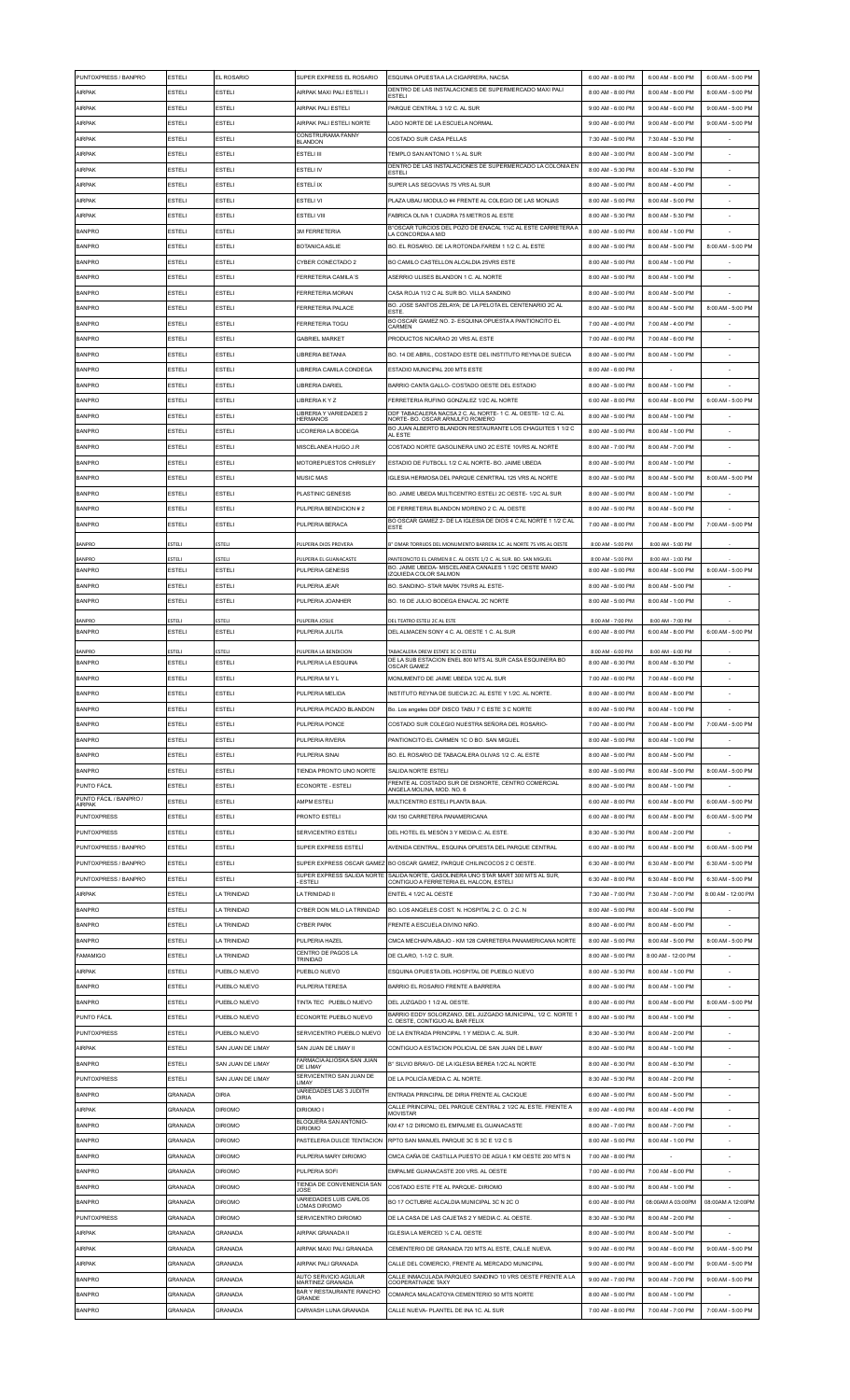| PUNTOXPRESS / BANPRO                | <b>ESTELI</b>                 | <b>FL ROSARIO</b>                      | SUPER EXPRESS EL ROSARIO                                     | ESQUINA OPUESTA A LA CIGARRERA. NACSA                                                                     | 6:00 AM - 8:00 PM                      | 6:00 AM - 8:00 PM                      | 6:00 AM - 5:00 PM  |
|-------------------------------------|-------------------------------|----------------------------------------|--------------------------------------------------------------|-----------------------------------------------------------------------------------------------------------|----------------------------------------|----------------------------------------|--------------------|
| <b>AIRPAK</b>                       | <b>ESTELI</b>                 | ESTELI                                 | AIRPAK MAXI PALI ESTELI I                                    | DENTRO DE LAS INSTALACIONES DE SUPERMERCADO MAXI PALI<br><b>ESTELI</b>                                    | 8:00 AM - 8:00 PM                      | 8:00 AM - 8:00 PM                      | 8:00 AM - 5:00 PM  |
| AIRPAK                              | <b>ESTELI</b>                 | <b>ESTELI</b>                          | AIRPAK PALI ESTELI                                           | PARQUE CENTRAL 3 1/2 C. AL SUR                                                                            | 9:00 AM - 6:00 PM                      | 9:00 AM - 6:00 PM                      | 9:00 AM - 5:00 PM  |
| AIRPAK<br>AIRPAK                    | <b>ESTELI</b><br>ESTELI       | <b>ESTELI</b><br>ESTELI                | AIRPAK PALI ESTELI NORTE<br>CONSTRURAMA FANNY                | LADO NORTE DE LA ESCUELA NORMAL<br>COSTADO SUR CASA PELLAS                                                | 9:00 AM - 6:00 PM<br>7:30 AM - 5:00 PM | 9:00 AM - 6:00 PM<br>7:30 AM - 5:30 PM | 9:00 AM - 5:00 PM  |
| AIRPAK                              | <b>ESTELI</b>                 | <b>ESTELI</b>                          | <b>BLANDON</b><br><b>ESTELI III</b>                          | TEMPLO SAN ANTONIO 1 1/2 AL SUR                                                                           | 8:00 AM - 3:00 PM                      | 8:00 AM - 3:00 PM                      |                    |
| <b>AIRPAK</b>                       | ESTELI                        | ESTELI                                 | <b>ESTELI IV</b>                                             | DENTRO DE LAS INSTALACIONES DE SUPERMERCADO LA COLONIA EN<br><b>ESTELI</b>                                | 8:00 AM - 5:30 PM                      | 8:00 AM - 5:30 PM                      |                    |
| AIRPAK                              | <b>ESTELI</b>                 | ESTELI                                 | ESTELÍ IX                                                    | SUPER LAS SEGOVIAS 75 VRS AL SUR                                                                          | 8:00 AM - 5:00 PM                      | 8:00 AM - 4:00 PM                      |                    |
| <b>AIRPAK</b>                       | <b>ESTELI</b>                 | <b>ESTELI</b>                          | <b>ESTELI VI</b>                                             | PLAZA UBAU MODULO #4 FRENTE AL COLEGIO DE LAS MONJAS                                                      | 8:00 AM - 5:00 PM                      | 8:00 AM - 5:00 PM                      |                    |
| AIRPAK                              | <b>ESTEL</b>                  | <b>ESTELI</b>                          | <b>ESTELLVIL</b>                                             | FABRICA OLIVA 1 CUADRA 75 METROS AL ESTE                                                                  | 8:00 AM - 5:30 PM                      | 8:00 AM - 5:30 PM                      |                    |
| <b>BANPRO</b>                       | <b>ESTELI</b>                 | <b>ESTELI</b>                          | <b>3M FERRETERIA</b>                                         | B°OSCAR TURCIOS DEL POZO DE ENACAL 11/2C AL ESTE CARRETERA A<br>A CONCORDIA A M/D                         | 8:00 AM - 5:00 PM                      | 8:00 AM - 1:00 PM                      |                    |
| <b>BANPRO</b>                       | <b>ESTELI</b>                 | ESTELI                                 | <b>BOTANICA ASLIE</b>                                        | BO. EL ROSARIO. DE LA ROTONDA FAREM 1 1/2 C. AL ESTE                                                      | 8:00 AM - 5:00 PM                      | 8:00 AM - 5:00 PM                      | 8:00 AM - 5:00 PM  |
| <b>BANPRO</b>                       | <b>ESTELI</b>                 | <b>ESTELI</b>                          | CYBER CONECTADO 2                                            | BO CAMILO CASTELLON ALCALDIA 25VRS ESTE                                                                   | 8:00 AM - 5:00 PM                      | 8:00 AM - 1:00 PM                      |                    |
| <b>BANPRO</b><br><b>BANPRO</b>      | <b>ESTEL</b><br><b>ESTEL</b>  | <b>ESTELI</b><br>ESTELI                | <b>FERRETERIA CAMILA'S</b><br><b>FERRETERIA MORAN</b>        | ASERRIO ULISES BLANDON 1 C. AL NORTE<br>CASA ROJA 11/2 C AL SUR BO. VILLA SANDINO                         | 8:00 AM - 5:00 PM<br>8:00 AM - 5:00 PM | 8:00 AM - 1:00 PM<br>8:00 AM - 5:00 PM |                    |
| <b>BANPRO</b>                       | <b>ESTELI</b>                 | <b>ESTELI</b>                          | <b>FERRETERIA PALACE</b>                                     | BO. JOSE SANTOS ZELAYA; DE LA PELOTA EL CENTENARIO 2C AL                                                  | 8:00 AM - 5:00 PM                      | 8:00 AM - 5:00 PM                      | 8:00 AM - 5:00 PM  |
| <b>BANPRO</b>                       | <b>ESTELI</b>                 | <b>ESTELI</b>                          | <b>FERRETERIA TOGU</b>                                       | <b>ESTE</b><br>BO OSCAR GAMEZ NO. 2- ESQUINA OPUESTA A PANTIONCITO EL<br>CARMEN                           | 7:00 AM - 4:00 PM                      | 7:00 AM - 4:00 PM                      |                    |
| <b>BANPRO</b>                       | <b>ESTELI</b>                 | <b>ESTELI</b>                          | <b>GABRIEL MARKET</b>                                        | PRODUCTOS NICARAO 20 VRS AL ESTE                                                                          | 7:00 AM - 6:00 PM                      | 7:00 AM - 6:00 PM                      | $\sim$             |
| <b>BANPRO</b>                       | <b>ESTELI</b>                 | <b>ESTELI</b>                          | <b>LIBRERIA BETANIA</b>                                      | BO. 14 DE ABRIL, COSTADO ESTE DEL INSTITUTO REYNA DE SUECIA                                               | 8:00 AM - 5:00 PM                      | 8:00 AM - 1:00 PM                      |                    |
| <b>BANPRO</b>                       | <b>ESTEL</b>                  | <b>ESTELI</b>                          | LIBRERIA CAMILA CONDEGA                                      | ESTADIO MUNICIPAL 200 MTS ESTE                                                                            | 8:00 AM - 6:00 PM                      |                                        |                    |
| <b>BANPRO</b>                       | ESTELI                        | ESTELI                                 | LIBRERIA DARIEL                                              | BARRIO CANTA GALLO-COSTADO OESTE DEL ESTADIO                                                              | 8:00 AM - 5:00 PM                      | 8:00 AM - 1:00 PM                      |                    |
| <b>BANPRO</b>                       | <b>ESTELI</b>                 | ESTELI                                 | LIBRERIA K Y Z                                               | FERRETERIA RUFINO GONZALEZ 1/2C AL NORTE<br>DDF TABACALERA NACSA 2 C. AL NORTE- 1 C. AL OESTE- 1/2 C. AL  | 6:00 AM - 8:00 PM                      | 6:00 AM - 8:00 PM                      | 6:00 AM - 5:00 PM  |
| <b>BANPRO</b>                       | <b>ESTELI</b>                 | <b>ESTELI</b>                          | LIBRERIA Y VARIEDADES 2<br><b>HERMANOS</b>                   | NORTE- BO. OSCAR ARNULFO ROMERO<br>BO JUAN ALBERTO BLANDON RESTAURANTE LOS CHAGUITES 1 1/2 C              | 8:00 AM - 5:00 PM                      | 8:00 AM - 1:00 PM                      |                    |
| <b>BANPRO</b>                       | <b>ESTELI</b><br><b>ESTEL</b> | <b>ESTELI</b><br>ESTELI                | LICORERIA LA BODEGA<br>MISCELANEA HUGO J.R                   | AL ESTE                                                                                                   | 8:00 AM - 5:00 PM                      | 8:00 AM - 1:00 PM                      | $\sim$             |
| <b>BANPRO</b><br><b>BANPRO</b>      | <b>ESTELI</b>                 | <b>ESTELI</b>                          | MOTOREPUESTOS CHRISLEY                                       | COSTADO NORTE GASOLINERA UNO 2C ESTE 10VRS AL NORTE<br>ESTADIO DE FUTBOLL 1/2 C AL NORTE- BO. JAIME UBEDA | 8:00 AM - 7:00 PM<br>8:00 AM - 5:00 PM | 8:00 AM - 7:00 PM<br>8:00 AM - 1:00 PM |                    |
| <b>BANPRO</b>                       | ESTELI                        | <b>ESTELI</b>                          | <b>MUSIC MAS</b>                                             | IGLESIA HERMOSA DEL PARQUE CENRTRAL 125 VRS AL NORTE                                                      | 8:00 AM - 5:00 PM                      | 8:00 AM - 5:00 PM                      | 8:00 AM - 5:00 PM  |
| <b>BANPRO</b>                       | <b>ESTELI</b>                 | <b>ESTELI</b>                          | PLASTINIC GENESIS                                            | BO. JAIME UBEDA MULTICENTRO ESTELI 2C OESTE-1/2C AL SUR                                                   | 8:00 AM - 5:00 PM                      | 8:00 AM - 1:00 PM                      |                    |
| <b>BANPRO</b>                       | <b>ESTEL</b>                  | <b>ESTELI</b>                          | PULPERIA BENDICION #2                                        | DE FERRETERIA BLANDON MORENO 2 C. AL OESTE                                                                | 8:00 AM - 5:00 PM                      | 8:00 AM - 5:00 PM                      |                    |
| <b>BANPRO</b>                       | <b>ESTEL</b>                  | <b>ESTELI</b>                          | PULPERIA BERACA                                              | BO OSCAR GAMEZ 2- DE LA IGLESIA DE DIOS 4 C AL NORTE 1 1/2 C AL<br><b>ESTE</b>                            | 7:00 AM - 8:00 PM                      | 7:00 AM - 8:00 PM                      | 7:00 AM - 5:00 PM  |
| <b>BANPRO</b>                       | <b>ESTELI</b>                 | ESTELI                                 | PULPERIA DIOS PROVERA                                        | B° OMAR TORRIJOS DEL MONUMENTO BARRERA 1C. AL NORTE 75 VRS AL OESTE                                       | 8:00 AM - 5:00 PM                      | 8:00 AM - 5:00 PM                      |                    |
| BANPRO                              | ESTELI                        | ESTELI                                 | PULPERIA EL GUANACASTE                                       | PANTEONCITO EL CARMEN 8 C. AL OESTE 1/2 C. AL SUR. BO. SAN MIGUEL                                         | 8:00 AM - 5:00 PM                      | 8:00 AM - 1:00 PM                      |                    |
| <b>BANPRO</b>                       | <b>ESTEL</b>                  | <b>ESTELI</b>                          | PULPERIA GENESIS                                             | BO. JAIME UBEDA- MISCELANEA CANALES 1 1/2C OESTE MANO<br>IZQUIEDA COLOR SALMON                            | 8:00 AM - 5:00 PM                      | 8:00 AM - 5:00 PM                      | 8:00 AM - 5:00 PM  |
| <b>BANPRO</b>                       | <b>ESTEL</b><br>ESTELI        | <b>ESTELI</b><br>ESTELI                | PULPERIA JEAR                                                | BO. SANDINO- STAR MARK 75VRS AL ESTE-                                                                     | 8:00 AM - 5:00 PM                      | 8:00 AM - 5:00 PM                      |                    |
| <b>BANPRO</b>                       |                               |                                        | PULPERIA JOANHER                                             | BO. 16 DE JULIO BODEGA ENACAL 2C NORTE                                                                    | 8:00 AM - 5:00 PM                      | 8:00 AM - 1:00 PM                      |                    |
| <b>BANPRO</b><br><b>BANPRO</b>      | ESTELI<br><b>ESTELI</b>       | ESTELI<br><b>ESTELI</b>                | PULPERIA JOSUE<br>PULPERIA JULITA                            | DEL TEATRO ESTELI 2C AL ESTE<br>DEL ALMACEN SONY 4 C. AL OESTE 1 C. AL SUR                                | 8:00 AM - 7:00 PM<br>6:00 AM - 8:00 PM | 8:00 AM - 7:00 PM<br>6:00 AM - 8:00 PM | 6:00 AM - 5:00 PM  |
| <b>BANPRO</b>                       | ESTELI                        | ESTELI                                 | PULPERIA LA BENDICION                                        | <b>TABACALERA DREW ESTATE 3C O ESTELI</b>                                                                 | 8:00 AM - 6:00 PM                      | 8:00 AM - 6:00 PM                      |                    |
| <b>BANPRO</b>                       | <b>ESTELI</b>                 | <b>ESTELI</b>                          | PULPERIA LA ESQUINA                                          | DE LA SUB ESTACION ENEL 800 MTS AL SUR CASA ESQUINERA BO<br><b>OSCAR GAMEZ</b>                            | 8:00 AM - 6:30 PM                      | 8:00 AM - 6:30 PM                      |                    |
| <b>BANPRO</b>                       | <b>ESTEL</b>                  | <b>ESTELI</b>                          | PULPERIA MY L                                                | MONUMENTO DE JAIME UBEDA 1/2C AL SUR                                                                      | 7:00 AM - 6:00 PM                      | 7:00 AM - 6:00 PM                      |                    |
| <b>BANPRO</b>                       | ESTELI                        | ESTELI                                 | PULPERIA MELIDA                                              | INSTITUTO REYNA DE SUECIA 2C. AL ESTE Y 1/2C. AL NORTE.                                                   | 8:00 AM - 8:00 PM                      | 8:00 AM - 8:00 PM                      |                    |
| <b>BANPRO</b>                       | <b>ESTELI</b>                 | ESTELI                                 | PULPERIA PICADO BLANDON                                      | Bo. Los angeles DDF DISCO TABU 7 C ESTE 3 C NORTE                                                         | 8:00 AM - 5:00 PM                      | 8:00 AM - 1:00 PM                      |                    |
| <b>BANPRO</b>                       | <b>ESTELI</b>                 | <b>ESTELI</b>                          | PULPERIA PONCE                                               | COSTADO SUR COLEGIO NUESTRA SEÑORA DEL ROSARIO                                                            | 7:00 AM - 8:00 PM                      | 7:00 AM - 8:00 PM                      | 7:00 AM - 5:00 PM  |
| <b>BANPRO</b><br><b>BANPRO</b>      | <b>ESTELI</b><br>ESTELI       | <b>ESTELI</b><br>ESTELI                | PULPERIA RIVERA<br>PULPERIA SINA                             | PANTIONCITO EL CARMEN 1C O BO. SAN MIGUEL<br>BO. EL ROSARIO DE TABACALERA OLIVAS 1/2 C. AL ESTE           | 8:00 AM - 5:00 PM<br>8:00 AM - 5:00 PM | 8:00 AM - 1:00 PM<br>8:00 AM - 5:00 PM |                    |
| <b>BANPRO</b>                       | <b>ESTEL</b>                  | <b>ESTELI</b>                          | TIENDA PRONTO UNO NORTE                                      | SALIDA NORTE ESTELI                                                                                       | 8:00 AM - 5:00 PM                      | 8:00 AM - 5:00 PM                      | 8:00 AM - 5:00 PM  |
| PUNTO FÁCIL                         | ESTELI                        | ESTELI                                 | ECONORTE - ESTELI                                            | FRENTE AL COSTADO SUR DE DISNORTE. CENTRO COMERCIAL<br>ANGELA MOLINA, MOD. NO. 6                          | 8:00 AM - 5:00 PM                      | 8:00 AM - 1:00 PM                      |                    |
| PUNTO FÁCIL / BANPRO /<br>AIRPAK    | <b>ESTELI</b>                 | ESTELI                                 | AMPM ESTELI                                                  | MULTICENTRO ESTELI PLANTA BAJA.                                                                           | 6:00 AM - 8:00 PM                      | 6:00 AM - 8:00 PM                      | 6:00 AM - 5:00 PM  |
| <b>PUNTOXPRESS</b>                  | <b>ESTELI</b>                 | <b>ESTELI</b>                          | PRONTO ESTELI                                                | KM 150 CARRETERA PANAMERICANA                                                                             | 6:00 AM - 8:00 PM                      | 6:00 AM - 8:00 PM                      | 6:00 AM - 5:00 PM  |
| <b>PUNTOXPRESS</b>                  | <b>ESTELI</b>                 | ESTELI                                 | SERVICENTRO ESTEL                                            | DEL HOTEL EL MESÓN 3 Y MEDIA C. AL ESTE.                                                                  | 8:30 AM - 5:30 PM                      | 8:00 AM - 2:00 PM                      |                    |
| PUNTOXPRESS / BANPRO                | <b>ESTELI</b>                 | ESTELI                                 | SUPER EXPRESS ESTELÍ                                         | AVENIDA CENTRAL. ESQUINA OPUESTA DEL PARQUE CENTRAL                                                       | 6:00 AM - 8:00 PM                      | 6:00 AM - 8:00 PM                      | 6:00 AM - 5:00 PM  |
| PUNTOXPRESS / BANPRO                | <b>ESTELI</b>                 | ESTELI                                 |                                                              | SUPER EXPRESS OSCAR GAMEZ BO OSCAR GAMEZ, PARQUE CHILINCOCOS 2 C OESTE.                                   | 6:30 AM - 8:00 PM                      | 6:30 AM - 8:00 PM                      | 6:30 AM - 5:00 PM  |
| PUNTOXPRESS / BANPRO                | <b>ESTEL</b>                  | <b>ESTELI</b>                          | SUPER EXPRESS SALIDA NORTE<br><b>ESTELI</b>                  | SALIDA NORTE, GASOLINERA UNO STAR MART 300 MTS AL SUR,<br>CONTIGUO A FERRETERIA EL HALCON, ESTELI         | 6:30 AM - 8:00 PM                      | 6:30 AM - 8:00 PM                      | 6:30 AM - 5:00 PM  |
| AIRPAK<br><b>BANPRO</b>             | ESTELI<br><b>ESTEL</b>        | LA TRINIDAD<br>A TRINIDAD              | LA TRINIDAD II<br>CYBER DON MILO LA TRINIDAD                 | ENITEL 4 1/2C AL OESTE<br>BO. LOS ANGELES COST. N. HOSPITAL 2 C. O. 2 C. N                                | 7:30 AM - 7:00 PM<br>8:00 AM - 5:00 PM | 7:30 AM - 7:00 PM<br>8:00 AM - 5:00 PM | 8:00 AM - 12:00 PM |
| <b>BANPRO</b>                       | <b>ESTELI</b>                 | <b>LA TRINIDAD</b>                     | <b>CYBER PARK</b>                                            | FRENTE A ESCUELA DIVINO NIÑO                                                                              | 8:00 AM - 6:00 PM                      | 8:00 AM - 6:00 PM                      |                    |
| <b>BANPRO</b>                       | <b>ESTELI</b>                 | LA TRINIDAD                            | PULPERIA HAZEL                                               | CMCA MECHAPA ABAJO - KM 128 CARRETERA PANAMERICANA NORTE                                                  | 8:00 AM - 5:00 PM                      | 8:00 AM - 5:00 PM                      | 8:00 AM - 5:00 PM  |
| <b>FAMAMIGO</b>                     | <b>ESTELI</b>                 | <b>LA TRINIDAD</b>                     | CENTRO DE PAGOS LA<br>TRINIDAD                               | DE CLARO, 1-1/2 C. SUR                                                                                    | 8:00 AM - 5:00 PM                      | 8:00 AM - 12:00 PM                     |                    |
| <b>AIRPAK</b>                       | <b>ESTELI</b>                 | PUEBLO NUEVO                           | PUEBLO NUEVO                                                 | ESQUINA OPUESTA DEL HOSPITAL DE PUEBLO NUEVO                                                              | 8:00 AM - 5:30 PM                      | 8:00 AM - 1:00 PM                      |                    |
| <b>BANPRO</b>                       | <b>ESTEL</b>                  | PUEBLO NUEVO                           | PULPERIA TERESA                                              | BARRIO EL ROSARIO FRENTE A BARRERA                                                                        | 8:00 AM - 5:00 PM                      | 8:00 AM - 1:00 PM                      |                    |
| <b>BANPRO</b>                       | ESTELI                        | PUEBLO NUEVO                           | TINTA TEC PUEBLO NUEVO                                       | DEL JUZGADO 1 1/2 AL OESTE.                                                                               | 8:00 AM - 6:00 PM                      | 8:00 AM - 6:00 PM                      | 8:00 AM - 5:00 PM  |
| PUNTO FÁCIL                         | <b>ESTELI</b>                 | PUEBLO NUEVO                           | ECONORTE PUEBLO NUEVO                                        | BARRIO EDDY SOLORZANO, DEL JUZGADO MUNICIPAL, 1/2 C. NORTE 1<br>C. OESTE, CONTIGUO AL BAR FELIX           | 8:00 AM - 5:00 PM                      | 8:00 AM - 1:00 PM                      |                    |
| <b>PUNTOXPRESS</b>                  | <b>ESTELI</b>                 | PUEBLO NUEVO                           | SERVICENTRO PUEBLO NUEVO                                     | DE LA ENTRADA PRINCIPAL 1 Y MEDIA C. AL SUR.                                                              | 8:30 AM - 5:30 PM                      | 8:00 AM - 2:00 PM                      |                    |
| AIRPAK                              | <b>ESTELI</b><br>ESTELI       | SAN JUAN DE LIMAY<br>SAN JUAN DE LIMAY | SAN JUAN DE LIMAY II<br>FARMACIA ALIOSKA SAN JUAN            | CONTIGUO A ESTACION POLICIAL DE SAN JUAN DE LIMAY                                                         | 8:00 AM - 5:00 PM<br>8:00 AM - 6:30 PM | 8:00 AM - 1:00 PM<br>8:00 AM - 6:30 PM |                    |
| <b>BANPRO</b><br><b>PUNTOXPRESS</b> | <b>ESTELI</b>                 | SAN JUAN DE LIMAY                      | DE LIMAY<br>SERVICENTRO SAN JUAN DE                          | B° SILVIO BRAVO- DE LA IGLESIA BEREA 1/2C AL NORTE<br>DE LA POLICÍA MEDIA C. AL NORTE.                    | 8:30 AM - 5:30 PM                      | 8:00 AM - 2:00 PM                      |                    |
| <b>BANPRO</b>                       | GRANADA                       | DIRIA                                  | LIMAY<br>VARIEDADES LAS 3 JUDITH<br><b>DIRIA</b>             | ENTRADA PRINCIPAL DE DIRIA FRENTE AL CACIQUE                                                              | 6:00 AM - 5:00 PM                      | 6:00 AM - 5:00 PM                      |                    |
| <b>AIRPAK</b>                       | GRANADA                       | <b>DIRIOMO</b>                         | DIRIOMO I                                                    | CALLE PRINCIPAL; DEL PARQUE CENTRAL 2 1/2C AL ESTE. FRENTE A<br><b>MOVISTAR</b>                           | 8:00 AM - 4:00 PM                      | 8:00 AM - 4:00 PM                      |                    |
| <b>BANPRO</b>                       | GRANADA                       | <b>DIRIOMO</b>                         | BLOQUERA SAN ANTONIO-<br><b>DIRIOMO</b>                      | KM 47 1/2 DIRIOMO EL EMPALME EL GUANACASTE                                                                | 8:00 AM - 7:00 PM                      | 8:00 AM - 7:00 PM                      |                    |
| <b>BANPRO</b>                       | GRANADA                       | <b>DIRIOMO</b>                         | PASTELERIA DULCE TENTACION                                   | RPTO SAN MANUEL PARQUE 3C S 3C E 1/2 C S                                                                  | 8:00 AM - 5:00 PM                      | 8:00 AM - 1:00 PM                      |                    |
| <b>BANPRO</b>                       | GRANADA                       | <b>DIRIOMO</b>                         | PULPERIA MARY DIRIOMO                                        | CMCA CAÑA DE CASTILLA PUESTO DE AGUA 1 KM OESTE 200 MTS N                                                 | 7:00 AM - 8:00 PM                      |                                        |                    |
| <b>BANPRO</b>                       | GRANADA                       | <b>DIRIOMO</b>                         | PULPERIA SOFI                                                | EMPALME GUANACASTE 200 VRS. AL OESTE                                                                      | 7:00 AM - 6:00 PM                      | 7:00 AM - 6:00 PM                      |                    |
| <b>BANPRO</b>                       | GRANADA                       | <b>DIRIOMO</b>                         | TIENDA DE CONVENIENCIA SAN<br>JOSE<br>VARIEDADES LUIS CARLOS | COSTADO ESTE FTE AL PARQUE- DIRIOMO                                                                       | 8:00 AM - 5:00 PM                      | 8:00 AM - 1:00 PM                      |                    |
| <b>BANPRO</b>                       | GRANADA                       | <b>DIRIOMO</b>                         | <b>LOMAS DIRIOMO</b>                                         | BO 17 OCTUBRE ALCALDIA MUNICIPAL 3C N 2C O                                                                | 6:00 AM - 8:00 PM                      | 08:00AM A 03:00PM                      | 08:00AM A 12:00PM  |
| <b>PUNTOXPRESS</b><br>AIRPAK        | <b>GRANADA</b><br>GRANADA     | <b>DIRIOMO</b><br>GRANADA              | SERVICENTRO DIRIOMO<br>AIRPAK GRANADA II                     | DE LA CASA DE LAS CAJETAS 2 Y MEDIA C. AL OESTE.<br>IGLESIA LA MERCED 1/2 C AL OESTE                      | 8:30 AM - 5:30 PM<br>8:00 AM - 5:00 PM | 8:00 AM - 2:00 PM<br>8:00 AM - 5:00 PM |                    |
| AIRPAK                              | GRANADA                       | GRANADA                                | AIRPAK MAXI PALI GRANADA                                     | CEMENTERIO DE GRANADA 720 MTS AL ESTE, CALLE NUEVA.                                                       | 9:00 AM - 6:00 PM                      | 9:00 AM - 6:00 PM                      | 9:00 AM - 5:00 PM  |
| <b>AIRPAK</b>                       | GRANADA                       | GRANADA                                | AIRPAK PALI GRANADA                                          | CALLE DEL COMERCIO, FRENTE AL MERCADO MUNICIPAL                                                           | 9:00 AM - 6:00 PM                      | 9:00 AM - 6:00 PM                      | 9:00 AM - 5:00 PM  |
| <b>BANPRO</b>                       | <b>GRANADA</b>                | GRANADA                                | AUTO SERVICIO AGUILAR<br>MARTINEZ GRANADA                    | CALLE INMACULADA PARQUEO SANDINO 10 VRS OESTE FRENTE A LA<br>COOPERATIVADE TAXY                           | 9:00 AM - 7:00 PM                      | 9:00 AM - 7:00 PM                      | 9:00 AM - 5:00 PM  |
| <b>BANPRO</b>                       | GRANADA                       | GRANADA                                | BAR Y RESTAURANTE RANCHO<br>GRANDE                           | COMARCA MALACATOYA CEMENTERIO 50 MTS NORTE                                                                | 8:00 AM - 5:00 PM                      | 8:00 AM - 1:00 PM                      |                    |
| <b>BANPRO</b>                       | GRANADA                       | GRANADA                                | CARWASH LUNA GRANADA                                         | CALLE NUEVA- PLANTEL DE INA 1C. AL SUR                                                                    | 7:00 AM - 8:00 PM                      | 7:00 AM - 7:00 PM                      | 7:00 AM - 5:00 PM  |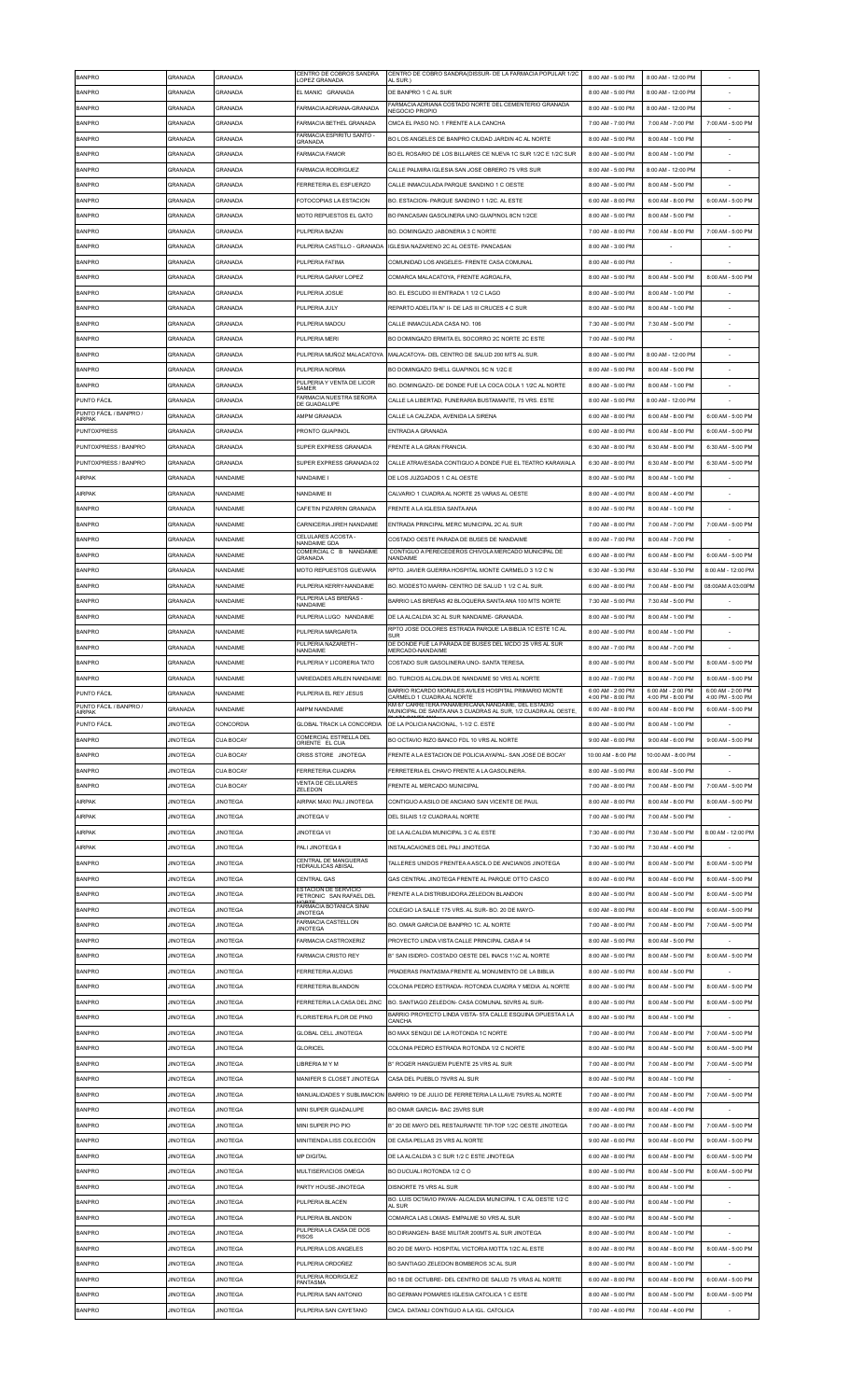| <b>BANPRO</b>                         | GRANADA         | GRANADA          | CENTRO DE COBROS SANDRA<br>LOPEZ GRANADA               | CENTRO DE COBRO SANDRA(DISSUR- DE LA FARMACIA POPULAR 1/2C<br>AL SUR.)              | 8:00 AM - 5:00 PM     | 8:00 AM - 12:00 PM |                    |
|---------------------------------------|-----------------|------------------|--------------------------------------------------------|-------------------------------------------------------------------------------------|-----------------------|--------------------|--------------------|
| <b>BANPRO</b>                         | GRANADA         | <b>GRANADA</b>   | EL MANIC GRANADA                                       | DE BANPRO 1 C AL SUR                                                                | 8:00 AM - 5:00 PM     | 8:00 AM - 12:00 PM |                    |
| <b>BANPRO</b>                         | GRANADA         | GRANADA          | FARMACIA ADRIANA-GRANADA                               | FARMACIA ADRIANA COSTADO NORTE DEL CEMENTERIO GRANADA<br>NEGOCIO PROPIO             | 8:00 AM - 5:00 PM     | 8:00 AM - 12:00 PM |                    |
| <b>BANPRO</b>                         | GRANADA         | GRANADA          | FARMACIA BETHEL GRANADA                                | CMCA EL PASO NO. 1 FRENTE A LA CANCHA                                               | 7:00 AM - 7:00 PM     | 7:00 AM - 7:00 PM  | 7:00 AM - 5:00 PM  |
|                                       |                 |                  | FARMACIA ESPIRITU SANTO -                              | BO LOS ANGELES DE BANPRO CIUDAD JARDIN 4C AL NORTE                                  |                       |                    |                    |
| <b>BANPRO</b>                         | GRANADA         | GRANADA          | GRANADA                                                |                                                                                     | 8:00 AM - 5:00 PM     | 8:00 AM - 1:00 PM  |                    |
| <b>BANPRO</b>                         | GRANADA         | GRANADA          | <b>FARMACIA FAMOR</b>                                  | BO EL ROSARIO DE LOS BILLARES CE NUEVA 1C SUR 1/2C E 1/2C SUR                       | 8:00 AM - 5:00 PM     | 8:00 AM - 1:00 PM  |                    |
| <b>BANPRO</b>                         | GRANADA         | <b>GRANADA</b>   | <b>FARMACIA RODRIGUEZ</b>                              | CALLE PALMIRA IGLESIA SAN JOSE OBRERO 75 VRS SUR                                    | 8:00 AM - 5:00 PM     | 8:00 AM - 12:00 PM |                    |
| <b>BANPRO</b>                         | GRANADA         | GRANADA          | FERRETERIA EL ESFUERZO                                 | CALLE INMACULADA PARQUE SANDINO 1 C OESTE                                           | 8:00 AM - 5:00 PM     | 8:00 AM - 5:00 PM  |                    |
| <b>BANPRO</b>                         | GRANADA         | GRANADA          | FOTOCOPIAS LA ESTACION                                 | BO, ESTACION- PARQUE SANDINO 1 1/2C, AL ESTE                                        | 6:00 AM - 8:00 PM     | 6:00 AM - 8:00 PM  | 6:00 AM - 5:00 PM  |
| <b>BANPRO</b>                         | GRANADA         | <b>GRANADA</b>   | MOTO REPUESTOS EL GATO                                 | BO PANCASAN GASOLINERA UNO GUAPINOL 8CN 1/2CE                                       | 8:00 AM - 5:00 PM     | 8:00 AM - 5:00 PM  |                    |
| <b>BANPRO</b>                         | GRANADA         | GRANADA          | PULPERIA BAZAN                                         | BO. DOMINGAZO JABONERIA 3 C NORTE                                                   | 7:00 AM - 8:00 PM     | 7:00 AM - 8:00 PM  | 7:00 AM - 5:00 PM  |
|                                       |                 |                  |                                                        |                                                                                     |                       |                    |                    |
| <b>BANPRO</b>                         | GRANADA         | <b>GRANADA</b>   | PULPERIA CASTILLO - GRANADA                            | IIGLESIA NAZARENO 2C AL OESTE- PANCASAN                                             | 8:00 AM - 3:00 PM     |                    |                    |
| <b>BANPRO</b>                         | GRANADA         | GRANADA          | PULPERIA FATIMA                                        | COMUNIDAD LOS ANGELES- FRENTE CASA COMUNAL                                          | 8:00 AM - 6:00 PM     |                    |                    |
| <b>BANPRO</b>                         | GRANADA         | GRANADA          | PULPERIA GARAY LOPEZ                                   | COMARCA MALACATOYA, FRENTE AGROALFA,                                                | 8:00 AM - 5:00 PM     | 8:00 AM - 5:00 PM  | 8:00 AM - 5:00 PM  |
| <b>BANPRO</b>                         | GRANADA         | <b>GRANADA</b>   | PULPERIA JOSUE                                         | BO. EL ESCUDO III ENTRADA 1 1/2 C LAGO                                              | 8:00 AM - 5:00 PM     | 8:00 AM - 1:00 PM  |                    |
| <b>BANPRO</b>                         | GRANADA         | GRANADA          | PULPERIA JULY                                          | REPARTO ADELITA N° II- DE LAS III CRUCES 4 C SUR                                    | 8:00 AM - 5:00 PM     | 8:00 AM - 1:00 PM  |                    |
| <b>BANPRO</b>                         | GRANADA         | GRANADA          | PULPERIA MADOU                                         | CALLE INMACULADA CASA NO. 106                                                       | 7:30 AM - 5:00 PM     | 7:30 AM - 5:00 PM  | $\sim$             |
|                                       |                 |                  |                                                        |                                                                                     |                       |                    |                    |
| <b>BANPRO</b>                         | GRANADA         | GRANADA          | PULPERIA MERI                                          | BO DOMINGAZO ERMITA EL SOCORRO 2C NORTE 2C ESTE                                     | 7:00 AM - 5:00 PM     |                    |                    |
| <b>BANPRO</b>                         | GRANADA         | GRANADA          | PULPERIA MUÑOZ MALACATOYA                              | MALACATOYA- DEL CENTRO DE SALUD 200 MTS AL SUR.                                     | 8:00 AM - 5:00 PM     | 8:00 AM - 12:00 PM |                    |
| <b>BANPRO</b>                         | GRANADA         | <b>GRANADA</b>   | PULPERIA NORMA                                         | BO DOMINGAZO SHELL GUAPINOL 5C N 1/2C E                                             | 8:00 AM - 5:00 PM     | 8:00 AM - 5:00 PM  |                    |
| <b>BANPRO</b>                         | GRANADA         | GRANADA          | PULPERIA Y VENTA DE LICOR<br>SAMER                     | BO. DOMINGAZO- DE DONDE FUE LA COCA COLA 1 1/2C AL NORTE                            | 8:00 AM - 5:00 PM     | 8:00 AM - 1:00 PM  |                    |
| PUNTO FÁCIL                           | GRANADA         | <b>GRANADA</b>   | FARMACIA NUESTRA SEÑORA                                | CALLE LA LIBERTAD. FUNERARIA BUSTAMANTE. 75 VRS. ESTE                               | 8:00 AM - 5:00 PM     | 8:00 AM - 12:00 PM |                    |
| PUNTO FÁCIL / BANPRO /                |                 |                  | DE GUADALUPE                                           |                                                                                     |                       |                    |                    |
| <b>AIRPAK</b>                         | GRANADA         | GRANADA          | AMPM GRANADA                                           | CALLE LA CALZADA, AVENIDA LA SIRENA                                                 | 6:00 AM - 8:00 PM     | 6:00 AM - 8:00 PM  | 6:00 AM - 5:00 PM  |
| <b>PUNTOXPRESS</b>                    | GRANADA         | GRANADA          | PRONTO GUAPINOL                                        | ENTRADA A GRANADA                                                                   | 6:00 AM - 8:00 PM     | 6:00 AM - 8:00 PM  | 6:00 AM - 5:00 PM  |
| PUNTOXPRESS / BANPRO                  | GRANADA         | GRANADA          | SUPER EXPRESS GRANADA                                  | <b>FRENTE A LA GRAN FRANCIA</b>                                                     | 6:30 AM - 8:00 PM     | 6:30 AM - 8:00 PM  | 6:30 AM - 5:00 PM  |
| PUNTOXPRESS / BANPRO                  | GRANADA         | GRANADA          | SUPER EXPRESS GRANADA 02                               | CALLE ATRAVESADA CONTIGUO A DONDE FUE EL TEATRO KARAWALA                            | 6:30 AM - 8:00 PM     | 6:30 AM - 8:00 PM  | 6:30 AM - 5:00 PM  |
| <b>AIRPAK</b>                         | GRANADA         | NANDAIME         | <b>NANDAIME</b>                                        | DE LOS JUZGADOS 1 C AL OESTE                                                        | 8:00 AM - 5:00 PM     | 8:00 AM - 1:00 PM  |                    |
|                                       |                 |                  |                                                        |                                                                                     |                       |                    |                    |
| AIRPAK                                | GRANADA         | NANDAIME         | NANDAIME III                                           | CALVARIO 1 CUADRA AL NORTE 25 VARAS AL OESTE                                        | 8:00 AM - 4:00 PM     | 8:00 AM - 4:00 PM  |                    |
| <b>BANPRO</b>                         | GRANADA         | NANDAIME         | CAFETIN PIZARRIN GRANADA                               | FRENTE A LA IGLESIA SANTA ANA                                                       | 8:00 AM - 5:00 PM     | 8:00 AM - 1:00 PM  |                    |
| <b>BANPRO</b>                         | GRANADA         | NANDAIME         | CARNICERIA JIREH NANDAIME                              | ENTRADA PRINCIPAL MERC MUNICIPAL 2C AL SUR                                          | 7:00 AM - 8:00 PM     | 7:00 AM - 7:00 PM  | 7:00 AM - 5:00 PM  |
| <b>BANPRO</b>                         | GRANADA         | NANDAIME         | CELULARES ACOSTA -<br>NANDAIME GDA                     | COSTADO OESTE PARADA DE BUSES DE NANDAIME                                           | 8:00 AM - 7:00 PM     | 8:00 AM - 7:00 PM  |                    |
| <b>BANPRO</b>                         | GRANADA         | NANDAIME         | COMERCIAL C B NANDAIME                                 | CONTIGUO A PERECEDEROS CHIVOLA MERCADO MUNICIPAL DE                                 | 6:00 AM - 8:00 PM     | 6:00 AM - 8:00 PM  | 6:00 AM - 5:00 PM  |
|                                       |                 |                  | <b>GRANADA</b>                                         | NANDAIME                                                                            |                       |                    |                    |
| <b>BANPRO</b>                         | GRANADA         | NANDAIME         | MOTO REPUESTOS GUEVARA                                 | RPTO. JAVIER GUERRA HOSPITAL MONTE CARMELO 3 1/2 C N                                | 6:30 AM - 5:30 PM     | 6:30 AM - 5:30 PM  | 8:00 AM - 12:00 PM |
| <b>BANPRO</b>                         | GRANADA         | NANDAIME         | PULPERIA KERRY-NANDAIME                                | BO. MODESTO MARIN- CENTRO DE SALUD 1 1/2 C AL SUR.                                  | 6:00 AM - 8:00 PM     | 7:00 AM - 8:00 PM  | 08:00AM A 03:00PM  |
| <b>BANPRO</b>                         | GRANADA         | NANDAIME         | PULPERIA LAS BREÑAS -<br>NANDAIME                      | BARRIO LAS BREÑAS #2 BLOQUERA SANTA ANA 100 MTS NORTE                               | 7:30 AM - 5:00 PM     | 7:30 AM - 5:00 PM  |                    |
| <b>BANPRO</b>                         | GRANADA         | NANDAIME         | PULPERIA LUGO NANDAIME                                 | DE LA ALCALDIA 3C AL SUR NANDAIME- GRANADA                                          | 8:00 AM - 5:00 PM     | 8:00 AM - 1:00 PM  |                    |
| <b>BANPRO</b>                         | GRANADA         | NANDAIME         |                                                        | RPTO JOSE DOLORES ESTRADA PARQUE LA BIBLIA 1C ESTE 1C AL                            | 8:00 AM - 5:00 PM     | 8:00 AM - 1:00 PM  |                    |
|                                       |                 |                  | PULPERIA MARGARITA<br>PULPERIA NAZARETH -              | <b>SUR</b><br>DE DONDE FUÉ LA PÁRADA DE BUSES DEL MCDO 25 VRS AL SUR                |                       |                    | $\sim$             |
| <b>BANPRO</b>                         | GRANADA         | NANDAIME         | NANDAIME                                               | MERCADO-NANDAIME                                                                    | 8:00 AM - 7:00 PM     | 8:00 AM - 7:00 PM  |                    |
| <b>BANPRO</b>                         | GRANADA         | NANDAIME         | PULPERIA Y LICORERIA TATO                              | COSTADO SUR GASOLINERA UNO- SANTA TERESA                                            | 8:00 AM - 5:00 PM     | 8:00 AM - 5:00 PM  | 8:00 AM - 5:00 PM  |
| <b>BANPRO</b>                         | GRANADA         | <b>NANDAIME</b>  | VARIEDADES ARLEN NANDAIME                              | BO. TURCIOS ALCALDIA DE NANDAIME 50 VRS AL NORTE                                    | 8:00 AM - 7:00 PM     | 8:00 AM - 7:00 PM  | 8:00 AM - 5:00 PM  |
|                                       | <b>GRANADA</b>  |                  |                                                        | BARRIO RICARDO MORALES AVILES HOSPITAL PRIMARIO MONTE                               | 6:00 AM - 2:00 PM     | 6:00 AM - 2:00 PM  | 6:00 AM - 2:00 PM  |
|                                       |                 |                  |                                                        |                                                                                     |                       |                    |                    |
| PUNTO FÁCIL<br>PUNTO FÁCIL / BANPRO / |                 | <b>JANDAIME</b>  | PULPERIA EL REY JESUS                                  | CARMELO 1 CUADRA AL NORTE<br>KM 67 CARRETERA PANAMERICANA, NANDAIME, DEL ESTADIO    | 4:00 PM - 8:00 PM     | 4:00 PM - 8:00 PM  | 4:00 PM - 5:00 PM  |
| AIRPAK                                | GRANADA         | NANDAIME         | <b>AMPM NANDAIME</b>                                   | MUNICIPAL DE SANTA ANA 3 CUADRAS AL SUR, 1/2 CUADRA AL OESTE,                       | 6:00 AM - 8:00 PM     | 6:00 AM - 8:00 PM  | 6:00 AM - 5:00 PM  |
| PUNTO FÁCIL                           | <b>JINOTEGA</b> | CONCORDIA        | GLOBAL TRACK LA CONCORDIA                              | DE LA POLICIA NACIONAL, 1-1/2 C. ESTE                                               | 8:00 AM - 5:00 PM     | 8:00 AM - 1:00 PM  |                    |
| <b>BANPRO</b>                         | <b>JINOTEGA</b> | <b>CUA BOCAY</b> | COMERCIAL ESTRELLA DEL<br>ORIENTE EL CUA               | BO OCTAVIO RIZO BANCO FDL 10 VRS AL NORTE                                           | 9:00 AM - 6:00 PM     | 9:00 AM - 6:00 PM  | 9:00 AM - 5:00 PM  |
| <b>BANPRO</b>                         | <b>JINOTEGA</b> | <b>CUA BOCAY</b> | CRISS STORE JINOTEGA                                   | FRENTE A LA ESTACION DE POLICIA AYAPAL- SAN JOSE DE BOCAY                           | 10:00 AM - 8:00 PM    | 10:00 AM - 8:00 PM |                    |
|                                       |                 |                  |                                                        |                                                                                     |                       |                    |                    |
| <b>BANPRO</b>                         | <b>JINOTEGA</b> | <b>CUA BOCAY</b> | FERRETERIA CUADRA<br>VENTA DE CELULARES                | FERRETERIA EL CHAVO FRENTE A LA GASOLINERA.                                         | 8:00 AM - 5:00 PM     | 8:00 AM - 5:00 PM  |                    |
| <b>BANPRO</b>                         | <b>JINOTEGA</b> | CUA BOCAY        | ZELEDON                                                | FRENTE AL MERCADO MUNICIPAL                                                         | 7:00 AM - 8:00 PM     | 7:00 AM - 8:00 PM  | 7:00 AM - 5:00 PM  |
| AIRPAK                                | <b>JINOTEGA</b> | <b>JINOTEGA</b>  | AIRPAK MAXI PALI JINOTEGA                              | CONTIGUO A ASILO DE ANCIANO SAN VICENTE DE PAUL                                     | 8:00 AM - 8:00 PM     | 8:00 AM - 8:00 PM  | 8:00 AM - 5:00 PM  |
| AIRPAK                                | <b>JINOTEGA</b> | <b>JINOTEGA</b>  | <b>JINOTEGA V</b>                                      | DEL SILAIS 1/2 CUADRA AL NORTE                                                      | 7:00 AM - 5:00 PM     | 7:00 AM - 5:00 PM  |                    |
| AIRPAK                                | <b>JINOTEGA</b> | <b>JINOTEGA</b>  | <b>JINOTEGA VI</b>                                     | DE LA ALCALDIA MUNICIPAL 3 C AL ESTE                                                | 7:30 AM - 6:00 PM     | 7:30 AM - 5:00 PM  | 8:00 AM - 12:00 PM |
|                                       |                 |                  |                                                        |                                                                                     |                       | 7:30 AM - 4:00 PM  |                    |
| AIRPAK                                | <b>JINOTEGA</b> | <b>JINOTEGA</b>  | PALI JINOTEGA II                                       | INSTALACAIONES DEL PALI JINOTEGA                                                    | 7:30 AM - 5:00 PM     |                    |                    |
| <b>BANPRO</b>                         | <b>JINOTEGA</b> | <b>JINOTEGA</b>  | CENTRAL DE MANGUERAS<br>HIDRAULICAS ABISAL             | TALLERES UNIDOS FRENTEA A ASCILO DE ANCIANOS JINOTEGA                               | 8:00 AM - 5:00 PM     | 8:00 AM - 5:00 PM  | 8:00 AM - 5:00 PM  |
| <b>BANPRO</b>                         | <b>JINOTEGA</b> | <b>JINOTEGA</b>  | CENTRAL GAS                                            | GAS CENTRAL JINOTEGA FRENTE AL PARQUE OTTO CASCO                                    | 8:00 AM - 6:00 PM     | 8:00 AM - 6:00 PM  | 8:00 AM - 5:00 PM  |
| <b>BANPRO</b>                         | <b>JINOTEGA</b> | <b>JINOTEGA</b>  | <b>ESTACION DE SERVICIO</b><br>PETRONIC SAN RAFAEL DEL | FRENTE A LA DISTRIBUIDORA ZELEDON BLANDON                                           | 8:00 AM - 5:00 PM     | 8:00 AM - 5:00 PM  | 8:00 AM - 5:00 PM  |
| <b>BANPRO</b>                         | <b>JINOTEGA</b> | <b>JINOTEGA</b>  | FARMACIA BOTANICA SINAI<br><b>JINOTEGA</b>             | COLEGIO LA SALLE 175 VRS. AL SUR- BO. 20 DE MAYO-                                   | 6:00 AM - 8:00 PM     | 6:00 AM - 8:00 PM  | 6:00 AM - 5:00 PM  |
| <b>BANPRO</b>                         | <b>JINOTEGA</b> | <b>JINOTEGA</b>  | <b>FARMACIA CASTELLON</b>                              | BO. OMAR GARCIA DE BANPRO 1C. AL NORTE                                              | 7:00 AM - 8:00 PM     | 7:00 AM - 8:00 PM  | 7:00 AM - 5:00 PM  |
| <b>BANPRO</b>                         |                 |                  | JINOTEGA                                               | PROYECTO LINDA VISTA CALLE PRINCIPAL CASA #14                                       | 8:00 AM - 5:00 PM     | 8:00 AM - 5:00 PM  |                    |
|                                       | <b>JINOTEGA</b> | <b>JINOTEGA</b>  | FARMACIA CASTROXERIZ                                   |                                                                                     |                       |                    |                    |
| <b>BANPRO</b>                         | <b>JINOTEGA</b> | <b>JINOTEGA</b>  | <b>FARMACIA CRISTO REY</b>                             | B° SAN ISIDRO- COSTADO OESTE DEL INACS 11/2C AL NORTE                               | 8:00 AM - 5:00 PM     | 8:00 AM - 5:00 PM  | 8:00 AM - 5:00 PM  |
| <b>BANPRO</b>                         | <b>JINOTEGA</b> | <b>JINOTEGA</b>  | <b>FERRETERIA AUDIAS</b>                               | PRADERAS PANTASMA FRENTE AL MONUMENTO DE LA BIBLIA                                  | 8:00 AM - 5:00 PM     | 8:00 AM - 5:00 PM  |                    |
| <b>BANPRO</b>                         | <b>JINOTEGA</b> | <b>JINOTEGA</b>  | <b>FERRETERIA BLANDON</b>                              | COLONIA PEDRO ESTRADA- ROTONDA CUADRA Y MEDIA AL NORTE                              | 8:00 AM - 5:00 PM     | 8:00 AM - 5:00 PM  | 8:00 AM - 5:00 PM  |
| <b>BANPRO</b>                         | <b>JINOTEGA</b> | <b>JINOTEGA</b>  | FERRETERIA LA CASA DEL ZINC                            | BO. SANTIAGO ZELEDON- CASA COMUNAL 50VRS AL SUR-                                    | 8:00 AM - 5:00 PM     | 8:00 AM - 5:00 PM  | 8:00 AM - 5:00 PM  |
| <b>BANPRO</b>                         | <b>JINOTEGA</b> | <b>JINOTEGA</b>  | FLORISTERIA FLOR DE PINO                               | BARRIO PROYECTO LINDA VISTA- 5TA CALLE ESQUINA OPUESTA A LA                         | 8:00 AM - 5:00 PM     | 8:00 AM - 1:00 PM  |                    |
|                                       |                 |                  |                                                        | CANCHA                                                                              |                       |                    |                    |
| <b>BANPRO</b>                         | <b>JINOTEGA</b> | <b>JINOTEGA</b>  | <b>GLOBAL CELL JINOTEGA</b>                            | BO MAX SENQUI DE LA ROTONDA 1C NORTE                                                | 7:00 AM - 8:00 PM     | 7:00 AM - 8:00 PM  | 7:00 AM - 5:00 PM  |
| <b>BANPRO</b>                         | <b>JINOTEGA</b> | <b>JINOTEGA</b>  | <b>GLORICEL</b>                                        | COLONIA PEDRO ESTRADA ROTONDA 1/2 C NORTE                                           | 8:00 AM - 5:00 PM     | 8:00 AM - 5:00 PM  | 8:00 AM - 5:00 PM  |
| <b>BANPRO</b>                         | <b>JINOTEGA</b> | <b>JINOTEGA</b>  | I IRRERIA MY M                                         | B° ROGER HANGUIEM PUENTE 25 VRS AL SUR                                              | 7:00 AM - 8:00 PM     | 7:00 AM - 8:00 PM  | 7:00 AM - 5:00 PM  |
| <b>BANPRO</b>                         | <b>JINOTEGA</b> | <b>JINOTEGA</b>  | MANIFER S CLOSET JINOTEGA                              | CASA DEL PUEBLO 75VRS AL SUR                                                        | 8:00 AM - 5:00 PM     | 8:00 AM - 1:00 PM  |                    |
| <b>BANPRO</b>                         | <b>JINOTEGA</b> | <b>JINOTEGA</b>  |                                                        | MANUALIDADES Y SUBLIMACION BARRIO 19 DE JULIO DE FERRETERIA LA LLAVE 75VRS AL NORTE | 7:00 AM - 8:00 PM     | 7:00 AM - 8:00 PM  | 7:00 AM - 5:00 PM  |
|                                       |                 |                  |                                                        |                                                                                     |                       |                    |                    |
| <b>BANPRO</b>                         | <b>JINOTEGA</b> | <b>JINOTEGA</b>  | MINI SUPER GUADALUPE                                   | BO OMAR GARCIA- BAC 25VRS SUR                                                       | 8:00 AM - 4:00 PM     | 8:00 AM - 4:00 PM  |                    |
| <b>BANPRO</b>                         | <b>JINOTEGA</b> | <b>JINOTEGA</b>  | MINI SUPER PIO PIO                                     | B° 20 DE MAYO DEL RESTAURANTE TIP-TOP 1/2C OESTE JINOTEGA                           | 7:00 AM - 8:00 PM     | 7:00 AM - 8:00 PM  | 7:00 AM - 5:00 PM  |
| <b>BANPRO</b>                         | <b>JINOTEGA</b> | <b>JINOTEGA</b>  | MINITIENDA LISS COLECCIÓN                              | DE CASA PELLAS 25 VRS AL NORTE                                                      | $9.00$ AM - $6.00$ PM | 9:00 AM - 6:00 PM  | 9:00 AM - 5:00 PM  |
| <b>BANPRO</b>                         | <b>JINOTEGA</b> | <b>JINOTEGA</b>  | MP DIGITAL                                             | DE LA ALCALDIA 3 C SUR 1/2 C ESTE JINOTEGA                                          | 6:00 AM - 8:00 PM     | 6:00 AM - 8:00 PM  | 6:00 AM - 5:00 PM  |
| <b>BANPRO</b>                         |                 |                  |                                                        | BO DUCUALI ROTONDA 1/2 C O                                                          |                       |                    |                    |
|                                       | <b>JINOTEGA</b> | <b>JINOTEGA</b>  | MULTISERVICIOS OMEGA                                   |                                                                                     | 8:00 AM - 5:00 PM     | 8:00 AM - 5:00 PM  | 8:00 AM - 5:00 PM  |
| <b>BANPRO</b>                         | <b>JINOTEGA</b> | <b>JINOTEGA</b>  | PARTY HOUSE-JINOTEGA                                   | DISNORTE 75 VRS AL SUR                                                              | 8:00 AM - 5:00 PM     | 8:00 AM - 1:00 PM  |                    |
| <b>BANPRO</b>                         | <b>JINOTEGA</b> | <b>JINOTEGA</b>  | PULPERIA BLACEN                                        | BO. LUIS OCTAVIO PAYAN- ALCALDIA MUNICIPAL 1 C AL OESTE 1/2 C<br>AL SUR             | 8:00 AM - 5:00 PM     | 8:00 AM - 1:00 PM  |                    |
| <b>BANPRO</b>                         | <b>JINOTEGA</b> | <b>JINOTEGA</b>  | PULPERIA BLANDON                                       | COMARCA LAS LOMAS- EMPALME 50 VRS AL SUR                                            | 8:00 AM - 5:00 PM     | 8:00 AM - 5:00 PM  |                    |
| <b>BANPRO</b>                         | <b>JINOTEGA</b> | <b>JINOTEGA</b>  | PULPERIA LA CASA DE DOS                                | BO DIRIANGEN- BASE MILITAR 200MTS AL SUR JINOTEGA                                   | 8:00 AM - 5:00 PM     | 8:00 AM - 1:00 PM  |                    |
| <b>BANPRO</b>                         |                 | <b>JINOTEGA</b>  | PISOS                                                  | BO 20 DE MAYO- HOSPITAL VICTORIA MOTTA 1/2C AL ESTE                                 | 8:00 AM - 8:00 PM     | 8:00 AM - 8:00 PM  | 8:00 AM - 5:00 PM  |
|                                       | <b>JINOTEGA</b> |                  | PULPERIA LOS ANGELES                                   |                                                                                     |                       |                    |                    |
| <b>BANPRO</b>                         | <b>JINOTEGA</b> | <b>JINOTEGA</b>  | PULPERIA ORDOÑEZ                                       | BO SANTIAGO ZELEDON BOMBEROS 3C AL SUR                                              | 8:00 AM - 5:00 PM     | 8:00 AM - 1:00 PM  |                    |
| <b>BANPRO</b>                         | <b>JINOTEGA</b> | <b>JINOTEGA</b>  | PULPERIA RODRIGUEZ<br>PANTASMA                         | BO 18 DE OCTUBRE- DEL CENTRO DE SALUD 75 VRAS AL NORTE                              | 6:00 AM - 8:00 PM     | 6:00 AM - 8:00 PM  | 6:00 AM - 5:00 PM  |
| <b>BANPRO</b>                         | <b>JINOTEGA</b> | <b>JINOTEGA</b>  | PULPERIA SAN ANTONIO                                   | BO GERMAN POMARES IGLESIA CATOLICA 1 C ESTE                                         | 8:00 AM - 5:00 PM     | 8:00 AM - 5:00 PM  | 8:00 AM - 5:00 PM  |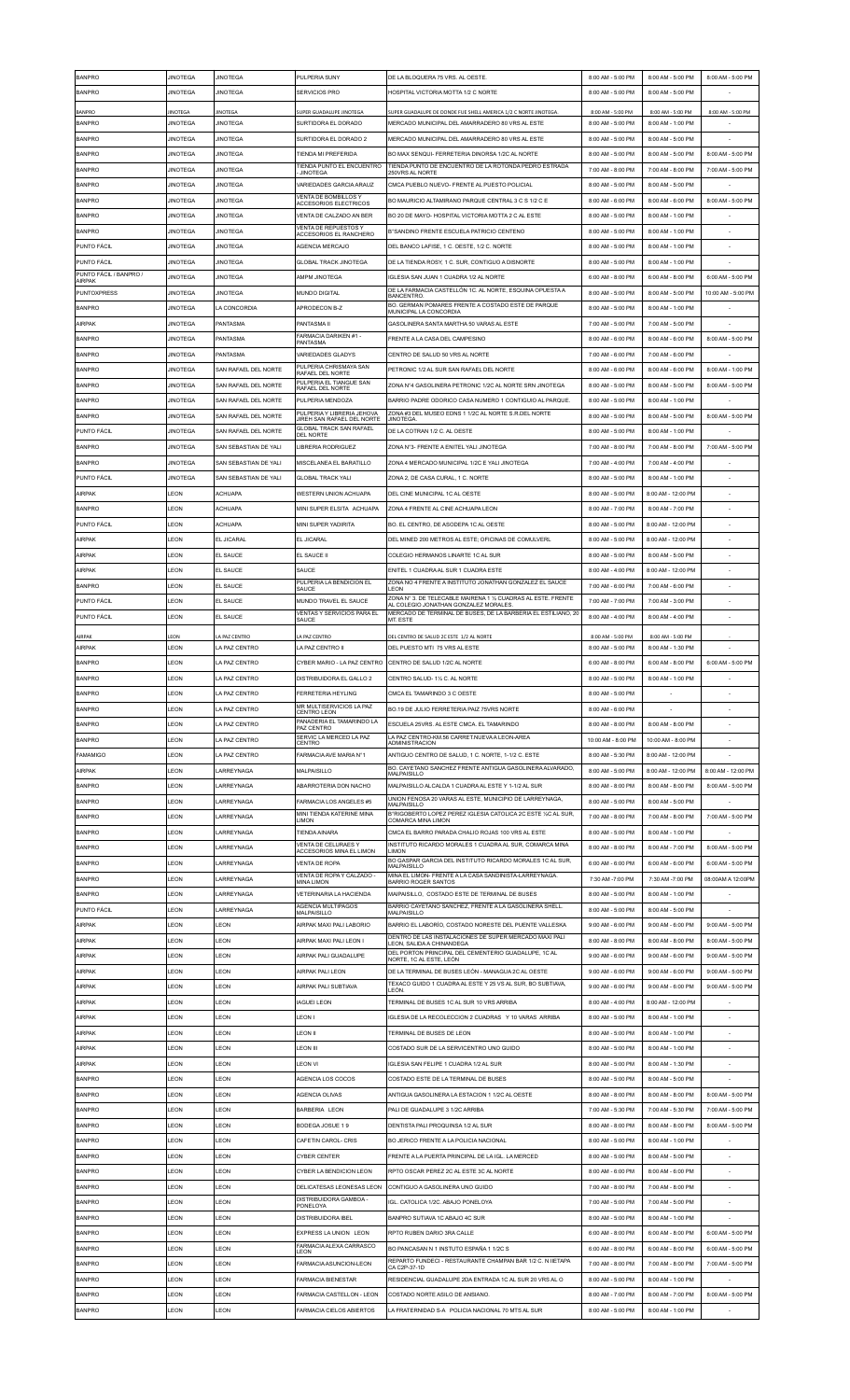| <b>BANPRO</b>          | <b>JINOTEGA</b> | <b>JINOTEGA</b>                | PULPERIA SUNY                                            | DE LA BLOQUERA 75 VRS. AL OESTE.                                                                      | 8:00 AM - 5:00 PM                      | 8:00 AM - 5:00 PM                      | 8:00 AM - 5:00 PM                      |
|------------------------|-----------------|--------------------------------|----------------------------------------------------------|-------------------------------------------------------------------------------------------------------|----------------------------------------|----------------------------------------|----------------------------------------|
| <b>BANPRO</b>          | <b>JINOTEGA</b> | <b>JINOTEGA</b>                | SERVICIOS PRO                                            | HOSPITAL VICTORIA MOTTA 1/2 C NORTE                                                                   | 8:00 AM - 5:00 PM                      | 8:00 AM - 5:00 PM                      |                                        |
| <b>BANPRO</b>          | IINOTEGA        | INOTEGA                        | SUPER GUADALUPE JINOTEGA                                 | SUPER GUADALUPE DE DONDE FUE SHELL AMERICA 1/2 C NORTE JINOTEGA                                       | 8:00 AM - 5:00 PM                      | 8:00 AM - 5:00 PM                      | 8:00 AM - 5:00 PM                      |
| <b>BANPRO</b>          | <b>JINOTEGA</b> | <b>JINOTEGA</b>                | SURTIDORA EL DORADO                                      | MERCADO MUNICIPAL DEL AMARRADERO 80 VRS AL ESTE                                                       | 8:00 AM - 5:00 PM                      | 8:00 AM - 1:00 PM                      |                                        |
| <b>BANPRO</b>          | <b>JINOTEGA</b> | <b>JINOTEGA</b>                | SURTIDORA EL DORADO 2                                    | MERCADO MUNICIPAL DEL AMARRADERO 80 VRS AL ESTE                                                       | 8:00 AM - 5:00 PM                      | 8:00 AM - 5:00 PM                      |                                        |
| <b>BANPRO</b>          | <b>JINOTEGA</b> | <b>JINOTEGA</b>                | TIENDA MI PREFERIDA                                      | BO MAX SENQUI- FERRETERIA DINORSA 1/2C AL NORTE                                                       | 8:00 AM - 5:00 PM                      | 8:00 AM - 5:00 PM                      | 8:00 AM - 5:00 PM                      |
| <b>BANPRO</b>          | <b>JINOTEGA</b> | <b>JINOTEGA</b>                | TIENDA PUNTO EL ENCUENTRO<br><b>JINOTEGA</b>             | TIENDA PUNTO DE ENCUENTRO DE LA ROTONDA PEDRO ESTRADA<br>250VRS AL NORTE                              | 7:00 AM - 8:00 PM                      | 7:00 AM - 8:00 PM                      | 7:00 AM - 5:00 PM                      |
| <b>BANPRO</b>          | <b>JINOTEGA</b> | <b>JINOTEGA</b>                | VARIEDADES GARCIA ARAUZ                                  | CMCA PUEBLO NUEVO- FRENTE AL PUESTO POLICIAL                                                          | 8:00 AM - 5:00 PM                      | 8:00 AM - 5:00 PM                      |                                        |
| <b>BANPRO</b>          | <b>JINOTEGA</b> | <b>JINOTEGA</b>                | VENTA DE BOMBILLOS Y                                     | BO MAURICIO ALTAMIRANO PARQUE CENTRAL 3 C S 1/2 C E                                                   | 8:00 AM - 6:00 PM                      | 8:00 AM - 6:00 PM                      | 8:00 AM - 5:00 PM                      |
| <b>BANPRO</b>          | <b>JINOTEGA</b> | <b>JINOTEGA</b>                | ACCESORIOS ELECTRICOS<br>VENTA DE CALZADO AN BER         | IBO 20 DE MAYO- HOSPITAL VICTORIA MOTTA 2 C AL ESTE                                                   | 8:00 AM - 5:00 PM                      | 8:00 AM - 1:00 PM                      |                                        |
| <b>BANPRO</b>          | <b>JINOTEGA</b> | <b>JINOTEGA</b>                | <b>VENTA DE REPUESTOS Y</b>                              | B°SANDINO FRENTE ESCUELA PATRICIO CENTENO                                                             | 8:00 AM - 5:00 PM                      | 8:00 AM - 1:00 PM                      |                                        |
| <b>PUNTO FÁCIL</b>     | <b>JINOTEGA</b> | <b>JINOTEGA</b>                | ACCESORIOS EL RANCHERO<br>AGENCIA MERCAJO                | DEL BANCO LAEISE 1 C OESTE 1/2 C NORTE                                                                | 8:00 AM - 5:00 PM                      | 8:00 AM - 1:00 PM                      |                                        |
| PUNTO FÁCIL            | <b>JINOTEGA</b> | <b>JINOTEGA</b>                | <b>GLOBAL TRACK JINOTEGA</b>                             | DE LA TIENDA ROSY, 1 C. SUR, CONTIGUO A DISNORTE                                                      | 8:00 AM - 5:00 PM                      | 8:00 AM - 1:00 PM                      |                                        |
| PUNTO FÁCIL / BANPRO / | <b>JINOTEGA</b> | <b>JINOTEGA</b>                | <b>AMPM JINOTEGA</b>                                     | GLESIA SAN JUAN 1 CUADRA 1/2 AL NORTE                                                                 | 6:00 AM - 8:00 PM                      | 6:00 AM - 8:00 PM                      | 6:00 AM - 5:00 PM                      |
| AIRPAK                 | <b>JINOTEGA</b> | <b>JINOTEGA</b>                | <b>MUNDO DIGITAL</b>                                     | DE LA FARMACIA CASTELLÓN 1C. AL NORTE, ESQUINA OPUESTA A                                              | 8:00 AM - 5:00 PM                      |                                        |                                        |
| <b>PUNTOXPRESS</b>     |                 |                                |                                                          | <b>BANCENTRO</b><br>BO. GERMAN POMARES FRENTE A COSTADO ESTE DE PARQUE                                |                                        | 8:00 AM - 5:00 PM                      | 10:00 AM - 5:00 PM                     |
| <b>BANPRO</b>          | <b>JINOTEGA</b> | LA CONCORDIA                   | APRODECON B-Z                                            | MUNICIPAL LA CONCORDIA                                                                                | 8:00 AM - 5:00 PM                      | 8:00 AM - 1:00 PM                      |                                        |
| AIRPAK                 | <b>JINOTEGA</b> | PANTASMA                       | PANTASMA II<br>FARMACIA DARIKEN #1 -                     | GASOLINERA SANTA MARTHA 50 VARAS AL ESTE                                                              | 7:00 AM - 5:00 PM                      | 7:00 AM - 5:00 PM                      |                                        |
| <b>BANPRO</b>          | <b>JINOTEGA</b> | PANTASMA                       | PANTASMA                                                 | FRENTE A LA CASA DEL CAMPESINO                                                                        | 8:00 AM - 6:00 PM                      | 8:00 AM - 6:00 PM                      | 8:00 AM - 5:00 PM                      |
| <b>BANPRO</b>          | <b>JINOTEGA</b> | PANTASMA                       | VARIEDADES GLADYS<br>PULPERIA CHRISMAYA SAN              | CENTRO DE SALUD 50 VRS AL NORTE                                                                       | 7:00 AM - 6:00 PM                      | 7:00 AM - 6:00 PM                      |                                        |
| <b>BANPRO</b>          | <b>JINOTEGA</b> | SAN RAFAEL DEL NORTE           | RAFAEL DEL NORTE<br>PULPERIA EL TIANGUE SAN              | PETRONIC 1/2 AL SUR SAN RAFAEL DEL NORTE                                                              | 8:00 AM - 6:00 PM                      | 8:00 AM - 6:00 PM                      | 8:00 AM - 1:00 PM                      |
| <b>BANPRO</b>          | <b>JINOTEGA</b> | SAN RAFAEL DEL NORTE           | RAFAEL DEL NORTE                                         | ZONA Nº4 GASOLINERA PETRONIC 1/2C AL NORTE SRN JINOTEGA                                               | 8:00 AM - 5:00 PM                      | 8:00 AM - 5:00 PM                      | 8:00 AM - 5:00 PM                      |
| <b>BANPRO</b>          | <b>JINOTEGA</b> | SAN RAFAEL DEL NORTE           | PULPERIA MENDOZA                                         | BARRIO PADRE ODORICO CASA NUMERO 1 CONTIGUIO AL PARQUE.                                               | 8:00 AM - 5:00 PM                      | 8:00 AM - 1:00 PM                      |                                        |
| <b>BANPRO</b>          | <b>JINOTEGA</b> | SAN RAFAEL DEL NORTE           | PULPERIA Y LIBRERIA JEHOVA<br>JIREH SAN RAFAEL DEL NORTE | ZONA#3 DEL MUSEO EDNS 1 1/2C AL NORTE S.R.DEL NORTE<br>JINOTEGA.                                      | 8:00 AM - 5:00 PM                      | 8:00 AM - 5:00 PM                      | 8:00 AM - 5:00 PM                      |
| PUNTO FÁCIL            | <b>JINOTEGA</b> | SAN RAFAEL DEL NORTE           | <b>GLOBAL TRACK SAN RAFAEL</b><br><b>DEL NORTE</b>       | DE LA COTRAN 1/2 C. AL OESTE                                                                          | 8:00 AM - 5:00 PM                      | 8:00 AM - 1:00 PM                      |                                        |
| <b>BANPRO</b>          | <b>JINOTEGA</b> | SAN SEBASTIAN DE YALI          | <b>LIBRERIA RODRIGUEZ</b>                                | ZONA Nº3- FRENTE A ENITEL YALI JINOTEGA                                                               | 7:00 AM - 8:00 PM                      | 7:00 AM - 8:00 PM                      | 7:00 AM - 5:00 PM                      |
| <b>BANPRO</b>          | <b>JINOTEGA</b> | SAN SEBASTIAN DE YALI          | MISCELANEA EL BARATILLO                                  | ZONA 4 MERCADO MUNICIPAL 1/2C E YALI JINOTEGA                                                         | 7:00 AM - 4:00 PM                      | 7:00 AM - 4:00 PM                      |                                        |
| PUNTO FÁCIL            | <b>JINOTEGA</b> | SAN SEBASTIAN DE YALI          | <b>GLOBAL TRACK YALI</b>                                 | ZONA 2, DE CASA CURAL, 1 C. NORTE                                                                     | 8:00 AM - 5:00 PM                      | 8:00 AM - 1:00 PM                      |                                        |
| AIRPAK                 | LEON            | ACHUAPA                        | WESTERN UNION ACHUAPA                                    | DEL CINE MUNICIPAL 1C AL OESTE                                                                        | 8:00 AM - 5:00 PM                      | 8:00 AM - 12:00 PM                     |                                        |
| <b>BANPRO</b>          | LEON            | ACHUAPA                        | MINI SUPER ELSITA ACHUAPA                                | ZONA 4 FRENTE AL CINE ACHUAPA LEON                                                                    | 8:00 AM - 7:00 PM                      | 8:00 AM - 7:00 PM                      |                                        |
| PUNTO FÁCIL            | LEON            | <b>ACHUAPA</b>                 | MINI SUPER YADIRITA                                      | BO. EL CENTRO, DE ASODEPA 1C AL OESTE                                                                 | 8:00 AM - 5:00 PM                      | 8:00 AM - 12:00 PM                     |                                        |
| AIRPAK                 | LEON            | EL JICARAL                     | EL JICARAL                                               | DEL MINED 200 METROS AL ESTE; OFICINAS DE COMULVERL                                                   | 8:00 AM - 5:00 PM                      | 8:00 AM - 12:00 PM                     |                                        |
| AIRPAK                 | LEON            | EL SAUCE                       | EL SAUCE II                                              | COLEGIO HERMANOS LINARTE 1C AL SUR                                                                    | 8:00 AM - 5:00 PM                      | 8:00 AM - 5:00 PM                      |                                        |
| AIRPAK                 | LEON            | EL SAUCE                       | SAUCE                                                    | ENITEL 1 CUADRA AL SUR 1 CUADRA ESTE                                                                  | 8:00 AM - 4:00 PM                      | 8:00 AM - 12:00 PM                     |                                        |
| <b>BANPRO</b>          | LEON            | EL SAUCE                       | PULPERIA LA BENDICION EL                                 | ZONA NO 4 FRENTE A INSTITUTO JONATHAN GONZALEZ EL SAUCE                                               | 7:00 AM - 6:00 PM                      | 7:00 AM - 6:00 PM                      |                                        |
| PUNTO FÁCIL            | LEON            | EL SAUCE                       | SAUCE<br>MUNDO TRAVEL EL SAUCE                           | LEON<br>ZONA Nº 3. DE TELECABLE MAIRENA 1 1/2 CUADRAS AL ESTE. FRENTE                                 | 7:00 AM - 7:00 PM                      | 7:00 AM - 3:00 PM                      |                                        |
| PUNTO FÁCIL            | LEON            | EL SAUCE                       | <b>VENTAS Y SERVICIOS PARA EL</b>                        | AL COLEGIO JONATHAN GONZALEZ MORALES<br>MERCADO DE TERMINAL DE BUSES, DE LA BARBERIA EL ESTILIANO, 20 | 8:00 AM - 4:00 PM                      | 8:00 AM - 4:00 PM                      |                                        |
|                        |                 |                                | SAUCE                                                    | MT. ESTE                                                                                              |                                        |                                        |                                        |
| AIRPAK                 | LEON            | LA PAZ CENTRO<br>LA PAZ CENTRO | LA PAZ CENTRO                                            | DEL CENTRO DE SALUD 2C ESTE 1/2 AL NORTE                                                              | 8:00 AM - 5:00 PM                      | 8:00 AM - 5:00 PM                      |                                        |
| AIRPAK                 | LEON            |                                | LA PAZ CENTRO II                                         | DEL PUESTO MTI 75 VRS AL ESTE                                                                         | 8:00 AM - 5:00 PM                      | 8:00 AM - 1:30 PM                      |                                        |
| <b>BANPRO</b>          | LEON            | LA PAZ CENTRO                  | CYBER MARIO - LA PAZ CENTRO                              | CENTRO DE SALUD 1/2C AL NORTE                                                                         | 6:00 AM - 8:00 PM                      | 6:00 AM - 8:00 PM                      | 6:00 AM - 5:00 PM                      |
| <b>BANPRO</b>          | LEON            | LA PAZ CENTRO                  | DISTRIBUIDORA EL GALLO 2                                 | CENTRO SALUD-11/2 C. AL NORTE                                                                         | 8:00 AM - 5:00 PM                      | 8:00 AM - 1:00 PM                      |                                        |
| ANPRC                  | .EON            | A PAZ CENTRO                   | FERRETERIA HEYLING<br>MR MULTISERVICIOS LA PAZ           | CMCA EL TAMARINDO 3 C OESTE                                                                           | 8:00 AM - 5:00 PM                      |                                        |                                        |
| <b>BANPRO</b>          | LEON            | LA PAZ CENTRO                  | CENTRO LEON<br>PANADERIA EL TAMARINDO LA                 | BO.19 DE JULIO FERRETERIA PAIZ 75VRS NORTE                                                            | 8:00 AM - 6:00 PM                      |                                        |                                        |
| <b>BANPRO</b>          | LEON            | LA PAZ CENTRO                  | PAZ CENTRO<br>SERVIC LA MERCED LA PAZ                    | ESCUELA 25VRS. AL ESTE CMCA. EL TAMARINDO<br>LA PAZ CENTRO-KM.56 CARRET.NUEVA A LEON-AREA             | 8:00 AM - 8:00 PM                      | 8:00 AM - 8:00 PM                      |                                        |
| <b>BANPRO</b>          | LEON            | LA PAZ CENTRO                  | CENTRO                                                   | <b>ADMINISTRACION</b>                                                                                 | 10:00 AM - 8:00 PM                     | 10:00 AM - 8:00 PM                     |                                        |
| <b>FAMAMIGO</b>        | LEON            | LA PAZ CENTRO                  | FARMACIA AVE MARIA N°1                                   | ANTIGUO CENTRO DE SALUD, 1 C. NORTE, 1-1/2 C. ESTE                                                    | 8:00 AM - 5:30 PM                      | 8:00 AM - 12:00 PM                     |                                        |
| AIRPAK                 | LEON            | LARREYNAGA                     | MALPAISILLO                                              | BO. CAYETANO SANCHEZ FRENTE ANTIGUA GASOLINERA ALVARADO,<br><b>MALPAISILLO</b>                        | 8:00 AM - 5:00 PM                      | 8:00 AM - 12:00 PM                     | 8:00 AM - 12:00 PM                     |
|                        |                 |                                |                                                          | MALPAISILLO ALCALDA 1 CUADRA AL ESTE Y 1-1/2 AL SUR                                                   |                                        |                                        | 8:00 AM - 5:00 PM                      |
| <b>BANPRO</b>          | LEON            | LARREYNAGA                     | ABARROTERIA DON NACHO                                    |                                                                                                       | 8:00 AM - 8:00 PM                      | 8:00 AM - 8:00 PM                      |                                        |
| <b>BANPRO</b>          | LEON            | LARREYNAGA                     | FARMACIA LOS ANGELES #5                                  | UNION FENOSA 20 VARAS AL ESTE, MUNICIPIO DE LARREYNAGA,<br><b>MALPAISILLO</b>                         | 8:00 AM - 5:00 PM                      | 8:00 AM - 5:00 PM                      |                                        |
| <b>BANPRO</b>          | LEON            | LARREYNAGA                     | MINI TIENDA KATERINE MINA<br>LIMON                       | B°RIGOBERTO LOPEZ PEREZ IGLESIA CATOLICA 2C ESTE 1/2C AL SUR<br>COMARCA MINA LIMON                    | 7:00 AM - 8:00 PM                      | 7:00 AM - 8:00 PM                      | 7:00 AM - 5:00 PM                      |
| <b>BANPRO</b>          | LEON            | LARREYNAGA                     | TIENDA AINARA                                            | CMCA EL BARRO PARADA CHALIO ROJAS 100 VRS AL ESTE                                                     | 8:00 AM - 5:00 PM                      | 8:00 AM - 1:00 PM                      |                                        |
| <b>BANPRO</b>          | LEON            | LARREYNAGA                     | VENTA DE CELURAES Y<br>ACCESORIOS MINA EL LIMON          | INSTITUTO RICARDO MORALES 1 CUADRA AL SUR, COMARCA MINA<br>LIMON                                      | 8:00 AM - 8:00 PM                      | 8:00 AM - 7:00 PM                      | 8:00 AM - 5:00 PM                      |
| <b>BANPRO</b>          | LEON            | LARREYNAGA                     | <b>VENTA DE ROPA</b>                                     | BO GASPAR GARCIA DEL INSTITUTO RICARDO MORALES 1C AL SUR,                                             | 6:00 AM - 6:00 PM                      | 6:00 AM - 6:00 PM                      | 6:00 AM - 5:00 PM                      |
| <b>BANPRO</b>          | LEON            | LARREYNAGA                     | VENTA DE ROPA Y CALZADO -<br><b>MINA LIMON</b>           | MALPAISILLO<br>MINA EL LIMON- FRENTE A LA CASA SANDINISTA-LARREYNAGA.<br><b>BARRIO ROGER SANTOS</b>   | 7:30 AM -7:00 PM                       | 7:30 AM -7:00 PM                       | 08:00AM A 12:00PM                      |
| <b>BANPRO</b>          | LEON            | ARREYNAGA                      | VETERINARIA LA HACIENDA                                  | MAIPAISILLO, COSTADO ESTE DE TERMINAL DE BUSES                                                        | 8:00 AM - 5:00 PM                      | 8:00 AM - 1:00 PM                      |                                        |
| PUNTO FÁCIL            | LEON            | LARREYNAGA                     | AGENCIA MULTIPAGOS                                       | BARRIO CAYETANO SANCHEZ, FRENTE A LA GASOLINERA SHELL.                                                | 8:00 AM - 5:00 PM                      | 8:00 AM - 5:00 PM                      |                                        |
| AIRPAK                 | LEON            | LEON                           | MALPAISILLO<br>AIRPAK MAXI PALI LABORIO                  | <b>MALPAISILLO</b><br>BARRIO EL LABORÍO, COSTADO NORESTE DEL PUENTE VALLESKA                          | 9:00 AM - 6:00 PM                      | 9:00 AM - 6:00 PM                      | 9:00 AM - 5:00 PM                      |
| <b>AIRPAK</b>          | LEON            | LEON                           | AIRPAK MAXI PALI LEON I                                  | DENTRO DE LAS INSTALACIONES DE SUPER MERCADO MAXI PALI                                                | 8:00 AM - 8:00 PM                      | 8:00 AM - 8:00 PM                      | 8:00 AM - 5:00 PM                      |
| AIRPAK                 | LEON            | LEON                           | AIRPAK PALI GUADALUPE                                    | EON, SALIDA A CHINANDEGA<br>DEL PORTON PRINCIPAL DEL CEMENTERIO GUADALUPE, 1C AL                      | 9:00 AM - 6:00 PM                      | 9:00 AM - 6:00 PM                      | 9:00 AM - 5:00 PM                      |
|                        | LEON            | LEON                           | <b>AIRPAK PALI LEON</b>                                  | NORTE, 1C AL ESTE, LEÓN<br>DE LA TERMINAL DE BUSES LEÓN - MANAGUA 2C AL OESTE                         |                                        |                                        |                                        |
| AIRPAK                 | LEON            | LEON                           | <b>AIRPAK PALI SUBTIAVA</b>                              | TEXACO GUIDO 1 CUADRA AL ESTE Y 25 VS AL SUR, BO SUBTIAVA,                                            | 9:00 AM - 6:00 PM<br>9:00 AM - 6:00 PM | 9:00 AM - 6:00 PM<br>9:00 AM - 6:00 PM | 9:00 AM - 5:00 PM<br>9:00 AM - 5:00 PM |
| AIRPAK                 |                 |                                |                                                          | LEÓN                                                                                                  |                                        |                                        |                                        |
| AIRPAK                 | LEON            | LEON                           | <b>IAGUEI LEON</b>                                       | TERMINAL DE BUSES 1C AL SUR 10 VRS ARRIBA                                                             | 8:00 AM - 4:00 PM                      | 8:00 AM - 12:00 PM                     |                                        |
| AIRPAK                 | LEON            | LEON                           | LEON I                                                   | IGLESIA DE LA RECOLECCION 2 CUADRAS Y 10 VARAS ARRIBA                                                 | 8:00 AM - 5:00 PM                      | 8:00 AM - 1:00 PM                      |                                        |
| AIRPAK                 | LEON            | LEON                           | <b>LEON II</b>                                           | TERMINAL DE BUSES DE LEON                                                                             | 8:00 AM - 5:00 PM                      | 8:00 AM - 1:00 PM                      |                                        |
| AIRPAK                 | LEON            | LEON                           | <b>LEON III</b>                                          | COSTADO SUR DE LA SERVICENTRO UNO GUIDO                                                               | 8:00 AM - 5:00 PM                      | 8:00 AM - 1:00 PM                      |                                        |
| <b>AIRPAK</b>          | LEON            | LEON                           | <b>LEON VI</b>                                           | IGLESIA SAN FELIPE 1 CUADRA 1/2 AL SUR                                                                | 8:00 AM - 5:00 PM                      | 8:00 AM - 1:30 PM                      |                                        |
| <b>BANPRO</b>          | LEON            | LEON                           | AGENCIA LOS COCOS                                        | COSTADO ESTE DE LA TERMINAL DE BUSES                                                                  | 8:00 AM - 5:00 PM                      | 8:00 AM - 5:00 PM                      |                                        |
| <b>BANPRO</b>          | LEON            | LEON                           | AGENCIA OLIVAS                                           | ANTIGUA GASOLINERA LA ESTACION 1 1/2C AL OESTE                                                        | 8:00 AM - 8:00 PM                      | 8:00 AM - 8:00 PM                      | 8:00 AM - 5:00 PM                      |
| <b>BANPRO</b>          | LEON            | LEON                           | BARBERIA LEON                                            | PALI DE GUADALUPE 3 1/2C ARRIBA                                                                       | 7:00 AM - 5:30 PM                      | 7:00 AM - 5:30 PM                      | 7:00 AM - 5:00 PM                      |
| <b>BANPRO</b>          | LEON            | LEON                           | BODEGA JOSUE 19                                          | DENTISTA PALI PROQUINSA 1/2 AL SUR                                                                    | 8:00 AM - 8:00 PM                      | 8:00 AM - 8:00 PM                      | 8:00 AM - 5:00 PM                      |
| <b>BANPRO</b>          | <b>I FON</b>    | LEON                           | CAFETIN CAROL- CRIS                                      | IBO JERICO FRENTE A LA POLICIA NACIONAL                                                               | 8:00 AM - 5:00 PM                      | 8:00 AM - 1:00 PM                      |                                        |
| <b>BANPRO</b>          | LEON            | LEON                           | <b>CYBER CENTER</b>                                      | FRENTE A LA PUERTA PRINCIPAL DE LA IGL. LA MERCED                                                     | 8:00 AM - 5:00 PM                      | 8:00 AM - 5:00 PM                      |                                        |
| <b>BANPRO</b>          | LEON            | LEON                           | CYBER LA BENDICION LEON                                  | RPTO OSCAR PEREZ 2C AL ESTE 3C AL NORTE                                                               | 8:00 AM - 6:00 PM                      | 8:00 AM - 6:00 PM                      |                                        |
| <b>BANPRO</b>          | LEON            | LEON                           | DELICATESAS LEONESAS LEON                                | CONTIGUO A GASOLINERA UNO GUIDO                                                                       | 7:00 AM - 8:00 PM                      | 7:00 AM - 8:00 PM                      |                                        |
| <b>BANPRO</b>          | LEON            | <b>EON</b>                     | DISTRIBUIDORA GAMBOA -<br>PONELOYA                       | IGL. CATOLICA 1/2C. ABAJO PONELOYA                                                                    | 7:00 AM - 5:00 PM                      | 7:00 AM - 5:00 PM                      |                                        |
| <b>BANPRO</b>          | LEON            | LEON                           | <b>DISTRIBUIDORA IBEL</b>                                | BANPRO SUTIAVA 1C ABAJO 4C SUR                                                                        | 8:00 AM - 5:00 PM                      | 8:00 AM - 1:00 PM                      |                                        |
| <b>BANPRO</b>          | LEON            | LEON                           | EXPRESS LA UNION LEON                                    | RPTO RUBEN DARIO 3RA CALLE                                                                            | 6:00 AM - 8:00 PM                      | 6:00 AM - 8:00 PM                      | 6:00 AM - 5:00 PM                      |
| <b>BANPRO</b>          | LEON            | LEON                           | FARMACIA ALEXA CARRASCO<br>LEON                          | BO PANCASAN N 1 INSTUTO ESPAÑA 1 1/2C S                                                               | 6:00 AM - 8:00 PM                      | 6:00 AM - 8:00 PM                      | 6:00 AM - 5:00 PM                      |
| <b>BANPRO</b>          | LEON            | LEON                           | FARMACIA ASUNCION-LEON                                   | REPARTO FUNDECI - RESTAURANTE CHAMPAN BAR 1/2 C. N IIETAPA<br>CA C2P-37-1D                            | 7:00 AM - 8:00 PM                      | 7:00 AM - 8:00 PM                      | 7:00 AM - 5:00 PM                      |
| <b>BANPRO</b>          | LEON            | LEON                           | <b>FARMACIA BIENESTAR</b>                                | RESIDENCIAL GUADALUPE 2DA ENTRADA 1C AL SUR 20 VRS AL O                                               | 8:00 AM - 5:00 PM                      | 8:00 AM - 1:00 PM                      |                                        |
| <b>BANPRO</b>          | LEON            | LEON                           | FARMACIA CASTELLON - LEON                                | ICOSTADO NORTE ASILO DE ANSIANO.                                                                      | 8:00 AM - 7:00 PM                      | 8:00 AM - 7:00 PM                      | 8:00 AM - 5:00 PM                      |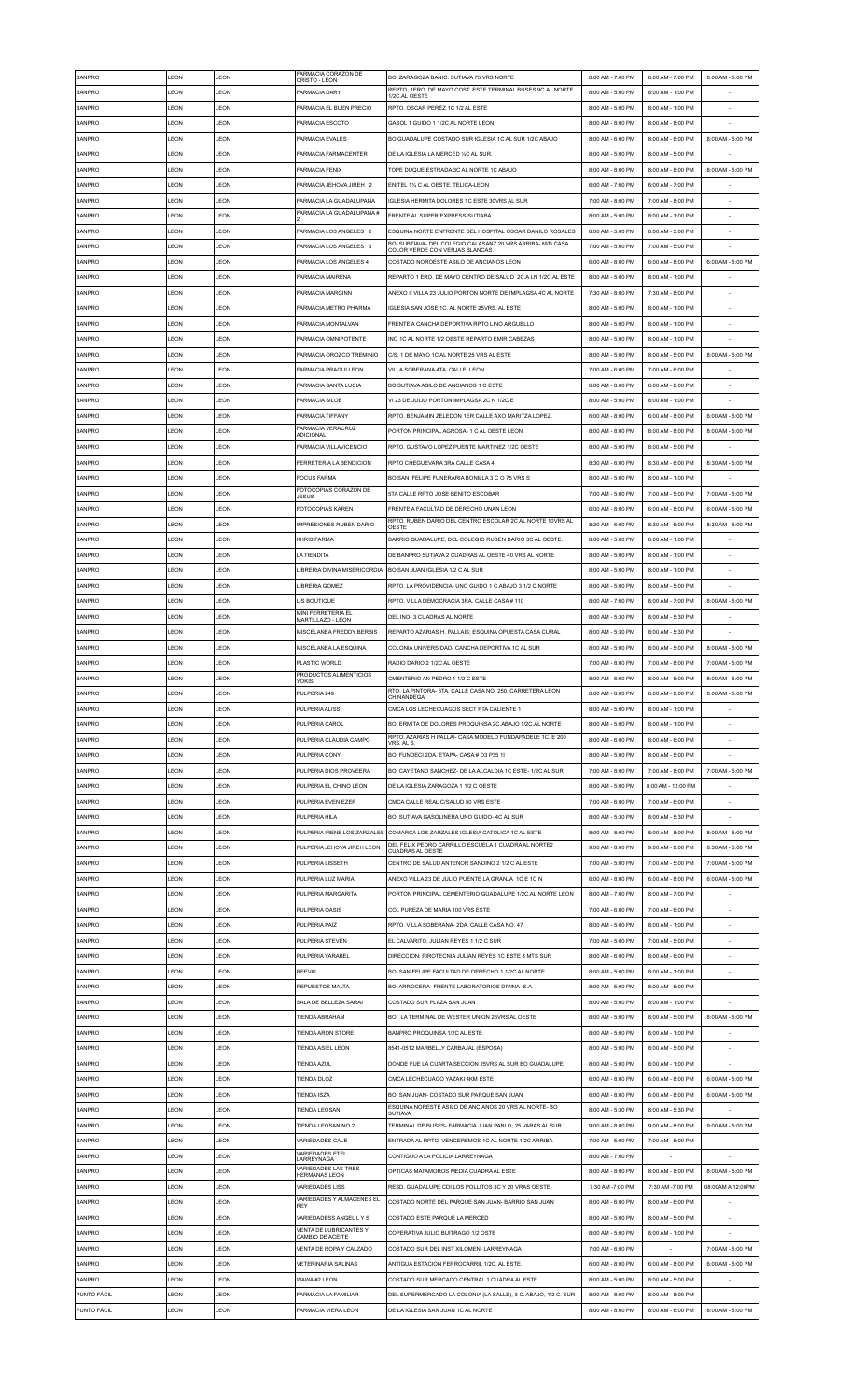| <b>BANPRO</b> | LEON         | LEON         | FARMACIA CORAZON DE<br>CRISTO - LEON                 | BO. ZARAGOZA BANIC. SUTIAVA 75 VRS NORTE                                                                               | 8:00 AM - 7:00 PM | 8:00 AM - 7:00 PM  | 8:00 AM - 5:00 PM |
|---------------|--------------|--------------|------------------------------------------------------|------------------------------------------------------------------------------------------------------------------------|-------------------|--------------------|-------------------|
| <b>BANPRO</b> | LEON         | LEON         | <b>FARMACIA DARY</b>                                 | REPTO. 1ERO. DE MAYO COST. ESTE TERMINAL BUSES 9C.AL NORTE<br>1/2C.AL OESTE                                            | 8:00 AM - 5:00 PM | 8:00 AM - 1:00 PM  |                   |
| <b>BANPRO</b> | LEON         | LEON         | FARMACIA EL BUEN PRECIO                              | RPTO. OSCAR PERÉZ 1C 1/2 AL ESTE                                                                                       | 8:00 AM - 5:00 PM | 8:00 AM - 1:00 PM  |                   |
| <b>BANPRO</b> | LEON         | LEON         | <b>FARMACIA ESCOTO</b>                               | GASOL 1 GUIDO 1 1/2C AL NORTE LEON                                                                                     | 8:00 AM - 8:00 PM | 8:00 AM - 8:00 PM  |                   |
| <b>BANPRO</b> | LEON         | <b>I FON</b> | <b>FARMACIA EVALES</b>                               | BO GUADALUPE COSTADO SUR IGLESIA 1C AL SUR 1/2C ABAJO                                                                  | 8:00 AM - 6:00 PM | 8:00 AM - 6:00 PM  | 8:00 AM - 5:00 PM |
| <b>BANPRO</b> | LEON         | LEON         | <b>FARMACIA FARMACENTER</b>                          | DE LA IGLESIA LA MERCED 1/2C AL SUR.                                                                                   | 8:00 AM - 5:00 PM | 8:00 AM - 5:00 PM  |                   |
| <b>BANPRO</b> | LEON         | LEON         | <b>FARMACIA FENIX</b>                                | TOPE DUOUE ESTRADA 3C AL NORTE 1C ABAJO                                                                                | 8:00 AM - 8:00 PM | 8:00 AM - 8:00 PM  | 8:00 AM - 5:00 PM |
| <b>BANPRO</b> | LEON         | LEON         | FARMACIA JEHOVA JIREH 2                              | ENITEL 11/2 C AL OESTE. TELICA-LEON                                                                                    | 6:00 AM - 7:00 PM | 6:00 AM - 7:00 PM  |                   |
|               | LEON         | LEON         |                                                      |                                                                                                                        |                   |                    |                   |
| <b>BANPRO</b> |              |              | FARMACIA LA GUADALUPANA<br>FARMACIA LA GUADALUPANA # | IGLESIA HERMITA DOLORES 1C ESTE 30VRS AL SUR                                                                           | 7:00 AM - 8:00 PM | 7:00 AM - 8:00 PM  |                   |
| <b>BANPRO</b> | <b>IFON</b>  | <b>I FON</b> |                                                      | FRENTE AL SUPER EXPRESS-SUTIABA                                                                                        | 8:00 AM - 5:00 PM | 8:00 AM - 1:00 PM  |                   |
| <b>BANPRO</b> | LEON         | LEON         | FARMACIA LOS ANGELES 2                               | ESQUINA NORTE ENFRENTE DEL HOSPITAL OSCAR DANILO ROSALES<br>BO. SUBTIAVA- DEL COLEGIO CALASANZ 20 VRS ARRIBA- M/D CASA | 8:00 AM - 5:00 PM | 8:00 AM - 5:00 PM  |                   |
| <b>BANPRO</b> | LEON         | LEON         | FARMACIA LOS ANGELES 3                               | COLOR VERDE CON VERJAS BLANCAS.                                                                                        | 7:00 AM - 5:00 PM | 7:00 AM - 5:00 PM  |                   |
| <b>BANPRO</b> | LEON         | LEON         | FARMACIA LOS ANGELES 4                               | COSTADO NOROESTE ASILO DE ANCIANOS LEON                                                                                | 6:00 AM - 8:00 PM | 6:00 AM - 8:00 PM  | 6:00 AM - 5:00 PM |
| <b>BANPRO</b> | LEON         | LEON         | FARMACIA MAIRENA                                     | REPARTO 1 ERO. DE MAYO CENTRO DE SALUD 2C.A LN 1/2C.AL ESTE                                                            | 8:00 AM - 5:00 PM | 8:00 AM - 1:00 PM  |                   |
| <b>BANPRO</b> | LEON         | LEON         | <b>FARMACIA MARGINN</b>                              | ANEXO II VILLA 23 JULIO PORTON NORTE DE IMPLAGSA 4C AL NORTE                                                           | 7:30 AM - 8:00 PM | 7:30 AM - 8:00 PM  |                   |
| <b>BANPRO</b> | LEON         | LEON         | FARMACIA METRO PHARMA                                | IGLESIA SAN JOSE 1C. AL NORTE 25VRS. AL ESTE                                                                           | 8:00 AM - 5:00 PM | 8:00 AM - 1:00 PM  |                   |
| <b>BANPRO</b> | LEON         | LEON         | <b>FARMACIA MONTALVAN</b>                            | FRENTE A CANCHA DEPORTIVA RPTO LINO ARGUELLO                                                                           | 8:00 AM - 5:00 PM | 8:00 AM - 1:00 PM  | $\sim$            |
| <b>BANPRO</b> | LEON         | LEON         | FARMACIA OMNIPOTENTE                                 | INO 1C AL NORTE 1/2 OESTE REPARTO EMIR CABEZAS                                                                         | 8:00 AM - 5:00 PM | 8:00 AM - 1:00 PM  |                   |
| <b>BANPRO</b> | LEON         | LEON         | FARMACIA OROZCO TREMINIO                             | C/S. 1 DE MAYO 1C AL NORTE 25 VRS AL ESTE                                                                              | 8:00 AM - 5:00 PM | 8:00 AM - 5:00 PM  | 8:00 AM - 5:00 PM |
| <b>BANPRO</b> | LEON         | LEON         | <b>FARMACIA PRAGUI LEON</b>                          | VILLA SOBERANA 4TA. CALLE. LEON                                                                                        | 7:00 AM - 6:00 PM | 7:00 AM - 6:00 PM  |                   |
| <b>BANPRO</b> | LEON         | LEON         | FARMACIA SANTA LUCIA                                 | BO SUTIAVA ASILO DE ANCIANOS 1 C ESTE                                                                                  | 6:00 AM - 8:00 PM | 6:00 AM - 8:00 PM  |                   |
| <b>BANPRO</b> | LEON         | LEON         | <b>FARMACIA SILOE</b>                                | VI 23 DE JULIO PORTON IMPLAGSA 2C N 1/2C E                                                                             | 8:00 AM - 5:00 PM | 8:00 AM - 1:00 PM  |                   |
| <b>BANPRO</b> | LEON         | LEON         | <b>FARMACIA TIFFANY</b>                              | RPTO. BENJAMIN ZELEDON 1ER CALLE AXO MARITZA LOPEZ.                                                                    | 6:00 AM - 8:00 PM | 6:00 AM - 8:00 PM  | 6:00 AM - 5:00 PM |
| <b>BANPRO</b> | LEON         | LEON         | <b>FARMACIA VERACRUZ</b><br>ADICIONAL                | PORTON PRINCIPAL AGROSA- 1 C AL OESTE LEON                                                                             | 8:00 AM - 8:00 PM | 8:00 AM - 8:00 PM  | 8:00 AM - 5:00 PM |
| <b>BANPRO</b> | LEON         | LEON         | FARMACIA VILLAVICENCIO                               | RPTO. GUSTAVO LOPEZ PUENTE MARTINEZ 1/2C OESTE                                                                         | 8:00 AM - 5:00 PM | 8:00 AM - 5:00 PM  |                   |
| <b>BANPRO</b> | LEON         | LEON         | <b>FERRETERIA LA BENDICION</b>                       | RPTO CHEGUEVARA 3RA CALLE CASA 4                                                                                       | 8:30 AM - 6:00 PM | 8:30 AM - 6:00 PM  | 8:30 AM - 5:00 PM |
| <b>BANPRO</b> | LEON         | LEON         | <b>FOCUS FARMA</b>                                   | BO SAN FELIPE FUNERARIA BONILLA 3 C O 75 VRS S                                                                         | 8:00 AM - 5:00 PM | 8:00 AM - 1:00 PM  |                   |
| <b>BANPRO</b> | LEON         | LEON         | FOTOCOPIAS CORAZON DE<br><b>JESUS</b>                | 5TA CALLE RPTO JOSE BENITO ESCOBAR                                                                                     | 7:00 AM - 5:00 PM | 7:00 AM - 5:00 PM  | 7:00 AM - 5:00 PM |
| <b>BANPRO</b> | LEON         | LEON         | FOTOCOPIAS KAREN                                     | FRENTE A FACULTAD DE DERECHO UNAN LEON                                                                                 | 6:00 AM - 8:00 PM | 6:00 AM - 8:00 PM  | 6:00 AM - 5:00 PM |
| <b>BANPRO</b> | LEON         | LEON         | <b>IMPRESIONES RUBEN DARIO</b>                       | RPTO. RUBEN DARIO DEL CENTRO ESCOLAR 2C AL NORTE 10VRS AL<br>OESTE                                                     | 8:30 AM - 6:00 PM | 8:30 AM - 6:00 PM  | 8:30 AM - 5:00 PM |
| <b>BANPRO</b> | LEON         | LEON         | KHRIS FARMA                                          | BARRIO GUADALUPE, DEL COLEGIO RUBEN DARIO 3C AL OESTE.                                                                 | 8:00 AM - 5:00 PM | 8:00 AM - 1:00 PM  |                   |
| <b>BANPRO</b> | LEON         | LEON         | <b>LA TIENDITA</b>                                   | DE BANPRO SUTIAVA 2 CUADRAS AL OESTE 40 VRS AL NORTE                                                                   | 8:00 AM - 5:00 PM | 8:00 AM - 1:00 PM  |                   |
| <b>BANPRO</b> | LEON         | LEON         | LIBRERIA DIVINA MISERICORDIA                         | BO SAN JUAN IGLESIA 1/2 C AL SUR                                                                                       | 8:00 AM - 5:00 PM | 8:00 AM - 1:00 PM  |                   |
| <b>BANPRO</b> | LEON         | LEON         | LIBRERIA GOMEZ                                       | RPTO. LA PROVIDENCIA- UNO GUIDO 1 C.ABAJO 3 1/2 C.NORTE                                                                | 8:00 AM - 5:00 PM | 8:00 AM - 5:00 PM  |                   |
| <b>BANPRO</b> | LEON         | LEON         |                                                      |                                                                                                                        | 8:00 AM - 7:00 PM |                    |                   |
|               |              |              | LIS BOUTIQUE<br>MINI FFRRETERIA FI                   | RPTO. VILLA DEMOCRACIA 3RA. CALLE CASA #110                                                                            |                   | 8:00 AM - 7:00 PM  | 8:00 AM - 5:00 PM |
| <b>BANPRO</b> | LEON         | LEON         | MARTILLAZO - LEON                                    | DEL INO-3 CUADRAS AL NORTE                                                                                             | 8:00 AM - 5:30 PM | 8:00 AM - 5:30 PM  |                   |
| <b>BANPRO</b> | LEON         | LEON         | MISCELANEA FREDDY BERBIS                             | REPARTO AZARIAS H. PALLAIS: ESQUINA OPUESTA CASA CURAL                                                                 | 8:00 AM - 5:30 PM | 8:00 AM - 5:30 PM  |                   |
| <b>BANPRO</b> | LEON         | LEON         | MISCELANEA LA ESQUINA                                | COLONIA UNIVERSIDAD- CANCHA DEPORTIVA 1C AL SUR                                                                        | 8:00 AM - 5:00 PM | 8:00 AM - 5:00 PM  | 8:00 AM - 5:00 PM |
| <b>BANPRO</b> | LEON         | LEON         | PLASTIC WORLD                                        | RADIO DARIO 2 1/2C AL OESTE                                                                                            | 7:00 AM - 8:00 PM | 7:00 AM - 8:00 PM  | 7:00 AM - 5:00 PM |
| <b>BANPRO</b> | LEON         | LEON         | PRODUCTOS ALIMENTICIOS<br>YOKIS                      | CMENTERIO AN PEDRO 1 1/2 C ESTE-                                                                                       | 8:00 AM - 6:00 PM | 8:00 AM - 6:00 PM  | 8:00 AM - 5:00 PM |
| <b>BANPRO</b> | EON          | LEON         | <b>PULPERIA 249</b>                                  | RTO. LA PINTORA- 6TA. CALLE CASA NO. 250. CARRETERA LEON<br><b>CHINANDEGA</b>                                          | 8:00 AM - 8:00 PM | 8:00 AM - 8:00 PM  | 8:00 AM - 5:00 PM |
| <b>BANPRO</b> | LEON         | LEON         | <b>PULPERIA ALISS</b>                                | CMCA LOS LECHECUAGOS SECT PTA CALIENTE 1                                                                               | 8:00 AM - 5:00 PM | 8:00 AM - 1:00 PM  |                   |
|               |              |              |                                                      |                                                                                                                        |                   |                    |                   |
| <b>BANPRO</b> | LEON         | LEON         | PULPERIA CAROL                                       | BO. ERMITA DE DOLORES PROQUINSA 2C.ABAJO 1/2C.AL NORTE                                                                 | 8:00 AM - 5:00 PM | 8:00 AM - 1:00 PM  |                   |
| <b>BANPRO</b> | LEON         | LEON         | PULPERIA CLAUDIA CAMPO                               | RPTO. AZARIAS H PALLAI- CASA MODELO FUNDAPADELE 1C. E 200<br>VRS. AL S.                                                | 8:00 AM - 6:00 PM | 8:00 AM - 6:00 PM  |                   |
| <b>BANPRO</b> | LEON         | LEON         | PULPERIA CONY                                        | BO. FUNDECI 2DA. ETAPA- CASA # D3 P35 1I                                                                               | 8:00 AM - 5:00 PM | 8:00 AM - 5:00 PM  |                   |
| <b>BANPRO</b> | LEON         | LEON         | PULPERIA DIOS PROVEERA                               | BO. CAYETANO SANCHEZ- DE LA ALCALDIA 1C ESTE-1/2C AL SUR                                                               | 7:00 AM - 8:00 PM | 7:00 AM - 8:00 PM  | 7:00 AM - 5:00 PM |
| <b>BANPRO</b> | LEON         | LEON         | PULPERIA EL CHINO LEON                               | DE LA IGLESIA ZARAGOZA 1 1/2 C OESTE                                                                                   | 8:00 AM - 5:00 PM | 8:00 AM - 12:00 PM |                   |
| <b>BANPRO</b> | LEON         | LEON         | PULPERIA EVEN EZER                                   | CMCA CALLE REAL C/SALUD 50 VRS ESTE                                                                                    | 7:00 AM - 6:00 PM | 7:00 AM - 6:00 PM  |                   |
| <b>BANPRO</b> | LEON         | LEON         | PULPERIA HILA                                        | BO. SUTIAVA GASOLINERA UNO GUIDO- 4C AL SUR                                                                            | 8:00 AM - 5:30 PM | 8:00 AM - 5:30 PM  |                   |
| <b>BANPRO</b> | LEON         | LEON         |                                                      | PULPERIA IRENE LOS ZARZALES COMARCA LOS ZARZALES IGLESIA CATOLICA 1C AL ESTE                                           | 8:00 AM - 8:00 PM | 8:00 AM - 8:00 PM  | 8:00 AM - 5:00 PM |
| <b>BANPRO</b> | LEON         | LEON         | PULPERIA JEHOVA JIREH LEON                           | DEL FELIX PEDRO CARRILLO ESCUELA 1 CUADRA AL NORTE2                                                                    | 9:00 AM - 8:00 PM | 9:00 AM - 8:00 PM  | 8:30 AM - 5:00 PM |
| <b>BANPRO</b> |              |              | PULPERIA LISSETH                                     | CUADRAS AL OESTE<br>CENTRO DE SALUD ANTENOR SANDINO 2 1/2 C AL ESTE                                                    | 7:00 AM - 5:00 PM | 7:00 AM - 5:00 PM  | 7:00 AM - 5:00 PM |
|               | LEON         | LEON         |                                                      |                                                                                                                        |                   |                    |                   |
| <b>BANPRO</b> | LEON<br>LEON | LEON<br>LEON | PULPERIA LUZ MARIA                                   | ANEXO VILLA 23 DE JULIO PUENTE LA GRANJA 1C E 1C N                                                                     | 6:00 AM - 8:00 PM | 6:00 AM - 8:00 PM  | 6:00 AM - 5:00 PM |
| <b>BANPRO</b> |              |              | PULPERIA MARGARITA                                   | PORTON PRINCIPAL CEMENTERIO GUADALUPE 1/2C.AL NORTE LEON                                                               | 8:00 AM - 7:00 PM | 8:00 AM - 7:00 PM  |                   |
| <b>BANPRO</b> | LEON         | LEON         | PULPERIA OASIS                                       | COL PUREZA DE MARIA 100 VRS ESTE                                                                                       | 7:00 AM - 6:00 PM | 7:00 AM - 6:00 PM  |                   |
| <b>BANPRO</b> | LEON         | LEON         | PULPERIA PAIZ                                        | RPTO. VILLA SOBERANA- 2DA. CALLE CASA NO. 47                                                                           | 8:00 AM - 5:00 PM | 8:00 AM - 1:00 PM  |                   |
| <b>BANPRO</b> | LEON         | LEON         | PULPERIA STEVEN                                      | EL CALVARITO. JULIAN REYES 1 1/2 C SUR                                                                                 | 7:00 AM - 5:00 PM | 7:00 AM - 5:00 PM  |                   |
| <b>BANPRO</b> | LEON         | LEON         | PULPERIA YARABEL                                     | DIRECCION: PIROTECNIA JULIAN REYES 1C ESTE 8 MTS SUR                                                                   | 8:00 AM - 6:00 PM | 8:00 AM - 6:00 PM  |                   |
| <b>BANPRO</b> | LEON         | LEON         | <b>REEVAL</b>                                        | BO. SAN FELIPE FACULTAD DE DERECHO 1 1/2C AL NORTE.                                                                    | 8:00 AM - 5:00 PM | 8:00 AM - 1:00 PM  |                   |
| <b>BANPRO</b> | LEON         | LEON         | <b>REPUESTOS MALTA</b>                               | BO. ARROCERA- FRENTE LABORATORIOS DIVINA- S.A.                                                                         | 8:00 AM - 5:00 PM | 8:00 AM - 5:00 PM  |                   |
| <b>BANPRO</b> | LEON         | LEON         | SALA DE BELLEZA SARAI                                | COSTADO SUR PLAZA SAN JUAN                                                                                             | 8:00 AM - 5:00 PM | 8:00 AM - 1:00 PM  |                   |
| <b>BANPRO</b> | LEON         | LEON         | TIENDA ABRAHAM                                       | BO. LA TERMINAL DE WESTER UNION 25VRS AL OESTE                                                                         | 8:00 AM - 5:00 PM | 8:00 AM - 5:00 PM  | 8:00 AM - 5:00 PM |
| <b>BANPRO</b> | LEON         | LEON         | TIENDA ARON STORE                                    | BANPRO PROQUINSA 1/2C AL ESTE                                                                                          | 8:00 AM - 5:00 PM | 8:00 AM - 1:00 PM  |                   |
| <b>BANPRO</b> | LEON         | LEON         | TIENDA ASIEL LEON                                    | 8541-0512 MARBELLY CARBAJAL (ESPOSA)                                                                                   | 8:00 AM - 5:00 PM | 8:00 AM - 5:00 PM  |                   |
| <b>BANPRO</b> | LEON         | LEON         | <b>TIENDA AZUL</b>                                   | DONDE FUE LA CUARTA SECCION 25VRS AL SUR BO GUADALUPE                                                                  | 8:00 AM - 5:00 PM | 8:00 AM - 1:00 PM  |                   |
| <b>BANPRO</b> | LEON         | LEON         | <b>TIENDA DLOZ</b>                                   | CMCA LECHECUAGO YAZAKI 4KM ESTE                                                                                        | 6:00 AM - 8:00 PM | 6:00 AM - 8:00 PM  | 6:00 AM - 5:00 PM |
| <b>BANPRO</b> | LEON         | LEON         | <b>TIENDA ISZA</b>                                   | BO, SAN JUAN- COSTADO SUR PARQUE SAN JUAN                                                                              | 6:00 AM - 8:00 PM | 6:00 AM - 8:00 PM  | 6:00 AM - 5:00 PM |
| <b>BANPRO</b> | LEON         | LEON         | <b>TIENDA LEOSAN</b>                                 | ESQUINA NORESTE ASILO DE ANCIANOS 20 VRS AL NORTE- BO<br>SUTIAVA                                                       | 8:00 AM - 5:30 PM | 8:00 AM - 5:30 PM  |                   |
| <b>BANPRO</b> | LEON         | LEON         | TIENDA LEOSAN NO 2                                   | TERMINAL DE BUSES- FARMACIA JUAN PABLO; 25 VARAS AL SUR.                                                               | 9:00 AM - 8:00 PM | 9:00 AM - 8:00 PM  | 9:00 AM - 5:00 PM |
| <b>BANPRO</b> | <b>IFON</b>  | <b>I FON</b> | VARIEDADES CALE                                      | ENTRADA AL RPTO. VENCEREMOS 1C AL NORTE 1/2C ARRIBA                                                                    | 7:00 AM - 5:00 PM | 7:00 AM - 5:00 PM  |                   |
| <b>BANPRO</b> | LEON         | LEON         | VARIEDADES ETEL<br>LARREYNAGA                        | CONTIGUO A LA POLICIA LARREYNAGA                                                                                       | 8:00 AM - 7:00 PM |                    |                   |
| <b>BANPRO</b> | LEON         | LEON         | VARIEDADES LAS TRES<br>HERMANAS LEON                 | OPTICAS MATAMOROS MEDIA CUADRA AL ESTE                                                                                 | 8:00 AM - 8:00 PM | 8:00 AM - 8:00 PM  | 8:00 AM - 5:00 PM |
| <b>BANPRO</b> | LEON         | LEON         | VARIEDADES LISS                                      | RESD. GUADALUPE CDI LOS POLLITOS 3C Y 20 VRAS OESTE                                                                    | 7:30 AM -7:00 PM  | 7:30 AM -7:00 PM   | 08:00AM A 12:00PM |
| <b>BANPRO</b> | LEON         | LEON         | VARIEDADES Y ALMACENES EL<br><b>REY</b>              | COSTADO NORTE DEL PARQUE SAN JUAN- BARRIO SAN JUAN                                                                     | 8:00 AM - 6:00 PM | 8:00 AM - 6:00 PM  |                   |
| <b>BANPRO</b> | LEON         | LEON         | VARIEDADESS ANGEL LYS                                | COSTADO ESTE PARQUE LA MERCED                                                                                          | 8:00 AM - 5:00 PM | 8:00 AM - 5:00 PM  |                   |
| <b>BANPRO</b> | LEON         | LEON         | VENTA DE LUBRICANTES Y<br>CAMBIO DE ACEITE           | COPERATIVA JULIO BUITRAGO 1/2 OSTE                                                                                     | 8:00 AM - 5:00 PM | 8:00 AM - 1:00 PM  |                   |
| <b>BANPRO</b> | LEON         | LEON         | VENTA DE ROPA Y CALZADO                              | COSTADO SUR DEL INST XILOMEN- LARREYNAGA                                                                               | 7:00 AM - 6:00 PM |                    | 7:00 AM - 5:00 PM |
| <b>BANPRO</b> | LEON         | LEON         | VETERINARIA SALINAS                                  | ANTIGUA ESTACION FERROCARRIL 1/2C. AL ESTE.                                                                            | 6:00 AM - 8:00 PM | 6:00 AM - 8:00 PM  | 6:00 AM - 5:00 PM |
| <b>BANPRO</b> | LEON         | LEON         | WAWA #2 LEON                                         | COSTADO SUR MERCADO CENTRAL 1 CUADRA AL ESTE                                                                           | 8:00 AM - 5:00 PM | 8:00 AM - 5:00 PM  |                   |
| PUNTO FÁCIL   | LEON         | LEON         | <b>FARMACIA LA FAMILIAR</b>                          | DEL SUPERMERCADO LA COLONIA (LA SALLE), 3 C. ABAJO, 1/2 C. SUR                                                         | 8:00 AM - 8:00 PM | 8:00 AM - 8:00 PM  |                   |
| PUNTO FÁCIL   | LEON         | LEON         | FARMACIA VIERA LEON                                  | DE LA IGLESIA SAN JUAN 1C AL NORTE                                                                                     | 8:00 AM - 8:00 PM | 8:00 AM - 6:00 PM  | 8:00 AM - 5:00 PM |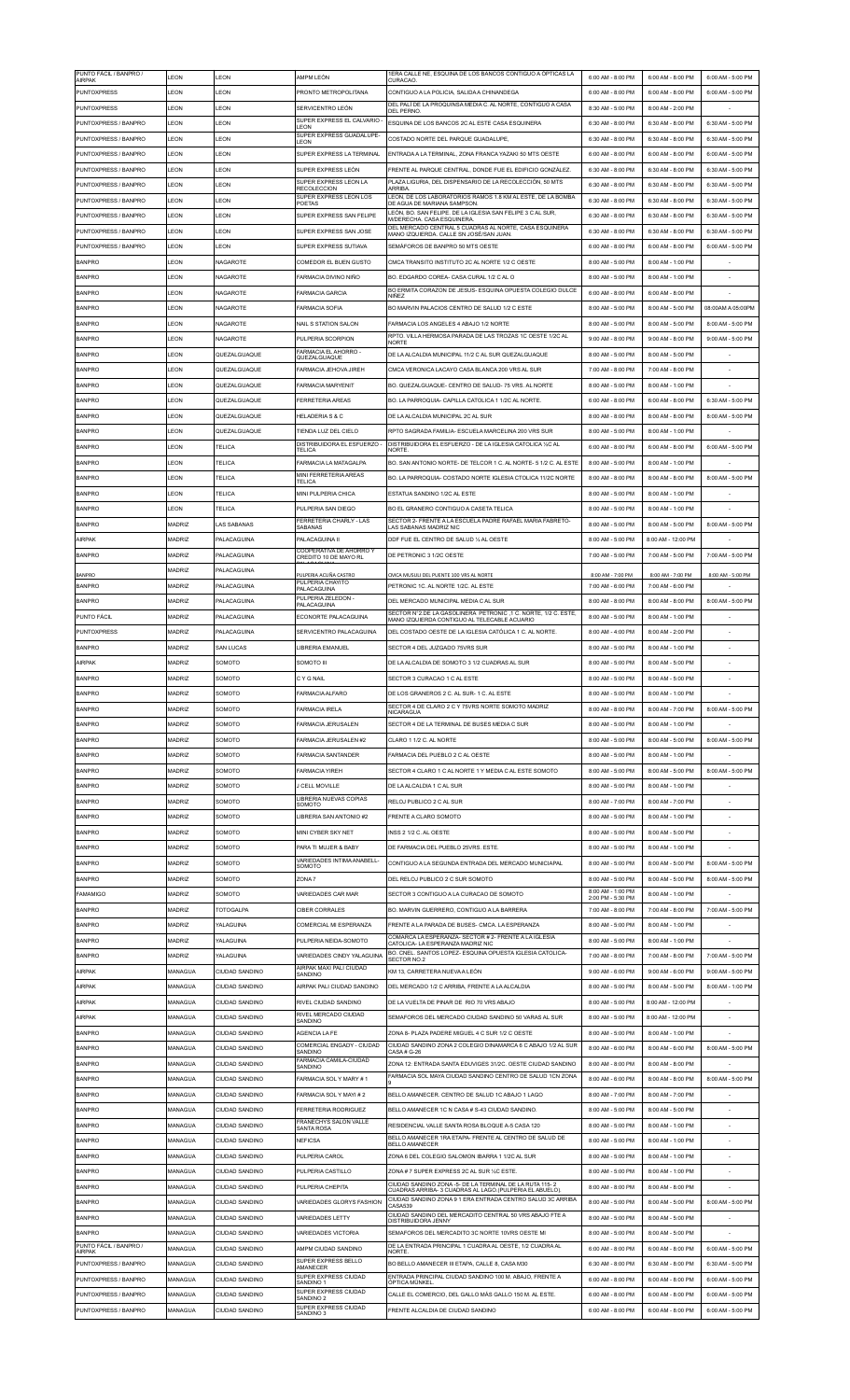| PUNTO FÁCIL / BANPRO /<br><b>AIRPAK</b> | LEON          | LEON               | AMPM LEÓN                                        | 1ERA CALLE NE, ESQUINA DE LOS BANCOS CONTIGUO A ÓPTICAS LA<br><b>CURACAO</b>                                       | 6:00 AM - 8:00 PM                      | 6:00 AM - 8:00 PM  | 6:00 AM - 5:00 PM |
|-----------------------------------------|---------------|--------------------|--------------------------------------------------|--------------------------------------------------------------------------------------------------------------------|----------------------------------------|--------------------|-------------------|
| <b>PUNTOXPRESS</b>                      | LEON          | LEON               | PRONTO METROPOLITANA                             | CONTIGUO A LA POLICIA. SALIDA A CHINANDEGA                                                                         | 6:00 AM - 8:00 PM                      | 6:00 AM - 8:00 PM  | 6:00 AM - 5:00 PM |
| <b>PUNTOXPRESS</b>                      | LEON          | LEON               | SERVICENTRO LEÓN                                 | DEL PALÍ DE LA PROQUINSA MEDIA C. AL NORTE, CONTIGUO A CASA<br><b>DEL PERNO</b>                                    | 8:30 AM - 5:00 PM                      | 8:00 AM - 2:00 PM  |                   |
| PUNTOXPRESS / BANPRO                    | LEON          | LEON               | SUPER EXPRESS EL CALVARIO                        | ESQUINA DE LOS BANCOS 2C AL ESTE CASA ESQUINERA                                                                    | 6:30 AM - 8:00 PM                      | 6:30 AM - 8:00 PM  | 6:30 AM - 5:00 PM |
|                                         |               |                    | LEON<br>SUPER EXPRESS GUADALUPE-                 |                                                                                                                    |                                        |                    |                   |
| PUNTOXPRESS / BANPRO                    | LEON          | LEON               | LEON                                             | COSTADO NORTE DEL PARQUE GUADALUPE                                                                                 | 6:30 AM - 8:00 PM                      | 6:30 AM - 8:00 PM  | 6:30 AM - 5:00 PM |
| PUNTOXPRESS / BANPRO                    | LEON          | LEON               | SUPER EXPRESS LA TERMINAL                        | ENTRADA A LA TERMINAL, ZONA FRANCA YAZAKI 50 MTS OESTE                                                             | 6:00 AM - 8:00 PM                      | 6:00 AM - 8:00 PM  | 6:00 AM - 5:00 PM |
| PUNTOXPRESS / BANPRO                    | LEON          | LEON               | SUPER EXPRESS LEÓN                               | FRENTE AL PARQUE CENTRAL, DONDE FUE EL EDIFICIO GONZÁLEZ.                                                          | 6:30 AM - 8:00 PM                      | 6:30 AM - 8:00 PM  | 6:30 AM - 5:00 PM |
| PUNTOXPRESS / BANPRO                    | LEON          | LEON               | SUPER EXPRESS LEON LA<br><b>RECOLECCION</b>      | PLAZA LIGURIA, DEL DISPENSARIO DE LA RECOLECCIÓN, 50 MTS<br><b>ARRIBA</b>                                          | 6:30 AM - 8:00 PM                      | 6:30 AM - 8:00 PM  | 6:30 AM - 5:00 PM |
| PUNTOXPRESS / BANPRO                    | LEON          | LEON               | SUPER EXPRESS LEON LOS<br>POETAS                 | LEON, DE LOS LABORATORIOS RAMOS 1.8 KM AL ESTE, DE LA BOMBA<br>DE AGUA DE MARIANA SAMPSON.                         | 6:30 AM - 8:00 PM                      | 6:30 AM - 8:00 PM  | 6:30 AM - 5:00 PM |
| PUNTOXPRESS / BANPRO                    | <b>I FON</b>  | LEON               | SUPER EXPRESS SAN FELIPE                         | LEÓN, BO. SAN FELIPE. DE LA IGLESIA SAN FELIPE 3 C AL SUR,                                                         | 6:30 AM - 8:00 PM                      | 6:30 AM - 8:00 PM  | 6:30 AM - 5:00 PM |
| PUNTOXPRESS / BANPRO                    | LEON          | LEON               | SUPER EXPRESS SAN JOSE                           | <b>M/DERECHA, CASA ESQUINERA</b><br>DEL MERCADO CENTRAL 5 CUADRAS AL NORTE, CASA ESQUINERA                         | 6:30 AM - 8:00 PM                      | 6:30 AM - 8:00 PM  | 6:30 AM - 5:00 PM |
|                                         |               |                    |                                                  | MANO IZQUIERDA. CALLE SN JOSÉ/SAN JUAN.                                                                            |                                        |                    |                   |
| PUNTOXPRESS / BANPRO                    | LEON          | LEON               | SUPER EXPRESS SUTIAVA                            | SEMÁFOROS DE BANPRO 50 MTS OESTE                                                                                   | 6:00 AM - 8:00 PM                      | 6:00 AM - 8:00 PM  | 6:00 AM - 5:00 PM |
| <b>BANPRO</b>                           | LEON          | NAGAROTE           | COMEDOR EL BUEN GUSTO                            | CMCA TRANSITO INSTITUTO 2C AL NORTE 1/2 C OESTE                                                                    | 8:00 AM - 5:00 PM                      | 8:00 AM - 1:00 PM  |                   |
| <b>BANPRO</b>                           | LEON          | NAGAROTE           | FARMACIA DIVINO NIÑO                             | BO. EDGARDO COREA- CASA CURAL 1/2 C AL O                                                                           | 8:00 AM - 5:00 PM                      | 8:00 AM - 1:00 PM  |                   |
| <b>BANPRO</b>                           | LEON          | NAGAROTE           | <b>FARMACIA GARCIA</b>                           | BO ERMITA CORAZON DE JESUS- ESQUINA OPUESTA COLEGIO DULCE<br>NIÑEZ                                                 | 6:00 AM - 8:00 PM                      | 6:00 AM - 8:00 PM  |                   |
| <b>BANPRO</b>                           | LEON          | NAGAROTE           | <b>FARMACIA SOFIA</b>                            | BO MARVIN PALACIOS CENTRO DE SALUD 1/2 C ESTE                                                                      | 8:00 AM - 5:00 PM                      | 8:00 AM - 5:00 PM  | 08:00AM A 05:00PM |
| <b>BANPRO</b>                           | LEON          | NAGAROTE           | <b>NAIL S STATION SALON</b>                      | FARMACIA LOS ANGELES 4 ABAJO 1/2 NORTE                                                                             | 8:00 AM - 5:00 PM                      | 8:00 AM - 5:00 PM  | 8:00 AM - 5:00 PM |
|                                         |               |                    |                                                  | RPTO. VILLA HERMOSA PARADA DE LAS TROZAS 1C OESTE 1/2C AL                                                          |                                        |                    |                   |
| <b>BANPRO</b>                           | LEON          | NAGAROTE           | PULPERIA SCORPION                                | <b>NORTE</b>                                                                                                       | 9:00 AM - 8:00 PM                      | 9:00 AM - 8:00 PM  | 9:00 AM - 5:00 PM |
| <b>BANPRO</b>                           | LEON          | QUEZALGUAQUE       | FARMACIA EL AHORRO -<br>QUEZALGUAQUE             | DE LA ALCALDIA MUNICIPAL 11/2 C AL SUR QUEZALGUAQUE                                                                | 8:00 AM - 5:00 PM                      | 8:00 AM - 5:00 PM  |                   |
| <b>BANPRO</b>                           | LEON          | QUEZALGUAQUE       | <b>FARMACIA JEHOVA JIREH</b>                     | CMCA VERONICA LACAYO CASA BLANCA 200 VRS AL SUR                                                                    | 7:00 AM - 8:00 PM                      | 7:00 AM - 8:00 PM  |                   |
| <b>BANPRO</b>                           | LEON          | QUEZALGUAQUE       | <b>FARMACIA MARYENIT</b>                         | BO. QUEZALGUAQUE- CENTRO DE SALUD- 75 VRS. AL NORTE                                                                | 8:00 AM - 5:00 PM                      | 8:00 AM - 1:00 PM  |                   |
| <b>BANPRO</b>                           | LEON          | QUEZALGUAQUE       | <b>FERRETERIA AREAS</b>                          | BO. LA PARROQUIA- CAPILLA CATOLICA 1 1/2C AL NORTE                                                                 | 6:00 AM - 8:00 PM                      | 6:00 AM - 8:00 PM  | 6:30 AM - 5:00 PM |
|                                         |               |                    |                                                  |                                                                                                                    |                                        |                    |                   |
| <b>BANPRO</b>                           | LEON          | QUEZALGUAQUE       | HELADERIA S & C                                  | DE LA ALCALDIA MUNICIPAL 2C AL SUR                                                                                 | 8:00 AM - 8:00 PM                      | 8:00 AM - 8:00 PM  | 8:00 AM - 5:00 PM |
| <b>BANPRO</b>                           | LEON          | QUEZALGUAQUE       | TIENDA LUZ DEL CIELO                             | RPTO SAGRADA FAMILIA- ESCUELA MARCELINA 200 VRS SUR                                                                | 8:00 AM - 5:00 PM                      | 8:00 AM - 1:00 PM  |                   |
| <b>BANPRO</b>                           | <b>I FON</b>  | TELICA             | DISTRIBUIDORA EL ESFUERZO -<br><b>TELICA</b>     | DISTRIBUIDORA EL ESFUERZO - DE LA IGLESIA CATOLICA 1/2C AL<br><b>NORTE</b>                                         | 6:00 AM - 8:00 PM                      | 6:00 AM - 8:00 PM  | 6:00 AM - 5:00 PM |
| <b>BANPRO</b>                           | LEON          | TELICA             | FARMACIA LA MATAGALPA                            | BO. SAN ANTONIO NORTE- DE TELCOR 1 C. AL NORTE- 5 1/2 C. AL ESTE                                                   | 8:00 AM - 5:00 PM                      | 8:00 AM - 1:00 PM  |                   |
| <b>BANPRO</b>                           | LEON          | TELICA             | MINI FERRETERIA AREAS                            | BO. LA PARROQUIA- COSTADO NORTE IGLESIA CTOLICA 11/2C NORTE                                                        | 8:00 AM - 8:00 PM                      | 8:00 AM - 8:00 PM  | 8:00 AM - 5:00 PM |
|                                         | LEON          |                    | TELICA                                           |                                                                                                                    |                                        |                    |                   |
| <b>BANPRO</b>                           |               | TELICA             | MINI PULPERIA CHICA                              | ESTATUA SANDINO 1/2C AL ESTE                                                                                       | 8:00 AM - 5:00 PM                      | 8:00 AM - 1:00 PM  |                   |
| <b>BANPRO</b>                           | LEON          | TELICA             | PULPERIA SAN DIEGO                               | BO EL GRANERO CONTIGUO A CASETA TELICA                                                                             | 8:00 AM - 5:00 PM                      | 8:00 AM - 1:00 PM  |                   |
| <b>BANPRO</b>                           | MADRIZ        | AS SABANAS         | FERRETERIA CHARLY - LAS<br>SABANAS               | SECTOR 2- FRENTE A LA ESCUELA PADRE RAFAEL MARIA FABRETO-<br>LAS SABANAS MADRIZ NIC                                | 8:00 AM - 5:00 PM                      | 8:00 AM - 5:00 PM  | 8:00 AM - 5:00 PM |
| AIRPAK                                  | MADRIZ        | PALACAGUINA        | PALACAGUINA II                                   | DDF FUE EL CENTRO DE SALUD 1/2 AL OESTE                                                                            | 8:00 AM - 5:00 PM                      | 8:00 AM - 12:00 PM |                   |
| <b>BANPRO</b>                           | MADRIZ        | PALACAGUINA        | COOPERATIVA DE AHORRO Y<br>CREDITO 10 DE MAYO RL | DE PETRONIC 3 1/2C OESTE                                                                                           | 7:00 AM - 5:00 PM                      | 7:00 AM - 5:00 PM  | 7:00 AM - 5:00 PM |
|                                         |               |                    |                                                  |                                                                                                                    |                                        |                    |                   |
| <b>BANPRO</b>                           | MADRIZ        | PALACAGUINA        | PULPERIA ACUÑA CASTRO<br>PULPERIA CHAYITO        | CMCA MUSULI DEL PUENTE 100 VRS AL NORTE                                                                            | 8:00 AM - 7:00 PM                      | 8:00 AM - 7:00 PM  | 8:00 AM - 5:00 PM |
| <b>BANPRO</b>                           | <b>MADRIZ</b> | <b>PALACAGUINA</b> | PALACAGUINA                                      | PETRONIC 1C. AL NORTE 1/2C. AL ESTE                                                                                | 7:00 AM - 6:00 PM                      | 7:00 AM - 6:00 PM  |                   |
| <b>BANPRO</b>                           | MADRIZ        | PALACAGUINA        | PULPERIA ZELEDON -<br>PALACAGUINA                | DEL MERCADO MUNICIPAL MEDIA C AL SUR                                                                               | 8:00 AM - 8:00 PM                      | 8:00 AM - 8:00 PM  | 8:00 AM - 5:00 PM |
| PUNTO FÁCIL                             | MADRIZ        | <b>PALACAGUINA</b> | ECONORTE PALACAGUINA                             | SECTOR N°2.DE LA GASOLINERA PETRONIC ,1 C. NORTE, 1/2 C. ESTE<br>MANO IZQUIERDA CONTIGUO AL TELECABLE ACUARIO      | 8:00 AM - 5:00 PM                      | 8:00 AM - 1:00 PM  |                   |
| <b>PUNTOXPRESS</b>                      | MADRIZ        | PALACAGUINA        | SERVICENTRO PALACAGUINA                          | DEL COSTADO OESTE DE LA IGLESIA CATÓLICA 1 C. AL NORTE.                                                            | 8:00 AM - 4:00 PM                      | 8:00 AM - 2:00 PM  | $\sim$            |
|                                         |               |                    |                                                  |                                                                                                                    |                                        |                    |                   |
| <b>BANPRO</b>                           | MADRIZ        | SAN LUCAS          | LIBRERIA EMANUEL                                 | SECTOR 4 DEL JUZGADO 75VRS SUR                                                                                     | 8:00 AM - 5:00 PM                      | 8:00 AM - 1:00 PM  |                   |
| AIRPAK                                  | <b>MADRIZ</b> | SOMOTC             | SOMOTO III                                       | DE LA ALCALDIA DE SOMOTO 3 1/2 CUADRAS AL SUR                                                                      | 8:00 AM - 5:00 PM                      | 8:00 AM - 5:00 PM  |                   |
| <b>BANPRO</b>                           | MADRIZ        | SOMOTO             | C Y G NAIL                                       | SECTOR 3 CURACAO 1 C AL ESTE                                                                                       | 8:00 AM - 5:00 PM                      | 8:00 AM - 5:00 PM  | $\sim$            |
| <b>BANPRC</b>                           | <b>ADRIZ</b>  | SOMOTC             | FARMACIA ALFARO                                  | DE LOS GRANEROS 2 C. AL SUR- 1 C. AL ESTE                                                                          | 8:00 AM - 5:00 PM                      | 8:00 AM - 1:00 PM  |                   |
| <b>BANPRO</b>                           | <b>MADRIZ</b> | SOMOTC             | <b>FARMACIA IRELA</b>                            | SECTOR 4 DE CLARO 2 C Y 75VRS NORTE SOMOTO MADRIZ                                                                  | 8:00 AM - 8:00 PM                      | 8:00 AM - 7:00 PM  | 8:00 AM - 5:00 PM |
| <b>BANPRO</b>                           | MADRIZ        | SOMOTO             | <b>FARMACIA JERUSALEN</b>                        | NICARAGUA<br>SECTOR 4 DE LA TERMINAL DE BUSES MEDIA C SUR                                                          | 8:00 AM - 5:00 PM                      | 8:00 AM - 1:00 PM  |                   |
|                                         |               |                    |                                                  |                                                                                                                    |                                        |                    |                   |
| <b>BANPRO</b>                           | <b>MADRIZ</b> | SOMOTO             | FARMACIA JERUSALEN #2                            | CLARO 1 1/2 C. AL NORTE                                                                                            | 8:00 AM - 5:00 PM                      | 8:00 AM - 5:00 PM  | 8:00 AM - 5:00 PM |
| <b>BANPRO</b>                           | <b>MADRIZ</b> | SOMOTO             | <b>FARMACIA SANTANDER</b>                        | FARMACIA DEL PUEBLO 2 C AL OESTE                                                                                   | 8:00 AM - 5:00 PM                      | 8:00 AM - 1:00 PM  |                   |
| <b>BANPRO</b>                           | MADRIZ        | SOMOTO             | <b>FARMACIA YIREH</b>                            | SECTOR 4 CLARO 1 C AL NORTE 1 Y MEDIA C AL ESTE SOMOTO                                                             | 8:00 AM - 5:00 PM                      | 8:00 AM - 5:00 PM  | 8:00 AM - 5:00 PM |
| <b>BANPRO</b>                           | MADRIZ        | SOMOTO             | J CELL MOVILLE                                   | DE LA ALCALDIA 1 C AL SUR                                                                                          | 8:00 AM - 5:00 PM                      | 8:00 AM - 1:00 PM  |                   |
| <b>BANPRO</b>                           |               |                    | LIBRERIA NUEVAS COPIAS                           | RELOJ PUBLICO 2 C AL SUR                                                                                           |                                        |                    |                   |
|                                         |               |                    | SOMOTO                                           |                                                                                                                    |                                        |                    |                   |
|                                         | MADRIZ        | SOMOTO             |                                                  |                                                                                                                    | 8:00 AM - 7:00 PM                      | 8:00 AM - 7:00 PM  |                   |
| <b>BANPRO</b>                           | <b>MADRIZ</b> | SOMOTC             | LIBRERIA SAN ANTONIO #2                          | <b>ERENTE A CLARO SOMOTO</b>                                                                                       | 8:00 AM - 5:00 PM                      | 8:00 AM - 1:00 PM  |                   |
| <b>BANPRO</b>                           | MADRIZ        | SOMOTO             | MINI CYBER SKY NET                               | INSS 2 1/2 C. AL OESTE                                                                                             | 8:00 AM - 5:00 PM                      | 8:00 AM - 5:00 PM  |                   |
| <b>BANPRO</b>                           | MADRIZ        | SOMOTO             | PARA TI MUJER & BABY                             | DE FARMACIA DEL PUEBLO 25VRS. ESTE.                                                                                | 8:00 AM - 5:00 PM                      | 8:00 AM - 1:00 PM  |                   |
| <b>BANPRO</b>                           | MADRIZ        | SOMOTO             | VARIEDADES INTIMA ANABELL-                       | CONTIGUO A LA SEGUNDA ENTRADA DEL MERCADO MUNICIAPAL                                                               | 8:00 AM - 5:00 PM                      | 8:00 AM - 5:00 PM  | 8:00 AM - 5:00 PM |
|                                         |               |                    | SOMOTO                                           |                                                                                                                    |                                        |                    |                   |
| <b>BANPRO</b>                           | MADRIZ        | SOMOTO             | ZONA7                                            | DEL RELOJ PUBLICO 2 C SUR SOMOTO                                                                                   | 8:00 AM - 5:00 PM<br>8:00 AM - 1:00 PM | 8:00 AM - 5:00 PM  | 8:00 AM - 5:00 PM |
| <b>FAMAMIGO</b>                         | <b>MADRIZ</b> | SOMOTO             | VARIEDADES CAR MAR                               | SECTOR 3 CONTIGUO A LA CURACAO DE SOMOTO                                                                           | 2:00 PM - 5:30 PM                      | 8:00 AM - 1:00 PM  |                   |
| <b>BANPRO</b>                           | <b>MADRIZ</b> | TOTOGALPA          | <b>CIBER CORRALES</b>                            | BO. MARVIN GUERRERO. CONTIGUO A LA BARRERA                                                                         | 7:00 AM - 8:00 PM                      | 7:00 AM - 8:00 PM  | 7:00 AM - 5:00 PM |
| <b>BANPRO</b>                           | MADRIZ        | YALAGUINA          | COMERCIAL MI ESPERANZA                           | FRENTE A LA PARADA DE BUSES- CMCA. LA ESPERANZA                                                                    | 8:00 AM - 5:00 PM                      | 8:00 AM - 1:00 PM  |                   |
| <b>BANPRO</b>                           | MADRIZ        | YALAGUINA          | PULPERIA NEIDA-SOMOTO                            | COMARCA LA ESPERANZA- SECTOR # 2- FRENTE A LA IGLESIA<br>CATOLICA- LA ESPERANZA MADRIZ NIC                         | 8:00 AM - 5:00 PM                      | 8:00 AM - 1:00 PM  |                   |
| <b>BANPRO</b>                           | MADRIZ        | YALAGUINA          | VARIEDADES CINDY YALAGUINA                       | BO. CNEL. SANTOS LOPEZ- ESQUINA OPUESTA IGLESIA CATOLICA-                                                          | 7:00 AM - 8:00 PM                      | 7:00 AM - 8:00 PM  | 7:00 AM - 5:00 PM |
|                                         |               |                    | AIRPAK MAXI PALI CIUDAD                          | SECTOR NO.2                                                                                                        |                                        |                    |                   |
| AIRPAK                                  | MANAGUA       | CIUDAD SANDINO     | SANDINO                                          | KM 13, CARRETERA NUEVA A LEÓN                                                                                      | 9:00 AM - 6:00 PM                      | 9:00 AM - 6:00 PM  | 9:00 AM - 5:00 PM |
| AIRPAK                                  | MANAGUA       | CIUDAD SANDINO     | AIRPAK PALI CIUDAD SANDINO                       | DEL MERCADO 1/2 C ARRIBA, FRENTE A LA ALCALDIA                                                                     | 8:00 AM - 5:00 PM                      | 8:00 AM - 5:00 PM  | 8:00 AM - 1:00 PM |
| AIRPAK                                  | MANAGUA       | CIUDAD SANDINO     | RIVEL CIUDAD SANDINO                             | DE LA VUELTA DE PINAR DE RIO 70 VRS ABAJO                                                                          | 8:00 AM - 5:00 PM                      | 8:00 AM - 12:00 PM |                   |
| <b>AIRPAK</b>                           | MANAGUA       | CIUDAD SANDINO     | RIVEL MERCADO CIUDAD<br>SANDINO                  | SEMAFOROS DEL MERCADO CIUDAD SANDINO 50 VARAS AL SUR                                                               | 8:00 AM - 5:00 PM                      | 8:00 AM - 12:00 PM |                   |
| <b>BANPRO</b>                           | MANAGUA       | CIUDAD SANDINO     | AGENCIA LA FE                                    | ZONA 8- PLAZA PADERE MIGUEL 4 C SUR 1/2 C OESTE                                                                    | 8:00 AM - 5:00 PM                      | 8:00 AM - 1:00 PM  |                   |
| <b>BANPRO</b>                           | MANAGUA       | CIUDAD SANDINO     | COMERCIAL ENGADY - CIUDAD                        | CIUDAD SANDINO ZONA 2 COLEGIO DINAMARCA 6 C ABAJO 1/2 AL SUR                                                       | 8:00 AM - 6:00 PM                      | 8:00 AM - 6:00 PM  | 8:00 AM - 5:00 PM |
|                                         |               |                    | SANDING<br>FARMACIA CAMILA-CIUDAD                | CASA#G-26                                                                                                          |                                        |                    |                   |
| <b>BANPRO</b>                           | MANAGUA       | CIUDAD SANDINO     | SANDINO                                          | ZONA 12: ENTRADA SANTA EDUVIGES 31/2C. OESTE CIUDAD SANDINO                                                        | 8:00 AM - 8:00 PM                      | 8:00 AM - 8:00 PM  |                   |
| <b>BANPRO</b>                           | MANAGUA       | CIUDAD SANDINO     | FARMACIA SOL Y MARY #1                           | FARMACIA SOL MAYA CIUDAD SANDINO CENTRO DE SALUD 1CN ZONA                                                          | 8:00 AM - 6:00 PM                      | 8:00 AM - 8:00 PM  | 8:00 AM - 5:00 PM |
| <b>BANPRO</b>                           | MANAGUA       | CIUDAD SANDINO     | FARMACIA SOL Y MAYI #2                           | BELLO AMANECER. CENTRO DE SALUD 1C ABAJO 1 LAGO                                                                    | 8:00 AM - 7:00 PM                      | 8:00 AM - 7:00 PM  |                   |
| <b>BANPRO</b>                           | MANAGUA       | CIUDAD SANDINO     | <b>FERRETERIA RODRIGUEZ</b>                      | BELLO AMANECER 1C N CASA # S-43 CIUDAD SANDINO.                                                                    | 8:00 AM - 5:00 PM                      | 8:00 AM - 5:00 PM  |                   |
| <b>BANPRO</b>                           | MANAGUA       | CIUDAD SANDINO     | FRANECHYS SALON VALLE                            | RESIDENCIAL VALLE SANTA ROSA BLOQUE A-5 CASA 120                                                                   | 8:00 AM - 5:00 PM                      | 8:00 AM - 1:00 PM  |                   |
|                                         |               |                    | SANTA ROSA                                       | BELLO AMANECER 1RA ETAPA- FRENTE AL CENTRO DE SALUD DE                                                             |                                        |                    |                   |
| <b>BANPRO</b>                           | MANAGUA       | CIUDAD SANDINO     | <b>NEFICSA</b>                                   | BELLO AMANECER                                                                                                     | 8:00 AM - 5:00 PM                      | 8:00 AM - 1:00 PM  |                   |
| <b>BANPRO</b>                           | MANAGUA       | CIUDAD SANDINO     | PULPERIA CAROL                                   | ZONA 6 DEL COLEGIO SALOMON IBARRA 1 1/2C AL SUR                                                                    | 8:00 AM - 5:00 PM                      | 8:00 AM - 1:00 PM  |                   |
| <b>BANPRO</b>                           | MANAGUA       | CIUDAD SANDINO     | PULPERIA CASTILLO                                | ZONA # 7 SUPER EXPRESS 2C AL SUR 1/2C ESTE.                                                                        | 8:00 AM - 5:00 PM                      | 8:00 AM - 1:00 PM  |                   |
| <b>BANPRO</b>                           | MANAGUA       | CIUDAD SANDINO     | PULPERIA CHEPITA                                 | CIUDAD SANDINO ZONA -5- DE LA TERMINAL DE LA RUTA 115-2<br>CUADRAS ARRIBA- 3 CUADRAS AL LAGO. (PULPERIA EL ABUELO) | 8:00 AM - 8:00 PM                      | 8:00 AM - 8:00 PM  |                   |
| <b>BANPRO</b>                           | MANAGUA       | CIUDAD SANDINO     | VARIEDADES GLORYS FASHION                        | CIUDAD SANDINO ZONA 9 1 ERA ENTRADA CENTRO SALUD 3C ARRIBA                                                         | 8:00 AM - 5:00 PM                      | 8:00 AM - 5:00 PM  | 8:00 AM - 5:00 PM |
|                                         |               |                    |                                                  | CASA539<br>CIUDAD SANDINO DEL MERCADITO CENTRAL 50 VRS ABAJO FTE A                                                 |                                        |                    |                   |
| <b>BANPRO</b>                           | MANAGUA       | CIUDAD SANDINO     | <b>VARIEDADES LETTY</b>                          | <b>DISTRIBUIDORA JENNY</b>                                                                                         | 8:00 AM - 5:00 PM                      | 8:00 AM - 5:00 PM  |                   |
| <b>BANPRO</b>                           | MANAGUA       | CIUDAD SANDINO     | VARIEDADES VICTORIA                              | SEMAFOROS DEL MERCADITO 3C NORTE 10VRS OESTE MI                                                                    | 8:00 AM - 5:00 PM                      | 8:00 AM - 5:00 PM  |                   |
| PUNTO FÁCIL / BANPRO /<br>AIRPAK        | MANAGUA       | CIUDAD SANDINO     | AMPM CIUDAD SANDINO                              | DE LA ENTRADA PRINCIPAL 1 CUADRA AL OESTE, 1/2 CUADRA AL<br>NORTE.                                                 | 6:00 AM - 8:00 PM                      | 6:00 AM - 8:00 PM  | 6:00 AM - 5:00 PM |
| PUNTOXPRESS / BANPRO                    | MANAGUA       | CIUDAD SANDINO     | SUPER EXPRESS BELLO<br>AMANECER                  | BO BELLO AMANECER III ETAPA, CALLE 8, CASA M30                                                                     | 6:30 AM - 8:00 PM                      | 6:30 AM - 8:00 PM  | 6:30 AM - 5:00 PM |
| PUNTOXPRESS / BANPRO                    | MANAGUA       | CIUDAD SANDINO     | SUPER EXPRESS CIUDAD                             | ENTRADA PRINCIPAL CIUDAD SANDINO 100 M. ABAJO, FRENTE A                                                            | 6:00 AM - 8:00 PM                      | 6:00 AM - 8:00 PM  | 6:00 AM - 5:00 PM |
| PUNTOXPRESS / BANPRO                    | MANAGUA       | CIUDAD SANDINO     | SANDINO 1<br>SUPER EXPRESS CIUDAD                | ÓPTICA MÜNKEL<br>CALLE EL COMERCIO. DEL GALLO MÁS GALLO 150 M. AL ESTE                                             | 6:00 AM - 8:00 PM                      | 6:00 AM - 8:00 PM  | 6:00 AM - 5:00 PM |
| PUNTOXPRESS / BANPRO                    | MANAGUA       | CIUDAD SANDINO     | SANDINO <sub>2</sub><br>SUPER EXPRESS CIUDAD     | FRENTE ALCALDIA DE CIUDAD SANDINO                                                                                  | 6:00 AM - 8:00 PM                      | 6:00 AM - 8:00 PM  | 6:00 AM - 5:00 PM |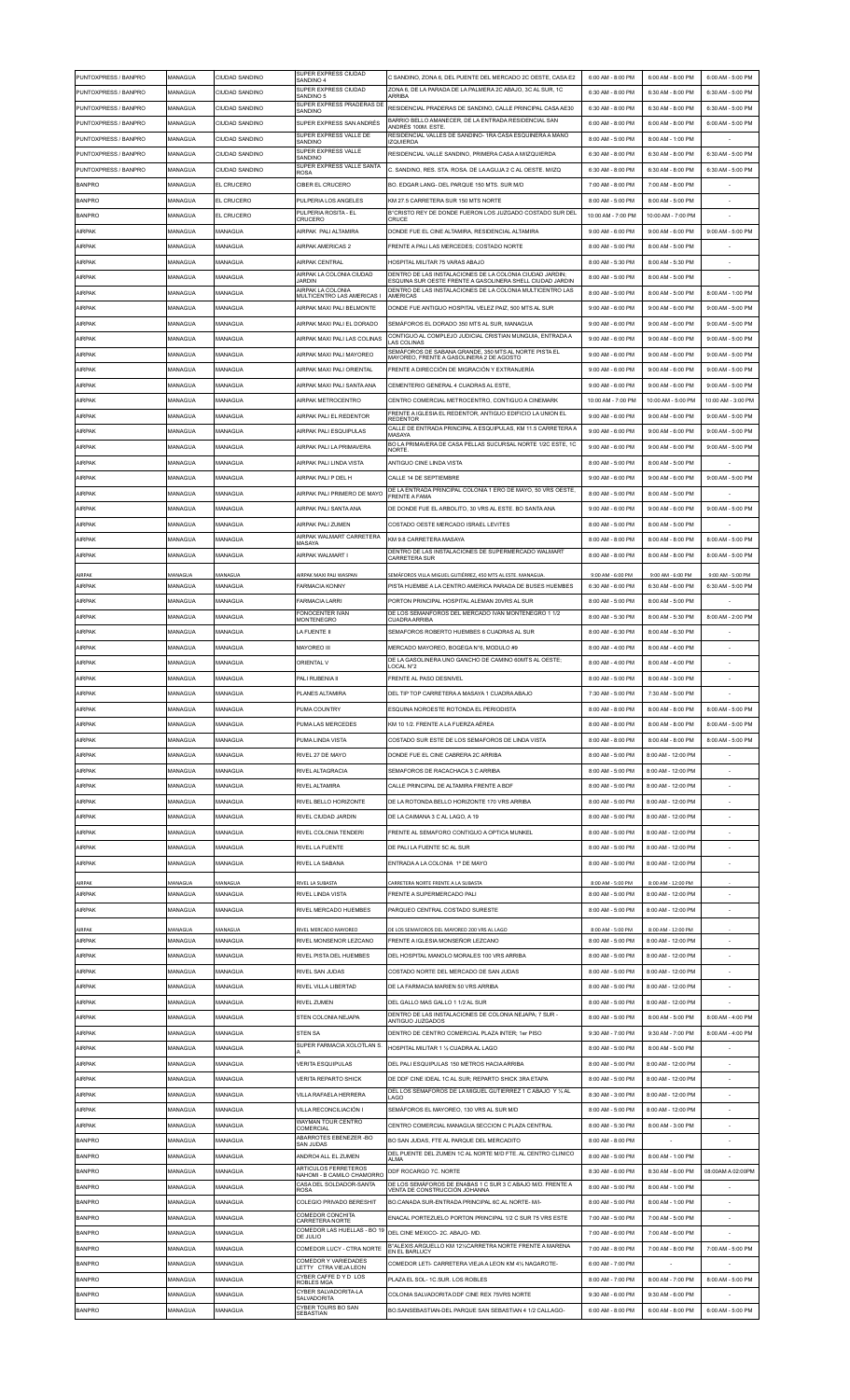| PUNTOXPRESS / BANPRO | MANAGUA | CIUDAD SANDINO        | SUPER EXPRESS CIUDAD<br>SANDINO 4                                | C SANDINO, ZONA 6, DEL PUENTE DEL MERCADO 2C OESTE, CASA E2                                                           | 6:00 AM - 8:00 PM  | 6:00 AM - 8:00 PM  | 6:00 AM - 5:00 PM  |
|----------------------|---------|-----------------------|------------------------------------------------------------------|-----------------------------------------------------------------------------------------------------------------------|--------------------|--------------------|--------------------|
| PUNTOXPRESS / BANPRO | MANAGUA | CIUDAD SANDINO        | SUPER EXPRESS CIUDAD                                             | ZONA 6, DE LA PARADA DE LA PALMERA 2C ABAJO, 3C AL SUR, 1C                                                            | 6:30 AM - 8:00 PM  | 6:30 AM - 8:00 PM  | 6:30 AM - 5:00 PM  |
| PUNTOXPRESS / BANPRO |         |                       | SANDINO 5<br>SUPER EXPRESS PRADERAS DE                           | <b>ARRIBA</b>                                                                                                         |                    |                    |                    |
|                      | MANAGUA | CIUDAD SANDINO        | SANDINO                                                          | RESIDENCIAL PRADERAS DE SANDINO. CALLE PRINCIPAL CASA AE30                                                            | 6:30 AM - 8:00 PM  | 6:30 AM - 8:00 PM  | 6:30 AM - 5:00 PM  |
| PUNTOXPRESS / BANPRO | MANAGUA | CIUDAD SANDINO        | SUPER EXPRESS SAN ANDRÉS                                         | BARRIO BELLO AMANECER, DE LA ENTRADA RESIDENCIAL SAN<br>ANDRÉS 100M. ESTE                                             | 6:00 AM - 8:00 PM  | 6:00 AM - 8:00 PM  | 6:00 AM - 5:00 PM  |
| PUNTOXPRESS / BANPRO | MANAGUA | CIUDAD SANDINO        | SUPER EXPRESS VALLE DE<br>SANDINO                                | RESIDENCIAL VALLES DE SANDINO-1RA CASA ESQUINERA A MANO<br><b>IZQUIERDA</b>                                           | 8:00 AM - 5:00 PM  | 8:00 AM - 1:00 PM  |                    |
| PUNTOXPRESS / BANPRO | MANAGUA | <b>CIUDAD SANDINO</b> | SUPER EXPRESS VALLE<br>SANDINO                                   | RESIDENCIAL VALLE SANDINO. PRIMERA CASA A M/IZQUIERDA                                                                 | 6:30 AM - 8:00 PM  | 6:30 AM - 8:00 PM  | 6:30 AM - 5:00 PM  |
| PUNTOXPRESS / BANPRO | MANAGUA | <b>CIUDAD SANDINO</b> | SUPER EXPRESS VALLE SANTA                                        | C. SANDINO, RES. STA. ROSA. DE LA AGUJA 2 C AL OESTE. M/IZQ                                                           | 6:30 AM - 8:00 PM  | 6:30 AM - 8:00 PM  | 6:30 AM - 5:00 PM  |
|                      |         |                       | <b>ROSA</b>                                                      |                                                                                                                       |                    |                    |                    |
| <b>BANPRO</b>        | MANAGUA | EL CRUCERO            | CIBER EL CRUCERO                                                 | BO. EDGAR LANG- DEL PARQUE 150 MTS. SUR M/D                                                                           | 7:00 AM - 8:00 PM  | 7:00 AM - 8:00 PM  |                    |
| <b>BANPRO</b>        | MANAGUA | EL CRUCERO            | PULPERIA LOS ANGELES                                             | KM 27.5 CARRETERA SUR 150 MTS NORTE                                                                                   | 8:00 AM - 5:00 PM  | 8:00 AM - 5:00 PM  |                    |
| <b>BANPRO</b>        | MANAGUA | EL CRUCERO            | PULPERIA ROSITA - EL<br>CRUCERO                                  | B°CRISTO REY DE DONDE FUERON LOS JUZGADO COSTADO SUR DEL<br>CRUCE                                                     | 10:00 AM - 7:00 PM | 10:00 AM - 7:00 PM |                    |
| <b>AIRPAK</b>        | MANAGUA | MANAGUA               | AIRPAK PALI ALTAMIRA                                             | DONDE FUE EL CINE ALTAMIRA, RESIDENCIAL ALTAMIRA                                                                      | 9:00 AM - 6:00 PM  | 9:00 AM - 6:00 PM  | 9:00 AM - 5:00 PM  |
|                      |         |                       |                                                                  |                                                                                                                       |                    |                    |                    |
| <b>AIRPAK</b>        | MANAGUA | MANAGUA               | <b>AIRPAK AMERICAS 2</b>                                         | FRENTE A PALI LAS MERCEDES; COSTADO NORTE                                                                             | 8:00 AM - 5:00 PM  | 8:00 AM - 5:00 PM  |                    |
| <b>AIRPAK</b>        | MANAGUA | MANAGUA               | AIRPAK CENTRAL                                                   | HOSPITAL MILITAR 75 VARAS ABAJO                                                                                       | 8:00 AM - 5:30 PM  | 8:00 AM - 5:30 PM  |                    |
| <b>AIRPAK</b>        | MANAGUA | MANAGUA               | AIRPAK LA COLONIA CIUDAD<br><b>JARDIN</b>                        | DENTRO DE LAS INSTALACIONES DE LA COLONIA CIUDAD JARDIN;<br>ESQUINA SUR OESTE FRENTE A GASOLINERA SHELL CIUDAD JARDIN | 8:00 AM - 5:00 PM  | 8:00 AM - 5:00 PM  |                    |
| <b>AIRPAK</b>        | MANAGUA | MANAGUA               | AIRPAK LA COLONIA<br>MULTICENTRO LAS AMERICAS I                  | DENTRO DE LAS INSTALACIONES DE LA COLONIA MULTICENTRO LAS<br>AMERICAS                                                 | 8:00 AM - 5:00 PM  | 8:00 AM - 5:00 PM  | 8:00 AM - 1:00 PM  |
| <b>AIRPAK</b>        | MANAGUA | MANAGUA               | AIRPAK MAXI PALI BELMONTE                                        | DONDE FUE ANTIGUO HOSPITAL VELEZ PAIZ, 500 MTS AL SUR                                                                 | 9:00 AM - 6:00 PM  | 9:00 AM - 6:00 PM  | 9:00 AM - 5:00 PM  |
|                      |         |                       |                                                                  |                                                                                                                       |                    |                    |                    |
| <b>AIRPAK</b>        | MANAGUA | MANAGUA               | AIRPAK MAXI PALI EL DORADO                                       | SEMÁFOROS EL DORADO 350 MTS AL SUR, MANAGUA                                                                           | 9:00 AM - 6:00 PM  | 9:00 AM - 6:00 PM  | 9:00 AM - 5:00 PM  |
| <b>AIRPAK</b>        | MANAGUA | MANAGUA               | AIRPAK MAXI PALLI AS COLINAS                                     | CONTIGUO AL COMPLEJO JUDICIAL CRISTIAN MUNGUIA, ENTRADA A<br>LAS COLINAS                                              | 9:00 AM - 6:00 PM  | 9:00 AM - 6:00 PM  | 9:00 AM - 5:00 PM  |
| AIRPAK               | MANAGUA | MANAGUA               | AIRPAK MAXI PALLMAYOREO                                          | SEMÁFOROS DE SABANA GRANDE, 350 MTS AL NORTE PISTA EL<br>MAYOREO, FRENTE A GASOLINERA 2 DE AGOSTO                     | 9:00 AM - 6:00 PM  | 9:00 AM - 6:00 PM  | 9:00 AM - 5:00 PM  |
| <b>AIRPAK</b>        | MANAGUA | MANAGUA               | AIRPAK MAXI PALI ORIENTAL                                        | FRENTE A DIRECCIÓN DE MIGRACIÓN Y EXTRANJERÍA                                                                         | 9:00 AM - 6:00 PM  | 9:00 AM - 6:00 PM  | 9:00 AM - 5:00 PM  |
|                      |         |                       |                                                                  |                                                                                                                       |                    |                    |                    |
| <b>AIRPAK</b>        | MANAGUA | MANAGUA               | AIRPAK MAXI PALI SANTA ANA                                       | CEMENTERIO GENERAL 4 CUADRAS AL ESTE,                                                                                 | 9:00 AM - 6:00 PM  | 9:00 AM - 6:00 PM  | 9:00 AM - 5:00 PM  |
| <b>AIRPAK</b>        | MANAGUA | MANAGUA               | AIRPAK METROCENTRO                                               | CENTRO COMERCIAL METROCENTRO, CONTIGUO A CINEMARK                                                                     | 10:00 AM - 7:00 PM | 10:00 AM - 5:00 PM | 10:00 AM - 3:00 PM |
| <b>AIRPAK</b>        | MANAGUA | MANAGUA               | AIRPAK PALLEL REDENTOR                                           | FRENTE A IGLESIA EL REDENTOR, ANTIGUO EDIFICIO LA UNION EL<br><b>REDENTOR</b>                                         | 9:00 AM - 6:00 PM  | 9:00 AM - 6:00 PM  | 9:00 AM - 5:00 PM  |
| AIRPAK               | MANAGUA | MANAGUA               | AIRPAK PALI ESQUIPULAS                                           | CALLE DE ENTRADA PRINCIPAL A ESQUIPULAS, KM 11.5 CARRETERA A                                                          | 9:00 AM - 6:00 PM  | 9:00 AM - 6:00 PM  | 9:00 AM - 5:00 PM  |
|                      |         |                       |                                                                  | MASAYA<br>BO LA PRIMAVERA DE CASA PELLAS SUCURSAL NORTE 1/2C ESTE. 1C                                                 |                    |                    |                    |
| <b>AIRPAK</b>        | MANAGUA | MANAGUA               | AIRPAK PALI LA PRIMAVERA                                         | <b>NORTE</b>                                                                                                          | 9:00 AM - 6:00 PM  | 9:00 AM - 6:00 PM  | 9:00 AM - 5:00 PM  |
| <b>AIRPAK</b>        | MANAGUA | MANAGUA               | AIRPAK PALI LINDA VISTA                                          | ANTIGUO CINE LINDA VISTA                                                                                              | 8:00 AM - 5:00 PM  | 8:00 AM - 5:00 PM  |                    |
| <b>AIRPAK</b>        | MANAGUA | MANAGUA               | AIRPAK PALI P DEL H                                              | CALLE 14 DE SEPTIEMBRE                                                                                                | 9:00 AM - 6:00 PM  | 9:00 AM - 6:00 PM  | 9:00 AM - 5:00 PM  |
| AIRPAK               | MANAGUA | MANAGUA               | AIRPAK PALI PRIMERO DE MAYO                                      | DE LA ENTRADA PRINCIPAL COLONIA 1 ERO DE MAYO. 50 VRS OESTE                                                           | 8:00 AM - 5:00 PM  | 8:00 AM - 5:00 PM  |                    |
|                      |         |                       |                                                                  | <b>FRENTE A FAMA</b>                                                                                                  |                    |                    |                    |
| AIRPAK               | MANAGUA | MANAGUA               | AIRPAK PALI SANTA ANA                                            | DE DONDE FUE EL ARBOLITO, 30 VRS AL ESTE, BO SANTA ANA                                                                | 9:00 AM - 6:00 PM  | 9:00 AM - 6:00 PM  | 9:00 AM - 5:00 PM  |
| <b>AIRPAK</b>        | MANAGUA | MANAGUA               | AIRPAK PALI ZUMEN                                                | COSTADO OESTE MERCADO ISRAEL LEVITES                                                                                  | 8:00 AM - 5:00 PM  | 8:00 AM - 5:00 PM  |                    |
| <b>AIRPAK</b>        | MANAGUA | MANAGUA               | AIRPAK WALMART CARRETERA<br>MASAYA                               | KM 9.8 CARRETERA MASAYA                                                                                               | 8:00 AM - 8:00 PM  | 8:00 AM - 8:00 PM  | 8:00 AM - 5:00 PM  |
| <b>AIRPAK</b>        | MANAGUA | MANAGUA               | AIRPAK WALMART I                                                 | DENTRO DE LAS INSTALACIONES DE SUPERMERCADO WALMART                                                                   | 8:00 AM - 8:00 PM  | 8:00 AM - 8:00 PM  | 8:00 AM - 5:00 PM  |
|                      |         |                       |                                                                  | <b>CARRETERA SUR</b>                                                                                                  |                    |                    |                    |
| AIRPAK               | MANAGUA | MANAGUA               | AIRPAK MAXI PALI WASPAN                                          | SEMÁFOROS VILLA MIGUEL GUTIÉRREZ, 450 MTS AL ESTE. MANAGUA.                                                           | 9:00 AM - 6:00 PM  | 9:00 AM - 6:00 PM  | 9:00 AM - 5:00 PM  |
| AIRPAK               | MANAGUA | MANAGUA               | <b>FARMACIA KONNY</b>                                            | PISTA HUEMBE A LA CENTRO AMERICA PARADA DE BUSES HUEMBES                                                              | 6:30 AM - 6:00 PM  | 6:30 AM - 6:00 PM  | 6:30 AM - 5:00 PM  |
| <b>AIRPAK</b>        | MANAGUA | MANAGUA               | <b>FARMACIA LARRI</b>                                            | PORTON PRINCIPAL HOSPITAL ALEMAN 20VRS AL SUR                                                                         | 8:00 AM - 5:00 PM  | 8:00 AM - 5:00 PM  |                    |
| <b>AIRPAK</b>        | MANAGUA | MANAGUA               | FONOCENTER IVAN                                                  | DE LOS SEMANFOROS DEL MERCADO IVAN MONTENEGRO 1 1/2                                                                   | 8:00 AM - 5:30 PM  | 8:00 AM - 5:30 PM  | 8:00 AM - 2:00 PM  |
|                      |         |                       | MONTENEGRO                                                       | <b>CUADRA ARRIBA</b>                                                                                                  |                    |                    |                    |
| <b>AIRPAK</b>        | MANAGUA | MANAGUA               | LA FUENTE II                                                     | SEMAFOROS ROBERTO HUEMBES 6 CUADRAS AL SUR                                                                            | 8:00 AM - 6:30 PM  | 8:00 AM - 6:30 PM  |                    |
| <b>AIRPAK</b>        | MANAGUA | MANAGUA               | <b>MAYOREO III</b>                                               | MERCADO MAYOREO, BOGEGA N°6, MODULO #9                                                                                | 8:00 AM - 4:00 PM  | 8:00 AM - 4:00 PM  |                    |
| <b>AIRPAK</b>        | MANAGUA | MANAGUA               | <b>ORIENTAL V</b>                                                | DE LA GASOLINERA UNO GANCHO DE CAMINO 60MTS AL OESTE;<br>LOCAL N°2                                                    | 8:00 AM - 4:00 PM  | 8:00 AM - 4:00 PM  |                    |
| <b>AIRPAK</b>        | MANAGUA | MANAGUA               | PALI RUBENIA II                                                  | FRENTE AL PASO DESNIVEL                                                                                               | 8:00 AM - 5:00 PM  | 8:00 AM - 3:00 PM  |                    |
|                      |         |                       |                                                                  |                                                                                                                       |                    |                    |                    |
| AIRPAK               | MANAGUA | <i><b>ANAGUA</b></i>  | PLANES ALTAMIRA                                                  | DEL TIP TOP CARRETERA A MASAYA 1 CUADRA ABAJO                                                                         | 7:30 AM - 5:00 PM  | 7:30 AM - 5:00 PM  |                    |
|                      |         |                       |                                                                  |                                                                                                                       |                    |                    |                    |
| <b>AIRPAK</b>        | MANAGUA | MANAGUA               | PUMA COUNTRY                                                     | ESQUINA NOROESTE ROTONDA EL PERIODISTA                                                                                | 8:00 AM - 8:00 PM  | 8:00 AM - 8:00 PM  | 8:00 AM - 5:00 PM  |
| <b>AIRPAK</b>        | MANAGUA | MANAGUA               | PUMA LAS MERCEDES                                                | KM 10 1/2. FRENTE A LA FUERZA AÉREA                                                                                   | 8:00 AM - 8:00 PM  | 8:00 AM - 8:00 PM  | 8:00 AM - 5:00 PM  |
|                      |         |                       |                                                                  |                                                                                                                       |                    |                    |                    |
| <b>AIRPAK</b>        | MANAGUA | MANAGUA               | PUMA LINDA VISTA                                                 | COSTADO SUR ESTE DE LOS SEMAFOROS DE LINDA VISTA                                                                      | 8:00 AM - 8:00 PM  | 8:00 AM - 8:00 PM  | 8:00 AM - 5:00 PM  |
| <b>AIRPAK</b>        | MANAGUA | MANAGUA               | RIVEL 27 DE MAYO                                                 | DONDE FUE EL CINE CABRERA 2C ARRIBA                                                                                   | 8:00 AM - 5:00 PM  | 8:00 AM - 12:00 PM |                    |
| <b>AIRPAK</b>        | MANAGUA | MANAGUA               | RIVEL ALTAGRACIA                                                 | SEMAFOROS DE RACACHACA 3 C ARRIBA                                                                                     | 8:00 AM - 5:00 PM  | 8:00 AM - 12:00 PM |                    |
| AIRPAK               | MANAGUA | MANAGUA               | RIVEL ALTAMIRA                                                   | CALLE PRINCIPAL DE ALTAMIRA FRENTE A BDF                                                                              | 8:00 AM - 5:00 PM  | 8:00 AM - 12:00 PM |                    |
|                      |         |                       |                                                                  |                                                                                                                       |                    |                    |                    |
| AIRPAK               | MANAGUA | MANAGUA               | RIVEL BELLO HORIZONTE                                            | DE LA ROTONDA BELLO HORIZONTE 170 VRS ARRIBA                                                                          | 8:00 AM - 5:00 PM  | 8:00 AM - 12:00 PM |                    |
| <b>AIRPAK</b>        | MANAGUA | MANAGUA               | RIVEL CIUDAD JARDIN                                              | DE LA CAIMANA 3 C AL LAGO. A 19                                                                                       | 8:00 AM - 5:00 PM  | 8:00 AM - 12:00 PM |                    |
| <b>AIRPAK</b>        | MANAGUA | MANAGUA               | RIVEL COLONIA TENDERI                                            | FRENTE AL SEMAFORO CONTIGUO A OPTICA MUNKEL                                                                           | 8:00 AM - 5:00 PM  | 8:00 AM - 12:00 PM |                    |
| <b>AIRPAK</b>        | MANAGUA | MANAGUA               | RIVEL LA FUENTE                                                  | DE PALI LA FUENTE 5C AL SUR                                                                                           | 8:00 AM - 5:00 PM  | 8:00 AM - 12:00 PM |                    |
| <b>AIRPAK</b>        | MANAGUA | MANAGUA               | RIVEL LA SABANA                                                  | ENTRADA A LA COLONIA 1º DE MAYO                                                                                       | 8:00 AM - 5:00 PM  | 8:00 AM - 12:00 PM |                    |
|                      |         |                       |                                                                  |                                                                                                                       |                    |                    |                    |
| AIRPAK               | MANAGUA | MANAGUA               | RIVEL LA SUBASTA                                                 | CARRETERA NORTE FRENTE A LA SUBASTA                                                                                   | 8:00 AM - 5:00 PM  | 8:00 AM - 12:00 PM |                    |
| AIRPAK               | MANAGUA | MANAGUA               | RIVEL LINDA VISTA                                                | FRENTE A SUPERMERCADO PALI                                                                                            | 8:00 AM - 5:00 PM  | 8:00 AM - 12:00 PM |                    |
| AIRPAK               | MANAGUA | MANAGUA               | RIVEL MERCADO HUEMBES                                            | PARQUEO CENTRAL COSTADO SURESTE                                                                                       | 8:00 AM - 5:00 PM  | 8:00 AM - 12:00 PM |                    |
|                      |         |                       |                                                                  |                                                                                                                       |                    |                    |                    |
| AIRPAK               | MANAGUA | MANAGUA               | RIVEL MERCADO MAYOREO                                            | DE LOS SEMAFOROS DEL MAYOREO 200 VRS AL LAGO                                                                          | 8:00 AM - 5:00 PM  | 8:00 AM - 12:00 PM | $\sim$             |
| AIRPAK               | MANAGUA | MANAGUA               | RIVEL MONSENOR LEZCANO                                           | FRENTE A IGLESIA MONSEÑOR LEZCANO                                                                                     | 8:00 AM - 5:00 PM  | 8:00 AM - 12:00 PM |                    |
| AIRPAK               | MANAGUA | MANAGUA               | RIVEL PISTA DEL HUEMBES                                          | DEL HOSPITAL MANOLO MORALES 100 VRS ARRIBA                                                                            | 8:00 AM - 5:00 PM  | 8:00 AM - 12:00 PM |                    |
| AIRPAK               | MANAGUA | MANAGUA               | RIVEL SAN JUDAS                                                  | COSTADO NORTE DEL MERCADO DE SAN JUDAS                                                                                | 8:00 AM - 5:00 PM  | 8:00 AM - 12:00 PM |                    |
| AIRPAK               | MANAGUA | MANAGUA               | RIVEL VILLA LIBERTAD                                             | DE LA FARMACIA MARIEN 50 VRS ARRIBA                                                                                   | 8:00 AM - 5:00 PM  | 8:00 AM - 12:00 PM |                    |
| AIRPAK               | MANAGUA | MANAGUA               | RIVEL ZUMEN                                                      | DEL GALLO MAS GALLO 1 1/2 AL SUR                                                                                      | 8:00 AM - 5:00 PM  | 8:00 AM - 12:00 PM |                    |
|                      |         |                       |                                                                  | DENTRO DE LAS INSTALACIONES DE COLONIA NEJAPA; 7 SUR -                                                                |                    |                    |                    |
| AIRPAK               | MANAGUA | MANAGUA               | STEN COLONIA NEJAPA                                              | ANTIGUO JUZGADOS                                                                                                      | 8:00 AM - 5:00 PM  | 8:00 AM - 5:00 PM  | 8:00 AM - 4:00 PM  |
| AIRPAK               | MANAGUA | MANAGUA               | <b>STEN SA</b>                                                   | DENTRO DE CENTRO COMERCIAL PLAZA INTER; 1er PISO                                                                      | 9:30 AM - 7:00 PM  | 9:30 AM - 7:00 PM  | 8:00 AM - 4:00 PM  |
| AIRPAK               | MANAGUA | MANAGUA               | SUPER FARMACIA XOLOTLAN S                                        | HOSPITAL MILITAR 1 1/2 CUADRA AL LAGO                                                                                 | 8:00 AM - 5:00 PM  | 8:00 AM - 5:00 PM  |                    |
| AIRPAK               | MANAGUA | MANAGUA               | VERITA ESQUIPULAS                                                | DEL PALI ESQUIPULAS 150 METROS HACIA ARRIBA                                                                           | 8:00 AM - 5:00 PM  | 8:00 AM - 12:00 PM |                    |
|                      |         |                       |                                                                  |                                                                                                                       |                    |                    |                    |
| AIRPAK               | MANAGUA | MANAGUA               | <b>VERITA REPARTO SHICK</b>                                      | DE DDF CINE IDEAL 1C AL SUR; REPARTO SHICK 3RA ETAPA                                                                  | 8:00 AM - 5:00 PM  | 8:00 AM - 12:00 PM |                    |
| <b>AIRPAK</b>        | MANAGUA | MANAGUA               | VILLA RAFAELA HERRERA                                            | DEL LOS SEMAFOROS DE LA MIGUEL GUTIERREZ 1 C ABAJO Y 1/2 AL<br>LAGO                                                   | 8:30 AM - 3:00 PM  | 8:00 AM - 12:00 PM |                    |
| AIRPAK               | MANAGUA | MANAGUA               | VILLA RECONCILIACIÓN I                                           | SEMÁFOROS EL MAYOREO, 130 VRS AL SUR M/D                                                                              | 8:00 AM - 5:00 PM  | 8:00 AM - 12:00 PM |                    |
| AIRPAK               | MANAGUA | MANAGUA               | WAYMAN TOUR CENTRO                                               | CENTRO COMERCIAL MANAGUA SECCION C PLAZA CENTRAL                                                                      | 8:00 AM - 5:30 PM  | 8:00 AM - 3:00 PM  |                    |
|                      |         |                       | COMERCIAL<br>ABARROTES EBENEZER - BO                             |                                                                                                                       |                    |                    |                    |
| <b>BANPRO</b>        | MANAGUA | MANAGUA               | SAN JUDAS                                                        | BO SAN JUDAS, FTE AL PARQUE DEL MERCADITO                                                                             | 8:00 AM - 8:00 PM  |                    |                    |
| <b>BANPRO</b>        | MANAGUA | MANAGUA               | ANDRO4 ALL EL ZUMEN                                              | DEL PUENTE DEL ZUMEN 1C AL NORTE M/D FTE. AL CENTRO CLINICO<br>ALMA                                                   | 8:00 AM - 5:00 PM  | 8:00 AM - 1:00 PM  |                    |
| <b>BANPRO</b>        | MANAGUA | MANAGUA               | ARTICULOS FERRETEROS<br>NAHOMI - B CAMILO CHAMORRO               | DDF ROCARGO 7C. NORTE                                                                                                 | 8:30 AM - 6:00 PM  | 8:30 AM - 6:00 PM  | 08:00AM A 02:00PM  |
| <b>BANPRO</b>        | MANAGUA | MANAGUA               | CASA DEL SOLDADOR-SANTA                                          | DE LOS SEMÁFOROS DE ENABAS 1 C SUR 3 C ABAJO M/D. FRENTE A                                                            | 8:00 AM - 5:00 PM  | 8:00 AM - 1:00 PM  |                    |
|                      |         |                       | <b>ROSA</b>                                                      | VENTA DE CONSTRUCCIÓN JOHANNA                                                                                         |                    |                    |                    |
| <b>BANPRO</b>        | MANAGUA | MANAGUA               | COLEGIO PRIVADO BERESHIT                                         | BO.CANADA SUR-ENTRADA PRINCIPAL 6C.AL NORTE- M/I-                                                                     | 8:00 AM - 5:00 PM  | 8:00 AM - 1:00 PM  |                    |
| <b>BANPRO</b>        | MANAGUA | MANAGUA               | COMEDOR CONCHITA<br>CARRETERA NORTE                              | ENACAL PORTEZUELO PORTON PRINCIPAL 1/2 C SUR 75 VRS ESTE                                                              | 7:00 AM - 5:00 PM  | 7:00 AM - 5:00 PM  |                    |
| <b>BANPRO</b>        | MANAGUA | MANAGUA               | COMEDOR LAS HUELLAS - BO 19<br>DE JULIO                          | DEL CINE MEXICO- 2C. ABAJO- MD                                                                                        | 7:00 AM - 6:00 PM  | 7:00 AM - 6:00 PM  |                    |
| <b>BANPRO</b>        | MANAGUA | MANAGUA               | COMEDOR LUCY - CTRA NORTE                                        | B°ALEXIS ARGUELLO KM 12% CARRETRA NORTE FRENTE A MARENA                                                               | 7:00 AM - 8:00 PM  | 7:00 AM - 8:00 PM  | 7:00 AM - 5:00 PM  |
|                      |         | MANAGUA               | COMEDOR Y VARIEDADES                                             | EN EL BARLUCY                                                                                                         |                    |                    |                    |
| <b>BANPRO</b>        | MANAGUA |                       | LETTY CTRAVIEJA LEON                                             | COMEDOR LETI- CARRETERA VIEJA A LEON KM 41/2 NAGAROTE-                                                                | 6:00 AM - 7:00 PM  |                    |                    |
| <b>BANPRO</b>        | MANAGUA | MANAGUA               | CYBER CAFFE D Y D LOS<br>ROBLES MGA                              | PLAZA EL SOL - 1C SUR LOS ROBLES                                                                                      | 8:00 AM - 7:00 PM  | 8:00 AM - 7:00 PM  | 8:00 AM - 5:00 PM  |
| <b>BANPRO</b>        | MANAGUA | MANAGUA               | CYBER SALVADORITA-LA<br><b>SALVADORITA</b><br>CYBER TOURS BO SAN | COLONIA SALVADORITA DDF CINE REX 75VRS NORTE                                                                          | 9:30 AM - 6:00 PM  | 9:30 AM - 6:00 PM  |                    |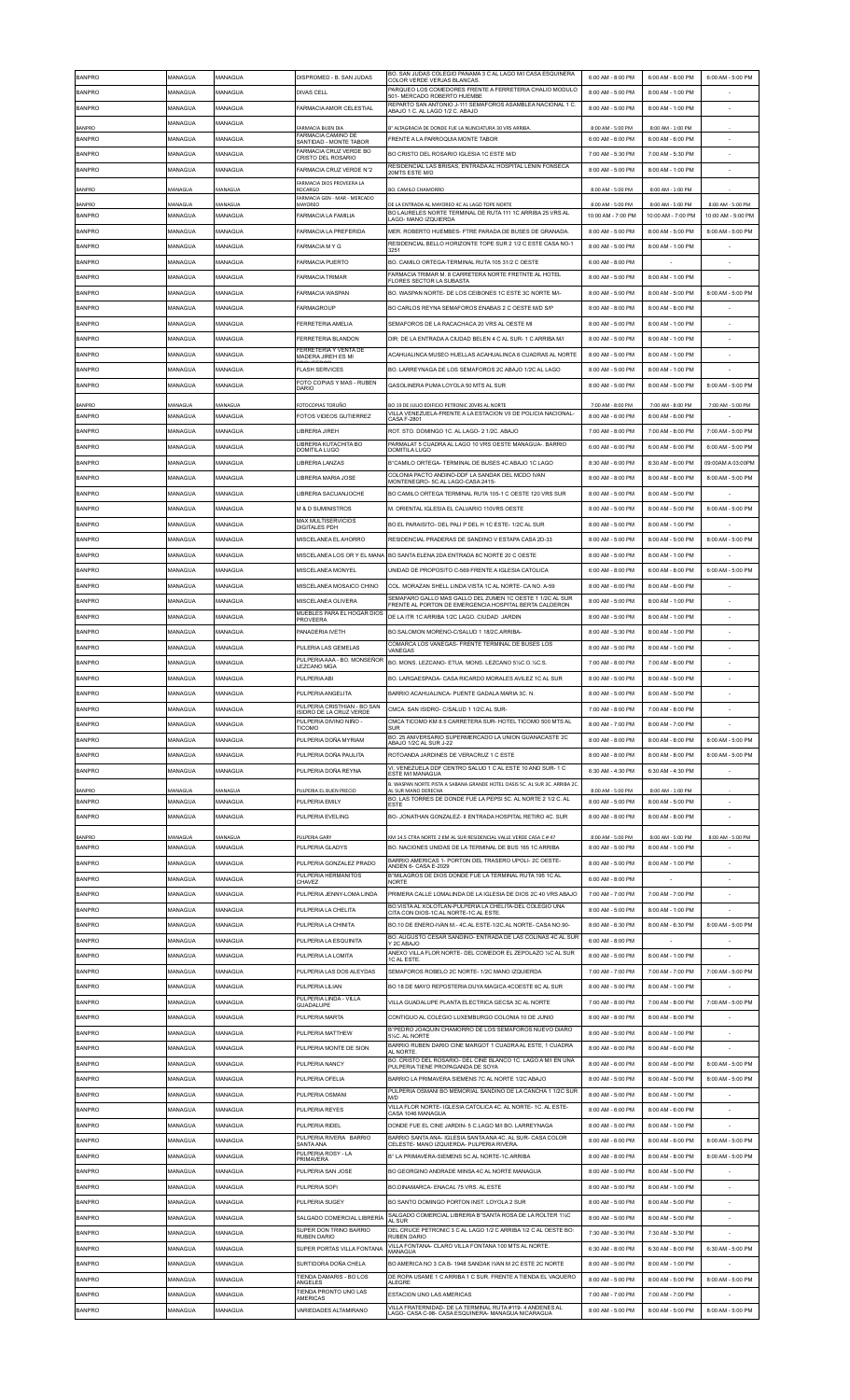| <b>BANPRO</b>                  | MANAGUA            | MANAGUA            | DISPROMED - B SAN JUDAS                                     | BO. SAN JUDAS COLEGIO PANAMA 3 C AL LAGO M/I CASA ESQUINERA<br>COLOR VERDE VERJAS BLANCAS.                                                    | 6:00 AM - 8:00 PM                       | 6:00 AM - 8:00 PM                       | 6:00 AM - 5:00 PM                       |
|--------------------------------|--------------------|--------------------|-------------------------------------------------------------|-----------------------------------------------------------------------------------------------------------------------------------------------|-----------------------------------------|-----------------------------------------|-----------------------------------------|
| <b>BANPRO</b>                  | MANAGUA            | MANAGUA            | DIVAS CELL                                                  | PARQUEO LOS COMEDORES FRENTE A FERRETERIA CHALIO MODULO<br>501- MERCADO ROBERTO HUEMBE                                                        | 8:00 AM - 5:00 PM                       | 8:00 AM - 1:00 PM                       |                                         |
| <b>BANPRO</b>                  | MANAGUA            | MANAGUA            | FARMACIA AMOR CELESTIAL                                     | REPARTO SAN ANTONIO J-111 SEMAFOROS ASAMBLEA NACIONAL 1 C.<br>ABAJO 1 C. AL LAGO 1/2 C. ABAJO                                                 | 8:00 AM - 5:00 PM                       | 8:00 AM - 1:00 PM                       |                                         |
| <b>BANPRO</b>                  | MANAGUA            | MANAGUA            | FARMACIA BUEN DIA<br><b>FARMACIA CAMINO DE</b>              | B* ALTAGRACIA DE DONDE FUE LA NUNCIATURA 30 VRS ARRIBA                                                                                        | 8:00 AM - 5:00 PM                       | 8:00 AM - 1:00 PM                       |                                         |
| <b>BANPRO</b>                  | MANAGUA            | MANAGUA            | SANTIDAD - MONTE TABOR<br>FARMACIA CRUZ VERDE BO            | FRENTE A LA PARROQUIA MONTE TABOR                                                                                                             | 6:00 AM - 6:00 PM                       | 6:00 AM - 6:00 PM                       |                                         |
| <b>BANPRO</b>                  | MANAGUA            | MANAGUA            | CRISTO DEL ROSARIO                                          | BO CRISTO DEL ROSARIO IGLESIA 1C ESTE M/D<br>RESIDENCIAL LAS BRISAS. ENTRADA AL HOSPITAL LENIN FONSECA                                        | 7:00 AM - 5:30 PM                       | 7:00 AM - 5:30 PM                       |                                         |
| <b>BANPRO</b>                  | MANAGUA            | MANAGUA            | FARMACIA CRUZ VERDE N°2<br>FARMACIA DIOS PROVEERA LA        | 20MTS ESTE M/D                                                                                                                                | 8:00 AM - 5:00 PM                       | 8:00 AM - 1:00 PM                       |                                         |
| <b>BANPRO</b>                  | MANAGUA            | MANAGUA            | <b>ROCARGO</b><br>FARMACIA GEN - MAR - MERCADO              | <b>BO, CAMILO CHAMORRO</b>                                                                                                                    | 8:00 AM - 5:00 PM                       | 8:00 AM - 1:00 PM                       |                                         |
| <b>BANPRO</b><br><b>BANPRO</b> | MANAGUA<br>MANAGUA | MANAGUA<br>MANAGUA | MAYOREO<br><b>FARMACIA LA FAMILIA</b>                       | DE LA ENTRADA AL MAYOREO 4C AL LAGO TOPE NORTE<br>BO LAURELES NORTE TERMINAL DE RUTA 111 1C ARRIBA 25 VRS AL                                  | 8:00 AM - 5:00 PM<br>10:00 AM - 7:00 PM | 8:00 AM - 5:00 PM<br>10:00 AM - 7:00 PM | 8:00 AM - 5:00 PM<br>10:00 AM - 5:00 PM |
| <b>BANPRO</b>                  | MANAGUA            | MANAGUA            | FARMACIA LA PREFERIDA                                       | LAGO- MANO IZQUIERDA<br>MER. ROBERTO HUEMBES- FTRE PARADA DE BUSES DE GRANADA.                                                                | 8:00 AM - 5:00 PM                       | 8:00 AM - 5:00 PM                       | 8:00 AM - 5:00 PM                       |
| <b>BANPRO</b>                  | MANAGUA            | MANAGUA            | FARMACIA M Y G                                              | RESIDENCIAL BELLO HORIZONTE TOPE SUR 2 1/2 C ESTE CASA NO-1<br>3251                                                                           | 8:00 AM - 5:00 PM                       | 8:00 AM - 1:00 PM                       |                                         |
| <b>BANPRO</b>                  | MANAGUA            | MANAGUA            | <b>FARMACIA PUERTO</b>                                      | BO. CAMILO ORTEGA-TERMINAL RUTA 105 31/2 C OESTE                                                                                              | 6:00 AM - 8:00 PM                       |                                         |                                         |
| <b>BANPRO</b>                  | MANAGUA            | MANAGUA            | <b>FARMACIA TRIMAR</b>                                      | FARMACIA TRIMAR M. 8 CARRETERA NORTE FRETNTE AL HOTEL<br>FLORES SECTOR LA SUBASTA                                                             | 8:00 AM - 5:00 PM                       | 8:00 AM - 1:00 PM                       |                                         |
| <b>BANPRO</b>                  | MANAGUA            | MANAGUA            | <b>FARMACIA WASPAN</b>                                      | BO. WASPAN NORTE- DE LOS CEIBONES 1C ESTE 3C NORTE M/I-                                                                                       | 8:00 AM - 5:00 PM                       | 8:00 AM - 5:00 PM                       | 8:00 AM - 5:00 PM                       |
| <b>BANPRO</b>                  | MANAGUA            | MANAGUA            | <b>FARMAGROUF</b>                                           | BO CARLOS REYNA SEMAFOROS ENABAS 2 C OESTE M/D S/P                                                                                            | 8:00 AM - 8:00 PM                       | 8:00 AM - 8:00 PM                       |                                         |
| <b>BANPRO</b>                  | MANAGUA            | MANAGUA            | <b>FERRETERIA AMELIA</b>                                    | SEMAFOROS DE LA RACACHACA 20 VRS AL OESTE MI                                                                                                  | 8:00 AM - 5:00 PM                       | 8:00 AM - 1:00 PM                       |                                         |
| <b>BANPRO</b>                  | MANAGUA            | MANAGUA            | <b>FERRETERIA BLANDON</b><br><b>FERRETERIA Y VENTA DE</b>   | DIR: DE LA ENTRADA A CIUDAD BELEN 4 C AL SUR-1 C ARRIBA M/I                                                                                   | 8:00 AM - 5:00 PM                       | 8:00 AM - 1:00 PM                       |                                         |
| <b>BANPRO</b>                  | MANAGUA            | MANAGUA            | MADERA JIREH ES MI                                          | ACAHUALINCA MUSEO HUELLAS ACAHUALINCA 6 CUADRAS AL NORTE                                                                                      | 8:00 AM - 5:00 PM                       | 8:00 AM - 1:00 PM                       |                                         |
| <b>BANPRO</b>                  | MANAGUA            | MANAGUA            | <b>FLASH SERVICES</b>                                       | BO. LARREYNAGA DE LOS SEMAFOROS 2C ABAJO 1/2C AL LAGO                                                                                         | 8:00 AM - 5:00 PM                       | 8:00 AM - 1:00 PM                       |                                         |
| <b>BANPRO</b>                  | MANAGUA            | MANAGUA            | FOTO COPIAS Y MAS - RUBEN<br>DARIO                          | GASOLINERA PUMA LOYOLA 50 MTS AL SUR                                                                                                          | 8:00 AM - 5:00 PM                       | 8:00 AM - 5:00 PM                       | 8:00 AM - 5:00 PM                       |
| <b>BANPRO</b>                  | MANAGUA            | MANAGUA            | FOTOCOPIAS TORUÑO                                           | BO 19 DE JULIO EDIFICIO PETRONIC 20VRS AL NORTE<br>VILLA VENEZUELA-FRENTE A LA ESTACION VII DE POLICIA NACIONAL                               | 7:00 AM - 8:00 PM                       | 7:00 AM - 8:00 PM                       | 7:00 AM - 5:00 PM                       |
| <b>BANPRO</b><br><b>BANPRO</b> | MANAGUA<br>MANAGUA | MANAGUA<br>MANAGUA | FOTOS VIDEOS GUTIERREZ<br>LIBRERIA JIREH                    | <b>CASA F-2801</b><br>ROT. STO. DOMINGO 1C. AL LAGO- 2 1/2C. ABAJO                                                                            | 8:00 AM - 6:00 PM<br>7:00 AM - 8:00 PM  | 8:00 AM - 6:00 PM<br>7:00 AM - 8:00 PM  | 7:00 AM - 5:00 PM                       |
| <b>BANPRO</b>                  | MANAGUA            | MANAGUA            | LIBRERIA KUTACHITA BO                                       | PARMALAT 5 CUADRA AL LAGO 10 VRS OESTE MANAGUA-. BARRIO                                                                                       | 6:00 AM - 6:00 PM                       | 6:00 AM - 6:00 PM                       | 6:00 AM - 5:00 PM                       |
| <b>BANPRO</b>                  | MANAGUA            | MANAGUA            | DOMITILA LUGO<br><b>LIBRERIA LANZAS</b>                     | <b>DOMITILA LUGO</b><br>B°CAMILO ORTEGA- TERMINAL DE BUSES 4C ABAJO 1C LAGO                                                                   | 8:30 AM - 6:00 PM                       | 8:30 AM - 6:00 PM                       | 09:00AM A 03:00PM                       |
| <b>BANPRO</b>                  | MANAGUA            | MANAGUA            | LIBRERIA MARIA JOSE                                         | COLONIA PACTO ANDINO-DDF LA SANDAK DEL MCDO IVAN<br>MONTENEGRO- 5C.AL LAGO-CASA 2415-                                                         | 8:00 AM - 8:00 PM                       | 8:00 AM - 8:00 PM                       | 8:00 AM - 5:00 PM                       |
| <b>BANPRO</b>                  | MANAGUA            | MANAGUA            | LIBRERIA SACUANJOCHE                                        | BO CAMILO ORTEGA TERMINAL RUTA 105-1 C OESTE 120 VRS SUR                                                                                      | 8:00 AM - 5:00 PM                       | 8:00 AM - 5:00 PM                       |                                         |
| <b>BANPRO</b>                  | MANAGUA            | MANAGUA            | <b>M &amp; D SUMINISTROS</b>                                | M. ORIENTAL IGLESIA EL CALVARIO 110VRS OESTE                                                                                                  | 8:00 AM - 5:00 PM                       | 8:00 AM - 5:00 PM                       | 8:00 AM - 5:00 PM                       |
| <b>BANPRO</b>                  | MANAGUA            | MANAGUA            | <b>MAX MULTISERVICIOS</b><br><b>DIGITALES PDH</b>           | BO EL PARAISITO- DEL PALI P DEL H 1C ESTE-1/2C AL SUR                                                                                         | 8:00 AM - 5:00 PM                       | 8:00 AM - 1:00 PM                       |                                         |
| <b>BANPRO</b>                  | MANAGUA            | MANAGUA            | MISCELANEA EL AHORRO                                        | RESIDENCIAL PRADERAS DE SANDINO V ESTAPA CASA 2D-33                                                                                           | 8:00 AM - 5:00 PM                       | 8:00 AM - 5:00 PM                       | 8:00 AM - 5:00 PM                       |
| <b>BANPRO</b>                  | MANAGUA            | MANAGUA            |                                                             | MISCELANEA LOS OR Y EL MANA BO SANTA ELENA 2DA ENTRADA 8C NORTE 20 C OESTE                                                                    | 8:00 AM - 5:00 PM                       | 8:00 AM - 1:00 PM                       |                                         |
| <b>BANPRO</b>                  | MANAGUA            | MANAGUA            | MISCELANEA MONYEL                                           | UNIDAD DE PROPOSITO C-569 FRENTE A IGLESIA CATOLICA                                                                                           | 6:00 AM - 8:00 PM                       | 6:00 AM - 8:00 PM                       | 6:00 AM - 5:00 PM                       |
| <b>BANPRO</b>                  | MANAGUA            | MANAGUA            | MISCELANEA MOSAICO CHINO                                    | ICOL. MORAZAN SHELL LINDA VISTA 1C AL NORTE- CA NO. A-59                                                                                      | 8:00 AM - 6:00 PM                       | 8:00 AM - 6:00 PM                       |                                         |
| <b>BANPRO</b>                  | MANAGUA            | MANAGUA            | MISCELANEA OLIVERA                                          | SEMAFARO GALLO MAS GALLO DEL ZUMEN 1C OESTE 1 1/2C AL SUR<br>FRENTE AL PORTON DE EMERGENCIA HOSPITAL BERTA CALDERON                           | 8:00 AM - 5:00 PM                       | 8:00 AM - 1:00 PM                       |                                         |
| <b>BANPRO</b>                  | MANAGUA            | MANAGUA            | MUEBLES PARA EL HOGAR DIOS<br>PROVEERA                      | DE LA ITR 1C ARRIBA 1/2C LAGO. CIUDAD JARDIN                                                                                                  | 8:00 AM - 5:00 PM                       | 8:00 AM - 1:00 PM                       |                                         |
| <b>BANPRO</b>                  | MANAGUA            | MANAGUA            | PANADERIA IVETH                                             | BO.SALOMON MORENO-C/SALUD 1 18/2C.ARRIBA-<br>COMARCA LOS VANEGAS- FRENTE TERMINAL DE BUSES LOS                                                | 8:00 AM - 5:30 PM                       | 8:00 AM - 1:00 PM                       |                                         |
| <b>BANPRO</b>                  | MANAGUA            | MANAGUA            | PULERIA LAS GEMELAS<br>PULPERIA AAA - BO MONSEÑOR           | VANEGAS                                                                                                                                       | 8:00 AM - 5:00 PM                       | 8:00 AM - 1:00 PM                       |                                         |
| <b>BANPRO</b><br><b>BANPRO</b> | MANAGUA<br>MANAGUA | MANAGUA<br>MANAGUA | LEZCANO MGA<br><b>PULPERIA ABI</b>                          | BO. MONS. LEZCANO- ETUA. MONS. LEZCANO 5½C.O.½C.S.<br>BO. LARGAESPADA- CASA RICARDO MORALES AVILEZ 1C AL SUR                                  | 7:00 AM - 8:00 PM<br>8:00 AM - 5:00 PM  | 7:00 AM - 8:00 PM<br>8:00 AM - 5:00 PM  |                                         |
| <b>BANPRO</b>                  | MANAGUA            | MANAGUA            | PULPERIA ANGELITA                                           | BARRIO ACAHUALINCA- PUENTE GADALA MARIA 3C. N                                                                                                 | 8:00 AM - 5:00 PM                       | 8:00 AM - 5:00 PM                       |                                         |
| <b>BANPRO</b>                  | MANAGUA            | MANAGUA            | PULPERIA CRISTHIAN - BO SAN<br>ISIDRO DE LA CRUZ VERDE      | CMCA. SAN ISIDRO- C/SALUD 1 1/2C.AL SUR-                                                                                                      | 7:00 AM - 8:00 PM                       | 7:00 AM - 8:00 PM                       |                                         |
| <b>BANPRO</b>                  | MANAGUA            | MANAGUA            | PULPERIA DIVINO NIÑO -<br>TICOMO                            | CMCA TICOMO KM 8.5 CARRETERA SUR- HOTEL TICOMO 500 MTS AL<br>SUR                                                                              | 8:00 AM - 7:00 PM                       | 8:00 AM - 7:00 PM                       |                                         |
| <b>BANPRO</b>                  | MANAGUA            | MANAGUA            | PULPERIA DOÑA MYRIAM                                        | BO. 25 ANIVERSARIO SUPERMERCADO LA UNION GUANACASTE 2C<br>ABAJO 1/2C AL SUR J-22                                                              | 8:00 AM - 8:00 PM                       | 8:00 AM - 8:00 PM                       | 8:00 AM - 5:00 PM                       |
| <b>BANPRO</b>                  | MANAGUA            | MANAGUA            | PULPERIA DOÑA PAULITA                                       | ROTOANDA JARDINES DE VERACRUZ 1 C ESTE                                                                                                        | 8:00 AM - 8:00 PM                       | 8:00 AM - 8:00 PM                       | 8:00 AM - 5:00 PM                       |
| <b>BANPRO</b>                  | MANAGUA            | MANAGUA            | PULPERIA DOÑA REYNA                                         | VI. VENEZUELA DDF CENTRO SALUD 1 C AL ESTE 10 AND SUR-1 C<br><b>ESTE M/I MANAGUA</b>                                                          | 6:30 AM - 4:30 PM                       | 6:30 AM - 4:30 PM                       |                                         |
| <b>BANPRO</b>                  | MANAGUA            | MANAGUA            | PULPERIA EL BUEN PRECIO                                     | B. WASPAN NORTE PISTA A SARANA GRANDE HOTEL OASIS 5C. ALSUR 3C. ARRIBA 2C<br>AL SUR MANO DERECHA                                              | 8:00 AM - 5:00 PM                       | 8:00 AM - 1:00 PM                       |                                         |
| <b>BANPRO</b>                  | MANAGUA            | MANAGUA            | PULPERIA EMILY                                              | BO. LAS TORRES DE DONDE FUE LA PEPSI 5C. AL NORTE 2 1/2 C. AL<br><b>ESTE</b>                                                                  | 8:00 AM - 5:00 PM                       | 8:00 AM - 5:00 PM                       |                                         |
| <b>BANPRO</b>                  | MANAGUA            | MANAGUA            | PULPERIA EVELING                                            | BO- JONATHAN GONZALEZ- II ENTRADA HOSPITAL RETIRO 4C. SUR                                                                                     | 8:00 AM - 8:00 PM                       | 8:00 AM - 8:00 PM                       |                                         |
| <b>BANPRO</b>                  | MANAGUA            | MANAGUA            | PULPERIA GARY                                               | KM 14.5 CTRA NORTE 2 KM AL SUR RESIDENCIAL VALLE VERDE CASA C # 47                                                                            | 8:00 AM - 5:00 PM                       | 8:00 AM - 5:00 PM                       | 8:00 AM - 5:00 PM                       |
| <b>BANPRO</b>                  | MANAGUA            | MANAGUA            | PULPERIA GLADYS                                             | BO. NACIONES UNIDAS DE LA TERMINAL DE BUS 165 1C ARRIBA<br>BARRIO AMERICAS 1- PORTON DEL TRASERO UPOLI-2C OESTE-                              | 8:00 AM - 5:00 PM                       | 8:00 AM - 1:00 PM                       | $\sim$                                  |
| <b>BANPRO</b>                  | MANAGUA            | MANAGUA            | PULPERIA GONZALEZ PRADO<br>PULPERIA HERMANITOS              | ANDEN 6- CASA E-2029<br>B°MILAGROS DE DIOS DONDE FUE LA TERMINAL RUTA 195 1C AL                                                               | 8:00 AM - 5:00 PM                       | 8:00 AM - 1:00 PM                       |                                         |
| <b>BANPRO</b><br><b>BANPRO</b> | MANAGUA<br>MANAGUA | MANAGUA<br>MANAGUA | CHAVEZ<br>PULPERIA JENNY-LOMA LINDA                         | <b>NORTE</b><br>PRIMERA CALLE LOMALINDA DE LA IGLESIA DE DIOS 2C 40 VRS ABAJO                                                                 | 6:00 AM - 8:00 PM<br>7:00 AM - 7:00 PM  | 7:00 AM - 7:00 PM                       |                                         |
| <b>BANPRO</b>                  | MANAGUA            | MANAGUA            | PULPERIA LA CHELITA                                         | BO.VISTA AL XOLOTLAN-PULPERIA LA CHELITA-DEL COLEGIO UNA                                                                                      | 8:00 AM - 5:00 PM                       | 8:00 AM - 1:00 PM                       |                                         |
| <b>BANPRO</b>                  | MANAGUA            | MANAGUA            | PULPERIA LA CHINITA                                         | CITA CON DIOS-1C.AL NORTE-1C.AL ESTE.<br>BO.10 DE ENERO-IVAN M.- 4C.AL ESTE-1/2C.AL NORTE- CASA NO.90                                         | 8:00 AM - 6:30 PM                       | 8:00 AM - 6:30 PM                       | 8:00 AM - 5:00 PM                       |
| <b>BANPRO</b>                  | MANAGUA            | MANAGUA            | PULPERIA LA ESQUINITA                                       | IBO. AUGUSTO CESAR SANDINO- ENTRADA DE LAS COLINAS 4C AL SUR<br>Y 2C ABAJO                                                                    | 6:00 AM - 8:00 PM                       |                                         |                                         |
| <b>BANPRO</b>                  | MANAGUA            | MANAGUA            | PULPERIA LA LOMITA                                          | ANEXO VILLA FLOR NORTE- DEL COMEDOR EL ZEPOLAZO 1/2C AL SUR<br>1C AL ESTE.                                                                    | 8:00 AM - 5:00 PM                       | 8:00 AM - 1:00 PM                       |                                         |
| <b>BANPRO</b>                  | MANAGUA            | MANAGUA            | PULPERIA LAS DOS ALEYDAS                                    | SEMAFOROS ROBELO 2C NORTE-1/2C MANO IZQUIERDA                                                                                                 | 7:00 AM - 7:00 PM                       | 7:00 AM - 7:00 PM                       | 7:00 AM - 5:00 PM                       |
| <b>BANPRO</b>                  | MANAGUA            | MANAGUA            | PULPERIA LILIAN                                             | BO 18 DE MAYO REPOSTERIA DUYA MAGICA 4COESTE 6C AL SUR                                                                                        | 8:00 AM - 5:00 PM                       | 8:00 AM - 1:00 PM                       |                                         |
| <b>BANPRO</b>                  | MANAGUA            | MANAGUA            | PULPERIA LINDA - VILLA<br>GUADALUPE                         | VILLA GUADALUPE PLANTA ELECTRICA GECSA 3C AL NORTE                                                                                            | 7:00 AM - 8:00 PM                       | 7:00 AM - 8:00 PM                       | 7:00 AM - 5:00 PM                       |
| <b>BANPRO</b>                  | MANAGUA            | MANAGUA            | PULPERIA MARTA                                              | CONTIGUO AL COLEGIO LUXEMBURGO COLONIA 10 DE JUNIO                                                                                            | 8:00 AM - 8:00 PM                       | 8:00 AM - 8:00 PM                       |                                         |
| <b>BANPRO</b>                  | MANAGUA            | MANAGUA            | PULPERIA MATTHEW                                            | B°PEDRO JOAQUIN CHAMORRO DE LOS SEMAFOROS NUEVO DIARO<br>51/2C. AL NORTE                                                                      | 8:00 AM - 5:00 PM                       | 8:00 AM - 1:00 PM                       |                                         |
| <b>BANPRO</b>                  | MANAGUA            | MANAGUA            | PULPERIA MONTE DE SION                                      | BARRIO RUBEN DARIO CINE MARGOT 1 CUADRA AL ESTE, 1 CUADRA<br><b>AL NORTE</b><br>BO. CRISTO DEL ROSARIO- DEL CINE BLANCO 1C. LAGO A M/I EN UNA | 8:00 AM - 6:00 PM                       | 8:00 AM - 6:00 PM                       |                                         |
| <b>BANPRO</b>                  | MANAGUA            | MANAGUA            | PULPERIA NANCY                                              | PULPERIA TIENE PROPAGANDA DE SOYA                                                                                                             | 8:00 AM - 6:00 PM                       | 8:00 AM - 6:00 PM                       | 8:00 AM - 5:00 PM                       |
| <b>BANPRO</b>                  | MANAGUA            | MANAGUA            | PULPERIA OFELIA                                             | BARRIO LA PRIMAVERA SIEMENS 7C AL NORTE 1/2C ABAJO<br>PULPERIA OSMANI BO MEMORIAL SANDINO DE LA CANCHA 1 1/2C SUR                             | 8:00 AM - 5:00 PM                       | 8:00 AM - 5:00 PM                       | 8:00 AM - 5:00 PM                       |
| <b>BANPRO</b>                  | MANAGUA            | MANAGUA            | PULPERIA OSMANI                                             | M/D<br>VILLA FLOR NORTE- IGLESIA CATOLICA 4C. AL NORTE- 1C. AL ESTE-                                                                          | 8:00 AM - 5:00 PM                       | 8:00 AM - 1:00 PM                       |                                         |
| <b>BANPRO</b><br><b>BANPRO</b> | MANAGUA<br>MANAGUA | MANAGUA<br>MANAGUA | PULPERIA REYES<br>PULPERIA RIDEL                            | CASA 1046 MANAGUA<br>DONDE FUE EL CINE JARDIN- 5 C.LAGO M/I BO. LARREYNAGA                                                                    | 8:00 AM - 6:00 PM<br>8:00 AM - 5:00 PM  | 8:00 AM - 6:00 PM<br>8:00 AM - 1:00 PM  |                                         |
| <b>BANPRO</b>                  | MANAGUA            | MANAGUA            | PULPERIA RIVERA BARRIO                                      | BARRIO SANTA ANA- IGLESIA SANTA ANA 4C. AL SUR- CASA COLOR                                                                                    | 8:00 AM - 6:00 PM                       | 8:00 AM - 6:00 PM                       | 8:00 AM - 5:00 PM                       |
| <b>BANPRO</b>                  | MANAGUA            | MANAGUA            | SANTA ANA<br>PULPERIA ROSY - LA                             | CELESTE- MANO IZQUIERDA- PULPERIA RIVERA<br>B° LA PRIMAVERA-SIEMENS 5C.AL NORTE-1C.ARRIBA                                                     | 8:00 AM - 8:00 PM                       | 8:00 AM - 8:00 PM                       | 8:00 AM - 5:00 PM                       |
| <b>BANPRO</b>                  | MANAGUA            | MANAGUA            | PRIMAVERA<br>PULPERIA SAN JOSE                              | BO GEORGINO ANDRADE MINSA 4C AL NORTE MANAGUA                                                                                                 | 8:00 AM - 5:00 PM                       | 8:00 AM - 5:00 PM                       |                                         |
| <b>BANPRO</b>                  | MANAGUA            | MANAGUA            | PULPERIA SOFI                                               | BO.DINAMARCA- ENACAL 75 VRS. AL ESTE                                                                                                          | 8:00 AM - 5:00 PM                       | 8:00 AM - 1:00 PM                       |                                         |
| <b>BANPRO</b>                  | MANAGUA            | MANAGUA            | PULPERIA SUGEY                                              | BO SANTO DOMINGO PORTON INST. LOYOLA 2 SUR                                                                                                    | 8:00 AM - 5:00 PM                       | 8:00 AM - 5:00 PM                       |                                         |
| <b>BANPRO</b>                  | MANAGUA            | MANAGUA            | SALGADO COMERCIAL LIBRERÍA                                  | SALGADO COMERCIAL LIBRERIA B°SANTA ROSA DE LA ROLTER 11%C<br><b>AL SUR</b>                                                                    | 8:00 AM - 5:00 PM                       | 8:00 AM - 5:00 PM                       |                                         |
| <b>BANPRO</b>                  | MANAGUA            | MANAGUA            | SUPER DON TRINO BARRIO<br><b>RUBEN DARIO</b>                | DEL CRUCE PETRONIC 3 C AL LAGO 1/2 C ARRIBA 1/2 C AL OESTE BO:<br><b>RUBEN DARIO</b>                                                          | 7:30 AM - 5:30 PM                       | 7:30 AM - 5:30 PM                       |                                         |
| <b>BANPRO</b>                  | MANAGUA            | MANAGUA            | SUPER PORTAS VILLA FONTANA                                  | VILLA FONTANA- CLARO VILLA FONTANA 100 MTS AL NORTE.<br>MANAGUA                                                                               | 6:30 AM - 8:00 PM                       | 6:30 AM - 8:00 PM                       | 6:30 AM - 5:00 PM                       |
| <b>BANPRO</b>                  | MANAGUA            | MANAGUA            | SURTIDORA DOÑA CHELA                                        | BO AMERICA NO 3 CA B-1948 SANDAK IVAN M 2C ESTE 2C NORTE                                                                                      | 8:00 AM - 5:00 PM                       | 8:00 AM - 1:00 PM                       |                                         |
| <b>BANPRO</b>                  | MANAGUA            | MANAGUA            | TIENDA DAMARIS - BO LOS<br>ANGELES<br>TIENDA PRONTO UNO LAS | DE ROPA USAME 1 C ARRIBA 1 C SUR. FRENTE A TIENDA EL VAQUERO<br><b>ALEGRE</b>                                                                 | 8:00 AM - 5:00 PM                       | 8:00 AM - 5:00 PM                       | 8:00 AM - 5:00 PM                       |
| <b>BANPRO</b>                  | MANAGUA            | MANAGUA            | AMERICAS                                                    | <b>ESTACION UNO LAS AMERICAS</b><br>VILLA FRATERNIDAD- DE LA TERMINAL RUTA #119- 4 ANDENES AL                                                 | 7:00 AM - 7:00 PM                       | 7:00 AM - 7:00 PM                       |                                         |
| <b>BANPRO</b>                  | MANAGUA            | MANAGUA            | VARIEDADES ALTAMIRANO                                       | LAGO- CASA C-98- CASA ESQUINERA- MANAGUA NICARAGUA                                                                                            | 8:00 AM - 5:00 PM                       | 8:00 AM - 5:00 PM                       | 8:00 AM - 5:00 PM                       |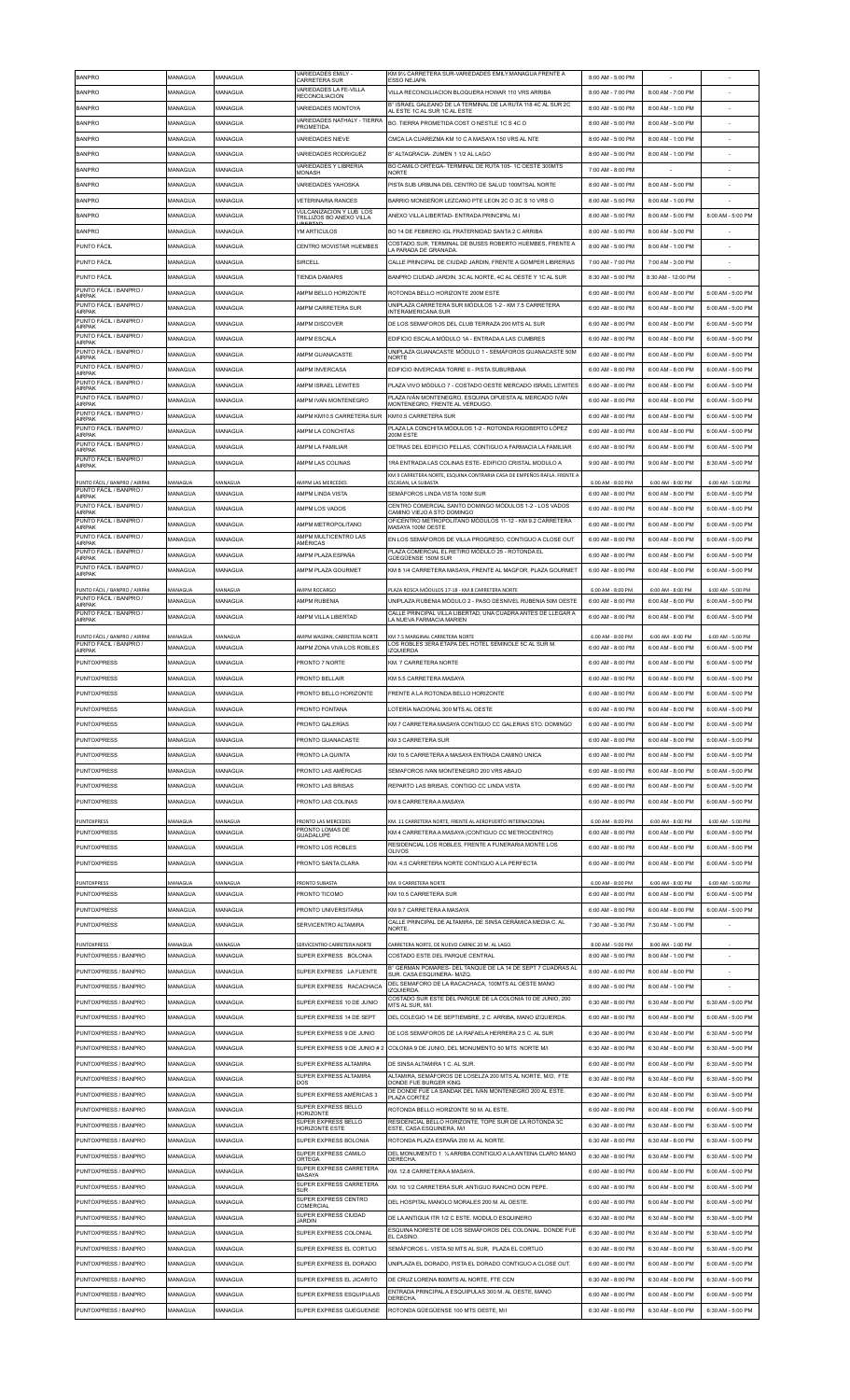| <b>BANPRO</b>                                           | MANAGUA            | MANAGUA            | VARIEDADES EMILY -<br>CARRETERA SUR                  | KM 91⁄2 CARRETERA SUR-VARIEDADES EMILY.MANAGUA FRENTE A<br><b>ESSO NEJAPA</b>                   | 8:00 AM - 5:00 PM                      |                                        |                                        |
|---------------------------------------------------------|--------------------|--------------------|------------------------------------------------------|-------------------------------------------------------------------------------------------------|----------------------------------------|----------------------------------------|----------------------------------------|
| <b>BANPRO</b>                                           | MANAGUA            | MANAGUA            | VARIEDADES LA FE-VILLA<br><b>RECONCILIACION</b>      | VILLA RECONCILIACION BLOQUERA HOWAR 110 VRS ARRIBA                                              | 8:00 AM - 7:00 PM                      | 8:00 AM - 7:00 PM                      |                                        |
| <b>BANPRO</b>                                           | MANAGUA            | MANAGUA            | VARIEDADES MONTOYA                                   | B° ISRAEL GALEANO DE LA TERMINAL DE LA RUTA 118 4C AL SUR 2C<br>AL ESTE 1C AL SUR 1C AL ESTE    | 8:00 AM - 5:00 PM                      | 8:00 AM - 1:00 PM                      |                                        |
| <b>BANPRO</b>                                           | MANAGUA            | MANAGUA            | VARIEDADES NATHALY - TIERRA<br>PROMETIDA             | BO. TIERRA PROMETIDA COST O NESTLE 1C S 4C O                                                    | 8:00 AM - 5:00 PM                      | 8:00 AM - 5:00 PM                      |                                        |
| <b>BANPRO</b>                                           | MANAGUA            | MANAGUA            | <b>VARIEDADES NIEVE</b>                              | CMCA LA CUAREZMA KM 10 C A MASAYA 150 VRS AL NTE                                                | 8:00 AM - 5:00 PM                      | 8:00 AM - 1:00 PM                      |                                        |
| <b>BANPRO</b>                                           | MANAGUA            | MANAGUA            | <b>VARIEDADES RODRIGUEZ</b>                          | B° AI TAGRACIA- ZUMEN 1 1/2 AL LAGO                                                             | 8:00 AM - 5:00 PM                      | 8:00 AM - 1:00 PM                      |                                        |
| <b>BANPRO</b>                                           | MANAGUA            | MANAGUA            | <b>VARIEDADES Y LIBRERIA</b>                         | BO CAMILO ORTEGA- TERMINAL DE RUTA 105-1C OESTE 300MTS                                          | 7:00 AM - 8:00 PM                      |                                        |                                        |
| <b>BANPRO</b>                                           | MANAGUA            | MANAGUA            | <b>MONASH</b><br>VARIEDADES YAHOSKA                  | <b>NORTE</b><br>PISTA SUB URBUNA DEL CENTRO DE SALUD 100MTSAL NORTE                             | 8:00 AM - 5:00 PM                      | 8:00 AM - 5:00 PM                      |                                        |
|                                                         |                    |                    |                                                      |                                                                                                 |                                        |                                        |                                        |
| <b>BANPRO</b>                                           | MANAGUA            | MANAGUA            | <b>VETERINARIA RANCES</b><br>VULCANIZACION Y LUB LOS | BARRIO MONSEÑOR LEZCANO PTE LEON 2C O 2C S 10 VRS O                                             | 8:00 AM - 5:00 PM                      | 8:00 AM - 1:00 PM                      |                                        |
| <b>BANPRO</b>                                           | MANAGUA            | MANAGUA            | TRILLIZOS BO ANEXO VILLA                             | ANEXO VILLA LIBERTAD- ENTRADA PRINCIPAL M.I                                                     | 8:00 AM - 5:00 PM                      | 8:00 AM - 5:00 PM                      | 8:00 AM - 5:00 PM                      |
| <b>BANPRO</b>                                           | MANAGUA            | MANAGUA            | YM ARTICULOS                                         | BO 14 DE FEBRERO IGL FRATERNIDAD SANTA 2 C ARRIBA                                               | 8:00 AM - 5:00 PM                      | 8:00 AM - 5:00 PM                      |                                        |
| PUNTO FÁCIL                                             | MANAGUA            | MANAGUA            | CENTRO MOVISTAR HUEMBES                              | COSTADO SUR. TERMINAL DE BUSES ROBERTO HUEMBES. FRENTE A<br>LA PARADA DE GRANADA.               | 8:00 AM - 5:00 PM                      | 8:00 AM - 1:00 PM                      |                                        |
| PUNTO FÁCIL                                             | MANAGUA            | MANAGUA            | SIRCELL                                              | CALLE PRINCIPAL DE CIUDAD JARDIN. FRENTE A GOMPER LIBRERIAS                                     | 7:00 AM - 7:00 PM                      | 7:00 AM - 3:00 PM                      |                                        |
| <b>PUNTO FÁCIL</b>                                      | MANAGUA            | MANAGUA            | <b>TIENDA DAMARIS</b>                                | BANPRO CIUDAD JARDIN, 3C AL NORTE, 4C AL OESTE Y 1C AL SUR                                      | 8:30 AM - 5:00 PM                      | 8:30 AM - 12:00 PM                     |                                        |
| PUNTO FÁCIL / BANPRO /<br><b>AIRPAK</b>                 | MANAGUA            | MANAGUA            | AMPM BELLO HORIZONTE                                 | ROTONDA BELLO HORIZONTE 200M ESTE                                                               | 6:00 AM - 8:00 PM                      | 6:00 AM - 8:00 PM                      | 6:00 AM - 5:00 PM                      |
| PUNTO FÁCIL / BANPRO /<br>AIRPAK                        | MANAGUA            | MANAGUA            | AMPM CARRETERA SUR                                   | UNIPLAZA CARRETERA SUR MÓDULOS 1-2 - KM 7.5 CARRETERA<br><b>NTERAMERICANA SUR</b>               | 6:00 AM - 8:00 PM                      | 6:00 AM - 8:00 PM                      | 6:00 AM - 5:00 PM                      |
| PUNTO FÁCIL / BANPRO /<br>AIRPAK                        | MANAGUA            | MANAGUA            | AMPM DISCOVER                                        | DE LOS SEMAFOROS DEL CLUB TERRAZA 200 MTS AL SUR                                                | 6:00 AM - 8:00 PM                      | 6:00 AM - 8:00 PM                      | 6:00 AM - 5:00 PM                      |
| PUNTO FÁCIL / BANPRO /                                  | MANAGUA            | MANAGUA            | AMPM ESCALA                                          | EDIFICIO ESCALA MÓDULO 1A - ENTRADA A LAS CUMBRES                                               | 6:00 AM - 8:00 PM                      | 6:00 AM - 8:00 PM                      | 6:00 AM - 5:00 PM                      |
| <b>AIRPAK</b><br>PUNTO FÁCIL / BANPRO /                 | MANAGUA            | MANAGUA            | AMPM GUANACASTE                                      | UNIPLAZA GUANACASTE MÓDULO 1 - SEMÁFOROS GUANACASTE 50M                                         | 6:00 AM - 8:00 PM                      | 6:00 AM - 8:00 PM                      | 6:00 AM - 5:00 PM                      |
| AIRPAK<br>PUNTO FÁCIL / BANPRO /                        | MANAGUA            | MANAGUA            | AMPM INVERCASA                                       | <b>NORTE</b><br>EDIFICIO INVERCASA TORRE II - PISTA SUBURBANA                                   | 6:00 AM - 8:00 PM                      | 6:00 AM - 8:00 PM                      | 6:00 AM - 5:00 PM                      |
| <b>AIRPAK</b><br>PUNTO FÁCIL / BANPRO /                 | MANAGUA            | MANAGUA            | AMPM ISRAEL LEWITES                                  | PLAZA VIVO MÓDULO 7 - COSTADO OESTE MERCADO ISRAEL LEWITES                                      | 6:00 AM - 8:00 PM                      | 6:00 AM - 8:00 PM                      | 6:00 AM - 5:00 PM                      |
| AIRPAK<br>PUNTO FÁCIL / BANPRO /                        |                    |                    |                                                      | PLAZA IVÁN MONTENEGRO, ESQUINA OPUESTA AL MERCADO IVÁN                                          |                                        |                                        |                                        |
| <b>AIRPAK</b><br>PUNTO FÁCIL / BANPRO /                 | MANAGUA            | MANAGUA            | AMPM IVAN MONTENEGRO                                 | MONTENEGRO, FRENTE AL VERDUGO.                                                                  | 6:00 AM - 8:00 PM                      | 6:00 AM - 8:00 PM                      | 6:00 AM - 5:00 PM                      |
| AIRPAK                                                  | MANAGUA            | MANAGUA            | AMPM KM10.5 CARRETERA SUR                            | KM10.5 CARRETERA SUR<br>PLAZA LA CONCHITA MÓDULOS 1-2 - ROTONDA RIGOBERTO LÓPEZ                 | 6:00 AM - 8:00 PM                      | 6:00 AM - 8:00 PM                      | 6:00 AM - 5:00 PM                      |
| PUNTO FÁCIL / BANPRO /<br>AIRPAK                        | MANAGUA            | MANAGUA            | AMPM LA CONCHITAS                                    | 200M ESTE                                                                                       | 6:00 AM - 8:00 PM                      | 6:00 AM - 8:00 PM                      | 6:00 AM - 5:00 PM                      |
| PUNTO FÁCIL / BANPRO /<br>AIRPAK                        | MANAGUA            | MANAGUA            | AMPM LA FAMILIAR                                     | DETRAS DEL EDIFICIO PELLAS, CONTIGUO A FARMACIA LA FAMILIAR                                     | 6:00 AM - 8:00 PM                      | 6:00 AM - 8:00 PM                      | 6:00 AM - 5:00 PM                      |
| PUNTO FÁCIL / BANPRO /<br>AIRPAK                        | MANAGUA            | MANAGUA            | AMPM LAS COLINAS                                     | 1RA ENTRADA LAS COLINAS ESTE- EDIFICIO CRISTAL MODULO A                                         | 9:00 AM - 8:00 PM                      | 9:00 AM - 8:00 PM                      | 8:30 AM - 5:00 PM                      |
| PUNTO FÁCIL / BANPRO / AIRPAK                           | MANAGUA            | MANAGUA            | AMPM LAS MERCEDES                                    | KM 9 CARRETERA NORTE, ESQUINA CONTRARIA CASA DE EMPEÑOS RAFLA. FRENTE /<br>ESCASAN, LA SUBASTA  | 6:00 AM - 8:00 PM                      | 6:00 AM - 8:00 PM                      | 6:00 AM - 5:00 PM                      |
| PUNTO FÁCIL / BANPRO /<br>AIRPAK                        | MANAGUA            | MANAGUA            | AMPM LINDA VISTA                                     | SEMÁFOROS LINDA VISTA 100M SUR                                                                  | 6:00 AM - 8:00 PM                      | 6:00 AM - 8:00 PM                      | 6:00 AM - 5:00 PM                      |
| PUNTO FÁCIL / BANPRO /<br><b>AIRPAK</b>                 | MANAGUA            | MANAGUA            | AMPM LOS VADOS                                       | CENTRO COMERCIAL SANTO DOMINGO MÓDULOS 1-2 - LOS VADOS<br>CAMINO VIEJO A STO DOMINGO            | 6:00 AM - 8:00 PM                      | 6:00 AM - 8:00 PM                      | 6:00 AM - 5:00 PM                      |
| PUNTO FÁCIL / BANPRO /<br><b>AIRPAK</b>                 | MANAGUA            | MANAGUA            | AMPM METROPOLITANO                                   | OFICENTRO METROPOLITANO MÓDULOS 11-12 - KM 9.2 CARRETERA<br>MASAYA 100M OESTE                   | 6:00 AM - 8:00 PM                      | 6:00 AM - 8:00 PM                      | 6:00 AM - 5:00 PM                      |
| PUNTO FÁCIL / BANPRO /                                  | MANAGUA            | MANAGUA            | AMPM MULTICENTRO LAS                                 | EN LOS SEMÁFOROS DE VILLA PROGRESO, CONTIGUO A CLOSE OUT                                        | 6:00 AM - 8:00 PM                      | 6:00 AM - 8:00 PM                      | 6:00 AM - 5:00 PM                      |
| AIRPAK<br>PUNTO FÁCIL / BANPRO /                        | MANAGUA            | MANAGUA            | AMÉRICAS<br>AMPM PLAZA ESPAÑA                        | PLAZA COMERCIAL EL RETIRO MÓDULO 25 - ROTONDA EL                                                | 6:00 AM - 8:00 PM                      | 6:00 AM - 8:00 PM                      | 6:00 AM - 5:00 PM                      |
| AIRPAK<br>PUNTO FÁCIL / BANPRO /                        | MANAGUA            | MANAGUA            | AMPM PLAZA GOURMET                                   | GÜEGÜENSE 150M SUR<br>KM 8 1/4 CARRETERA MASAYA, FRENTE AL MAGFOR, PLAZA GOURMET                | 6:00 AM - 8:00 PM                      | 6:00 AM - 8:00 PM                      | 6:00 AM - 5:00 PM                      |
| AIRPAK                                                  |                    |                    |                                                      |                                                                                                 |                                        |                                        |                                        |
| PUNTO FÁCIL / BANPRO / AIRPAK<br>PUNTO FÁCIL / BANPRO / | MANAGUA            | MANAGUA            | AMPM ROCARGO                                         | PLAZA ROSCA MÓDULOS 17-18 - KM 8 CARRETERA NORTE                                                | 6:00 AM - 8:00 PM                      | 6:00 AM - 8:00 PM                      | 6:00 AM - 5:00 PM                      |
| <b>AIRPAK</b>                                           | MANAGUA            | MANAGUA            | AMPM RUBENIA                                         | UNIPLAZA RUBENIA MÓDULO 2 - PASO DESNIVEL RUBENIA 50M OESTE                                     | 6:00 AM - 8:00 PM                      | 6:00 AM - 8:00 PM                      | 6:00 AM - 5:00 PM                      |
| PUNTO FÁCIL / BANPRO /<br>AIRPAK                        | MANAGUA            | MANAGUA            | AMPM VILLA LIBERTAD                                  | CALLE PRINCIPAL VILLA LIBERTAD, UNA CUADRA ANTES DE LLEGAR A<br>A NUEVA FARMACIA MARIEN         | 6:00 AM - 8:00 PM                      | 6:00 AM - 8:00 PM                      | 6:00 AM - 5:00 PM                      |
| PUNTO FÁCIL / BANPRO / AIRPAK                           | MANAGUA            | MANAGUA            | AMPM WASPAN, CARRETERA NORTE                         | KM 7.5 MARGINAL CARRETERA NORTE                                                                 | 6:00 AM - 8:00 PM                      | 6:00 AM - 8:00 PM                      | 6:00 AM - 5:00 PM                      |
| PUNTO FÁCIL / BANPRO /<br><b>AIRPAK</b>                 | MANAGUA            | MANAGUA            | AMPM ZONA VIVA LOS ROBLES                            | OS ROBLES 3ERA ETAPA DEL HOTEL SEMINOLE 5C AL SUR M<br><b>IZQUIERDA</b>                         | 6:00 AM - 8:00 PM                      | 6:00 AM - 8:00 PM                      | 6:00 AM - 5:00 PM                      |
| <b>PUNTOXPRESS</b>                                      | MANAGUA            | MANAGUA            | PRONTO 7 NORTE                                       | KM. 7 CARRETERA NORTE                                                                           | 6:00 AM - 8:00 PM                      | 6:00 AM - 8:00 PM                      | 6:00 AM - 5:00 PM                      |
| <b>PUNTOXPRESS</b>                                      | MANAGUA            | MANAGUA            | PRONTO BELLAIR                                       | KM 5.5 CARRETERA MASAYA                                                                         | 6:00 AM - 8:00 PM                      | 6:00 AM - 8:00 PM                      | 6:00 AM - 5:00 PM                      |
| <b>PUNTOXPRESS</b>                                      | MANAGUA            | MANAGUA            | PRONTO RELLO HORIZONTE                               | <b>ERENTE A LA ROTONDA BELLO HORIZONTE</b>                                                      | 6:00 AM - 8:00 PM                      | 6:00 AM - 8:00 PM                      | 6:00 AM - 5:00 PM                      |
|                                                         |                    |                    |                                                      |                                                                                                 |                                        |                                        |                                        |
| <b>PUNTOXPRESS</b>                                      | MANAGUA            | MANAGUA            | PRONTO FONTANA                                       | LOTERÍA NACIONAL 300 MTS AL OESTE                                                               | 6:00 AM - 8:00 PM                      | 6:00 AM - 8:00 PM                      | 6:00 AM - 5:00 PM                      |
| <b>PUNTOXPRESS</b>                                      | MANAGUA            | MANAGUA            | PRONTO GALERÍAS                                      | KM 7 CARRETERA MASAYA CONTIGUO CC GALERIAS STO. DOMINGO                                         | 6:00 AM - 8:00 PM                      | 6:00 AM - 8:00 PM                      | 6:00 AM - 5:00 PM                      |
| <b>PUNTOXPRESS</b>                                      | MANAGUA            | MANAGUA            | PRONTO GUANACASTE                                    | <b>KM 3 CARRETERA SUR</b>                                                                       | 6:00 AM - 8:00 PM                      | 6:00 AM - 8:00 PM                      | 6:00 AM - 5:00 PM                      |
|                                                         |                    |                    |                                                      |                                                                                                 |                                        |                                        |                                        |
| PUNTOXPRESS                                             | MANAGUA            | MANAGUA            | PRONTO LA QUINTA                                     | KM 10.5 CARRETERA A MASAYA ENTRADA CAMINO UNICA                                                 | 6:00 AM - 8:00 PM                      | 6:00 AM - 8:00 PM                      | 6:00 AM - 5:00 PM                      |
| <b>PUNTOXPRESS</b>                                      | MANAGUA            | MANAGUA            | PRONTO LAS AMÉRICAS                                  | SEMAFOROS IVAN MONTENEGRO 200 VRS ABAJO                                                         | 6:00 AM - 8:00 PM                      | 6:00 AM - 8:00 PM                      | 6:00 AM - 5:00 PM                      |
| <b>PUNTOXPRESS</b>                                      | MANAGUA            | MANAGUA            | PRONTO LAS BRISAS                                    | REPARTO LAS BRISAS, CONTIGO CC LINDA VISTA                                                      | 6:00 AM - 8:00 PM                      | 6:00 AM - 8:00 PM                      | 6:00 AM - 5:00 PM                      |
| <b>PUNTOXPRESS</b>                                      | MANAGUA            | MANAGUA            | PRONTO LAS COLINAS                                   | KM 8 CARRETERA A MASAYA                                                                         | 6:00 AM - 8:00 PM                      | 6:00 AM - 8:00 PM                      | 6:00 AM - 5:00 PM                      |
| PUNTOXPRESS                                             | MANAGUA            | MANAGUA            | PRONTO LAS MERCEDES                                  | KM. 11 CARRETERA NORTE, FRENTE AL AEROPUERTO INTERNACIONAL                                      | 6:00 AM - 8:00 PM                      | 6:00 AM - 8:00 PM                      | 6:00 AM - 5:00 PM                      |
| <b>PUNTOXPRESS</b>                                      | MANAGUA            | MANAGUA            | PRONTO LOMAS DE<br><b>GUADALUPE</b>                  | KM 4 CARRETERA A MASAYA (CONTIGUO CC METROCENTRO)                                               | 6:00 AM - 8:00 PM                      | 6:00 AM - 8:00 PM                      | 6:00 AM - 5:00 PM                      |
| <b>PUNTOXPRESS</b>                                      | MANAGUA            | MANAGUA            | PRONTO LOS ROBLES                                    | RESIDENCIAL LOS ROBLES, FRENTE A FUNERARIA MONTE LOS<br><b>OLIVOS</b>                           | 6:00 AM - 8:00 PM                      | 6:00 AM - 8:00 PM                      | 6:00 AM - 5:00 PM                      |
| <b>PUNTOXPRESS</b>                                      | MANAGUA            | MANAGUA            | PRONTO SANTA CLARA                                   | KM. 4.5 CARRETERA NORTE CONTIGUO A LA PERFECTA                                                  | 6:00 AM - 8:00 PM                      | 6:00 AM - 8:00 PM                      | 6:00 AM - 5:00 PM                      |
| <b>PUNTOXPRESS</b>                                      | MANAGUA            | MANAGUA            | PRONTO SUBASTA                                       | KM. 9 CARRETERA NORTE                                                                           | 6:00 AM - 8:00 PM                      | 6:00 AM - 8:00 PM                      | 6:00 AM - 5:00 PM                      |
| <b>PUNTOXPRESS</b>                                      | MANAGUA            | MANAGUA            | PRONTO TICOMO                                        | KM 10.5 CARRETERA SUR                                                                           | 6:00 AM - 8:00 PM                      | 6:00 AM - 8:00 PM                      | 6:00 AM - 5:00 PM                      |
| PUNTOXPRESS                                             | MANAGUA            | MANAGUA            | PRONTO UNIVERSITARIA                                 | KM 9.7 CARRETERA A MASAYA                                                                       | 6:00 AM - 8:00 PM                      | 6:00 AM - 8:00 PM                      | 6:00 AM - 5:00 PM                      |
| <b>PUNTOXPRESS</b>                                      | MANAGUA            | MANAGUA            | SERVICENTRO ALTAMIRA                                 | CALLE PRINCIPAL DE ALTAMIRA, DE SINSA CERÁMICA MEDIA C. AL<br>NORTE.                            | 7:30 AM - 5:30 PM                      | 7:30 AM - 1:00 PM                      |                                        |
|                                                         |                    |                    |                                                      |                                                                                                 |                                        |                                        |                                        |
| <b>PUNTOXPRESS</b><br>PUNTOXPRESS / BANPRO              | MANAGUA<br>MANAGUA | MANAGUA<br>MANAGUA | SERVICENTRO CARRETERA NORTE<br>SUPER EXPRESS BOLONIA | CARRETERA NORTE, DE NUEVO CARNIC 20 M. AL LAGO<br>COSTADO ESTE DEL PARQUE CENTRAL               | 8:00 AM - 5:00 PM<br>8:00 AM - 5:00 PM | 8:00 AM - 1:00 PM<br>8:00 AM - 1:00 PM |                                        |
| PUNTOXPRESS / BANPRO                                    | MANAGUA            | MANAGUA            | SUPER EXPRESS LA FUENTE                              | B° GERMAN POMARES- DEL TANQUE DE LA 14 DE SEPT 7 CUADRAS AL                                     | 8:00 AM - 6:00 PM                      | 8:00 AM - 6:00 PM                      |                                        |
| PUNTOXPRESS / BANPRO                                    | MANAGUA            | MANAGUA            | SUPER EXPRESS RACACHACA                              | SUR. CASA ESQUINERA- M/IZQ<br>DEL SEMAFORO DE LA RACACHACA, 100MTS AL OESTE MANO                | 8:00 AM - 5:00 PM                      | 8:00 AM - 1:00 PM                      |                                        |
| PUNTOXPRESS / BANPRO                                    | MANAGUA            | MANAGUA            | SUPER EXPRESS 10 DE JUNIO                            | <b>IZQUIERDA</b><br>COSTADO SUR ESTE DEL PARQUE DE LA COLONIA 10 DE JUNIO, 200                  | 6:30 AM - 8:00 PM                      | 6:30 AM - 8:00 PM                      | 6:30 AM - 5:00 PM                      |
|                                                         |                    |                    |                                                      | MTS AL SUR. M/I.                                                                                |                                        |                                        |                                        |
| PUNTOXPRESS / BANPRO                                    | MANAGUA            | MANAGUA            | SUPER EXPRESS 14 DE SEPT                             | DEL COLEGIO 14 DE SEPTIEMBRE, 2 C. ARRIBA, MANO IZQUIERDA.                                      | 6:00 AM - 8:00 PM                      | 6:00 AM - 8:00 PM                      | 6:00 AM - 5:00 PM                      |
| PUNTOXPRESS / BANPRO                                    | MANAGUA            | MANAGUA            | SUPER EXPRESS 9 DE JUNIO                             | DE LOS SEMÁFOROS DE LA RAFAELA HERRERA 2.5 C. AL SUR                                            | 6:30 AM - 8:00 PM                      | 6:30 AM - 8:00 PM                      | 6:30 AM - 5:00 PM                      |
| PUNTOXPRESS / BANPRO                                    | MANAGUA            | MANAGUA            | SUPER EXPRESS 9 DE JUNIO # 2                         | COLONIA 9 DE JUNIO, DEL MONUMENTO 50 MTS NORTE M/I                                              | 6:30 AM - 8:00 PM                      | 6:30 AM - 8:00 PM                      | 6:30 AM - 5:00 PM                      |
| PUNTOXPRESS / BANPRO                                    | MANAGUA            | MANAGUA            | SUPER EXPRESS ALTAMIRA                               | DE SINSA ALTAMIRA 1 C. AL SUR.                                                                  | 6:00 AM - 8:00 PM                      | 6:00 AM - 8:00 PM                      | 6:30 AM - 5:00 PM                      |
| PUNTOXPRESS / BANPRO                                    | MANAGUA            | MANAGUA            | SUPER EXPRESS ALTAMIRA<br>DOS                        | ALTAMIRA, SEMÁFOROS DE LOSELZA 200 MTS AL NORTE, M/D, FTE<br>DONDE FUE BURGER KING              | 6:30 AM - 8:00 PM                      | 6:30 AM - 8:00 PM                      | 6:30 AM - 5:00 PM                      |
| PUNTOXPRESS / BANPRO                                    | MANAGUA            | MANAGUA            | SUPER EXPRESS AMÉRICAS 3                             | DE DONDE FUE LA SANDAK DEL IVAN MONTENEGRO 200 AL ESTE.<br>PLAZA CORTEZ                         | 6:30 AM - 8:00 PM                      | 6:30 AM - 8:00 PM                      | 6:30 AM - 5:00 PM                      |
| PUNTOXPRESS / BANPRO                                    | MANAGUA            | MANAGUA            | SUPER EXPRESS BELLO<br><b>HORIZONTE</b>              | ROTONDA BELLO HORIZONTE 50 M. AL ESTE                                                           | 6:00 AM - 8:00 PM                      | 6:00 AM - 8:00 PM                      | 6:00 AM - 5:00 PM                      |
| PUNTOXPRESS / BANPRO                                    | MANAGUA            | MANAGUA            | SUPER EXPRESS BELLO<br><b>HORIZONTE ESTE</b>         | RESIDENCIAL BELLO HORIZONTE, TOPE SUR DE LA ROTONDA 3C<br>ESTE. CASA ESQUINERA. M/I             | 6:30 AM - 8:00 PM                      | 6:30 AM - 8:00 PM                      | 6:30 AM - 5:00 PM                      |
| PUNTOXPRESS / BANPRO                                    | MANAGUA            | MANAGUA            | SUPER EXPRESS BOLONIA                                | ROTONDA PLAZA ESPAÑA 200 M. AL NORTE.                                                           | 6:30 AM - 8:00 PM                      | 6:30 AM - 8:00 PM                      | 6:30 AM - 5:00 PM                      |
| PUNTOXPRESS / BANPRO                                    | MANAGUA            | MANAGUA            | SUPER EXPRESS CAMILO<br>ORTEGA                       | DEL MONUMENTO 1 1/2 ARRIBA CONTIGUO A LA ANTENA CLARO MANO<br>DERECHA                           | 6:30 AM - 8:00 PM                      | 6:30 AM - 8:00 PM                      | 6:30 AM - 5:00 PM                      |
| PUNTOXPRESS / BANPRO                                    | MANAGUA            | MANAGUA            | SUPER EXPRESS CARRETERA<br>MASAYA                    | KM. 12.8 CARRETERA A MASAYA                                                                     | 6:00 AM - 8:00 PM                      | 6:00 AM - 8:00 PM                      | 6:00 AM - 5:00 PM                      |
| PUNTOXPRESS / BANPRO                                    | MANAGUA            | MANAGUA            | SUPER EXPRESS CARRETERA<br><b>SUR</b>                | KM. 10 1/2 CARRETERA SUR. ANTIGUO RANCHO DON PEPE.                                              | 6:00 AM - 8:00 PM                      | 6:00 AM - 8:00 PM                      | 6:00 AM - 5:00 PM                      |
| PUNTOXPRESS / BANPRO                                    | MANAGUA            | MANAGUA            | SUPER EXPRESS CENTRO<br>COMERCIAL                    | DEL HOSPITAL MANOLO MORALES 200 M. AL OESTE                                                     | 6:00 AM - 8:00 PM                      | 6:00 AM - 8:00 PM                      | 6:00 AM - 5:00 PM                      |
| PUNTOXPRESS / BANPRO                                    | MANAGUA            | MANAGUA            | SUPER EXPRESS CIUDAD<br><b>JARDIN</b>                | DE LA ANTIGUA ITR 1/2 C ESTE. MODULO ESQUINERO                                                  | 6:30 AM - 8:00 PM                      | 6:30 AM - 8:00 PM                      | 6:30 AM - 5:00 PM                      |
| PUNTOXPRESS / BANPRO                                    | MANAGUA            | MANAGUA            | SUPER EXPRESS COLONIAL                               | ESQUINA NORESTE DE LOS SEMÁFOROS DEL COLONIAL. DONDE FUE                                        | 6:30 AM - 8:00 PM                      | 6:30 AM - 8:00 PM                      | 6:30 AM - 5:00 PM                      |
| PUNTOXPRESS / BANPRO                                    | MANAGUA            | MANAGUA            | SUPER EXPRESS EL CORTIJO                             | <b>FI CASINO</b><br>SEMÁFOROS L. VISTA 50 MTS AL SUR, PLAZA EL CORTIJO                          | 6:30 AM - 8:00 PM                      | 6:30 AM - 8:00 PM                      | 6:30 AM - 5:00 PM                      |
| PUNTOXPRESS / BANPRO                                    | MANAGUA            | MANAGUA            | SUPER EXPRESS EL DORADO                              | UNIPLAZA EL DORADO, PISTA EL DORADO CONTIGUO A CLOSE OUT                                        | 6:00 AM - 8:00 PM                      | 6:00 AM - 8:00 PM                      | 6:00 AM - 5:00 PM                      |
| PUNTOXPRESS / BANPRO                                    | MANAGUA            |                    |                                                      |                                                                                                 |                                        |                                        |                                        |
|                                                         |                    | MANAGUA            | SUPER EXPRESS EL JICARITO                            | DE CRUZ LORENA 800MTS AL NORTE, FTE CCN<br>ENTRADA PRINCIPAL A ESQUIPULAS 300 M. AL OESTE, MANO | 6:30 AM - 8:00 PM                      | 6:30 AM - 8:00 PM                      | 6:30 AM - 5:00 PM                      |
| PUNTOXPRESS / BANPRO<br>PUNTOXPRESS / BANPRO            | MANAGUA<br>MANAGUA | MANAGUA<br>MANAGUA | SUPER EXPRESS ESQUIPULAS<br>SUPER EXPRESS GUEGUENSE  | DERECHA<br>ROTONDA GÜEGÜENSE 100 MTS OESTE, M/I                                                 | 6:00 AM - 8:00 PM<br>6:30 AM - 8:00 PM | 6:00 AM - 8:00 PM<br>6:30 AM - 8:00 PM | 6:00 AM - 5:00 PM<br>6:30 AM - 5:00 PM |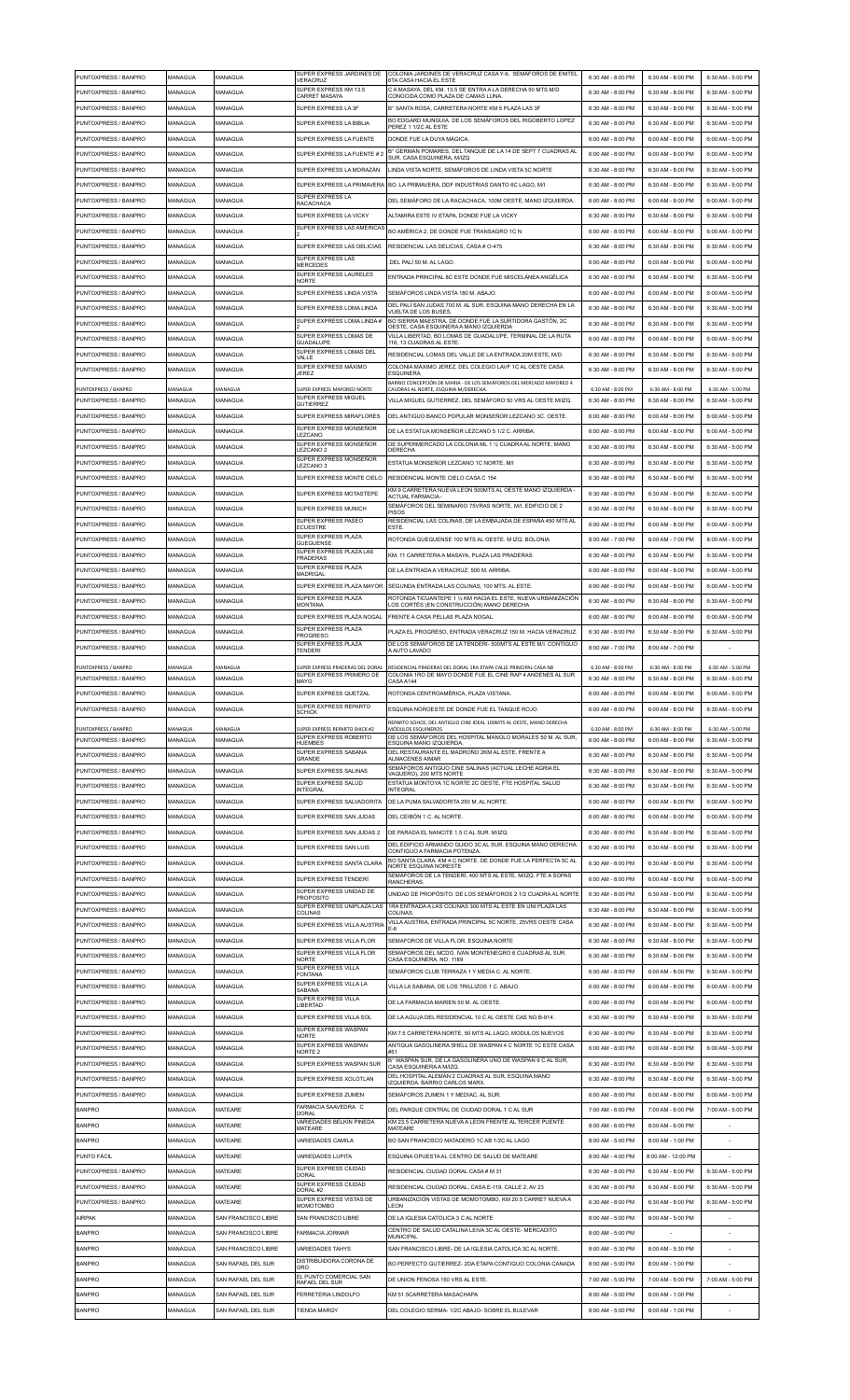| PUNTOXPRESS / BANPRO                         | MANAGUA            | MANAGUA             | SUPER EXPRESS JARDINES DE<br>VERACRUZ                                     | COLONIA JARDINES DE VERACRUZ CASA Y-9, SEMÁFOROS DE ENITEL<br>6TA CASA HACIA EL ESTE                                                   | 6:30 AM - 8:00 PM                      | 6:30 AM - 8:00 PM                      | 6:30 AM - 5:00 PM                      |
|----------------------------------------------|--------------------|---------------------|---------------------------------------------------------------------------|----------------------------------------------------------------------------------------------------------------------------------------|----------------------------------------|----------------------------------------|----------------------------------------|
| PUNTOXPRESS / BANPRO                         | MANAGUA            | MANAGUA             | SUPER EXPRESS KM 13.5<br>CARRET MASAYA                                    | C A MASAYA, DEL KM, 13.5 SE ENTRA A LA DERECHA 50 MTS.M/D<br>CONOCIDA COMO PLAZA DE CAMAS LUNA                                         | 6:30 AM - 8:00 PM                      | 6:30 AM - 8:00 PM                      | 6:30 AM - 5:00 PM                      |
| PUNTOXPRESS / BANPRO                         | MANAGUA            | MANAGUA             | SUPER EXPRESS LA 3F                                                       | B° SANTA ROSA CARRETERA NORTE KM 5 PLAZA LAS 3E                                                                                        | 6:30 AM - 8:00 PM                      | 6:30 AM - 8:00 PM                      | 6:30 AM - 5:00 PM                      |
| PUNTOXPRESS / BANPRO                         | MANAGUA            | MANAGUA             | SUPER EXPRESS LA BIBLIA                                                   | BO EDGARD MUNGUIA. DE LOS SEMÁFOROS DEL RIGOBERTO LOPEZ<br>PEREZ 1 1/2C AL ESTE                                                        | 6:30 AM - 8:00 PM                      | 6:30 AM - 8:00 PM                      | 6:30 AM - 5:00 PM                      |
| PUNTOXPRESS / BANPRO                         | MANAGUA            | <b>JANAGUA</b>      | SUPER EXPRESS LA FUENTE                                                   | DONDE FUE LA DUYA MÁGICA.<br>B° GERMAN POMARES, DEL TANQUE DE LA 14 DE SEPT 7 CUADRAS AL                                               | 6:00 AM - 8:00 PM                      | 6:00 AM - 8:00 PM                      | 6:00 AM - 5:00 PM                      |
| PUNTOXPRESS / BANPRO                         | MANAGUA            | MANAGUA             | SUPER EXPRESS LA FUENTE # 2                                               | SUR. CASA ESQUINERA. M/IZQ                                                                                                             | 6:00 AM - 8:00 PM                      | 6:00 AM - 8:00 PM                      | 6:00 AM - 5:00 PM                      |
| PUNTOXPRESS / BANPRO<br>PUNTOXPRESS / BANPRO | MANAGUA<br>MANAGUA | MANAGUA<br>MANAGUA  | SUPER EXPRESS LA MORAZÁN                                                  | LINDA VISTA NORTE, SEMÁFOROS DE LINDA VISTA 5C NORTE<br>SUPER EXPRESS LA PRIMAVERA BO. LA PRIMAVERA. DDF INDUSTRIAS DANTO 6C LAGO. M/I | 6:30 AM - 8:00 PM<br>6:30 AM - 8:00 PM | 6:30 AM - 8:00 PM<br>6:30 AM - 8:00 PM | 6:30 AM - 5:00 PM<br>6:30 AM - 5:00 PM |
| PUNTOXPRESS / BANPRO                         | MANAGUA            | MANAGUA             | SUPER EXPRESS LA                                                          | DEL SEMÁFORO DE LA RACACHACA, 100M OESTE, MANO IZQUIERDA                                                                               | 6:00 AM - 8:00 PM                      | 6:00 AM - 8:00 PM                      | 6:00 AM - 5:00 PM                      |
| PUNTOXPRESS / BANPRO                         | MANAGUA            | MANAGUA             | <b>RACACHACA</b><br>SUPER EXPRESS LA VICKY                                | ALTAMIRA ESTE IV ETAPA, DONDE FUE LA VICKY                                                                                             | 6:30 AM - 8:00 PM                      | 6:30 AM - 8:00 PM                      | 6:30 AM - 5:00 PM                      |
| PUNTOXPRESS / BANPRO                         | MANAGUA            | MANAGUA             | SUPER EXPRESS LAS AMÉRICAS                                                | BO AMÉRICA 2, DE DONDE FUE TRANSAGRO 1C N                                                                                              | 6:00 AM - 8:00 PM                      | 6:00 AM - 8:00 PM                      | 6:00 AM - 5:00 PM                      |
| PUNTOXPRESS / BANPRO                         | MANAGUA            | MANAGUA             | SUPER EXPRESS LAS DELICIAS                                                | RESIDENCIAL LAS DELICIAS, CASA # 0-475                                                                                                 | 6:30 AM - 8:00 PM                      | 6:30 AM - 8:00 PM                      | 6:30 AM - 5:00 PM                      |
| PUNTOXPRESS / BANPRO                         | MANAGUA            | MANAGUA             | SUPER EXPRESS LAS<br><b>MERCEDES</b>                                      | .DEL PALÍ 50 M. AL LAGO                                                                                                                | 6:00 AM - 8:00 PM                      | 6:00 AM - 8:00 PM                      | 6:00 AM - 5:00 PM                      |
| PUNTOXPRESS / BANPRO                         | MANAGUA            | MANAGUA             | SUPER EXPRESS LAURELES<br><b>NORTE</b>                                    | ENTRADA PRINCIPAL 8C ESTE DONDE FUE MISCELÁNEA ANGÉLICA                                                                                | 6:30 AM - 8:00 PM                      | 6:30 AM - 8:00 PM                      | 6:30 AM - 5:00 PM                      |
| PUNTOXPRESS / BANPRO                         | MANAGUA            | <b>MANAGUA</b>      | SUPER EXPRESS LINDA VISTA                                                 | SEMÁFOROS LINDA VISTA 180 M. ABAJO.                                                                                                    | 6:00 AM - 8:00 PM                      | 6:00 AM - 8:00 PM                      | 6:00 AM - 5:00 PM                      |
| PUNTOXPRESS / BANPRO                         | MANAGUA            | <b>MANAGUA</b>      | SUPER EXPRESS LOMA LINDA                                                  | DEL PALÍ SAN JUDAS 700 M. AL SUR, ESQUINA MANO DERECHA EN LA<br>VUELTA DE LOS BUSES.                                                   | 6:30 AM - 8:00 PM                      | 6:30 AM - 8:00 PM                      | 6:30 AM - 5:00 PM                      |
| PUNTOXPRESS / BANPRO                         | MANAGUA            | MANAGUA             | SUPER EXPRESS LOMA LINDA#                                                 | BO SIERRA MAESTRA, DE DONDE FUE LA SURTIDORA GASTÓN, 2C<br>OESTE. CASA ESQUINERA A MANO IZQUIERDA                                      | 6:30 AM - 8:00 PM                      | 6:30 AM - 8:00 PM                      | 6:30 AM - 5:00 PM                      |
| PUNTOXPRESS / BANPRO                         | MANAGUA            | MANAGUA             | SUPER EXPRESS LOMAS DE<br>GUADALUPE                                       | VILLA LIBERTAD, BO LOMAS DE GUADALUPE, TERMINAL DE LA RUTA<br>116, 13 CUADRAS AL ESTE.                                                 | 6:00 AM - 8:00 PM                      | 6:00 AM - 8:00 PM                      | 6:00 AM - 5:00 PM                      |
| PUNTOXPRESS / BANPRO                         | MANAGUA            | MANAGUA             | SUPER EXPRESS LOMAS DEL<br>VALLE                                          | RESIDENCIAL LOMAS DEL VALLE DE LA ENTRADA 20M ESTE, M/D                                                                                | 6:30 AM - 8:00 PM                      | 6:30 AM - 8:00 PM                      | 6:30 AM - 5:00 PM                      |
| PUNTOXPRESS / BANPRO                         | MANAGUA            | MANAGUA             | SUPER EXPRESS MÁXIMO<br><b>JEREZ</b>                                      | COLONIA MÁXIMO JEREZ, DEL COLEGIO LAVF 1C AL OESTE CASA<br><b>ESQUINERA</b>                                                            | 6:30 AM - 8:00 PM                      | 6:30 AM - 8:00 PM                      | 6:30 AM - 5:00 PM                      |
| PUNTOXPRESS / BANPRO                         | MANAGUA            | MANAGUA             | SUPER EXPRESS MAYOREO NORTE<br>SUPER EXPRESS MIGUEL                       | BARRIO CONCEPCIÓN DE MARIA - DE LOS SEMÁFOROS DEL MERCADO MAYOREO 4<br>CAUDRAS AL NORTE, ESQUINA M/DERECHA                             | 6:30 AM - 8:00 PM                      | 6:30 AM - 8:00 PM                      | 6:30 AM - 5:00 PM                      |
| PUNTOXPRESS / BANPRO                         | MANAGUA            | MANAGUA             | <b>GUTIERREZ</b>                                                          | VILLA MIGUEL GUTIERREZ, DEL SEMÁFORO 50 VRS AL OESTE M/IZQ.                                                                            | 6:30 AM - 8:00 PM                      | 6:30 AM - 8:00 PM                      | 6:30 AM - 5:00 PM                      |
| PUNTOXPRESS / BANPRO<br>PUNTOXPRESS / BANPRO | MANAGUA<br>MANAGUA | MANAGUA<br>MANAGUA  | SUPER EXPRESS MIRAFLORES<br>SUPER EXPRESS MONSEÑOR                        | DEL ANTIGUO BANCO POPULAR MONSEÑOR LEZCANO 3C. OESTE.<br>DE LA ESTATUA MONSEÑOR LEZCANO 5 1/2 C. ARRIBA                                | 6:00 AM - 8:00 PM<br>6:00 AM - 8:00 PM | 6:00 AM - 8:00 PM<br>6:00 AM - 8:00 PM | 6:00 AM - 5:00 PM<br>6:00 AM - 5:00 PM |
| PUNTOXPRESS / BANPRO                         | MANAGUA            | MANAGUA             | LEZCANO<br>SUPER EXPRESS MONSENOR                                         | DE SUPERMERCADO LA COLONIA ML 1 1/2 CUADRA AL NORTE. MANO                                                                              | 6:30 AM - 8:00 PM                      | 6:30 AM - 8:00 PM                      | 6:30 AM - 5:00 PM                      |
| PUNTOXPRESS / BANPRO                         | MANAGUA            | MANAGUA             | LEZCANO 2<br>SUPER EXPRESS MONSEÑOR                                       | DERECHA<br>ESTATUA MONSEÑOR LEZCANO 1C NORTE, M/I                                                                                      | 6:30 AM - 8:00 PM                      | 6:30 AM - 8:00 PM                      | 6:30 AM - 5:00 PM                      |
| PUNTOXPRESS / BANPRO                         | MANAGUA            | MANAGUA             | <b>FZCANO3</b><br>SUPER EXPRESS MONTE CIELO                               | RESIDENCIAL MONTE CIELO CASA C 154                                                                                                     | 6:30 AM - 8:00 PM                      | 6:30 AM - 8:00 PM                      | 6:30 AM - 5:00 PM                      |
| PUNTOXPRESS / BANPRO                         | MANAGUA            | MANAGUA             | SUPER EXPRESS MOTASTEPE                                                   | KM 9 CARRETERA NUEVA LEON 500MTS AL OESTE MANO IZQUIERDA<br><b>ACTUAL FARMACIA -</b>                                                   | 6:30 AM - 8:00 PM                      | 6:30 AM - 8:00 PM                      | 6:30 AM - 5:00 PM                      |
| PUNTOXPRESS / BANPRO                         | MANAGUA            | MANAGUA             | SUPER EXPRESS MUNICH                                                      | SEMÁFOROS DEL SEMINARIO 75VRAS NORTE, M/I, EDIFICIO DE 2<br>PISOS                                                                      | 6:30 AM - 8:00 PM                      | 6:30 AM - 8:00 PM                      | 6:30 AM - 5:00 PM                      |
| PUNTOXPRESS / BANPRO                         | MANAGUA            | <b>MANAGUA</b>      | SUPER EXPRESS PASEO<br><b>ECUESTRE</b>                                    | RESIDENCIAL LAS COLINAS, DE LA EMBAJADA DE ESPAÑA 450 MTS AL<br><b>ESTE</b>                                                            | 6:00 AM - 8:00 PM                      | 6:00 AM - 8:00 PM                      | 6:00 AM - 5:00 PM                      |
| PUNTOXPRESS / BANPRO                         | MANAGUA            | MANAGUA             | SUPER EXPRESS PLAZA<br>GUEGUENSE                                          | ROTONDA GUEGUENSE 100 MTS AL OESTE. M IZQ. BOLONIA                                                                                     | 8:00 AM - 7:00 PM                      | 8:00 AM - 7:00 PM                      | 8:00 AM - 5:00 PM                      |
| PUNTOXPRESS / BANPRO                         | MANAGUA            | MANAGUA             | SUPER EXPRESS PLAZA LAS<br><b>PRADERAS</b>                                | KM. 11 CARRETERA A MASAYA, PLAZA LAS PRADERAS                                                                                          | 6:30 AM - 8:00 PM                      | 6:30 AM - 8:00 PM                      | 6:30 AM - 5:00 PM                      |
| PUNTOXPRESS / BANPRO                         | MANAGUA            | MANAGUA             | SUPER EXPRESS PLAZA<br>MADRIGAL                                           | DE LA ENTRADA A VERACRUZ. 500 M. ARRIBA                                                                                                | 6:00 AM - 8:00 PM                      | 6:00 AM - 8:00 PM                      | 6:00 AM - 5:00 PM                      |
| PUNTOXPRESS / BANPRO                         | MANAGUA            | MANAGUA             | SUPER EXPRESS PLAZA MAYOR                                                 | SEGUNDA ENTRADA LAS COLINAS, 100 MTS. AL ESTE.                                                                                         | 6:00 AM - 8:00 PM                      | 6:00 AM - 8:00 PM                      | 6:00 AM - 5:00 PM                      |
| PUNTOXPRESS / BANPRO                         | MANAGUA            | <b>MANAGUA</b>      | SUPER EXPRESS PLAZA<br><b>MONTANA</b>                                     | ROTONDA TICUANTEPE 1 1/2 KM HACIA EL ESTE, NUEVA URBANIZACIÓN<br>LOS CORTÉS (EN CONSTRUCCIÓN) MANO DERECHA                             | 6:30 AM - 8:00 PM                      | 6:30 AM - 8:00 PM                      | 6:30 AM - 5:00 PM                      |
| PUNTOXPRESS / BANPRO                         | MANAGUA            | MANAGUA             | SUPER EXPRESS PLAZA NOGAL                                                 | FRENTE A CASA PELLAS PLAZA NOGAL                                                                                                       | 6:00 AM - 8:00 PM                      | 6:00 AM - 8:00 PM                      | 6:00 AM - 5:00 PM                      |
| PUNTOXPRESS / BANPRO                         | MANAGUA            | MANAGUA             | SUPER EXPRESS PLAZA<br><b>PROGRESO</b><br>SUPER EXPRESS PLAZA             | PLAZA EL PROGRESO, ENTRADA VERACRUZ 150 M. HACIA VERACRUZ                                                                              | 6:30 AM - 8:00 PM                      | 6:30 AM - 8:00 PM                      | 6:30 AM - 5:00 PM                      |
| PUNTOXPRESS / BANPRO                         | MANAGUA            | MANAGUA             | <b>TENDERI</b>                                                            | DE LOS SEMÁFOROS DE LA TENDERI-500MTS AL ESTE M/I. CONTIGUO<br>A AUTO LAVADO                                                           | 8:00 AM - 7:00 PM                      | 8:00 AM - 7:00 PM                      |                                        |
| PUNTOXPRESS / BANPRO                         | MANAGUA            | AANAGUA             | SUPER EXPRESS PRADERAS DEL DORAL<br>SUPER EXPRESS PRIMERO DE              | RESIDENCIAL PRADERAS DEL DORAL 1RA ETAPA CALLE PRINCIPAL CASA N8<br>COLONIA 1RO DE MAYO DONDE FUE EL CINE RAP 4 ANDENES AL SUR         | 6:30 AM - 8:00 PM                      | 6:30 AM - 8:00 PM                      | 6:30 AM - 5:00 PM                      |
| PUNTOXPRESS / BANPRO                         | MANAGUA            | MANAGUA             | MAYO                                                                      | CASA A144                                                                                                                              | 6:30 AM - 8:00 PM<br>6:00 AM - 8:00 PM | 6:30 AM - 8:00 PM<br>6:00 AM - 8:00 PM | 6:30 AM - 5:00 PM                      |
| PUNTOXPRESS / BANPRO<br>PUNTOXPRESS / BANPRO | MANAGUA<br>MANAGUA | MANAGUA<br>MANAGUA  | SUPER EXPRESS QUETZAL<br>SUPER EXPRESS REPARTO                            | ROTONDA CENTROAMERICA, PLAZA VISTANA<br>ESQUINA NOROESTE DE DONDE FUE EL TANQUE ROJO                                                   | 6:00 AM - 8:00 PM                      | 6:00 AM - 8:00 PM                      | 6:00 AM - 5:00 PM<br>6:30 AM - 5:00 PM |
|                                              |                    |                     | <b>SCHICK</b>                                                             | REPARTO SCHICK, DEL ANTIGUO CINE IDEAL 100MTS AL OESTE, MANO DERECHA                                                                   |                                        |                                        |                                        |
| PUNTOXPRESS / BANPRO<br>PUNTOXPRESS / BANPRO | MANAGUA<br>MANAGUA | MANAGUA<br>MANAGUA  | SUPER EXPRESS REPARTO SHICK #2<br>SUPER EXPRESS ROBERTO<br>HUEMBES        | MÓDULOS ESQUINEROS<br>DE LOS SEMÁFOROS DEL HOSPITAL MANOLO MORALES 50 M. AL SUR.<br>ESQUINA MANO IZQUIERDA                             | 6:30 AM - 8:00 PM<br>6:00 AM - 8:00 PM | 6:30 AM - 8:00 PM<br>6:00 AM - 8:00 PM | 6:30 AM - 5:00 PM<br>6:30 AM - 5:00 PM |
| PUNTOXPRESS / BANPRO                         | MANAGUA            | <b>MANAGUA</b>      | SUPER EXPRESS SABANA<br>GRANDE                                            | DEL RESTAURANTE EL MADROÑO 2KM AL ESTE, FRENTE A<br>ALMACENES AIMAR                                                                    | 6:30 AM - 8:00 PM                      | 6:30 AM - 8:00 PM                      | 6:30 AM - 5:00 PM                      |
| PUNTOXPRESS / BANPRO                         | MANAGUA            | MANAGUA             | SUPER EXPRESS SALINAS                                                     | SEMÁFOROS ANTIGUO CINE SALINAS (ACTUAL LECHE AGRIA EL<br>VAQUERO), 200 MTS NORTE                                                       | 6:30 AM - 8:00 PM                      | 6:30 AM - 8:00 PM                      | 6:30 AM - 5:00 PM                      |
| PUNTOXPRESS / BANPRO                         | MANAGUA            | MANAGUA             | SUPER EXPRESS SALUD<br><b>INTEGRAL</b>                                    | ESTATUA MONTOYA 1C NORTE 2C OESTE. FTE HOSPITAL SALUD<br><b>INTEGRAL</b>                                                               | 6:30 AM - 8:00 PM                      | 6:30 AM - 8:00 PM                      | 6:30 AM - 5:00 PM                      |
| PUNTOXPRESS / BANPRO                         | MANAGUA            | MANAGUA             | SUPER EXPRESS SALVADORITA                                                 | DE LA PUMA SALVADORITA 250 M. AL NORTE.                                                                                                | 6:00 AM - 8:00 PM                      | 6:00 AM - 8:00 PM                      | 6:00 AM - 5:00 PM                      |
| PUNTOXPRESS / BANPRO                         | MANAGUA            | MANAGUA             | SUPER EXPRESS SAN JUDAS                                                   | DEL CEIBÓN 1 C AL NORTE                                                                                                                | 6:00 AM - 8:00 PM                      | 6:00 AM - 8:00 PM                      | 6:00 AM - 5:00 PM                      |
| PUNTOXPRESS / BANPRO                         | MANAGUA            | MANAGUA             | SUPER EXPRESS SAN JUDAS 2                                                 | DE PARADA EL NANCITE 1.5 C AL SUR. M/IZQ                                                                                               | 6:30 AM - 8:00 PM                      | 6:30 AM - 8:00 PM                      | 6:30 AM - 5:00 PM                      |
| PUNTOXPRESS / BANPRO                         | MANAGUA            | MANAGUA             | SUPER EXPRESS SAN LUIS                                                    | DEL EDIFICIO ARMANDO GUIDO 3C AL SUR. ESQUINA MANO DERECHA<br>CONTIGUO A FARMACIA POTENZA.                                             | 6:30 AM - 8:00 PM                      | 6:30 AM - 8:00 PM                      | 6:30 AM - 5:00 PM                      |
| PUNTOXPRESS / BANPRO                         | MANAGUA            | MANAGUA             | SUPER EXPRESS SANTA CLARA                                                 | BO SANTA CLARA. KM 4 C NORTE. DE DONDE FUE LA PERFECTA 5C AL<br>NORTE ESQUINA NORESTE                                                  | 6:30 AM - 8:00 PM                      | 6:30 AM - 8:00 PM                      | 6:30 AM - 5:00 PM                      |
| PUNTOXPRESS / BANPRO                         | MANAGUA            | MANAGUA             | <b>SUPER EXPRESS TENDER</b>                                               | SEMÁFOROS DE LA TENDERÍ, 400 MTS AL ESTE, M/IZQ. FTE A SOPAS<br>RANCHERAS.                                                             | 6:00 AM - 8:00 PM                      | 6:00 AM - 8:00 PM                      | 6:00 AM - 5:00 PM                      |
| PUNTOXPRESS / BANPRO                         | MANAGUA            | MANAGUA             | SUPER EXPRESS UNIDAD DE<br><b>PROPOSITO</b><br>SUPER EXPRESS UNIPLAZA LAS | UNIDAD DE PROPÓSITO. DE LOS SEMÁFOROS 2 1/2 CUADRA AL NORTE<br>1RA ENTRADA A LAS COLINAS 300 MTS AL ESTE EN UNI PLAZA LAS              | 6:30 AM - 8:00 PM                      | 6:30 AM - 8:00 PM                      | 6:30 AM - 5:00 PM                      |
| PUNTOXPRESS / BANPRO                         | MANAGUA            | <b>MANAGUA</b>      | <b>COLINAS</b>                                                            | COLINAS<br>VILLA AUSTRIA, ENTRADA PRINCIPAL 5C NORTE, 25VRS OESTE CASA                                                                 | 6:30 AM - 8:00 PM                      | 6:30 AM - 8:00 PM                      | 6:30 AM - 5:00 PM                      |
| PUNTOXPRESS / BANPRO                         | MANAGUA            | MANAGUA             | SUPER EXPRESS VILLA AUSTRIA                                               | $E-6$                                                                                                                                  | 6:30 AM - 8:00 PM                      | 6:30 AM - 8:00 PM                      | 6:30 AM - 5:00 PM                      |
| PUNTOXPRESS / BANPRO<br>PUNTOXPRESS / BANPRO | MANAGUA<br>MANAGUA | MANAGUA<br>MANAGUA  | SUPER EXPRESS VILLA FLOR<br>SUPER EXPRESS VILLA FLOR                      | SEMAFOROS DE VILLA FLOR, ESQUINA NORTE<br>SEMAFOROS DEL MCDO. IVAN MONTENEGRO 6 CUADRAS AL SUR.                                        | 6:30 AM - 8:00 PM<br>6:30 AM - 8:00 PM | 6:30 AM - 8:00 PM<br>6:30 AM - 8:00 PM | 6:30 AM - 5:00 PM<br>6:30 AM - 5:00 PM |
| PUNTOXPRESS / BANPRO                         | MANAGUA            | MANAGUA             | <b>NORTE</b><br>SUPER EXPRESS VILLA                                       | CASA ESQUINERA. NO. 1189<br>SEMÁFOROS CLUB TERRAZA 1 Y MEDIA C. AL NORTE.                                                              | 6:00 AM - 8:00 PM                      | 6:00 AM - 8:00 PM                      | 6:30 AM - 5:00 PM                      |
| PUNTOXPRESS / BANPRO                         | MANAGUA            | MANAGUA             | <b>FONTANA</b><br>SUPER EXPRESS VILLA LA                                  | VILLA LA SABANA, DE LOS TRILLIZOS 1 C. ABAJO                                                                                           | 6:00 AM - 8:00 PM                      | 6:00 AM - 8:00 PM                      | 6:00 AM - 5:00 PM                      |
| PUNTOXPRESS / BANPRO                         | MANAGUA            | <b>MANAGUA</b>      | SABANA<br>SUPER EXPRESS VILLA<br><b>LIBERTAD</b>                          | DE LA FARMACIA MARIEN 50 M. AL OESTE                                                                                                   | 6:00 AM - 8:00 PM                      | 6:00 AM - 8:00 PM                      | 6:00 AM - 5:00 PM                      |
| PUNTOXPRESS / BANPRO                         | MANAGUA            | MANAGUA             | SUPER EXPRESS VILLA SOL                                                   | DE LA AGUJA DEL RESIDENCIAL 10 C AL OESTE CAS NO.B-914                                                                                 | 6:30 AM - 8:00 PM                      | 6:30 AM - 8:00 PM                      | 6:30 AM - 5:00 PM                      |
| PUNTOXPRESS / BANPRO                         | MANAGUA            | MANAGUA             | SUPER EXPRESS WASPAN<br><b>NORTE</b>                                      | KM 7.5 CARRETERA NORTE, 50 MTS AL LAGO, MODULOS NUEVOS                                                                                 | 6:30 AM - 8:00 PM                      | 6:30 AM - 8:00 PM                      | 6:30 AM - 5:00 PM                      |
| PUNTOXPRESS / BANPRO                         | MANAGUA            | MANAGUA             | SUPER EXPRESS WASPAN<br>NORTE <sub>2</sub>                                | ANTIGUA GASOLINERA SHELL DE WASPAN 4 C NORTE 1C ESTE CASA<br>#51                                                                       | 6:00 AM - 8:00 PM                      | 6:00 AM - 8:00 PM                      | 6:00 AM - 5:00 PM                      |
| PUNTOXPRESS / BANPRO                         | MANAGUA            | <b>MANAGUA</b>      | SUPER EXPRESS WASPAN SUR                                                  | B° WASPAN SUR, DE LA GASOLINERA UNO DE WASPAN 9 C AL SUR,<br>CASA ESQUINERA A M/IZQ                                                    | 6:30 AM - 8:00 PM                      | 6:30 AM - 8:00 PM                      | 6:30 AM - 5:00 PM                      |
| PUNTOXPRESS / BANPRO                         | MANAGUA            | MANAGUA             | SUPER EXPRESS XOLOTLAN                                                    | DEL HOSPITAL ALEMÁN 2 CUADRAS AL SUR, ESQUINA MANO<br>IZQUIERDA. BARRIO CARLOS MARX.                                                   | 6:30 AM - 8:00 PM                      | 6:30 AM - 8:00 PM                      | 6:30 AM - 5:00 PM                      |
| PUNTOXPRESS / BANPRO                         | MANAGUA            | MANAGUA             | SUPER EXPRESS ZUMEN                                                       | SEMÁFOROS ZUMEN 1 Y MEDIAC. AL SUR.                                                                                                    | 6:00 AM - 8:00 PM                      | 6:00 AM - 8:00 PM                      | 6:00 AM - 5:00 PM                      |
| <b>BANPRO</b>                                | MANAGUA            | MATEARE             | FARMACIA SAAVEDRA C<br><b>DORAL</b>                                       | DEL PARQUE CENTRAL DE CIUDAD DORAL 1 C AL SUR                                                                                          | 7:00 AM - 6:00 PM                      | 7:00 AM - 6:00 PM                      | 7:00 AM - 5:00 PM                      |
| <b>BANPRO</b>                                | MANAGUA            | MATEARE             | VARIEDADES BELKIN PINEDA<br><b>MATEARE</b>                                | KM 23.5 CARRETERA NUEVA A LEON FRENTE AL TERCER PUENTE<br>MATEARE                                                                      | 8:00 AM - 6:00 PM                      | 8:00 AM - 6:00 PM                      |                                        |
| <b>BANPRO</b>                                | MANAGUA            | <b>MATEARE</b>      | VARIEDADES CAMILA                                                         | BO SAN FRANCISCO MATADERO 1C AB 1/2C AL LAGO                                                                                           | 8:00 AM - 5:00 PM                      | 8:00 AM - 1:00 PM                      |                                        |
| PUNTO FÁCIL                                  | MANAGUA            | MATEARE             | <b>VARIEDADES LUPITA</b><br>SUPER EXPRESS CIUDAD                          | ESQUINA OPUESTA AL CENTRO DE SALUD DE MATEARE                                                                                          | 8:00 AM - 4:00 PM                      | 8:00 AM - 12:00 PM                     |                                        |
| PUNTOXPRESS / BANPRO<br>PUNTOXPRESS / BANPRO | MANAGUA<br>MANAGUA | MATEARE<br>MATEARE  | <b>DORAL</b><br>SUPER EXPRESS CIUDAD                                      | RESIDENCIAL CIUDAD DORAL CASA # M 31<br>RESIDENCIAL CIUDAD DORAL, CASA E-119, CALLE 2, AV 23                                           | 6:30 AM - 8:00 PM<br>6:30 AM - 8:00 PM | 6:30 AM - 8:00 PM<br>6:30 AM - 8:00 PM | 6:30 AM - 5:00 PM<br>6:30 AM - 5:00 PM |
| PUNTOXPRESS / BANPRO                         | MANAGUA            | MATEARE             | DORAL#2<br>SUPER EXPRESS VISTAS DE                                        | URBANIZACIÓN VISTAS DE MOMOTOMBO, KM 20.5 CARRET NUEVA A                                                                               | 6:30 AM - 8:00 PM                      | 6:30 AM - 8:00 PM                      | 6:30 AM - 5:00 PM                      |
| AIRPAK                                       | MANAGUA            | SAN FRANCISCO LIBRE | MOMOTOMBO<br>SAN FRANCISCO LIBRE                                          | LEON<br>DE LA IGLESIA CATOLICA 3 C AL NORTE                                                                                            | 8:00 AM - 5:00 PM                      | 8:00 AM - 5:00 PM                      |                                        |
| <b>BANPRO</b>                                | MANAGUA            | SAN FRANCISCO LIBRE | <b>FARMACIA JORMAR</b>                                                    | CENTRO DE SALUD CATALINA LEIVA 3C AL OESTE- MERCADITO<br>MUNICIPAL                                                                     | 8:00 AM - 5:00 PM                      |                                        |                                        |
| <b>BANPRO</b>                                | MANAGUA            | SAN FRANCISCO LIBRE | VARIEDADES TAHYS                                                          | SAN FRANCISCO LIBRE- DE LA IGLESIA CATOLICA 3C AL NORTE.                                                                               | 8:00 AM - 5:30 PM                      | 8:00 AM - 5:30 PM                      |                                        |
| <b>BANPRO</b>                                | MANAGUA            | SAN RAFAFI DEL SUR  | DISTRIBUIDORA CORONA DE<br>ORO                                            | BO PEREECTO GUTIERREZ- 2DA ETAPA CONTIGUO COLONIA CANADA                                                                               | 8:00 AM - 5:00 PM                      | 8:00 AM - 1:00 PM                      |                                        |
| <b>BANPRO</b>                                | MANAGUA            | SAN RAFAEL DEL SUR  | EL PUNTO COMERCIAL SAN<br><b>RAFAEL DEL SUR</b>                           | DE UNION FENOSA 150 VRS AL ESTE.                                                                                                       | 7:00 AM - 5:00 PM                      | 7:00 AM - 5:00 PM                      | 7:00 AM - 5:00 PM                      |
| <b>BANPRO</b>                                | MANAGUA            | SAN RAFAEL DEL SUR  | <b>FERRETERIA LINDOLFO</b>                                                | KM 51.5CARRETERA MASACHAPA                                                                                                             | 8:00 AM - 5:00 PM                      | 8:00 AM - 1:00 PM                      |                                        |
| <b>BANPRO</b>                                | MANAGUA            | SAN RAFAEL DEL SUR  | <b>TIENDA MARGY</b>                                                       | DEL COLEGIO SERMA- 1/2C ABAJO- SOBRE EL BULEVAR                                                                                        | 8:00 AM - 5:00 PM                      | 8:00 AM - 1:00 PM                      |                                        |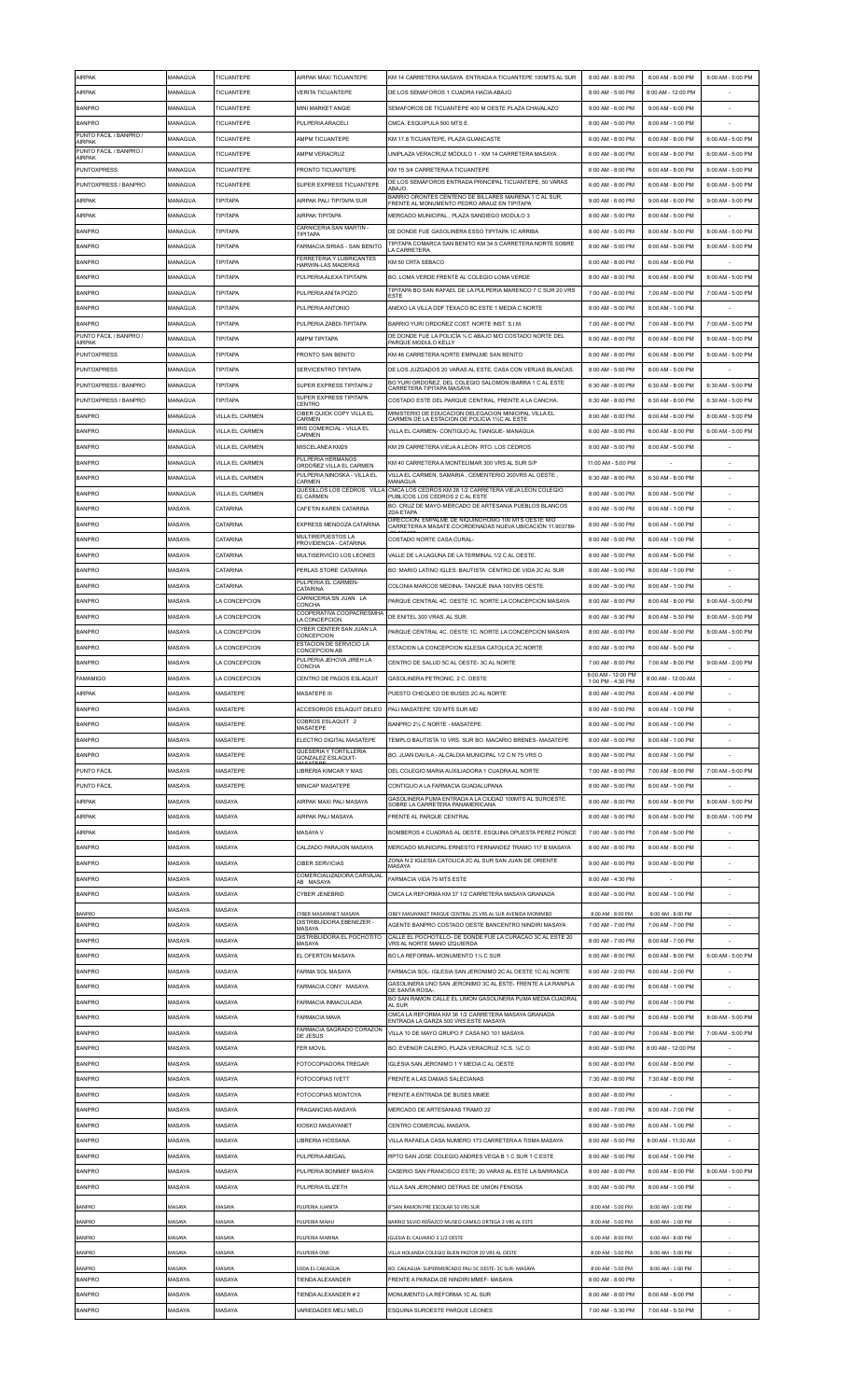| AIRPAK                                  | MANAGUA | TICUANTEPE             | AIRPAK MAXI TICUANTEPE                                          | KM 14 CARRETERA MASAYA. ENTRADA A TICUANTEPE 100MTS AL SUR                                                   | 8:00 AM - 8:00 PM                       | 8:00 AM - 8:00 PM  | 8:00 AM - 5:00 PM |
|-----------------------------------------|---------|------------------------|-----------------------------------------------------------------|--------------------------------------------------------------------------------------------------------------|-----------------------------------------|--------------------|-------------------|
| AIRPAK                                  | MANAGUA | TICUANTEPE             | <b>VERITA TICUANTEPE</b>                                        | DE LOS SEMAFOROS 1 CUADRA HACIA ABAJO                                                                        | 8:00 AM - 5:00 PM                       | 8:00 AM - 12:00 PM |                   |
| <b>BANPRO</b>                           | MANAGUA | TICUANTEPE             | MINI MARKET ANGIE                                               | SEMAFOROS DE TICUANTEPE 400 M OESTE PLAZA CHAVALAZO                                                          | 9:00 AM - 6:00 PM                       | 9:00 AM - 6:00 PM  |                   |
| <b>BANPRO</b>                           | MANAGUA | TICUANTEPE             | PULPERIA ARACELI                                                | CMCA. ESQUIPULA 500 MTS E.                                                                                   | 8:00 AM - 5:00 PM                       | 8:00 AM - 1:00 PM  |                   |
| PUNTO FÁCIL / BANPRO /<br>AIRPAK        | MANAGUA | TICUANTEPE             | AMPM TICUANTEPE                                                 | KM 17 8 TICUANTEPE PLAZA GUANCASTE                                                                           | 6:00 AM - 8:00 PM                       | 6:00 AM - 8:00 PM  | 6:00 AM - 5:00 PM |
| PUNTO FÁCIL / BANPRO /<br><b>AIRPAK</b> | MANAGUA | TICUANTEPE             | AMPM VERACRUZ                                                   | UNIPLAZA VERACRUZ MÓDULO 1 - KM 14 CARRETERA MASAYA                                                          | 6:00 AM - 8:00 PM                       | 6:00 AM - 8:00 PM  | 6:00 AM - 5:00 PM |
| <b>PUNTOXPRESS</b>                      | MANAGUA | <b>TICUANTEPE</b>      | PRONTO TICUANTEPE                                               | KM 15 3/4 CARRETERA A TICUANTEPE                                                                             | 6:00 AM - 8:00 PM                       | 6:00 AM - 8:00 PM  | 6:00 AM - 5:00 PM |
| PUNTOXPRESS / BANPRO                    | MANAGUA | TICUANTEPE             | SUPER EXPRESS TICUANTEPE                                        | DE LOS SEMÁFOROS ENTRADA PRINCIPAL TICUANTEPE, 50 VARAS                                                      | 6:00 AM - 8:00 PM                       | 6:00 AM - 8:00 PM  | 6:00 AM - 5:00 PM |
| <b>AIRPAK</b>                           | MANAGUA | <b>TIPITAPA</b>        | AIRPAK PALI TIPITAPA SUR                                        | ABAJO.<br>BARRIO ORONTES CENTENO DE BILLARES MAIRENA 1 C AL SUR,                                             | 9:00 AM - 6:00 PM                       | 9:00 AM - 6:00 PM  | 9:00 AM - 5:00 PM |
| <b>AIRPAK</b>                           |         | TIPITAPA               | AIRPAK TIPITAPA                                                 | FRENTE AL MONUMENTO PEDRO ARAUZ EN TIPITAPA<br>MERCADO MUNICIPAL, PLAZA SANDIEGO MODULO 3                    |                                         |                    |                   |
|                                         | MANAGUA |                        | CARNICERIA SAN MARTIN -                                         |                                                                                                              | 8:00 AM - 5:00 PM                       | 8:00 AM - 5:00 PM  |                   |
| <b>BANPRO</b>                           | MANAGUA | TIPITAPA               | <b>TIPITAPA</b>                                                 | DE DONDE FUE GASOLINERA ESSO TIPITAPA 1C ARRIBA<br>TIPITAPA COMARCA SAN BENITO KM 34.5 CARRETERA NORTE SOBRE | 8:00 AM - 5:00 PM                       | 8:00 AM - 5:00 PM  | 8:00 AM - 5:00 PM |
| <b>BANPRO</b>                           | MANAGUA | <b>TIPITAPA</b>        | <b>FARMACIA SIRIAS - SAN BENITO</b><br>FERRETERIA Y LUBRICANTES | <b>A CARRETERA</b>                                                                                           | 8:00 AM - 5:00 PM                       | 8:00 AM - 5:00 PM  | 8:00 AM - 5:00 PM |
| <b>BANPRO</b>                           | MANAGUA | TIPITAPA               | HARWIN-LAS MADERAS                                              | KM 50 CRTA SEBACO                                                                                            | 6:00 AM - 8:00 PM                       | 6:00 AM - 8:00 PM  |                   |
| <b>BANPRO</b>                           | MANAGUA | TIPITAPA               | PULPERIA ALEXA TIPITAPA                                         | BO. LOMA VERDE FRENTE AL COLEGIO LOMA VERDE                                                                  | 8:00 AM - 8:00 PM                       | 8:00 AM - 8:00 PM  | 8:00 AM - 5:00 PM |
| <b>BANPRO</b>                           | MANAGUA | TIPITAPA               | PULPERIA ANITA POZO                                             | TIPITAPA BO SAN RAFAEL DE LA PULPERIA MARENCO 7 C SUR 20 VRS<br><b>ESTE</b>                                  | 7:00 AM - 6:00 PM                       | 7:00 AM - 6:00 PM  | 7:00 AM - 5:00 PM |
| <b>BANPRO</b>                           | MANAGUA | TIPITAPA               | PULPERIA ANTONIO                                                | ANEXO LA VILLA DDF TEXACO 8C ESTE 1 MEDIA C NORTE                                                            | 8:00 AM - 5:00 PM                       | 8:00 AM - 1:00 PM  |                   |
| <b>BANPRO</b>                           | MANAGUA | <b>TIPITAPA</b>        | PULPERIA ZABDI-TIPITAPA                                         | BARRIO YURI ORDOÑEZ COST. NORTE INST. S.I.M.                                                                 | 7:00 AM - 8:00 PM                       | 7:00 AM - 8:00 PM  | 7:00 AM - 5:00 PM |
| PUNTO FÁCIL / BANPRO /<br><b>AIRPAK</b> | MANAGUA | TIPITAPA               | AMPM TIPITAPA                                                   | DE DONDE FUE LA POLICÍA 1/2 C ABAJO M/D COSTADO NORTE DEL<br>PARQUE MODULO KELLY                             | 6:00 AM - 8:00 PM                       | 6:00 AM - 8:00 PM  | 8:00 AM - 5:00 PM |
| <b>PUNTOXPRESS</b>                      | MANAGUA | <b>TIPITAPA</b>        | PRONTO SAN BENITO                                               | KM 46 CARRETERA NORTE EMPALME SAN BENITO                                                                     | 6:00 AM - 8:00 PM                       | 6:00 AM - 8:00 PM  | 8:00 AM - 5:00 PM |
| <b>PUNTOXPRESS</b>                      | MANAGUA | <b>TIPITAPA</b>        | SERVICENTRO TIPITAPA                                            | DE LOS JUZGADOS 20 VARAS AL ESTE, CASA CON VERJAS BLANCAS.                                                   | 8:00 AM - 5:00 PM                       | 8:00 AM - 5:00 PM  |                   |
| PUNTOXPRESS / BANPRO                    | MANAGUA | TIPITAPA               | SUPER EXPRESS TIPITAPA 2                                        | BO YURI ORDOÑEZ. DEL COLEGIO SALOMON IBARRA 1 C AL ESTE<br>CARRETERA TIPITAPA MASAYA                         | 6:30 AM - 8:00 PM                       | 6:30 AM - 8:00 PM  | 6:30 AM - 5:00 PM |
| PUNTOXPRESS / BANPRO                    | MANAGUA | TIPITAPA               | SUPER EXPRESS TIPITAPA<br>CENTRO                                | COSTADO ESTE DEL PARQUE CENTRAL. FRENTE A LA CANCHA                                                          | 6:30 AM - 8:00 PM                       | 6:30 AM - 8:00 PM  | 6:30 AM - 5:00 PM |
| <b>BANPRO</b>                           | MANAGUA | VILLA EL CARMEN        | CIBER QUICK COPY VILLA EL<br>CARMEN                             | MINISTERIO DE EDUCACION DELEGACION MINICIPAL VILLA EL<br>CARMEN DE LA ESTACION DE POLICIA 1%C AL ESTE        | 8:00 AM - 6:00 PM                       | 8:00 AM - 6:00 PM  | 8:00 AM - 5:00 PM |
| <b>BANPRO</b>                           | MANAGUA | VILLA EL CARMEN        | <b>IRIS COMERCIAL - VILLA EL</b>                                | VILLA EL CARMEN- CONTIGUO AL TIANGUE- MANAGUA                                                                | 6:00 AM - 8:00 PM                       | 6:00 AM - 8:00 PM  | 6:00 AM - 5:00 PM |
| <b>BANPRO</b>                           | MANAGUA | <b>VILLA EL CARMEN</b> | CARMEN<br>MISCELANEA KM29                                       | KM 29 CARRETERA VIEJA A LEON- RTO. LOS CEDROS                                                                | 8:00 AM - 5:00 PM                       | 8:00 AM - 5:00 PM  |                   |
| <b>BANPRO</b>                           | MANAGUA | VILLA EL CARMEN        | PULPERIA HERMANOS                                               | KM 40 CARRETERA A MONTELIMAR 300 VRS AL SUR S/P                                                              | 11:00 AM - 5:00 PM                      |                    |                   |
| <b>BANPRO</b>                           | MANAGUA | VILLA EL CARMEN        | ORDOÑEZ VILLA EL CARMEN<br>PULPERIA NINOSKA - VILLA EL          | VILLA EL CARMEN, SAMARIA, CEMENTERIO 200VRS AL OESTE,                                                        | 6:30 AM - 8:00 PM                       | 6:30 AM - 8:00 PM  |                   |
| <b>BANPRO</b>                           | MANAGUA | VILLA EL CARMEN        | CARMEN<br>QUESILLOS LOS CEDROS VILLA                            | MANAGUA<br>CMCA LOS CEDROS KM 28 1/2 CARRETERA VIEJA LEON COLEGIO                                            | 8:00 AM - 5:00 PM                       | 8:00 AM - 5:00 PM  |                   |
| <b>BANPRO</b>                           | MASAYA  | CATARINA               | <b>EL CARMEN</b><br>CAFETIN KAREN CATARINA                      | PUBLICOS LOS CEDROS 2 C AL ESTE<br>BO, CRUZ DE MAYO-MERCADO DE ARTESANIA PUEBLOS BLANCOS                     | 8:00 AM - 5:00 PM                       | 8:00 AM - 1:00 PM  |                   |
|                                         | MASAYA  | CATARINA               |                                                                 | <b>2DA ETAPA</b><br>DIRECCIÓN: EMPALME DE NIQUINOHOMO 100 MTS OESTE M/D                                      |                                         |                    |                   |
| <b>BANPRO</b>                           |         |                        | EXPRESS MENDOZA CATARINA<br>MULTIREPUESTOS LA                   | CARRETERA A MASATE.COORDENADAS NUEVA UBICACIÓN 11.903789                                                     | 8:00 AM - 5:00 PM                       | 8:00 AM - 1:00 PM  |                   |
| <b>BANPRO</b>                           | MASAYA  | CATARINA               | PROVIDENCIA - CATARINA                                          | COSTADO NORTE CASA CURAL-                                                                                    | 8:00 AM - 5:00 PM                       | 8:00 AM - 1:00 PM  |                   |
| <b>BANPRO</b>                           | MASAYA  | CATARINA               | MULTISERVICIO LOS LEONES                                        | VALLE DE LA LAGUNA DE LA TERMINAL 1/2 C AL OESTE                                                             | 8:00 AM - 5:00 PM                       | 8:00 AM - 5:00 PM  |                   |
| <b>BANPRO</b>                           | MASAYA  | CATARINA               | PERLAS STORE CATARINA<br>PULPERIA EL CARMEN-                    | BO. MARIO LATINO IGLES. BAUTISTA CENTRO DE VIDA 2C AL SUR                                                    | 8:00 AM - 5:00 PM                       | 8:00 AM - 1:00 PM  |                   |
| <b>BANPRO</b>                           | MASAYA  | CATARINA               | CATARINA                                                        | COLONIA MARCOS MEDINA- TANQUE INAA 100VRS OESTE                                                              | 8:00 AM - 5:00 PM                       | 8:00 AM - 1:00 PM  |                   |
| <b>BANPRO</b>                           | MASAYA  | LA CONCEPCION          | CARNICERIA SN JUAN LA<br>CONCHA                                 | PARQUE CENTRAL 4C. OESTE 1C. NORTE LA CONCEPCION MASAYA                                                      | 8:00 AM - 8:00 PM                       | 8:00 AM - 8:00 PM  | 8:00 AM - 5:00 PM |
| <b>BANPRO</b>                           | MASAYA  | LA CONCEPCION          | COOPERATIVA COOPACRESMHA<br>LA CONCEPCION                       | DE ENITEL 300 VRAS. AL SUR.                                                                                  | 8:00 AM - 5:30 PM                       | 8:00 AM - 5:30 PM  | 8:00 AM - 5:00 PM |
| <b>BANPRO</b>                           | MASAYA  | LA CONCEPCION          | CYBER CENTER SAN JUAN LA<br>CONCEPCION                          | PAROUE CENTRAL 4C, OESTE 1C, NORTE LA CONCEPCION MASAYA                                                      | 8:00 AM - 6:00 PM                       | 8:00 AM - 6:00 PM  | 8:00 AM - 5:00 PM |
| <b>BANPRO</b>                           | MASAYA  | LA CONCEPCION          | ESTACION DE SERVICIO LA<br>CONCEPCION AB                        | ESTACION LA CONCEPCION IGLESIA CATOLICA 2C.NORTE                                                             | 8:00 AM - 5:00 PM                       | 8:00 AM - 5:00 PM  |                   |
| <b>BANPRO</b>                           | MASAYA  | LA CONCEPCION          | PULPERIA JEHOVA JIREH LA<br>CONCHA                              | CENTRO DE SALUD 5C AL OESTE-3C AL NORTE                                                                      | 7:00 AM - 8:00 PM                       | 7:00 AM - 8:00 PM  | 9:00 AM - 2:00 PM |
| <b>FAMAMIGO</b>                         | MASAYA  | LA CONCEPCION          | CENTRO DE PAGOS ESLAQUIT                                        | GASOLINERA PETRONIC, 2 C. OESTE                                                                              | 8:00 AM - 12:00 PM<br>1:00 PM - 4:30 PM | 8:00 AM - 12:00 AM |                   |
| AIRPAK                                  | MASAYA  | MASATEPE               | MASATEPE III                                                    |                                                                                                              |                                         |                    |                   |
|                                         |         |                        |                                                                 | PUESTO CHEQUEO DE BUSES 2C AL NORTE                                                                          | 8:00 AM<br>4:00 PM                      | 8:00 AM - 4:00 PM  |                   |
| <b>BANPRO</b>                           | MASAYA  | <b>MASATEPE</b>        | ACCESORIOS ESI AQUIT DEL FO                                     | PALI MASATEPE 120 MTS SUR MD                                                                                 | 8:00 AM - 5:00 PM                       | 8:00 AM - 1:00 PM  |                   |
| <b>BANPRO</b>                           | MASAYA  | MASATEPE               | COBROS ESLAQUIT 2<br>MASATEPE                                   | BANPRO 21/2 C NORTE - MASATEPE.                                                                              | 8:00 AM - 5:00 PM                       | 8:00 AM - 1:00 PM  |                   |
| <b>BANPRO</b>                           | MASAYA  | MASATEPE               | ELECTRO DIGITAL MASATEPE                                        | TEMPLO BAUTISTA 10 VRS. SUR BO. MACARIO BRENES- MASATEPE                                                     | 8:00 AM - 5:00 PM                       | 8:00 AM - 1:00 PM  |                   |
| <b>BANPRO</b>                           | MASAYA  | <b>MASATEPE</b>        | QUESERIA Y TORTILLERIA<br>GONZALEZ ESLAQUIT-                    | BO. JUAN DAVILA - ALCALDIA MUNICIPAL 1/2 C N 75 VRS O                                                        | 8:00 AM - 5:00 PM                       | 8:00 AM - 1:00 PM  |                   |
| PUNTO FÁCIL                             | MASAYA  | MASATEPE               | LIBRERIA KIMCAR Y MAS                                           | DEL COLEGIO MARIA AUXILIADORA 1 CUADRA AL NORTE                                                              | 7:00 AM - 8:00 PM                       | 7:00 AM - 8:00 PM  | 7:00 AM - 5:00 PM |
| PUNTO FÁCIL                             | MASAYA  | MASATEPE               | MINICAP MASATEPE                                                | CONTIGUO A LA FARMACIA GUADALUPANA                                                                           | 8:00 AM - 5:00 PM                       | 8:00 AM - 1:00 PM  |                   |
|                                         |         |                        |                                                                 | GASOLINERA PUMA ENTRADA A LA CIUDAD 100MTS AL SUROESTE.                                                      |                                         |                    |                   |
| AIRPAK                                  | MASAYA  | MASAYA                 | AIRPAK MAXI PALI MASAYA                                         | SOBRE LA CARRETERA PANAMERICANA                                                                              | 8:00 AM - 8:00 PM                       | 8:00 AM - 8:00 PM  | 8:00 AM - 5:00 PM |
| AIRPAK                                  | MASAYA  | MASAYA                 | AIRPAK PALI MASAYA                                              | FRENTE AL PARQUE CENTRAL                                                                                     | 8:00 AM - 5:00 PM                       | 8:00 AM - 5:00 PM  | 8:00 AM - 1:00 PM |
| AIRPAK                                  | MASAYA  | MASAYA                 | MASAYA V                                                        | BOMBEROS 4 CUADRAS AL OESTE. ESQUINA OPUESTA PEREZ PONCE                                                     | 7:00 AM - 5:00 PM                       | 7:00 AM - 5:00 PM  |                   |
| <b>BANPRO</b>                           | MASAYA  | MASAYA                 | CALZADO PARAJON MASAYA                                          | MERCADO MUNICIPAL ERNESTO FERNANDEZ TRAMO 117 B MASAYA                                                       | 8:00 AM - 8:00 PM                       | 8:00 AM - 8:00 PM  |                   |
| <b>BANPRO</b>                           | MASAYA  | MASAYA                 | <b>CIBER SERVICIAS</b>                                          | ZONA N 2 IGLESIA CATOLICA 2C AL SUR SAN JUAN DE ORIENTE<br>MASAYA                                            | 9:00 AM - 6:00 PM                       | 9:00 AM - 6:00 PM  |                   |
| <b>BANPRO</b>                           | MASAYA  | MASAYA                 | COMERCIALIZADORA CARVAJAL<br>AB MASAYA                          | FARMACIA VIDA 75 MTS ESTE                                                                                    | 8:00 AM - 4:30 PM                       |                    |                   |
| <b>BANPRO</b>                           | MASAYA  | MASAYA                 | CYBER JENEBRID                                                  | CMCA LA REFORMA KM 37 1/2 CARRETERA MASAYA GRANADA                                                           | 8:00 AM - 5:00 PM                       | 8:00 AM - 1:00 PM  |                   |
| BANPRO                                  | MASAYA  | MASAYA                 | CYBER MASAYANET MASAYA                                          | CIBEY MASAYANET PARQUE CENTRAL 25 VRS AL SUR AVENIDA MONIMBO                                                 | 8:00 AM - 8:00 PM                       | 8:00 AM - 8:00 PM  |                   |
| <b>BANPRO</b>                           | MASAYA  | MASAYA                 | DISTRIBUIDORA EBENEZER -<br>MASAYA                              | AGENTE BANPRO COSTADO OESTE BANCENTRO NINDIRI MASAYA                                                         | 7:00 AM - 7:00 PM                       | 7:00 AM - 7:00 PM  |                   |
| <b>BANPRO</b>                           | MASAYA  | MASAYA                 | DISTRIBUIDORA EL POCHOTITO<br>MASAYA                            | CALLE EL POCHOTILLO- DE DONDE FUE LA CURACAO 3C AL ESTE 20<br>/RS AL NORTE MANO IZQUIERDA                    | 8:00 AM - 7:00 PM                       | 8:00 AM - 7:00 PM  |                   |
| <b>BANPRO</b>                           | MASAYA  | MASAYA                 | EL OFERTON MASAYA                                               | BO LA REFORMA- MONUMENTO 11/2 C SUR                                                                          | 6:00 AM - 8:00 PM                       | 6:00 AM - 8:00 PM  | 6:00 AM - 5:00 PM |
| <b>BANPRO</b>                           | MASAYA  | MASAYA                 | FARMA SOL MASAYA                                                | FARMACIA SOL- IGLESIA SAN JERONIMO 2C AL OESTE 1C AL NORTE                                                   | 6:00 AM - 2:00 PM                       | 6:00 AM - 2:00 PM  |                   |
| <b>BANPRO</b>                           | MASAYA  | MASAYA                 | FARMACIA CONY MASAYA                                            | GASOLINERA UNO SAN JERONIMO 3C AL ESTE- FRENTE A LA RANPLA<br>DE SANTA ROSA-                                 | 8:00 AM - 6:00 PM                       | 8:00 AM - 1:00 PM  |                   |
| <b>BANPRO</b>                           | MASAYA  | MASAYA                 | FARMACIA INMACULADA                                             | BO SAN RAMON CALLE EL LIMON GASOLINERA PUMA MEDIA CUADRAL<br><b>AL SUR</b>                                   | 8:00 AM - 5:00 PM                       | 8:00 AM - 1:00 PM  |                   |
| <b>BANPRO</b>                           | MASAYA  | MASAYA                 | <b>FARMACIA MAVA</b>                                            | CMCA LA REFORMA KM 36 1/2 CARRETERA MASAYA GRANADA<br>ENTRADA LA GARZA 500 VRS ESTE MASAYA                   | 8:00 AM - 5:00 PM                       | 8:00 AM - 5:00 PM  | 8:00 AM - 5:00 PM |
| <b>BANPRO</b>                           | MASAYA  | MASAYA                 | FARMACIA SAGRADO CORAZON<br>DE JESUS                            | VILLA 10 DE MAYO GRUPO F CASA NO 101 MASAYA                                                                  | 7:00 AM - 8:00 PM                       | 7:00 AM - 8:00 PM  | 7:00 AM - 5:00 PM |
| <b>BANPRO</b>                           | MASAYA  | MASAYA                 | <b>FER MOVIL</b>                                                | BO. EVENOR CALERO, PLAZA VERACRUZ 1C.S. 1/2C.O                                                               | 8:00 AM - 5:00 PM                       | 8:00 AM - 12:00 PM |                   |
| <b>BANPRO</b>                           | MASAYA  | MASAYA                 | FOTOCOPIADORA TREGAR                                            | IGLESIA SAN JERONIMO 1 Y MEDIA C AL OESTE                                                                    | 6:00 AM - 8:00 PM                       | 6:00 AM - 8:00 PM  |                   |
| <b>BANPRO</b>                           | MASAYA  | MASAYA                 | FOTOCOPIAS IVETT                                                | FRENTE A LAS DAMAS SALECIANAS                                                                                | 7:30 AM - 8:00 PM                       | 7:30 AM - 8:00 PM  |                   |
| <b>BANPRO</b>                           | MASAYA  | MASAYA                 | FOTOCOPIAS MONTOYA                                              | FRENTE A ENTRADA DE BUSES MMEE                                                                               | 8:00 AM - 8:00 PM                       |                    |                   |
| <b>BANPRO</b>                           | MASAYA  | MASAYA                 | FRAGANCIAS-MASAYA                                               | MERCADO DE ARTESANIAS TRAMO 22                                                                               | 8:00 AM - 7:00 PM                       | 8:00 AM - 7:00 PM  |                   |
| <b>BANPRO</b>                           | MASAYA  | MASAYA                 | KIOSKO MASAYANET                                                | CENTRO COMERCIAL MASAYA                                                                                      | 8:00 AM - 5:00 PM                       | 8:00 AM - 1:00 PM  |                   |
| <b>BANPRO</b>                           | MASAYA  | MASAYA                 | <b>LIBRERIA HOSSANA</b>                                         | VILLA RAFAELA CASA NUMERO 173 CARRETERA A TISMA MASAYA                                                       | 8:00 AM - 5:00 PM                       | 8:00 AM - 11:30 AM |                   |
| <b>BANPRO</b>                           | MASAYA  | MASAYA                 | PULPERIA ABIGAIL                                                | RPTO SAN JOSE COLEGIO ANDRES VEGA B 1 C SUR 1 C ESTE                                                         | 8:00 AM - 5:00 PM                       | 8:00 AM - 1:00 PM  |                   |
| <b>BANPRO</b>                           | MASAYA  | MASAYA                 | PULPERIA BONIMEE MASAYA                                         | CASERIO SAN FRANCISCO ESTE: 20 VARAS AL ESTE LA BARRANCA                                                     | 8:00 AM - 8:00 PM                       | 8:00 AM - 8:00 PM  | 8:00 AM - 5:00 PM |
|                                         |         |                        |                                                                 |                                                                                                              |                                         |                    |                   |
| <b>BANPRO</b>                           | MASAYA  | MASAYA                 | PULPERIA ELIZETH                                                | VILLA SAN JERONIMO DETRAS DE UNION FENOSA                                                                    | 8:00 AM - 5:00 PM                       | 8:00 AM - 1:00 PM  |                   |
| <b>BANPRO</b>                           | MASAYA  | MASAYA                 | PULPERIA JUANITA                                                | B*SAN RAMON PRE ESCOLAR 50 VRS SUR                                                                           | 8:00 AM - 5:00 PM                       | 8:00 AM - 1:00 PM  |                   |
| BANPRO                                  | MASAYA  | MASAYA                 | PULPERIA MAHU                                                   | BARRIO SILVIO REÑAZCO MUSEO CAMILO ORTEGA 3 VRS AL ESTE                                                      | 8:00 AM - 5:00 PM                       | 8:00 AM - 1:00 PM  |                   |
| <b>BANPRO</b>                           | MASAYA  | MASAYA                 | PULPERIA MARINA                                                 | IGLESIA EL CALVARIO 3 1/2 OESTE                                                                              | 6:00 AM - 8:00 PM                       | 6:00 AM - 8:00 PM  |                   |
| <b>BANPRO</b>                           | MASAYA  | MASAYA                 | PULPERIA OMI                                                    | VILLA HOLANDA COLEGIO BUEN PASTOR 20 VRS AL OESTE                                                            | 8:00 AM - 5:00 PM                       | 8:00 AM - 5:00 PM  |                   |
| <b>BANPRO</b>                           | MASAYA  | MASAYA                 | SODA EL CAILAGUA                                                | BO. CAILAGUA- SUPERMERCADO PALI 5C OESTE- 2C SUR-MASAYA                                                      | 8:00 AM - 5:00 PM                       | 8:00 AM - 1:00 PM  |                   |
| <b>BANPRO</b>                           | MASAYA  | MASAYA                 | TIENDA ALEXANDER                                                | FRENTE A PARADA DE NINDIRI MMEF- MASAYA                                                                      | 8:00 AM - 8:00 PM                       |                    |                   |
| <b>BANPRO</b>                           | MASAYA  | MASAYA                 | TIENDA ALEXANDER # 2                                            | MONUMENTO LA REFORMA 1C AL SUR                                                                               | 8:00 AM - 8:00 PM                       | 8:00 AM - 8:00 PM  |                   |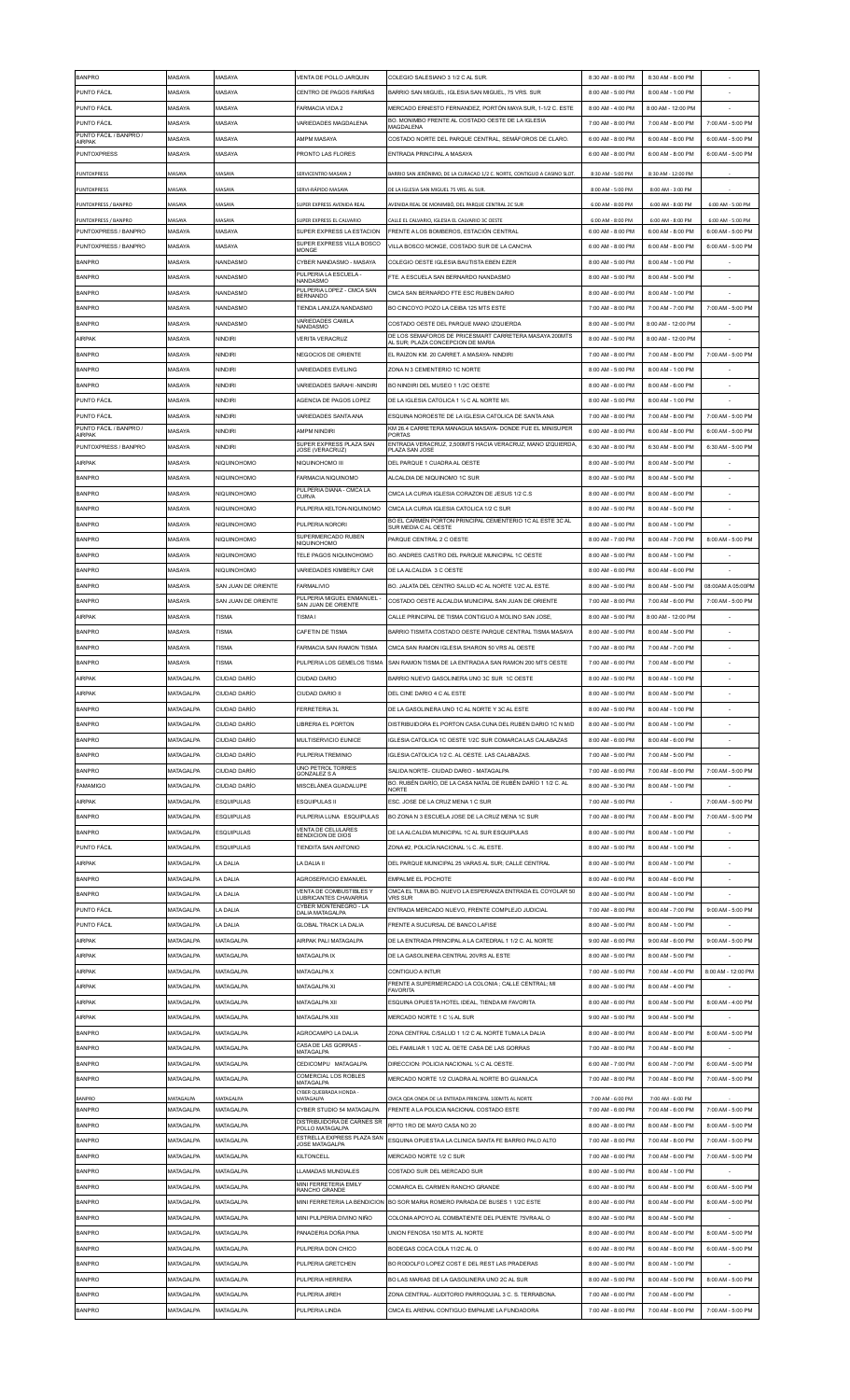| <b>BANPRO</b>                                | MASAYA            | MASAYA              | VENTA DE POLLO JARQUIN                                  | COLEGIO SALESIANO 3 1/2 C AL SUR                                                           | 8:30 AM - 8:00 PM                      | 8:30 AM - 8:00 PM                      |                                        |
|----------------------------------------------|-------------------|---------------------|---------------------------------------------------------|--------------------------------------------------------------------------------------------|----------------------------------------|----------------------------------------|----------------------------------------|
| <b>PUNTO FÁCIL</b>                           | MASAYA            | MASAYA              | CENTRO DE PAGOS FARIÑAS                                 | BARRIO SAN MIGUEL. IGLESIA SAN MIGUEL. 75 VRS. SUR                                         | 8:00 AM - 5:00 PM                      | 8:00 AM - 1:00 PM                      |                                        |
| PUNTO FÁCIL                                  | MASAYA            | MASAYA              | FARMACIA VIDA 2                                         | MERCADO ERNESTO FERNANDEZ, PORTÓN MAYA SUR, 1-1/2 C. ESTE                                  | 8:00 AM - 4:00 PM                      | 8:00 AM - 12:00 PM                     |                                        |
| <b>PUNTO FÁCIL</b>                           | MASAYA            | MASAYA              | VARIEDADES MAGDALENA                                    | BO, MONIMBO FRENTE AL COSTADO OESTE DE LA IGLESIA                                          | 7:00 AM - 8:00 PM                      | 7:00 AM - 8:00 PM                      | 7:00 AM - 5:00 PM                      |
| PUNTO FÁCIL / BANPRO /                       |                   |                     |                                                         | MAGDALENA                                                                                  |                                        |                                        |                                        |
| AIRPAK                                       | MASAYA            | MASAYA              | AMPM MASAYA                                             | COSTADO NORTE DEL PARQUE CENTRAL, SEMÁFOROS DE CLARO.                                      | 6:00 AM - 8:00 PM                      | 6:00 AM - 8:00 PM                      | 6:00 AM - 5:00 PM                      |
| <b>PUNTOXPRESS</b>                           | MASAYA            | MASAYA              | PRONTO LAS FLORES                                       | ENTRADA PRINCIPAL A MASAYA                                                                 | 6:00 AM - 8:00 PM                      | 6:00 AM - 8:00 PM                      | 6:00 AM - 5:00 PM                      |
| <b>PUNTOXPRESS</b>                           | MASAYA            | MASAYA              | SERVICENTRO MASAYA 2                                    | BARRIO SAN JERÓNIMO, DE LA CURACAO 1/2 C. NORTE, CONTIGUO A CASINO SLOT                    | 8:30 AM - 5:00 PM                      | 8:30 AM - 12:00 PM                     |                                        |
| <b>PUNTOXPRESS</b>                           | MASAYA            | AASAYA              | SERVI-RÁPIDO MASAYA                                     | DE LA IGLESIA SAN MIGUEL 75 VRS. AL SUR                                                    | 8:00 AM - 5:00 PM                      | 8:00 AM - 3:00 PM                      |                                        |
| PUNTOXPRESS / BANPRO                         | MASAYA            | MASAYA              | SUPER EXPRESS AVENIDA REAL                              | AVENIDA REAL DE MONIMBÓ, DEL PARQUE CENTRAL 2C SUR                                         | 6:00 AM - 8:00 PM                      | 6:00 AM - 8:00 PM                      | 6:00 AM - 5:00 PM                      |
|                                              |                   |                     |                                                         |                                                                                            |                                        |                                        |                                        |
| PUNTOXPRESS / BANPRO<br>PUNTOXPRESS / BANPRO | MASAYA<br>MASAYA  | MASAYA<br>MASAYA    | SUPER EXPRESS EL CALVARIO<br>SUPER EXPRESS LA ESTACION  | CALLE EL CALVARIO, IGLESIA EL CALVARIO 3C OESTE<br>FRENTE A LOS BOMBEROS, ESTACIÓN CENTRAL | 6:00 AM - 8:00 PM<br>6:00 AM - 8:00 PM | 6:00 AM - 8:00 PM<br>6:00 AM - 8:00 PM | 6:00 AM - 5:00 PM<br>6:00 AM - 5:00 PM |
|                                              |                   |                     | SUPER EXPRESS VILLA BOSCO                               |                                                                                            |                                        |                                        |                                        |
| PUNTOXPRESS / BANPRO                         | MASAYA            | MASAYA              | MONGE                                                   | VILLA BOSCO MONGE, COSTADO SUR DE LA CANCHA                                                | 6:00 AM - 8:00 PM                      | 6:00 AM - 8:00 PM                      | 6:00 AM - 5:00 PM                      |
| <b>BANPRO</b>                                | MASAYA            | NANDASMO            | CYBER NANDASMO - MASAYA                                 | COLEGIO OESTE IGLESIA BAUTISTA EBEN EZER                                                   | 8:00 AM - 5:00 PM                      | 8:00 AM - 1:00 PM                      |                                        |
| <b>BANPRO</b>                                | MASAYA            | VANDASMO            | PULPERIA LA ESCUELA -<br>NANDASMO                       | TE. A ESCUELA SAN BERNARDO NANDASMO                                                        | 8:00 AM - 5:00 PM                      | 8:00 AM - 5:00 PM                      |                                        |
| <b>BANPRO</b>                                | MASAYA            | NANDASMO            | PULPERIA LOPEZ - CMCA SAN<br><b>BERNANDO</b>            | CMCA SAN BERNARDO FTE ESC RUBEN DARIO                                                      | 8:00 AM - 6:00 PM                      | 8:00 AM - 1:00 PM                      |                                        |
| <b>BANPRO</b>                                | MASAYA            | NANDASMO            | TIENDA LANUZA NANDASMO                                  | BO CINCOYO POZO LA CEIBA 125 MTS ESTE                                                      | 7:00 AM - 8:00 PM                      | 7:00 AM - 7:00 PM                      | 7:00 AM - 5:00 PM                      |
| <b>BANPRO</b>                                | MASAYA            | NANDASMO            | VARIEDADES CAMILA                                       | COSTADO OESTE DEL PARQUE MANO IZQUIERDA                                                    | 8:00 AM - 5:00 PM                      | 8:00 AM - 12:00 PM                     |                                        |
| <b>AIRPAK</b>                                | MASAYA            | NINDIRI             | NANDASMO<br><b>VERITA VERACRUZ</b>                      | DE LOS SEMAFOROS DE PRICESMART CARRETERA MASAYA 200MTS                                     | 8:00 AM - 5:00 PM                      | 8:00 AM - 12:00 PM                     |                                        |
|                                              |                   |                     | NEGOCIOS DE ORIENTE                                     | AL SUR; PLAZA CONCEPCION DE MARIA                                                          |                                        |                                        |                                        |
| <b>BANPRO</b>                                | MASAYA            | NINDIRI             |                                                         | EL RAIZON KM. 20 CARRET. A MASAYA- NINDIRI                                                 | 7:00 AM - 8:00 PM                      | 7:00 AM - 8:00 PM                      | 7:00 AM - 5:00 PM                      |
| <b>BANPRO</b>                                | MASAYA            | <b>NINDIRI</b>      | <b>VARIEDADES EVELING</b>                               | ZONA N 3 CEMENTERIO 1C NORTE                                                               | 8:00 AM - 5:00 PM                      | 8:00 AM - 1:00 PM                      |                                        |
| <b>BANPRO</b>                                | MASAYA            | NINDIRI             | VARIEDADES SARAHI -NINDIRI                              | BO NINDIRI DEL MUSEO 1 1/2C OESTE                                                          | 8:00 AM - 6:00 PM                      | 8:00 AM - 6:00 PM                      |                                        |
| PUNTO FÁCIL                                  | MASAYA            | <b>NINDIRI</b>      | AGENCIA DE PAGOS LOPEZ                                  | DE LA IGLESIA CATOLICA 1 % C AL NORTE M/L                                                  | 8:00 AM - 5:00 PM                      | 8:00 AM - 1:00 PM                      |                                        |
| PUNTO FÁCIL                                  | MASAYA            | NINDIRI             | VARIEDADES SANTA ANA                                    | ESQUINA NOROESTE DE LA IGLESIA CATOLICA DE SANTA ANA                                       | 7:00 AM - 8:00 PM                      | 7:00 AM - 8:00 PM                      | 7:00 AM - 5:00 PM                      |
| PUNTO FÁCIL / BANPRO /                       | MASAYA            | NINDIRI             | AMPM NINDIRI                                            | KM 26.4 CARRETERA MANAGUA MASAYA- DONDE FUE EL MINISUPER                                   | 6:00 AM - 8:00 PM                      | 6:00 AM - 8:00 PM                      | 6:00 AM - 5:00 PM                      |
| AIRPAK<br>PUNTOXPRESS / BANPRO               |                   | NINDIRI             | SUPER EXPRESS PLAZA SAN                                 | <b>PORTAS</b><br>ENTRADA VERACRUZ, 2,500MTS HACIA VERACRUZ, MANO IZQUIERDA                 | 6:30 AM - 8:00 PM                      | 6:30 AM - 8:00 PM                      |                                        |
|                                              | MASAYA            |                     | <b>JOSE (VERACRUZ)</b>                                  | PLAZA SAN JOSE                                                                             |                                        |                                        | 6:30 AM - 5:00 PM                      |
| AIRPAK                                       | MASAYA            | NIQUINOHOMO         | NIQUINOHOMO III                                         | DEL PARQUE 1 CUADRA AL OESTE                                                               | 8:00 AM - 5:00 PM                      | 8:00 AM - 5:00 PM                      |                                        |
| <b>BANPRO</b>                                | MASAYA            | NIQUINOHOMO         | <b>FARMACIA NIQUINOMO</b>                               | ALCALDIA DE NIQUINOMO 1C SUR                                                               | 8:00 AM - 5:00 PM                      | 8:00 AM - 5:00 PM                      |                                        |
| <b>BANPRO</b>                                | MASAYA            | NIQUINOHOMO         | PULPERIA DIANA - CMCA LA<br>CURVA                       | CMCA LA CURVA IGLESIA CORAZON DE JESUS 1/2 C.S                                             | 8:00 AM - 6:00 PM                      | 8:00 AM - 6:00 PM                      |                                        |
| <b>BANPRO</b>                                | MASAYA            | NIQUINOHOMO         | PULPERIA KELTON-NIQUINOMO                               | CMCA LA CURVA IGLESIA CATOLICA 1/2 C SUR                                                   | 8:00 AM - 5:00 PM                      | 8:00 AM - 5:00 PM                      |                                        |
| <b>BANPRO</b>                                | MASAYA            | NIQUINOHOMO         | PULPERIA NORORI                                         | BO EL CARMEN PORTON PRINCIPAL CEMENTERIO 1C AL ESTE 3C AL                                  | 8:00 AM - 5:00 PM                      | 8:00 AM - 1:00 PM                      |                                        |
| <b>BANPRO</b>                                | MASAYA            | NIQUINOHOMO         | SUPERMERCADO RUBEN                                      | SUR MEDIA C AL OESTE<br>PARQUE CENTRAL 2 C OESTE                                           | 8:00 AM - 7:00 PM                      | 8:00 AM - 7:00 PM                      | 8:00 AM - 5:00 PM                      |
|                                              |                   |                     | NIQUINOHOMO                                             |                                                                                            |                                        |                                        |                                        |
| <b>BANPRO</b>                                | MASAYA            | NIQUINOHOMO         | TELE PAGOS NIQUINOHOMO                                  | BO. ANDRES CASTRO DEL PARQUE MUNICIPAL 1C OESTE                                            | 8:00 AM - 5:00 PM                      | 8:00 AM - 1:00 PM                      |                                        |
| <b>BANPRO</b>                                | MASAYA            | NIQUINOHOMO         | VARIEDADES KIMBERLY CAR                                 | DE LA ALCALDIA 3 C OESTE                                                                   | 8:00 AM - 6:00 PM                      | 8:00 AM - 6:00 PM                      |                                        |
| <b>BANPRO</b>                                | MASAYA            | SAN JUAN DE ORIENTE | FARMALIVIO                                              | BO. JALATA DEL CENTRO SALUD 4C AL NORTE 1/2C AL ESTE.                                      | 8:00 AM - 5:00 PM                      | 8:00 AM - 5:00 PM                      | 08:00AM A 05:00PM                      |
| <b>BANPRO</b>                                | MASAYA            | SAN JUAN DE ORIENTE | PULPERIA MIGUEL ENMANUEL<br>SAN JUAN DE ORIENTE         | COSTADO OESTE ALCALDIA MUNICIPAL SAN JUAN DE ORIENTE                                       | 7:00 AM - 8:00 PM                      | 7:00 AM - 6:00 PM                      | 7:00 AM - 5:00 PM                      |
| <b>AIRPAK</b>                                | MASAYA            | TISMA               | <b>TISMA</b>                                            | CALLE PRINCIPAL DE TISMA CONTIGUO A MOLINO SAN JOSE,                                       | 8:00 AM - 5:00 PM                      | 8:00 AM - 12:00 PM                     |                                        |
| <b>BANPRO</b>                                | MASAYA            | <b>TISMA</b>        | CAFETIN DE TISMA                                        | BARRIO TISMITA COSTADO OESTE PARQUE CENTRAL TISMA MASAYA                                   | 8:00 AM - 5:00 PM                      | 8:00 AM - 5:00 PM                      |                                        |
|                                              |                   |                     |                                                         |                                                                                            |                                        |                                        |                                        |
| <b>BANPRO</b>                                | MASAYA            | TISMA               | FARMACIA SAN RAMON TISMA                                | CMCA SAN RAMON IGLESIA SHARON 50 VRS AL OESTE                                              | 7:00 AM - 8:00 PM                      | 7:00 AM - 7:00 PM                      |                                        |
| <b>BANPRO</b>                                | MASAYA            | <b>TISMA</b>        | PULPERIA LOS GEMELOS TISMA                              | SAN RAMON TISMA DE LA ENTRADA A SAN RAMON 200 MTS OESTE                                    | 7:00 AM - 6:00 PM                      | 7:00 AM - 6:00 PM                      |                                        |
| AIRPAK                                       | MATAGALPA         | <b>CIUDAD DARÍO</b> | CIUDAD DARIO                                            | BARRIO NUEVO GASOLINERA UNO 3C SUR 1C OESTE                                                | 8:00 AM - 5:00 PM                      | 8:00 AM - 1:00 PM                      |                                        |
| <b><i>IRPAK</i></b>                          | <b>AATAGALPA</b>  | CIUDAD DARÍO        | CIUDAD DARIO II                                         | DEL CINE DARIO 4 C AL ESTE                                                                 | 8:00 AM - 5:00 PM                      | 8:00 AM - 5:00 PM                      |                                        |
| <b>BANPRO</b>                                | <b>MATAGALPA</b>  | <b>CIUDAD DARÍO</b> | <b>FERRETERIA 3L</b>                                    | DE LA GASOLINERA UNO 1C AL NORTE Y 3C AL ESTE                                              | 8:00 AM - 5:00 PM                      | 8:00 AM - 1:00 PM                      |                                        |
|                                              |                   |                     |                                                         |                                                                                            |                                        |                                        |                                        |
|                                              |                   |                     |                                                         |                                                                                            |                                        |                                        |                                        |
| <b>BANPRO</b>                                | MATAGALPA         | CIUDAD DARÍO        | LIBRERIA EL PORTON                                      | DISTRIBUIDORA EL PORTON CASA CUNA DEL RUBEN DARIO 1C N M/D                                 | 8:00 AM - 5:00 PM                      | 8:00 AM - 1:00 PM                      |                                        |
| <b>BANPRO</b>                                | MATAGALPA         | CIUDAD DARÍO        | MULTISERVICIO EUNICE                                    | IGLESIA CATOLICA 1C OESTE 1/2C SUR COMARCA LAS CALABAZAS                                   | 8:00 AM - 6:00 PM                      | 8:00 AM - 6:00 PM                      |                                        |
| <b>BANPRO</b>                                | MATAGALPA         | <b>CIUDAD DARÍO</b> | PULPERIA TREMINIO                                       | IGLESIA CATOLICA 1/2 C. AL OESTE. LAS CALABAZAS.                                           | 7:00 AM - 5:00 PM                      | 7:00 AM - 5:00 PM                      |                                        |
| <b>BANPRO</b>                                | MATAGALPA         | CIUDAD DARÍO        | UNO PETROL TORRES<br><b>GONZALEZ S A</b>                | SALIDA NORTE- CIUDAD DARIO - MATAGALPA                                                     | 7:00 AM - 6:00 PM                      | 7:00 AM - 6:00 PM                      | 7:00 AM - 5:00 PM                      |
| <b>FAMAMIGO</b>                              | MATAGAI PA        | CIUDAD DARÍO        | MISCELÁNEA GUADALUPE                                    | BO. RUBÉN DARÍO, DE LA CASA NATAL DE RUBÉN DARÍO 1 1/2 C. AL<br><b>NORTE</b>               | 8:00 AM - 5:30 PM                      | 8:00 AM - 1:00 PM                      |                                        |
| AIRPAK                                       | MATAGALPA         | ESQUIPULAS          | <b>ESQUIPULAS II</b>                                    | ESC. JOSE DE LA CRUZ MENA 1 C SUR                                                          | 7:00 AM - 5:00 PM                      |                                        | 7:00 AM - 5:00 PM                      |
|                                              |                   | <b>ESQUIPULAS</b>   | PULPERIA LUNA ESQUIPULAS                                | BO ZONA N 3 ESCUELA JOSE DE LA CRUZ MENA 1C SUR                                            |                                        |                                        | 7:00 AM - 5:00 PM                      |
| <b>BANPRO</b>                                | MATAGALPA         |                     | VENTA DE CELULARES                                      |                                                                                            | 7:00 AM - 8:00 PM                      | 7:00 AM - 8:00 PM                      |                                        |
| <b>BANPRO</b>                                | MATAGALPA         | <b>ESQUIPULAS</b>   | BENDICION DE DIOS                                       | DE LA ALCALDIA MUNICIPAL 1C AL SUR ESQUIPULAS                                              | 8:00 AM - 5:00 PM                      | 8:00 AM - 1:00 PM                      |                                        |
| PUNTO FÁCIL                                  | MATAGALPA         | ESQUIPULAS          | TIENDITA SAN ANTONIO                                    | ZONA #2, POLICÍA NACIONAL 1/2 C. AL ESTE                                                   | 8:00 AM - 5:00 PM                      | 8:00 AM - 1:00 PM                      |                                        |
| AIRPAK                                       | <b>MATAGAI PA</b> | <b>LA DALIA</b>     | LA DALIA II                                             | DEL PARQUE MUNICIPAL 25 VARAS AL SUR; CALLE CENTRAL                                        | 8:00 AM - 5:00 PM                      | 8:00 AM - 1:00 PM                      |                                        |
| <b>BANPRO</b>                                | MATAGALPA         | LA DALIA            | AGROSERVICIO EMANUEL                                    | <b>EMPALME EL POCHOTE</b>                                                                  | 8:00 AM - 6:00 PM                      | 8:00 AM - 6:00 PM                      |                                        |
| <b>BANPRO</b>                                | MATAGALPA         | LA DALIA            | VENTA DE COMBUSTIBLES Y                                 | CMCA EL TUMA BO. NUEVO LA ESPERANZA ENTRADA EL COYOLAR 50<br><b>VRS SUR</b>                | 8:00 AM - 5:00 PM                      | 8:00 AM - 1:00 PM                      |                                        |
| <b>PUNTO FÁCIL</b>                           | MATAGALPA         | LA DALIA            | LUBRICANTES CHAVARRIA<br>CYBER MONTENEGRO - LA          | ENTRADA MERCADO NUEVO. FRENTE COMPLEJO JUDICIAL                                            | 7:00 AM - 8:00 PM                      | 8:00 AM - 7:00 PM                      | 9:00 AM - 5:00 PM                      |
|                                              |                   |                     | <b>DALIA MATAGALPA</b>                                  |                                                                                            |                                        |                                        |                                        |
| PUNTO FÁCIL                                  | MATAGALPA         | LA DALIA            | <b>GLOBAL TRACK LA DALIA</b>                            | FRENTE A SUCURSAL DE BANCO LAFISE                                                          | 8:00 AM - 5:00 PM                      | 8:00 AM - 1:00 PM                      |                                        |
| AIRPAK                                       | MATAGALPA         | MATAGALPA           | AIRPAK PALI MATAGALPA                                   | DE LA ENTRADA PRINCIPAL A LA CATEDRAL 1 1/2 C. AL NORTE                                    | 9:00 AM - 6:00 PM                      | 9:00 AM - 6:00 PM                      | 9:00 AM - 5:00 PM                      |
| AIRPAK                                       | MATAGALPA         | MATAGALPA           | MATAGALPA IX                                            | DE LA GASOLINERA CENTRAL 20VRS AL ESTE                                                     | 8:00 AM - 5:00 PM                      | 8:00 AM - 5:00 PM                      |                                        |
| AIRPAK                                       | MATAGALPA         | MATAGALPA           | MATAGALPA X                                             | CONTIGUO A INTUR                                                                           | 7:00 AM - 5:00 PM                      | 7:00 AM - 4:00 PM                      | 8:00 AM - 12:00 PM                     |
| <b>AIRPAK</b>                                | MATAGALPA         | MATAGALPA           | <b>MATAGALPA XI</b>                                     | FRENTE A SUPERMERCADO LA COLONIA ; CALLE CENTRAL; MI<br><b>FAVORITA</b>                    | 8:00 AM - 5:00 PM                      | 8:00 AM - 4:00 PM                      |                                        |
| AIRPAK                                       | MATAGALPA         | MATAGALPA           | MATAGALPA XII                                           | ESQUINA OPUESTA HOTEL IDEAL, TIENDA MI FAVORITA                                            | 8:00 AM - 6:00 PM                      | 8:00 AM - 5:00 PM                      | 8:00 AM - 4:00 PM                      |
| AIRPAK                                       | MATAGALPA         | MATAGALPA           | MATAGALPA XIII                                          | MERCADO NORTE 1 C 1/2 AL SUR                                                               | 9:00 AM - 5:00 PM                      | 9:00 AM - 5:00 PM                      |                                        |
|                                              |                   |                     |                                                         |                                                                                            |                                        |                                        |                                        |
| <b>BANPRO</b>                                | MATAGALPA         | MATAGALPA           | AGROCAMPO LA DALIA                                      | ZONA CENTRAL C/SALUD 1 1/2 C AL NORTE TUMA LA DALIA                                        | 8:00 AM - 8:00 PM                      | 8:00 AM - 8:00 PM                      | 8:00 AM - 5:00 PM                      |
| <b>BANPRO</b>                                | MATAGALPA         | MATAGALPA           | CASA DE LAS GORRAS -<br>MATAGALPA                       | DEL FAMILIAR 1 1/2C AL OETE CASA DE LAS GORRAS                                             | 7:00 AM - 8:00 PM                      | 7:00 AM - 8:00 PM                      |                                        |
| <b>BANPRO</b>                                | MATAGALPA         | <b>MATAGALPA</b>    | CEDICOMPU MATAGALPA                                     | DIRECCION: POLICIA NACIONAL 1/2 C AL OESTE                                                 | 6:00 AM - 7:00 PM                      | 6:00 AM - 7:00 PM                      | 6:00 AM - 5:00 PM                      |
| <b>BANPRO</b>                                | MATAGALPA         | MATAGALPA           | COMERCIAL LOS ROBLES<br>MATAGALPA                       | MERCADO NORTE 1/2 CUADRA AL NORTE BO GUANUCA                                               | 7:00 AM - 8:00 PM                      | 7:00 AM - 8:00 PM                      | 7:00 AM - 5:00 PM                      |
|                                              |                   |                     | CYBER QUEBRADA HONDA -                                  |                                                                                            |                                        |                                        |                                        |
| <b>BANPRO</b>                                | MATAGALPA         | MATAGALPA           | MATAGALPA                                               | CMCA ODA ONDA DE LA ENTRADA PRINCIPAL 100MTS AL NORTE                                      | 7:00 AM - 6:00 PM                      | 7:00 AM - 6:00 PM                      |                                        |
| <b>BANPRO</b>                                | MATAGALPA         | MATAGALPA           | CYBER STUDIO 54 MATAGALPA<br>DISTRIBUIDORA DE CARNES SR | FRENTE A LA POLICIA NACIONAL COSTADO ESTE                                                  | 7:00 AM - 6:00 PM                      | 7:00 AM - 6:00 PM                      | 7:00 AM - 5:00 PM                      |
| <b>BANPRO</b>                                | MATAGALPA         | MATAGALPA           | POLLO MATAGALPA                                         | RPTO 1RO DE MAYO CASA NO 20                                                                | 8:00 AM - 8:00 PM                      | 8:00 AM - 8:00 PM                      | 8:00 AM - 5:00 PM                      |
| <b>BANPRO</b>                                | MATAGALPA         | MATAGALPA           | ESTRELLA EXPRESS PLAZA SAN<br>JOSE MATAGALPA            | ESQUINA OPUESTA A LA CLINICA SANTA FE BARRIO PALO ALTO                                     | 7:00 AM - 8:00 PM                      | 7:00 AM - 8:00 PM                      | 7:00 AM - 5:00 PM                      |
| <b>BANPRO</b>                                | MATAGALPA         | MATAGALPA           | KILTONCELL                                              | MERCADO NORTE 1/2 C SUR                                                                    | 7:00 AM - 6:00 PM                      | 7:00 AM - 6:00 PM                      | 7:00 AM - 5:00 PM                      |
| <b>BANPRO</b>                                | <b>MATAGAI PA</b> | <b>MATAGAI PA</b>   | <b>LLAMADAS MUNDIALES</b>                               | COSTADO SUR DEL MERCADO SUR                                                                | 8:00 AM - 5:00 PM                      | 8:00 AM - 1:00 PM                      |                                        |
| <b>BANPRO</b>                                | MATAGALPA         | MATAGALPA           | MINI FERRETERIA EMILY<br>RANCHO GRANDE                  | COMARCA EL CARMEN RANCHO GRANDE                                                            | 6:00 AM - 8:00 PM                      | 6:00 AM - 8:00 PM                      | 6:00 AM - 5:00 PM                      |
| <b>BANPRO</b>                                | MATAGALPA         | MATAGALPA           | MINI FERRETERIA LA BENDICION                            | BO SOR MARIA ROMERO PARADA DE BUSES 1 1/2C ESTE                                            | 8:00 AM - 6:00 PM                      | 8:00 AM - 6:00 PM                      | 8:00 AM - 5:00 PM                      |
|                                              |                   |                     |                                                         |                                                                                            |                                        |                                        |                                        |
| <b>BANPRO</b>                                | MATAGALPA         | MATAGALPA           | MINI PULPERIA DIVINO NIÑO                               | COLONIA APOYO AL COMBATIENTE DEL PUENTE 75VRA AL O                                         | 8:00 AM - 5:00 PM                      | 8:00 AM - 5:00 PM                      |                                        |
| <b>BANPRO</b>                                | MATAGALPA         | MATAGALPA           | PANADERIA DOÑA PINA                                     | UNION FENOSA 150 MTS. AL NORTE                                                             | 8:00 AM - 6:00 PM                      | 8:00 AM - 6:00 PM                      | 8:00 AM - 5:00 PM                      |
| <b>BANPRO</b>                                | <b>MATAGAI PA</b> | <b>MATAGAI PA</b>   | PULPERIA DON CHICO                                      | BODEGAS COCA COLA 11/2C AL O                                                               | 6:00 AM - 8:00 PM                      | 6:00 AM - 8:00 PM                      | 6:00 AM - 5:00 PM                      |
| <b>BANPRO</b>                                | MATAGALPA         | MATAGALPA           | PULPERIA GRETCHEN                                       | BO RODOLFO LOPEZ COST E DEL REST LAS PRADERAS                                              | 8:00 AM - 5:00 PM                      | 8:00 AM - 1:00 PM                      |                                        |
| <b>BANPRO</b>                                | MATAGALPA         | MATAGALPA           | PULPERIA HERRERA                                        | BO LAS MARIAS DE LA GASOLINERA UNO 2C AL SUR                                               | 8:00 AM - 5:00 PM                      | 8:00 AM - 5:00 PM                      | 8:00 AM - 5:00 PM                      |
| <b>BANPRO</b>                                | MATAGALPA         | MATAGALPA           | PULPERIA JIREH                                          | ZONA CENTRAL- AUDITORIO PARROQUIAL 3 C. S. TERRABONA                                       | 7:00 AM - 6:00 PM                      | 7:00 AM - 6:00 PM                      |                                        |
| <b>BANPRO</b>                                | MATAGALPA         | MATAGALPA           | PULPERIA LINDA                                          | CMCA EL ARENAL CONTIGUO EMPALME LA FUNDADORA                                               | 7:00 AM - 8:00 PM                      | 7:00 AM - 8:00 PM                      | 7:00 AM - 5:00 PM                      |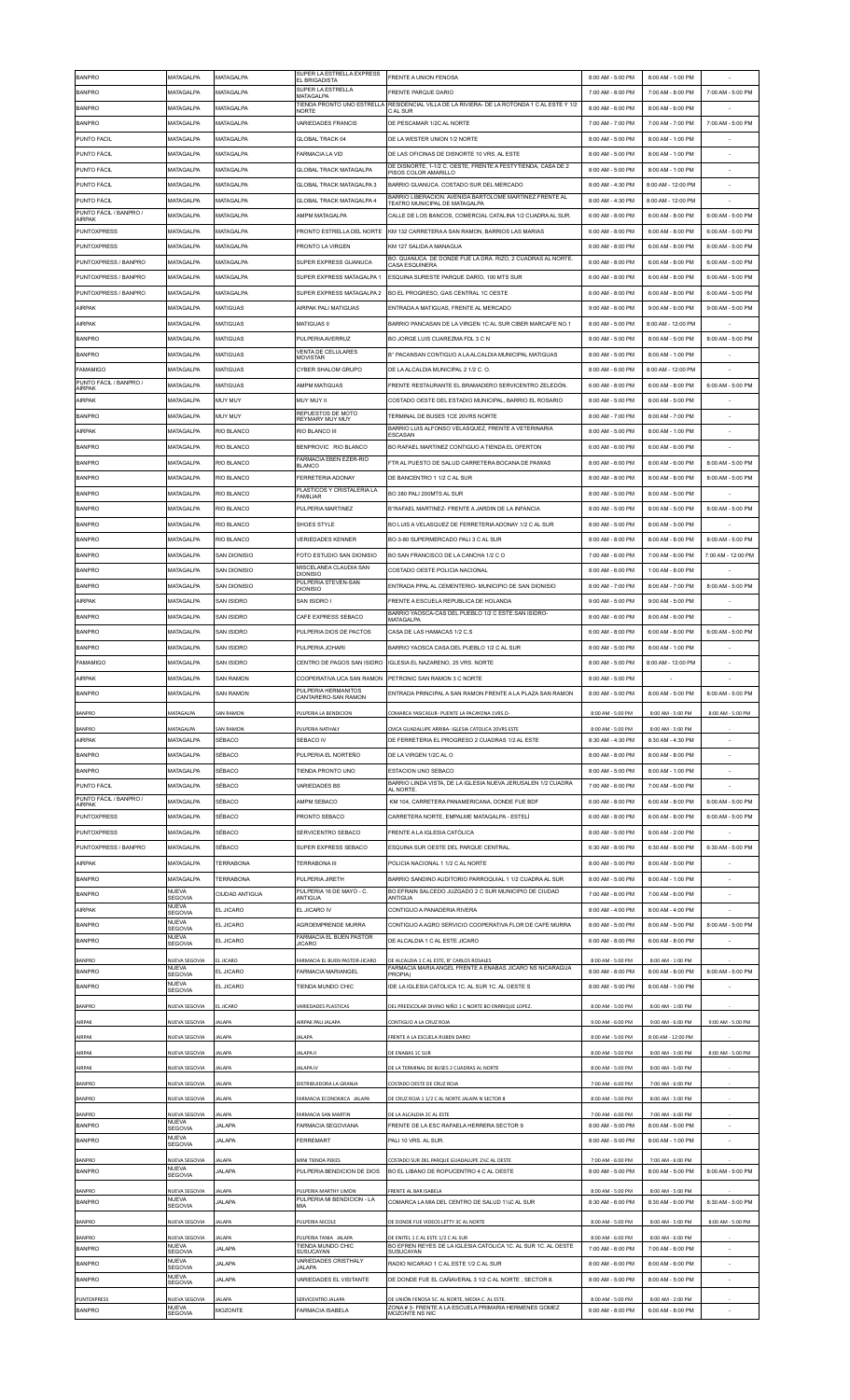| <b>BANPRO</b>                             | MATAGALPA                     | MATAGALPA              | SUPER LA ESTRELLA EXPRESS<br>EL BRIGADISTA                  | <b>FRENTE A UNION FENOSA</b>                                                                                     | 8:00 AM - 5:00 PM                      | 8:00 AM - 1:00 PM                      |                    |
|-------------------------------------------|-------------------------------|------------------------|-------------------------------------------------------------|------------------------------------------------------------------------------------------------------------------|----------------------------------------|----------------------------------------|--------------------|
| <b>BANPRO</b>                             | <b>MATAGALPA</b>              | MATAGALPA              | SUPER LA ESTRELLA<br>MATAGALPA                              | <b>FRENTE PAROUE DARIO</b>                                                                                       | 7:00 AM - 8:00 PM                      | 7:00 AM - 8:00 PM                      | 7:00 AM - 5:00 PM  |
| <b>BANPRO</b>                             | MATAGALPA                     | MATAGALPA              | <b>NORTE</b>                                                | TIENDA PRONTO UNO ESTRELLA RESIDENCIAL VILLA DE LA RIVIERA- DE LA ROTONDA 1 C AL ESTE Y 1/2<br>C AL SUR          | 8:00 AM - 6:00 PM                      | 8:00 AM - 6:00 PM                      |                    |
| <b>BANPRO</b>                             | MATAGALPA                     | <b>MATAGALPA</b>       | <b>VARIEDADES FRANCIS</b>                                   | DE PESCAMAR 1/2C AL NORTE                                                                                        | 7:00 AM - 7:00 PM                      | 7:00 AM - 7:00 PM                      | 7:00 AM - 5:00 PM  |
|                                           |                               |                        |                                                             |                                                                                                                  |                                        |                                        |                    |
| PUNTO FACIL                               | MATAGALPA                     | MATAGALPA              | <b>GLOBAL TRACK 04</b>                                      | DE LA WESTER UNION 1/2 NORTE                                                                                     | 8:00 AM - 5:00 PM                      | 8:00 AM - 1:00 PM                      |                    |
| PUNTO FÁCIL                               | MATAGALPA                     | MATAGALPA              | FARMACIA LA VID                                             | DE LAS OFICINAS DE DISNORTE 10 VRS. AL ESTE                                                                      | 8:00 AM - 5:00 PM                      | 8:00 AM - 1:00 PM                      |                    |
| PUNTO FÁCIL                               | MATAGALPA                     | MATAGALPA              | <b>GLOBAL TRACK MATAGALPA</b>                               | DE DISNORTE, 1-1/2 C. OESTE, FRENTE A FESTYTIENDA, CASA DE 2<br>PISOS COLOR AMARILLO                             | 8:00 AM - 5:00 PM                      | 8:00 AM - 1:00 PM                      |                    |
| PUNTO FÁCIL                               | MATAGALPA                     | MATAGALPA              | GLOBAL TRACK MATAGALPA 3                                    | BARRIO GUANUCA. COSTADO SUR DEL MERCADO                                                                          | 8:00 AM - 4:30 PM                      | 8:00 AM - 12:00 PM                     |                    |
| <b>PUNTO FÁCIL</b>                        | MATAGALPA                     | MATAGALPA              | GLOBAL TRACK MATAGALPA 4                                    | BARRIO LIBERACION. AVENIDA BARTOLOME MARTINEZ.FRENTE AL<br>TEATRO MUNICIPAL DE MATAGALPA                         | 8:00 AM - 4:30 PM                      | 8:00 AM - 12:00 PM                     |                    |
| PUNTO FÁCIL / BANPRO /<br>AIRPAK          | MATAGALPA                     | MATAGALPA              | AMPM MATAGALPA                                              | CALLE DE LOS BANCOS, COMERCIAL CATALINA 1/2 CUADRA AL SUR.                                                       | 6:00 AM - 8:00 PM                      | 6:00 AM - 8:00 PM                      | 6:00 AM - 5:00 PM  |
| <b>PUNTOXPRESS</b>                        | MATAGALPA                     | MATAGALPA              | PRONTO ESTRELLA DEL NORTE                                   | KM 132 CARRETERA A SAN RAMON, BARRIOS LAS MARIAS                                                                 | 6:00 AM - 8:00 PM                      | 6:00 AM - 8:00 PM                      | 6:00 AM - 5:00 PM  |
| <b>PUNTOXPRESS</b>                        | MATAGALPA                     | MATAGAI PA             | PRONTO LA VIRGEN                                            | KM 127 SALIDA A MANAGUA                                                                                          | 6:00 AM - 8:00 PM                      | 6:00 AM - 8:00 PM                      | 6:00 AM - 5:00 PM  |
|                                           |                               |                        |                                                             | BO. GUANUCA. DE DONDE FUE LA DRA. RIZO, 2 CUADRAS AL NORTE                                                       |                                        |                                        |                    |
| PUNTOXPRESS / BANPRO                      | MATAGALPA                     | MATAGALPA              | SUPER EXPRESS GUANUCA                                       | <b>CASA ESQUINERA</b>                                                                                            | 6:00 AM - 8:00 PM                      | 6:00 AM - 8:00 PM                      | 6:00 AM - 5:00 PM  |
| PUNTOXPRESS / BANPRO                      | MATAGALPA                     | <b>MATAGALPA</b>       | SUPER EXPRESS MATAGALPA 1                                   | ESQUINA SURESTE PARQUE DARÍO, 100 MTS SUR                                                                        | 6:00 AM - 8:00 PM                      | 6:00 AM - 8:00 PM                      | 6:00 AM - 5:00 PM  |
| PUNTOXPRESS / BANPRO                      | MATAGALPA                     | MATAGALPA              | SUPER EXPRESS MATAGALPA 2                                   | BO EL PROGRESO. GAS CENTRAL 1C OESTE                                                                             | 6:00 AM - 8:00 PM                      | 6:00 AM - 8:00 PM                      | 6:00 AM - 5:00 PM  |
| AIRPAK                                    | MATAGALPA                     | MATIGUAS               | AIRPAK PALI MATIGUAS                                        | ENTRADA A MATIGUAS, FRENTE AL MERCADO                                                                            | 9:00 AM - 6:00 PM                      | 9:00 AM - 6:00 PM                      | 9:00 AM - 5:00 PM  |
| <b>AIRPAK</b>                             | <b>MATAGALPA</b>              | MATIGUAS               | <b>MATIGUAS II</b>                                          | BARRIO PANCASAN DE LA VIRGEN 1C AL SUR CIBER MARCAFE NO.1                                                        | 8:00 AM - 5:00 PM                      | 8:00 AM - 12:00 PM                     |                    |
| <b>BANPRO</b>                             | MATAGALPA                     | MATIGUAS               | PULPERIA AVERRUZ                                            | BO JORGE LUIS CUAREZMA FDL 3 C N                                                                                 | 8:00 AM - 5:00 PM                      | 8:00 AM - 5:00 PM                      | 8:00 AM - 5:00 PM  |
| <b>BANPRO</b>                             | MATAGALPA                     | MATIGUAS               | VENTA DE CELUI ARES                                         | B° PACANSAN CONTIGUO A LA ALCALDIA MUNICIPAL MATIGUAS                                                            | 8:00 AM - 5:00 PM                      | 8:00 AM - 1:00 PM                      |                    |
|                                           |                               |                        | <b>MOVISTAR</b>                                             |                                                                                                                  |                                        |                                        |                    |
| <b>FAMAMIGO</b><br>PUNTO FÁCIL / BANPRO / | MATAGALPA                     | MATIGUAS               | CYBER SHALOM GRUPO                                          | DE LA ALCALDIA MUNICIPAL 2 1/2 C.O.                                                                              | 8:00 AM - 6:00 PM                      | 8:00 AM - 12:00 PM                     |                    |
| <b>AIRPAK</b>                             | MATAGALPA                     | MATIGUAS               | AMPM MATIGUAS                                               | FRENTE RESTAURANTE EL BRAMADERO SERVICENTRO ZELEDÓN.                                                             | 6:00 AM - 8:00 PM                      | 6:00 AM - 8:00 PM                      | 6:00 AM - 5:00 PM  |
| AIRPAK                                    | <b>MATAGALPA</b>              | MUY MUY                | MUY MUY II                                                  | COSTADO OESTE DEL ESTADIO MUNICIPAL. BARRIO EL ROSARIO                                                           | 8:00 AM - 5:00 PM                      | 8:00 AM - 5:00 PM                      |                    |
| <b>BANPRO</b>                             | MATAGALPA                     | MUY MUY                | REPUESTOS DE MOTO<br><b>REYMARY MUY MUY</b>                 | TERMINAL DE BUSES 1CE 20VRS NORTE                                                                                | 8:00 AM - 7:00 PM                      | 8:00 AM - 7:00 PM                      |                    |
| AIRPAK                                    | MATAGALPA                     | <b>RIO BLANCO</b>      | RIO BLANCO III                                              | BARRIO LUIS ALFONSO VELASQUEZ. FRENTE A VETERINARIA<br>ESCASAN                                                   | 8:00 AM - 5:00 PM                      | 8:00 AM - 1:00 PM                      |                    |
| <b>BANPRO</b>                             | MATAGALPA                     | RIO BLANCO             | BENPROVIC RIO BLANCO                                        | BO RAFAEL MARTINEZ CONTIGUO A TIENDA EL OFERTON                                                                  | 6:00 AM - 6:00 PM                      | 6:00 AM - 6:00 PM                      |                    |
| <b>BANPRO</b>                             | MATAGALPA                     | RIO BLANCO             | <b>FARMACIA EBEN EZER-RIO</b>                               | FTR AL PUESTO DE SALUD CARRETERA BOCANA DE PAIWAS                                                                | 8:00 AM - 6:00 PM                      | 8:00 AM - 6:00 PM                      | 8:00 AM - 5:00 PM  |
|                                           |                               |                        | <b>BLANCO</b>                                               |                                                                                                                  |                                        |                                        |                    |
| <b>BANPRO</b>                             | MATAGALPA                     | RIO BLANCO             | <b>FERRETERIA ADONAY</b>                                    | DE BANCENTRO 1 1/2 C AL SUR                                                                                      | 8:00 AM - 8:00 PM                      | 8:00 AM - 8:00 PM                      | 8:00 AM - 5:00 PM  |
| <b>BANPRO</b>                             | MATAGALPA                     | RIO BLANCO             | PLASTICOS Y CRISTALERIA LA<br><b>FAMILIAR</b>               | BO 380 PALI 200MTS AL SUR                                                                                        | 8:00 AM - 5:00 PM                      | 8:00 AM - 5:00 PM                      |                    |
| <b>BANPRO</b>                             | MATAGALPA                     | RIO BLANCO             | PULPERIA MARTINEZ                                           | B°RAFAEL MARTINEZ- FRENTE A JARDIN DE LA INFANCIA                                                                | 8:00 AM - 5:00 PM                      | 8:00 AM - 5:00 PM                      | 8:00 AM - 5:00 PM  |
| <b>BANPRO</b>                             | MATAGALPA                     | RIO BLANCO             | SHOES STYLE                                                 | BO LUIS A VELASQUEZ DE FERRETERIA ADONAY 1/2 C AL SUR                                                            | 8:00 AM - 5:00 PM                      | 8:00 AM - 5:00 PM                      |                    |
| <b>BANPRO</b>                             | MATAGALPA                     | RIO BLANCO             | <b>VERIEDADES KENNER</b>                                    | BO-3-80 SUPERMERCADO PALI 3 C AL SUR                                                                             | 8:00 AM - 8:00 PM                      | 8:00 AM - 8:00 PM                      | 8:00 AM - 5:00 PM  |
| <b>BANPRO</b>                             | <b>MATAGALPA</b>              | <b>SAN DIONISIO</b>    | FOTO ESTUDIO SAN DIONISIO                                   | BO SAN FRANCISCO DE LA CANCHA 1/2 C O                                                                            | 7:00 AM - 6:00 PM                      | 7:00 AM - 6:00 PM                      | 7:00 AM - 12:00 PM |
|                                           |                               |                        | MISCELANEA CLAUDIA SAN                                      |                                                                                                                  |                                        |                                        |                    |
| <b>BANPRO</b>                             | MATAGALPA                     | SAN DIONISIO           | <b>DIONISIO</b><br>PULPERIA STEVEN-SAN                      | COSTADO OESTE POLICIA NACIONAL                                                                                   | 8:00 AM - 6:00 PM                      | 1:00 AM - 8:00 PM                      |                    |
| <b>BANPRO</b>                             | MATAGALPA                     | <b>SAN DIONISIO</b>    | <b>DIONISIO</b>                                             | ENTRADA PPAL AL CEMENTERIO- MUNICIPIO DE SAN DIONISIO                                                            | 8:00 AM - 7:00 PM                      | 8:00 AM - 7:00 PM                      | 8:00 AM - 5:00 PM  |
| <b>AIRPAK</b>                             | MATAGALPA                     | SAN ISIDRO             | SAN ISIDRO I                                                | FRENTE A ESCUELA REPUBLICA DE HOLANDA                                                                            | 9:00 AM - 5:00 PM                      | 9:00 AM - 5:00 PM                      |                    |
| <b>BANPRO</b>                             | MATAGALPA                     | SAN ISIDRO             | CAFE EXPRESS SEBACO                                         | BARRIO YAOSCA-CAS DEL PUEBLO 1/2 C ESTE.SAN ISIDRO-<br>MATAGALPA                                                 | 8:00 AM - 6:00 PM                      | 8:00 AM - 6:00 PM                      |                    |
| <b>BANPRO</b>                             | <b>MATAGAI PA</b>             | SAN ISIDRO             | PULPERIA DIOS DE PACTOS                                     | CASA DE LAS HAMACAS 1/2 C.S                                                                                      | 6:00 AM - 8:00 PM                      | 6:00 AM - 8:00 PM                      | 6:00 AM - 5:00 PM  |
| <b>BANPRO</b>                             | MATAGALPA                     | SAN ISIDRO             | PULPERIA JOHARI                                             | BARRIO YAOSCA CASA DEL PUEBLO 1/2 C AL SUR                                                                       | 8:00 AM - 5:00 PM                      | 8:00 AM - 1:00 PM                      |                    |
| <b>FAMAMIGO</b>                           | MATAGALPA                     | SAN ISIDRO             | CENTRO DE PAGOS SAN ISIDRO                                  | IGLESIA EL NAZARENO, 25 VRS. NORTE                                                                               | 8:00 AM - 5:00 PM                      | 8:00 AM - 12:00 PM                     |                    |
|                                           |                               |                        |                                                             |                                                                                                                  |                                        |                                        |                    |
| AIRPAK                                    | MATAGALPA                     | <b>SAN RAMON</b>       | PULPERIA HERMANITOS                                         | COOPERATIVA UCA SAN RAMON PETRONIC SAN RAMON 3 C NORTE                                                           | 8:00 AM - 5:00 PM                      |                                        |                    |
| <b>BANPRO</b>                             | <b>MATAGALPA</b>              | <b>SAN RAMON</b>       | CANTARERO-SAN RAMON                                         | ENTRADA PRINCIPAL A SAN RAMON FRENTE A LA PLAZA SAN RAMON                                                        | 8:00 AM - 5:00 PM                      | 8:00 AM - 5:00 PM                      | 8:00 AM - 5:00 PM  |
| <b>BANPRO</b>                             | MATAGALPA                     | <b>SAN RAMON</b>       | PULPERIA LA BENDICION                                       | COMARCA YASICASUR- PUENTE LA PACAYONA 1VRS.O-                                                                    | 8:00 AM - 5:00 PM                      | 8:00 AM - 5:00 PM                      | 8:00 AM - 5:00 PM  |
|                                           |                               |                        | PULPERIA NATHALY                                            | CMCA GUADALUPE ARRIBA- IGLESIA CATOLICA 20VRS ESTE                                                               | 8:00 AM - 5:00 PM                      | 8:00 AM - 5:00 PM                      |                    |
|                                           |                               | <b>SAN RAMON</b>       |                                                             |                                                                                                                  |                                        |                                        |                    |
| <b>BANPRO</b><br>AIRPAK                   | MATAGALPA<br>MATAGALPA        | SÉBACO                 | SEBACO IV                                                   | DE FERRETERIA EL PROGRESO 2 CUADRAS 1/2 AL ESTE                                                                  | 8:30 AM - 4:30 PM                      | 8:30 AM - 4:30 PM                      |                    |
| <b>BANPRO</b>                             | MATAGALPA                     | SÉBACO                 | PULPERIA EL NORTEÑO                                         | DE LA VIRGEN 1/2C AL O                                                                                           | 8:00 AM - 8:00 PM                      | 8:00 AM - 8:00 PM                      |                    |
|                                           |                               |                        |                                                             |                                                                                                                  |                                        |                                        |                    |
| <b>BANPRO</b>                             | MATAGALPA                     | SÉBACO                 | TIENDA PRONTO UNO                                           | <b>ESTACION UNO SEBACO</b>                                                                                       | 8:00 AM - 5:00 PM                      | 8:00 AM - 1:00 PM                      |                    |
| PUNTO FÁCIL                               | MATAGALPA                     | SÉBACO                 | <b>VARIEDADES BS</b>                                        | BARRIO LINDA VISTA, DE LA IGLESIA NUEVA JERUSALEN 1/2 CUADRA<br>AL NORTE.                                        | 7:00 AM - 6:00 PM                      | 7:00 AM - 6:00 PM                      |                    |
| PUNTO FÁCIL / BANPRO /<br>AIRPAK          | MATAGALPA                     | SÉBACO                 | AMPM SEBACO                                                 | KM 104, CARRETERA PANAMERICANA, DONDE FUE BDF                                                                    | 6:00 AM - 8:00 PM                      | 6:00 AM - 8:00 PM                      | 6:00 AM - 5:00 PM  |
| PUNTOXPRESS                               | MATAGALPA                     | SÉBACO                 | PRONTO SEBACO                                               | CARRETERA NORTE, EMPALME MATAGALPA - ESTELÍ                                                                      | 6:00 AM - 8:00 PM                      | 6:00 AM - 8:00 PM                      | 6:00 AM - 5:00 PM  |
| <b>PUNTOXPRESS</b>                        | MATAGALPA                     | SÉBACO                 | SERVICENTRO SEBACO                                          | FRENTE A LA IGLESIA CATÓLICA                                                                                     | 8:00 AM - 5:00 PM                      | 8:00 AM - 2:00 PM                      |                    |
| PUNTOXPRESS / BANPRO                      | MATAGALPA                     | SÉBACO                 | SUPER EXPRESS SEBACO                                        | ESQUINA SUR OESTE DEL PARQUE CENTRAL                                                                             | 6:30 AM - 8:00 PM                      | 6:30 AM - 8:00 PM                      | 6:30 AM - 5:00 PM  |
| AIRPAK                                    | <b>MATAGALPA</b>              | TERRABONA              | <b>TERRABONA III</b>                                        | POLICIA NACIONAL 1 1/2 C AL NORTE                                                                                | 8:00 AM - 5:00 PM                      | 8:00 AM - 5:00 PM                      |                    |
|                                           |                               |                        |                                                             |                                                                                                                  |                                        |                                        |                    |
| <b>BANPRO</b>                             | MATAGALPA<br>NUEVA            | <b>TERRABONA</b>       | PULPERIA JIRETH<br>PULPERIA 16 DE MAYO - C.                 | BARRIO SANDINO AUDITORIO PARROQUIAL 1 1/2 CUADRA AL SUR<br>BO EFRAIN SALCEDO JUZGADO 2 C SUR MUNICIPIO DE CIUDAD | 8:00 AM - 5:00 PM                      | 8:00 AM - 1:00 PM                      |                    |
| <b>BANPRO</b>                             | SEGOVIA                       | CIUDAD ANTIGUA         | ANTIGUA                                                     | ANTIGUA                                                                                                          | 7:00 AM - 6:00 PM                      | 7:00 AM - 6:00 PM                      |                    |
| <b>AIRPAK</b>                             | <b>NUEVA</b><br>SEGOVIA       | EL JICARO              | EL JICARO IV                                                | CONTIGUO A PANADERIA RIVERA                                                                                      | 8:00 AM - 4:00 PM                      | 8:00 AM - 4:00 PM                      |                    |
| <b>BANPRO</b>                             | <b>NUEVA</b><br>SEGOVIA       | EL JICARO              | AGROEMPRENDE MURRA                                          | CONTIGUO A AGRO SERVICIO COOPERATIVA FLOR DE CAFE MURRA                                                          | 8:00 AM - 5:00 PM                      | 8:00 AM - 5:00 PM                      | 8:00 AM - 5:00 PM  |
| <b>BANPRO</b>                             | <b>NUEVA</b><br>SEGOVIA       | EL JICARO              | FARMACIA EL BUEN PASTOR<br><b>JICARO</b>                    | DE ALCALDIA 1 C AL ESTE JICARO                                                                                   | 6:00 AM - 8:00 PM                      | 6:00 AM - 8:00 PM                      |                    |
|                                           |                               |                        |                                                             |                                                                                                                  |                                        |                                        |                    |
| <b>BANPRO</b><br><b>BANPRO</b>            | NUEVA SEGOVIA<br><b>NUEVA</b> | L JICARO<br>EL JICARO  | FARMACIA EL BUEN PASTOR-JICARO<br><b>FARMACIA MARIANGEL</b> | DE ALCALDIA 1 C AL ESTE, B° CARLOS ROSALES<br>FARMACIA MARIA ANGEL FRENTE A ENABAS JICARO NS NICARAGUA           | 8:00 AM - 5:00 PM<br>8:00 AM - 8:00 PM | 8:00 AM - 1:00 PM<br>8:00 AM - 8:00 PM | 8:00 AM - 5:00 PM  |
| <b>BANPRO</b>                             | SEGOVIA<br><b>NUEVA</b>       | EL JICARO              | TIENDA MUNDO CHIC                                           | PROPIA)<br>IDE LA IGLESIA CATOLICA 1C. AL SUR 1C. AL OESTE S                                                     | 8:00 AM - 5:00 PM                      | 8:00 AM - 1:00 PM                      |                    |
|                                           | SEGOVIA                       |                        |                                                             |                                                                                                                  |                                        |                                        |                    |
| <b>BANPRO</b>                             | NUEVA SEGOVIA                 | L JICARO               | VARIEDADES PLASTICAS                                        | DEL PREESCOLAR DIVINO NIÑO 1 C NORTE BO ENRRIQUE LOPEZ                                                           | 8:00 AM - 5:00 PM                      | 8:00 AM - 1:00 PM                      |                    |
| <b>AIRPAK</b>                             | NUEVA SEGOVIA                 | ALAPA                  | AIRPAK PALI JALAPA                                          | CONTIGUO A LA CRUZ ROJA                                                                                          | 9:00 AM - 6:00 PM                      | 9:00 AM - 6:00 PM                      | 9:00 AM - 5:00 PM  |
| AIRPAK                                    | NUEVA SEGOVIA                 | ALAPA                  | <b>JALAPA</b>                                               | FRENTE A LA ESCUELA RUBEN DARIO                                                                                  | 8:00 AM - 5:00 PM                      | 8:00 AM - 12:00 PM                     |                    |
| AIRPAK                                    | NUEVA SEGOVIA                 | ALAPA                  | <b>JALAPA II</b>                                            | DE ENABAS 1C SUR                                                                                                 | 8:00 AM - 5:00 PM                      | 8:00 AM - 5:00 PM                      | 8:00 AM - 5:00 PM  |
|                                           |                               |                        |                                                             |                                                                                                                  |                                        |                                        |                    |
| AIRPAK                                    | NUEVA SEGOVIA                 | <b>ALAPA</b>           | JALAPA IV                                                   | DE LA TERMINAL DE BUSES 2 CUADRAS AL NORTE                                                                       | 8:00 AM - 5:00 PM                      | 8:00 AM - 5:00 PM                      |                    |
| BANPRO                                    | NUEVA SEGOVIA                 | ALAPA                  | DISTRIBUIDORA LA GRANJA                                     | COSTADO OESTE DE CRUZ ROJA                                                                                       | 7:00 AM - 6:00 PM                      | 7:00 AM - 6:00 PM                      |                    |
| <b>BANPRO</b>                             | NUEVA SEGOVIA                 | ALAPA                  | FARMACIA ECONOMICA JALAPA                                   | DE CRUZ ROJA 1 1/2 C AL NORTE JALAPA N SECTOR 8                                                                  | 8:00 AM - 5:00 PM                      | 8:00 AM - 5:00 PM                      |                    |
| <b>BANPRO</b>                             | NUEVA SEGOVIA                 | ALAPA                  | FARMACIA SAN MARTIN                                         | DE LA ALCALDIA 2C AL ESTE                                                                                        | 7:00 AM - 6:00 PM                      | 7:00 AM - 6:00 PM                      |                    |
| <b>BANPRO</b>                             | <b>NUEVA</b><br>SEGOVIA       | <b>JALAPA</b>          | FARMACIA SEGOVIANA                                          | FRENTE DE LA ESC RAFAELA HERRERA SECTOR 9                                                                        | 8:00 AM - 5:00 PM                      | 8:00 AM - 5:00 PM                      |                    |
| <b>BANPRO</b>                             | <b>NUEVA</b><br>SEGOVIA       | <b>JALAPA</b>          | FERREMART                                                   | PALI 10 VRS. AL SUR.                                                                                             | 8:00 AM - 5:00 PM                      | 8:00 AM - 1:00 PM                      |                    |
|                                           |                               |                        |                                                             |                                                                                                                  |                                        |                                        |                    |
| <b>BANPRO</b><br><b>BANPRO</b>            | NUEVA SEGOVIA<br><b>NUEVA</b> | ALAPA<br><b>JALAPA</b> | MINI TIENDA PEKES<br>PULPERIA BENDICION DE DIOS             | COSTADO SUR DEL PARQUE GUADALUPE 2%C AL OESTE<br>BO EL LIBANO DE ROPUCENTRO 4 C AL OESTE                         | 7:00 AM - 6:00 PM<br>8:00 AM - 5:00 PM | 7:00 AM - 6:00 PM<br>8:00 AM - 5:00 PM | 8:00 AM - 5:00 PM  |
|                                           | SEGOVIA                       |                        |                                                             |                                                                                                                  |                                        |                                        |                    |
| <b>BANPRO</b>                             | NUEVA SEGOVIA<br>NUEVA        | ALAPA                  | PULPERIA MARTHY LIMON<br>PULPERIA MI BENDICION - LA         | FRENTE AL BAR ISABELA                                                                                            | 8:00 AM - 5:00 PM                      | 8:00 AM - 5:00 PM                      |                    |
| <b>BANPRO</b>                             | SEGOVIA                       | <b>JALAPA</b>          | MIA                                                         | COMARCA LA MIA DEL CENTRO DE SALUD 11/2C AL SUR                                                                  | 8:30 AM - 6:00 PM                      | 8:30 AM - 6:00 PM                      | 8:30 AM - 5:00 PM  |
| <b>BANPRO</b>                             | NUEVA SEGOVIA                 | ALAPA                  | PULPERIA NICOLE                                             | DE DONDE FUE VIDEOS LETTY 3C AL NORTE                                                                            | 8:00 AM - 5:00 PM                      | 8:00 AM - 5:00 PM                      | 8:00 AM - 5:00 PM  |
| BANPRO                                    | NUEVA SEGOVIA                 | ALAPA                  | PULPERIA TANIA JALAPA                                       | DE ENITEL 1 C AL ESTE 1/2 C AL SUR                                                                               | 8:00 AM - 6:00 PM                      | 8:00 AM - 6:00 PM                      |                    |
| <b>BANPRO</b>                             | <b>NUEVA</b><br>SEGOVIA       | <b>JALAPA</b>          | TIENDA MUNDO CHIC<br>SUSUCAYAN                              | BO EFREN REYES DE LA IGLESIA CATOLICA 1C. AL SUR 1C. AL OESTE<br>SUSUCAYAN                                       | 7:00 AM - 6:00 PM                      | 7:00 AM - 6:00 PM                      | ÷                  |
| <b>BANPRO</b>                             | NUEVA<br><b>SEGOVIA</b>       | <b>JALAPA</b>          | VARIEDADES CRISTHALY<br><b>JALAPA</b>                       | RADIO NICARAO 1 C AL ESTE 1/2 C AL SUR                                                                           | 8:00 AM - 6:00 PM                      | 8:00 AM - 6:00 PM                      |                    |
| <b>BANPRO</b>                             | <b>NUEVA</b>                  | <b>JALAPA</b>          | <b>VARIEDADES EL VISITANTE</b>                              | DE DONDE FUE EL CAÑAVERAL 3 1/2 C AL NORTE, SECTOR 8.                                                            | 8:00 AM - 5:00 PM                      | 8:00 AM - 5:00 PM                      |                    |
|                                           | SEGOVIA                       |                        |                                                             |                                                                                                                  |                                        |                                        |                    |
| PUNTOXPRESS<br><b>BANPRO</b>              | NUEVA SEGOVIA<br>NUFVA        | ALAPA<br>MOZONTE       | SERVICENTRO JALAPA<br>FARMACIA ISABELA                      | DE UNIÓN FENOSA 5C. AL NORTE, MEDIA C. AL ESTE.<br>ZONA #3- FRENTE A LA ESCUELA PRIMARIA HERMENES GOMEZ          | 8:00 AM - 5:00 PM<br>6:00 AM - 8:00 PM | 8:00 AM - 2:00 PM<br>6:00 AM - 8:00 PM |                    |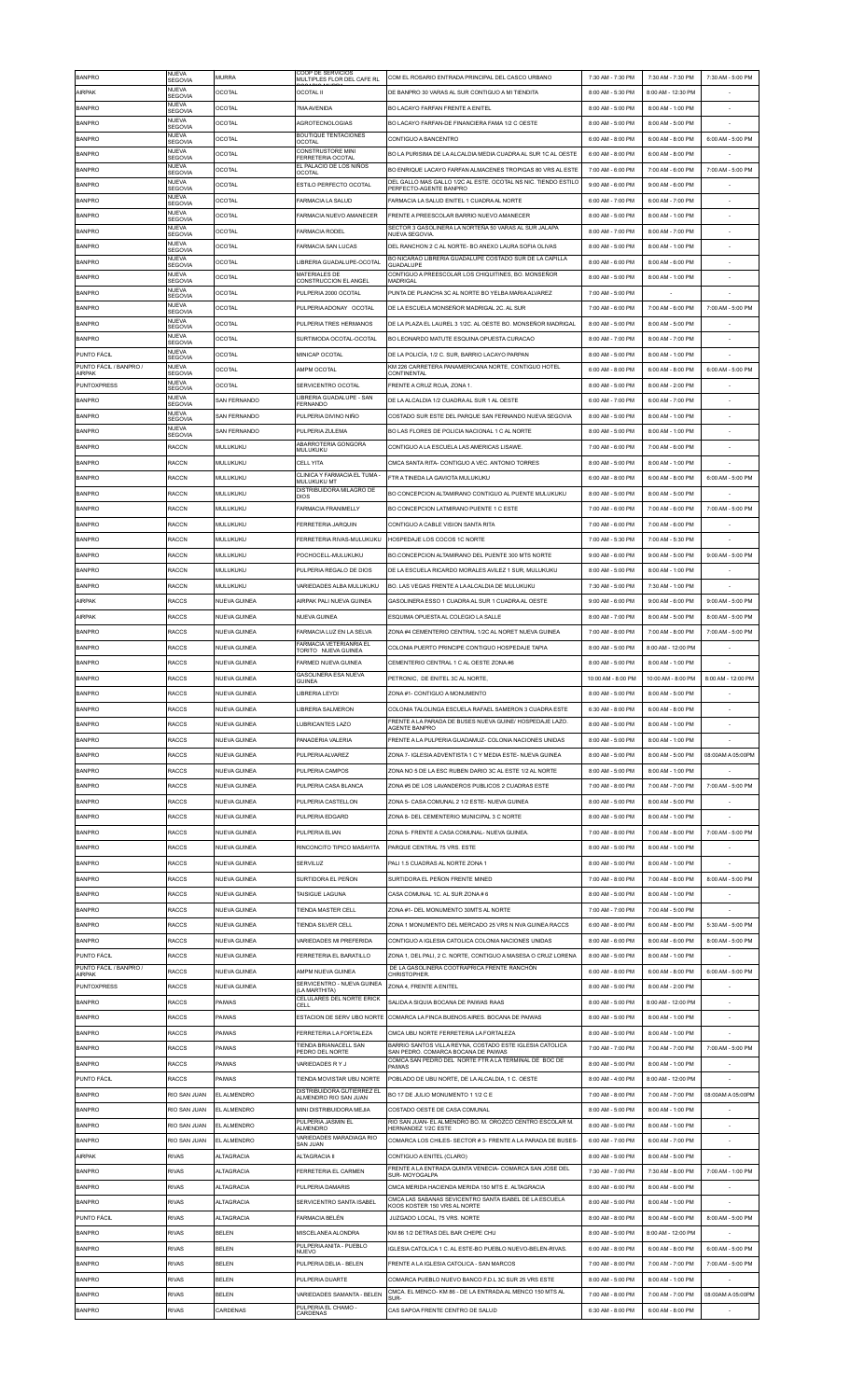| <b>BANPRO</b>                           | NUEVA<br>SEGOVIA               | <b>MURRA</b>        | COOP DE SERVICIOS<br>MULTIPLES FLOR DEL CAFE RL   | COM EL ROSARIO ENTRADA PRINCIPAL DEL CASCO URBANO                                                           | 7:30 AM - 7:30 PM  | 7:30 AM - 7:30 PM  | 7:30 AM - 5:00 PM  |
|-----------------------------------------|--------------------------------|---------------------|---------------------------------------------------|-------------------------------------------------------------------------------------------------------------|--------------------|--------------------|--------------------|
| AIRPAK                                  | <b>NUEVA</b><br>SEGOVIA        | OCOTAL              | <b>OCOTAL II</b>                                  | DE BANPRO 30 VARAS AL SUR CONTIGUO A MI TIENDITA                                                            | 8:00 AM - 5:30 PM  | 8:00 AM - 12:30 PM |                    |
| <b>BANPRO</b>                           | <b>NUEVA</b><br>SEGOVIA        | OCOTAL              | 7MA AVENIDA                                       | <b>BO LACAYO FARFAN FRENTE A ENITEL</b>                                                                     | 8:00 AM - 5:00 PM  | 8:00 AM - 1:00 PM  |                    |
| <b>BANPRO</b>                           | NUFVA<br>SEGOVIA               | OCOTAL              | <b>AGROTECNOLOGIAS</b>                            | BO LACAYO FARFAN-DE FINANCIERA FAMA 1/2 C OESTE                                                             | 8:00 AM - 5:00 PM  | 8:00 AM - 5:00 PM  |                    |
| <b>BANPRO</b>                           | <b>NUEVA</b><br>SEGOVIA        | <b>OCOTAL</b>       | <b>BOUTIQUE TENTACIONES</b><br>OCOTAL             | CONTIGUO A BANCENTRO                                                                                        | 6:00 AM - 8:00 PM  | 6:00 AM - 8:00 PM  | 6:00 AM - 5:00 PM  |
| <b>BANPRO</b>                           | NUEVA                          | OCOTAL              | CONSTRUSTORE MINI                                 | BO LA PURISIMA DE LA ALCALDIA MEDIA CUADRA AL SUR 1C AL OESTE                                               | 6:00 AM - 8:00 PM  | 6:00 AM - 8:00 PM  |                    |
| <b>BANPRO</b>                           | SEGOVIA<br><b>NUEVA</b>        | OCOTAL              | FERRETERIA OCOTAL<br>EL PALACIO DE LOS NIÑOS      | BO ENRIQUE LACAYO FARFAN ALMACENES TROPIGAS 80 VRS AL ESTE                                                  | 7:00 AM - 6:00 PM  | 7:00 AM - 6:00 PM  | 7:00 AM - 5:00 PM  |
| <b>BANPRO</b>                           | SEGOVIA<br><b>NUEVA</b>        | OCOTAL              | OCOTAL<br>ESTILO PERFECTO OCOTAL                  | DEL GALLO MAS GALLO 1/2C AL ESTE. OCOTAL NS NIC. TIENDO ESTILO                                              | 9:00 AM - 6:00 PM  | 9:00 AM - 6:00 PM  |                    |
| <b>BANPRO</b>                           | SEGOVIA<br><b>NUEVA</b>        | OCOTAL              | <b>FARMACIA LA SALUD</b>                          | PERFECTO-AGENTE BANPRO<br>FARMACIA LA SALUD ENITEL 1 CUADRA AL NORTE                                        | 6:00 AM - 7:00 PM  | 6:00 AM - 7:00 PM  |                    |
| <b>BANPRO</b>                           | SEGOVIA<br><b>NUEVA</b>        | OCOTAL              | FARMACIA NUEVO AMANECER                           | FRENTE A PREESCOLAR BARRIO NUEVO AMANECER                                                                   | 8:00 AM - 5:00 PM  | 8:00 AM - 1:00 PM  |                    |
| <b>BANPRO</b>                           | SEGOVIA<br>NUFVA               | OCOTAL              | <b>FARMACIA RODEL</b>                             | SECTOR 3 GASOLINERA LA NORTEÑA 50 VARAS AL SUR JALAPA                                                       | 8:00 AM - 7:00 PM  | 8:00 AM - 7:00 PM  |                    |
| <b>BANPRO</b>                           | SEGOVIA<br><b>NUEVA</b>        | OCOTAL              | <b>FARMACIA SAN LUCAS</b>                         | NUEVA SEGOVIA<br>DEL RANCHON 2 C AL NORTE- BO ANEXO LAURA SOFIA OLIVAS                                      | 8:00 AM - 5:00 PM  | 8:00 AM - 1:00 PM  |                    |
|                                         | SEGOVIA<br>NUEVA               |                     |                                                   | BO NICARAO LIBRERIA GUADALUPE COSTADO SUR DE LA CAPILLA                                                     |                    |                    |                    |
| <b>BANPRO</b>                           | SEGOVIA<br><b>NUFVA</b>        | OCOTAL              | LIBRERIA GUADALUPE-OCOTAL<br>MATERIALES DE        | <b>GUADALUPE</b><br>CONTIGUO A PREESCOLAR LOS CHIQUITINES, BO. MONSEÑOR                                     | 8:00 AM - 6:00 PM  | 8:00 AM - 6:00 PM  |                    |
| <b>BANPRO</b>                           | SEGOVIA<br><b>NUEVA</b>        | OCOTAL              | CONSTRUCCION EL ANGEL                             | <b>MADRIGAL</b>                                                                                             | 8:00 AM - 5:00 PM  | 8:00 AM - 1:00 PM  |                    |
| <b>BANPRO</b>                           | SEGOVIA<br><b>NUEVA</b>        | OCOTAL              | PULPERIA 2000 OCOTAL                              | PUNTA DE PLANCHA 3C AL NORTE BO YELBA MARIA ALVAREZ                                                         | 7:00 AM - 5:00 PM  |                    |                    |
| <b>BANPRO</b>                           | SEGOVIA                        | OCOTAL              | PULPERIA ADONAY OCOTAL                            | DE LA ESCUELA MONSEÑOR MADRIGAL 2C. AL SUR                                                                  | 7:00 AM - 6:00 PM  | 7:00 AM - 6:00 PM  | 7:00 AM - 5:00 PM  |
| <b>BANPRO</b>                           | <b>NUEVA</b><br>SEGOVIA        | OCOTAL              | PULPERIA TRES HERMANOS                            | DE LA PLAZA EL LAUREL 3 1/2C. AL OESTE BO. MONSEÑOR MADRIGAL                                                | 8:00 AM - 5:00 PM  | 8:00 AM - 5:00 PM  |                    |
| <b>BANPRO</b>                           | <b>NUEVA</b><br><b>SEGOVIA</b> | OCOTAL              | SURTIMODA OCOTAL-OCOTAL                           | BO LEONARDO MATUTE ESQUINA OPUESTA CURACAO                                                                  | 8:00 AM - 7:00 PM  | 8:00 AM - 7:00 PM  |                    |
| PUNTO FÁCIL                             | NUEVA<br>SEGOVIA               | OCOTAL              | MINICAP OCOTAL                                    | DE LA POLICÍA, 1/2 C. SUR, BARRIO LACAYO PARPAN                                                             | 8:00 AM - 5:00 PM  | 8:00 AM - 1:00 PM  |                    |
| PUNTO FÁCIL / BANPRO /<br>AIRPAK        | <b>NUEVA</b><br>SEGOVIA        | OCOTAL              | AMPM OCOTAL                                       | KM 226 CARRETERA PANAMERICANA NORTE, CONTIGUO HOTEL<br>CONTINENTAL                                          | 6:00 AM - 8:00 PM  | 6:00 AM - 8:00 PM  | 6:00 AM - 5:00 PM  |
| <b>PUNTOXPRESS</b>                      | <b>NUFVA</b><br>SEGOVIA        | OCOTAL              | SERVICENTRO OCOTAL                                | FRENTE A CRUZ ROJA, ZONA 1                                                                                  | 8:00 AM - 5:00 PM  | 8:00 AM - 2:00 PM  |                    |
| <b>BANPRO</b>                           | <b>NUEVA</b><br>SEGOVIA        | SAN FERNANDO        | LIBRERIA GUADALUPE - SAN<br>FERNANDO              | DE LA ALCALDIA 1/2 CUADRA AL SUR 1 AL OESTE                                                                 | 6:00 AM - 7:00 PM  | 6:00 AM - 7:00 PM  |                    |
| <b>BANPRO</b>                           | <b>NUEVA</b><br>SEGOVIA        | SAN FERNANDO        | PULPERIA DIVINO NIÑO                              | COSTADO SUR ESTE DEL PARQUE SAN FERNANDO NUEVA SEGOVIA                                                      | 8:00 AM - 5:00 PM  | 8:00 AM - 1:00 PM  |                    |
| <b>BANPRO</b>                           | NUFVA<br>SEGOVIA               | SAN FERNANDO        | PULPERIA ZULEMA                                   | BO LAS FLORES DE POLICIA NACIONAL 1 C AL NORTE                                                              | 8:00 AM - 5:00 PM  | 8:00 AM - 1:00 PM  |                    |
| <b>BANPRO</b>                           | <b>RACCN</b>                   | MULUKUKU            | ABARROTERIA GONGORA<br>MULUKUKU                   | CONTIGUO A LA ESCUELA LAS AMERICAS LISAWE                                                                   | 7:00 AM - 6:00 PM  | 7:00 AM - 6:00 PM  |                    |
| <b>BANPRO</b>                           | RACCN                          | MULUKUKU            | CELL YITA                                         | CMCA SANTA RITA- CONTIGUO A VEC. ANTONIO TORRES                                                             | 8:00 AM - 5:00 PM  | 8:00 AM - 1:00 PM  |                    |
| <b>BANPRO</b>                           | RACCN                          | MULUKUKU            | CLINICA Y FARMACIA EL TUMA -<br>MULUKUKU MT       | FTR A TINEDA LA GAVIOTA MULUKUKU                                                                            | 6:00 AM - 8:00 PM  | 6:00 AM - 8:00 PM  | 6:00 AM - 5:00 PM  |
| <b>BANPRO</b>                           | RACCN                          | MULUKUKU            | DISTRIBUIDORA MILAGRO DE                          | BO CONCEPCION ALTAMIRANO CONTIGUO AL PUENTE MULUKUKU                                                        | 8:00 AM - 5:00 PM  | 8:00 AM - 5:00 PM  |                    |
| <b>BANPRO</b>                           | RACCN                          | MULUKUKU            | DIOS<br><b>FARMACIA FRANIMELLY</b>                | BO CONCEPCION LATMIRANO PUENTE 1 C ESTE                                                                     | 7:00 AM - 6:00 PM  | 7:00 AM - 6:00 PM  | 7:00 AM - 5:00 PM  |
| <b>BANPRO</b>                           | RACCN                          | MULUKUKU            | <b>FERRETERIA JARQUIN</b>                         | CONTIGUO A CABLE VISION SANTA RITA                                                                          | 7:00 AM - 6:00 PM  | 7:00 AM - 6:00 PM  |                    |
| <b>BANPRO</b>                           | RACCN                          | MULUKUKU            | FERRETERIA RIVAS-MULUKUKU                         | HOSPEDAJE LOS COCOS 1C NORTE                                                                                | 7:00 AM - 5:30 PM  | 7:00 AM - 5:30 PM  |                    |
| <b>BANPRO</b>                           | RACCN                          | MULUKUKU            | POCHOCELL-MULUKUKU                                | BO.CONCEPCION ALTAMIRANO DEL PUENTE 300 MTS NORTE                                                           | 9:00 AM - 6:00 PM  | 9:00 AM - 5:00 PM  | 9:00 AM - 5:00 PM  |
|                                         |                                |                     |                                                   |                                                                                                             |                    |                    |                    |
| <b>BANPRO</b>                           | RACCN                          | MULUKUKU            | PULPERIA REGALO DE DIOS                           | DE LA ESCUELA RICARDO MORALES AVILEZ 1 SUR, MULUKUKU                                                        | 8:00 AM - 5:00 PM  | 8:00 AM - 1:00 PM  |                    |
| <b>BANPRO</b>                           | RACCN                          | MULUKUKU            | VARIEDADES ALBA MULUKUKU                          | BO. LAS VEGAS FRENTE A LA ALCALDIA DE MULUKUKU                                                              | 7:30 AM - 5:00 PM  | 7:30 AM - 1:00 PM  |                    |
| AIRPAK                                  | RACCS                          | NUEVA GUINEA        | AIRPAK PALI NUEVA GUINEA                          | GASOLINERA ESSO 1 CUADRA AL SUR 1 CUADRA AL OESTE                                                           | 9:00 AM - 6:00 PM  | 9:00 AM - 6:00 PM  | 9:00 AM - 5:00 PM  |
| <b>AIRPAK</b>                           | RACCS                          | NUEVA GUINEA        | <b>NUEVA GUINEA</b>                               | ESQUIMA OPUESTA AL COLEGIO LA SALLE                                                                         | 8:00 AM - 7:00 PM  | 8:00 AM - 5:00 PM  | 8:00 AM - 5:00 PM  |
| <b>BANPRO</b>                           | RACCS                          | NUEVA GUINEA        | FARMACIA LUZ EN LA SELVA                          | ZONA #4 CEMENTERIO CENTRAL 1/2C AL NORET NUEVA GUINEA                                                       | 7:00 AM - 8:00 PM  | 7:00 AM - 8:00 PM  | 7:00 AM - 5:00 PM  |
| <b>BANPRO</b>                           | RACCS                          | <b>NUEVA GUINEA</b> | FARMACIA VETERIANRIA EL<br>TORITO NUEVA GUINEA    | COLONIA PUERTO PRINCIPE CONTIGUO HOSPEDAJE TAPIA                                                            | 8:00 AM - 5:00 PM  | 8:00 AM - 12:00 PM |                    |
| <b>BANPRO</b>                           | RACCS                          | NUEVA GUINEA        | FARMED NUEVA GUINEA                               | CEMENTERIO CENTRAL 1 C AL OESTE ZONA #6                                                                     | 8:00 AM - 5:00 PM  | 8:00 AM - 1:00 PM  |                    |
| <b>BANPRO</b>                           | RACCS                          | NUEVA GUINEA        | GASOLINERA ESA NUEVA<br><b>GUINEA</b>             | PETRONIC, DE ENITEL 3C AL NORTE,                                                                            | 10:00 AM - 8:00 PM | 10:00 AM - 8:00 PM | 8:00 AM - 12:00 PM |
|                                         | RACCS                          |                     | LIBRERIA LEYDI                                    |                                                                                                             |                    |                    |                    |
| <b>IANPRC</b>                           |                                | NUEVA GUINEA        |                                                   | ZONA #1- CONTIGUO A MONUMENTO                                                                               | 8:00 AM - 5:00 PM  | 8:00 AM - 5:00 PM  |                    |
| <b>BANPRO</b>                           | <b>RACCS</b>                   | NUEVA GUINEA        | <b>LIBRERIA SALMERON</b>                          | COLONIA TALOLINGA ESCUELA RAFAEL SAMERON 3 CUADRA ESTE                                                      | 6:30 AM - 8:00 PM  | 6:00 AM - 8:00 PM  |                    |
| <b>BANPRO</b>                           | RACCS                          | NUEVA GUINEA        | <b>LUBRICANTES LAZO</b>                           | FRENTE A LA PARADA DE BUSES NUEVA GUINE/ HOSPEDAJE LAZO.<br>AGENTE BANPRO                                   | 8:00 AM - 5:00 PM  | 8:00 AM - 1:00 PM  |                    |
| <b>BANPRO</b>                           | RACCS                          | NUEVA GUINEA        | PANADERIA VALERIA                                 | FRENTE A LA PULPERIA GUADAMUZ- COLONIA NACIONES UNIDAS                                                      | 8:00 AM - 5:00 PM  | 8:00 AM - 1:00 PM  |                    |
| <b>BANPRO</b>                           | RACCS                          | NUEVA GUINEA        | PULPERIA ALVAREZ                                  | ZONA 7- IGLESIA ADVENTISTA 1 C Y MEDIA ESTE- NUEVA GUINEA                                                   | 8:00 AM - 5:00 PM  | 8:00 AM - 5:00 PM  | 08:00AM A 05:00PM  |
| <b>BANPRO</b>                           | RACCS                          | NUEVA GUINEA        | PULPERIA CAMPOS                                   | ZONA NO 5 DE LA ESC RUBEN DARIO 3C AL ESTE 1/2 AL NORTE                                                     | 8:00 AM - 5:00 PM  | 8:00 AM - 1:00 PM  |                    |
| <b>BANPRO</b>                           | RACCS                          | NUEVA GUINEA        | PULPERIA CASA BLANCA                              | ZONA #5 DE LOS LAVANDEROS PUBLICOS 2 CUADRAS ESTE                                                           | 7:00 AM - 8:00 PM  | 7:00 AM - 7:00 PM  | 7:00 AM - 5:00 PM  |
|                                         |                                |                     |                                                   |                                                                                                             |                    |                    |                    |
| <b>BANPRO</b>                           | RACCS                          | NUEVA GUINEA        | PULPERIA CASTELLON                                | ZONA 5- CASA COMUNAL 2 1/2 ESTE- NUEVA GUINEA<br>ZONA 8- DEL CEMENTERIO MUNICIPAL 3 C NORTE                 | 8:00 AM - 5:00 PM  | 8:00 AM - 5:00 PM  |                    |
| <b>BANPRO</b>                           | RACCS                          | NUEVA GUINEA        | PULPERIA EDGARD                                   |                                                                                                             | 8:00 AM - 5:00 PM  | 8:00 AM - 1:00 PM  |                    |
| <b>BANPRO</b>                           | RACCS                          | NUEVA GUINEA        | PULPERIA ELIAN                                    | ZONA 5- FRENTE A CASA COMUNAL- NUEVA GUINEA.                                                                | 7:00 AM - 8:00 PM  | 7:00 AM - 8:00 PM  | 7:00 AM - 5:00 PM  |
| <b>BANPRO</b>                           | RACCS                          | NUEVA GUINEA        | RINCONCITO TIPICO MASAYITA                        | PARQUE CENTRAL 75 VRS. ESTE                                                                                 | 8:00 AM - 5:00 PM  | 8:00 AM - 1:00 PM  |                    |
| <b>BANPRO</b>                           | RACCS                          | NUEVA GUINEA        | SERVILUZ                                          | PALI 1.5 CUADRAS AL NORTE ZONA 1                                                                            | 8:00 AM - 5:00 PM  | 8:00 AM - 1:00 PM  |                    |
| <b>BANPRO</b>                           | RACCS                          | NUEVA GUINEA        | SURTIDORA EL PEÑON                                | SURTIDORA EL PEÑON FRENTE MINED                                                                             | 7:00 AM - 8:00 PM  | 7:00 AM - 8:00 PM  | 8:00 AM - 5:00 PM  |
| <b>BANPRO</b>                           | RACCS                          | NUEVA GUINEA        | TAISIGUE LAGUNA                                   | CASA COMUNAL 1C. AL SUR ZONA #6                                                                             | 8:00 AM - 5:00 PM  | 8:00 AM - 1:00 PM  |                    |
| <b>BANPRO</b>                           | RACCS                          | NUEVA GUINEA        | <b>TIENDA MASTER CELL</b>                         | ZONA #1- DEL MONUMENTO 30MTS AL NORTE                                                                       | 7:00 AM - 7:00 PM  | 7:00 AM - 5:00 PM  |                    |
| <b>BANPRO</b>                           | RACCS                          | NUEVA GUINEA        | TIENDA SILVER CELL                                | ZONA 1 MONUMENTO DEL MERCADO 25 VRS N NVA GUINEA RACCS                                                      | 6:00 AM - 8:00 PM  | 6:00 AM - 8:00 PM  | 5:30 AM - 5:00 PM  |
| <b>BANPRO</b>                           | RACCS                          | NUEVA GUINEA        | VARIEDADES MI PREFERIDA                           | CONTIGUO A IGLESIA CATOLICA COLONIA NACIONES UNIDAS                                                         | 8:00 AM - 6:00 PM  | 8:00 AM - 6:00 PM  | 8:00 AM - 5:00 PM  |
| PUNTO FÁCIL                             | RACCS                          | NUEVA GUINEA        | FERRETERIA EL BARATILLO                           | ZONA 1, DEL PALI, 2 C. NORTE, CONTIGUO A MASESA O CRUZ LORENA                                               | 8:00 AM - 5:00 PM  | 8:00 AM - 1:00 PM  |                    |
| PUNTO FÁCIL / BANPRO /<br><b>AIRPAK</b> | RACCS                          | NUEVA GUINEA        | AMPM NUEVA GUINEA                                 | DE LA GASOLINERA COOTRAPRICA FRENTE RANCHÓN<br>CHRISTOPHER.                                                 | 6:00 AM - 8:00 PM  | 6:00 AM - 8:00 PM  | 6:00 AM - 5:00 PM  |
| <b>PUNTOXPRESS</b>                      | RACCS                          | NUEVA GUINEA        | SERVICENTRO - NUEVA GUINEA<br>LA MARTHITA)        | ZONA 4, FRENTE A ENITEL                                                                                     | 8:00 AM - 5:00 PM  | 8:00 AM - 2:00 PM  |                    |
| <b>BANPRO</b>                           | RACCS                          | PAIWAS              | CELULARES DEL NORTE ERICK<br>CELL                 | SALIDA A SIQUIA BOCANA DE PAIWAS RAAS                                                                       | 8:00 AM - 5:00 PM  | 8:00 AM - 12:00 PM |                    |
| <b>BANPRO</b>                           | <b>RACCS</b>                   | PAIWAS              | ESTACION DE SERV UBO NORTE                        | COMARCA LA FINCA BUENOS AIRES. BOCANA DE PAIWAS                                                             | 8:00 AM - 5:00 PM  | 8:00 AM - 1:00 PM  |                    |
| <b>BANPRO</b>                           | RACCS                          | PAIWAS              | FERRETERIA LA FORTALEZA                           | CMCA UBU NORTE FERRETERIA LA FORTALEZA                                                                      | 8:00 AM - 5:00 PM  | 8:00 AM - 1:00 PM  |                    |
| <b>BANPRO</b>                           | RACCS                          | PAIWAS              | TIENDA BRIANACELL SAN<br>PEDRO DEL NORTE          | BARRIO SANTOS VILLA REYNA, COSTADO ESTE IGLESIA CATOLICA<br>SAN PEDRO. COMARCA BOCANA DE PAIWAS             | 7:00 AM - 7:00 PM  | 7:00 AM - 7:00 PM  | 7:00 AM - 5:00 PM  |
| <b>BANPRO</b>                           | RACCS                          | <b>PAIWAS</b>       | VARIEDADES R Y J                                  | COMCA SAN PEDRO DEL NORTE FTR A LA TERMINAL DE BOC DE<br>PAIWAS                                             | 8:00 AM - 5:00 PM  | 8:00 AM - 1:00 PM  |                    |
| PUNTO FÁCIL                             | RACCS                          | PAIWAS              | TIENDA MOVISTAR UBU NORTE                         | POBLADO DE UBU NORTE, DE LA ALCALDIA, 1 C. OESTE                                                            | 8:00 AM - 4:00 PM  | 8:00 AM - 12:00 PM |                    |
| <b>BANPRO</b>                           | RIO SAN JUAN                   | EL ALMENDRO         | DISTRIBUIDORA GUTIERREZ EL                        | BO 17 DE JULIO MONUMENTO 1 1/2 C E                                                                          | 7:00 AM - 8:00 PM  | 7:00 AM - 7:00 PM  | 08:00AM A 05:00PM  |
| <b>BANPRO</b>                           | RIO SAN JUAN                   | EL ALMENDRO         | ALMENDRO RIO SAN JUAN<br>MINI DISTRIBUIDORA MEJIA | COSTADO OESTE DE CASA COMUNAL                                                                               | 8:00 AM - 5:00 PM  | 8:00 AM - 1:00 PM  |                    |
| <b>BANPRO</b>                           | RIO SAN JUAN                   | EL ALMENDRO         | PULPERIA JASMIN EL                                | RIO SAN JUAN- EL ALMENDRO BO. M. OROZCO CENTRO ESCOLAR M.                                                   | 8:00 AM - 5:00 PM  | 8:00 AM - 1:00 PM  |                    |
| <b>BANPRO</b>                           | RIO SAN JUAN                   | EL ALMENDRO         | ALMENDRO<br>VARIEDADES MARADIAGA RIO              | HERNANDEZ 1/2C ESTE                                                                                         | 6:00 AM - 7:00 PM  | 6:00 AM - 7:00 PM  |                    |
|                                         |                                |                     | SAN JUAN                                          | COMARCA LOS CHILES- SECTOR # 3- FRENTE A LA PARADA DE BUSES                                                 |                    |                    |                    |
| AIRPAK                                  | <b>RIVAS</b>                   | ALTAGRACIA          | <b>ALTAGRACIA II</b>                              | CONTIGUO A ENITEL (CLARO)<br>FRENTE A LA ENTRADA QUINTA VENECIA- COMARCA SAN JOSE DEL                       | 8:00 AM - 5:00 PM  | 8:00 AM - 5:00 PM  |                    |
| <b>BANPRO</b>                           | <b>RIVAS</b>                   | <b>ALTAGRACIA</b>   | FERRETERIA EL CARMEN                              | SUR-MOYOGALPA                                                                                               | 7:30 AM - 7:00 PM  | 7:30 AM - 8:00 PM  | 7:00 AM - 1:00 PM  |
| <b>BANPRO</b>                           | <b>RIVAS</b>                   | ALTAGRACIA          | PULPERIA DAMARIS                                  | CMCA MERIDA HACIENDA MERIDA 150 MTS E. ALTAGRACIA<br>CMCA LAS SABANAS SEVICENTRO SANTA ISABEL DE LA ESCUELA | 8:00 AM - 6:00 PM  | 8:00 AM - 6:00 PM  |                    |
| <b>BANPRO</b>                           | <b>RIVAS</b>                   | ALTAGRACIA          | SERVICENTRO SANTA ISABEL                          | KOOS KOSTER 150 VRS AL NORTE                                                                                | 8:00 AM - 5:00 PM  | 8:00 AM - 1:00 PM  |                    |
| PUNTO FÁCIL                             | <b>RIVAS</b>                   | <b>ALTAGRACIA</b>   | <b>FARMACIA BELÉN</b>                             | JUZGADO LOCAL, 75 VRS, NORTE                                                                                | 8:00 AM - 8:00 PM  | 8:00 AM - 6:00 PM  | 8:00 AM - 5:00 PM  |
| <b>BANPRO</b>                           | <b>RIVAS</b>                   | BELEN               | MISCELANEA ALONDRA                                | KM 86 1/2 DETRAS DEL BAR CHEPE CHU                                                                          | 8:00 AM - 5:00 PM  | 8:00 AM - 12:00 PM |                    |
| <b>BANPRO</b>                           | <b>RIVAS</b>                   | <b>BELEN</b>        | PULPERIA ANITA - PUEBLO<br>NUEVO                  | IGLESIA CATOLICA 1 C. AL ESTE-BO PUEBLO NUEVO-BELEN-RIVAS.                                                  | 6:00 AM - 8:00 PM  | 6:00 AM - 8:00 PM  | 6:00 AM - 5:00 PM  |
| <b>BANPRO</b>                           | <b>RIVAS</b>                   | BELEN               | PULPERIA DELIA - BELEN                            | FRENTE A LA IGLESIA CATOLICA - SAN MARCOS                                                                   | 7:00 AM - 8:00 PM  | 7:00 AM - 7:00 PM  | 7:00 AM - 5:00 PM  |
| <b>BANPRO</b>                           | <b>RIVAS</b>                   | <b>BELEN</b>        | PULPERIA DUARTE                                   | COMARCA PUEBLO NUEVO BANCO F.D.L 3C SUR 25 VRS ESTE                                                         | 8:00 AM - 5:00 PM  | 8:00 AM - 1:00 PM  |                    |
| <b>BANPRO</b>                           | <b>RIVAS</b>                   | BELEN               | VARIEDADES SAMANTA - BELEN<br>PULPERIA EL CHAMO - | CMCA. EL MENCO- KM 86 - DE LA ENTRADA AL MENCO 150 MTS AL<br>SUR-                                           | 7:00 AM - 8:00 PM  | 7:00 AM - 7:00 PM  | 08:00AM A 05:00PM  |